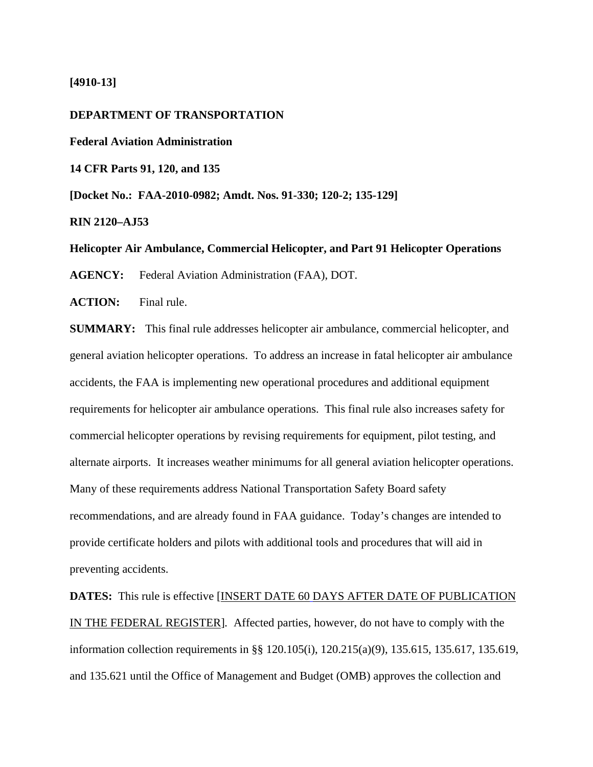## **[4910-13]**

## **DEPARTMENT OF TRANSPORTATION**

**Federal Aviation Administration** 

**14 CFR Parts 91, 120, and 135** 

**[Docket No.: FAA-2010-0982; Amdt. Nos. 91-330; 120-2; 135-129]**

**RIN 2120–AJ53** 

**Helicopter Air Ambulance, Commercial Helicopter, and Part 91 Helicopter Operations** 

**AGENCY:** Federal Aviation Administration (FAA), DOT.

**ACTION:** Final rule.

**SUMMARY:** This final rule addresses helicopter air ambulance, commercial helicopter, and general aviation helicopter operations. To address an increase in fatal helicopter air ambulance accidents, the FAA is implementing new operational procedures and additional equipment requirements for helicopter air ambulance operations. This final rule also increases safety for commercial helicopter operations by revising requirements for equipment, pilot testing, and alternate airports. It increases weather minimums for all general aviation helicopter operations. Many of these requirements address National Transportation Safety Board safety recommendations, and are already found in FAA guidance. Today's changes are intended to provide certificate holders and pilots with additional tools and procedures that will aid in preventing accidents.

**DATES:** This rule is effective [INSERT DATE 60 DAYS AFTER DATE OF PUBLICATION IN THE FEDERAL REGISTER]*.* Affected parties, however, do not have to comply with the information collection requirements in §§ 120.105(i), 120.215(a)(9), 135.615, 135.617, 135.619, and 135.621 until the Office of Management and Budget (OMB) approves the collection and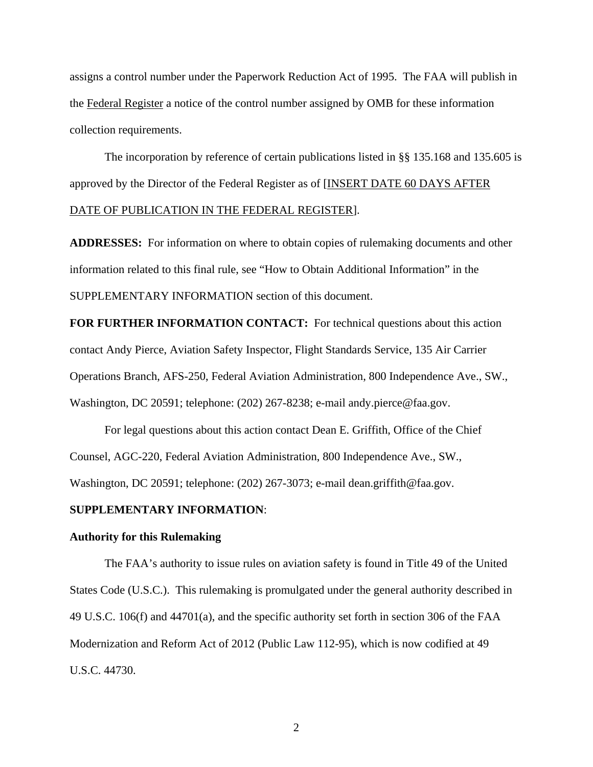assigns a control number under the Paperwork Reduction Act of 1995. The FAA will publish in the Federal Register a notice of the control number assigned by OMB for these information collection requirements.

The incorporation by reference of certain publications listed in §§ 135.168 and 135.605 is approved by the Director of the Federal Register as of [INSERT DATE 60 DAYS AFTER DATE OF PUBLICATION IN THE FEDERAL REGISTER].

**ADDRESSES:** For information on where to obtain copies of rulemaking documents and other information related to this final rule, see "How to Obtain Additional Information" in the SUPPLEMENTARY INFORMATION section of this document.

**FOR FURTHER INFORMATION CONTACT:** For technical questions about this action contact Andy Pierce, Aviation Safety Inspector, Flight Standards Service, 135 Air Carrier Operations Branch, AFS-250, Federal Aviation Administration, 800 Independence Ave., SW., Washington, DC 20591; telephone: (202) 267-8238; e-mail andy.pierce@faa.gov.

For legal questions about this action contact Dean E. Griffith, Office of the Chief Counsel, AGC-220, Federal Aviation Administration, 800 Independence Ave., SW., Washington, DC 20591; telephone: (202) 267-3073; e-mail dean.griffith@faa.gov.

## **SUPPLEMENTARY INFORMATION**:

#### **Authority for this Rulemaking**

The FAA's authority to issue rules on aviation safety is found in Title 49 of the United States Code (U.S.C.). This rulemaking is promulgated under the general authority described in 49 U.S.C. 106(f) and 44701(a), and the specific authority set forth in section 306 of the FAA Modernization and Reform Act of 2012 (Public Law 112-95), which is now codified at 49 U.S.C. 44730.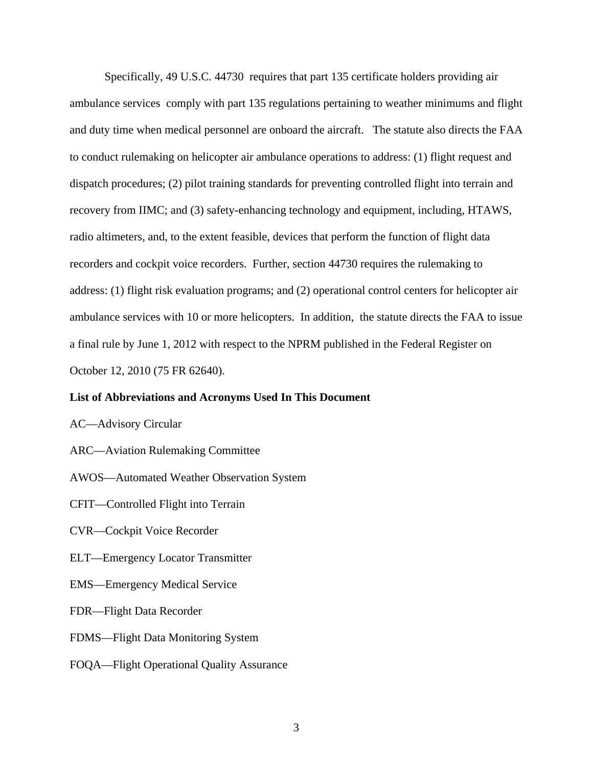Specifically, 49 U.S.C. 44730 requires that part 135 certificate holders providing air ambulance services comply with part 135 regulations pertaining to weather minimums and flight and duty time when medical personnel are onboard the aircraft. The statute also directs the FAA to conduct rulemaking on helicopter air ambulance operations to address: (1) flight request and dispatch procedures; (2) pilot training standards for preventing controlled flight into terrain and recovery from IIMC; and (3) safety-enhancing technology and equipment, including, HTAWS, radio altimeters, and, to the extent feasible, devices that perform the function of flight data recorders and cockpit voice recorders. Further, section 44730 requires the rulemaking to address: (1) flight risk evaluation programs; and (2) operational control centers for helicopter air ambulance services with 10 or more helicopters. In addition, the statute directs the FAA to issue a final rule by June 1, 2012 with respect to the NPRM published in the Federal Register on October 12, 2010 (75 FR 62640).

## **List of Abbreviations and Acronyms Used In This Document**

AC—Advisory Circular

ARC—Aviation Rulemaking Committee

AWOS—Automated Weather Observation System

CFIT—Controlled Flight into Terrain

CVR—Cockpit Voice Recorder

ELT—Emergency Locator Transmitter

EMS—Emergency Medical Service

FDR—Flight Data Recorder

FDMS—Flight Data Monitoring System

FOQA—Flight Operational Quality Assurance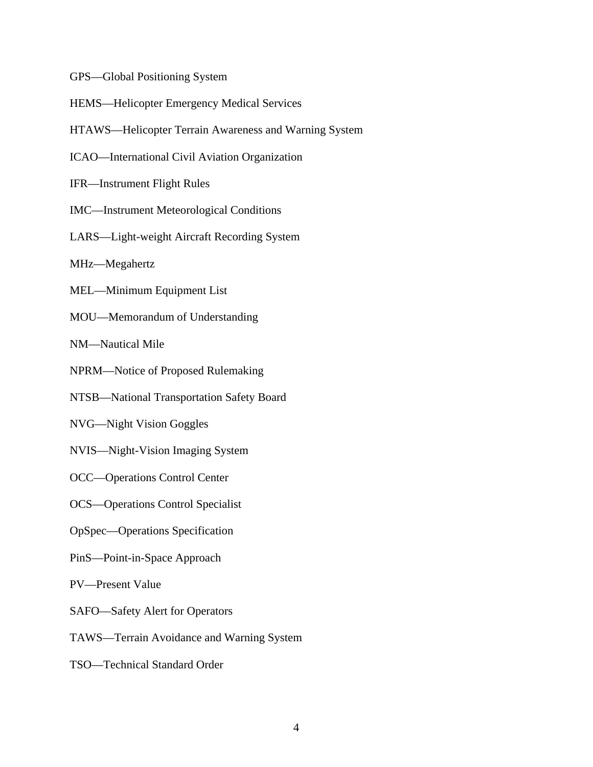GPS—Global Positioning System

- HEMS—Helicopter Emergency Medical Services
- HTAWS—Helicopter Terrain Awareness and Warning System
- ICAO—International Civil Aviation Organization
- IFR—Instrument Flight Rules
- IMC—Instrument Meteorological Conditions
- LARS—Light-weight Aircraft Recording System
- MHz—Megahertz
- MEL—Minimum Equipment List
- MOU—Memorandum of Understanding

NM—Nautical Mile

- NPRM—Notice of Proposed Rulemaking
- NTSB—National Transportation Safety Board
- NVG—Night Vision Goggles
- NVIS—Night-Vision Imaging System
- OCC—Operations Control Center
- OCS—Operations Control Specialist
- OpSpec—Operations Specification
- PinS—Point-in-Space Approach
- PV—Present Value
- SAFO—Safety Alert for Operators
- TAWS—Terrain Avoidance and Warning System
- TSO—Technical Standard Order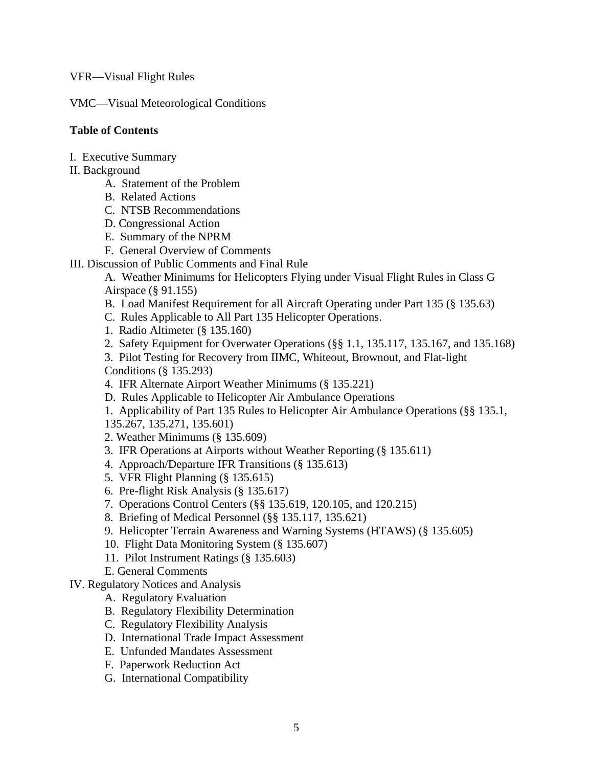VFR—Visual Flight Rules

VMC—Visual Meteorological Conditions

## **Table of Contents**

- I. Executive Summary
- II. Background
	- A. Statement of the Problem
	- B. Related Actions
	- C. NTSB Recommendations
	- D. Congressional Action
	- E. Summary of the NPRM
	- F. General Overview of Comments
- III. Discussion of Public Comments and Final Rule

A. Weather Minimums for Helicopters Flying under Visual Flight Rules in Class G Airspace (§ 91.155)

- B. Load Manifest Requirement for all Aircraft Operating under Part 135 (§ 135.63)
- C. Rules Applicable to All Part 135 Helicopter Operations.
- 1. Radio Altimeter (§ 135.160)
- 2. Safety Equipment for Overwater Operations (§§ 1.1, 135.117, 135.167, and 135.168)
- 3. Pilot Testing for Recovery from IIMC, Whiteout, Brownout, and Flat-light Conditions (§ 135.293)
- 4. IFR Alternate Airport Weather Minimums (§ 135.221)
- D. Rules Applicable to Helicopter Air Ambulance Operations

 1. Applicability of Part 135 Rules to Helicopter Air Ambulance Operations (§§ 135.1, 135.267, 135.271, 135.601)

- 2. Weather Minimums (§ 135.609)
- 3. IFR Operations at Airports without Weather Reporting (§ 135.611)
- 4. Approach/Departure IFR Transitions (§ 135.613)
- 5. VFR Flight Planning (§ 135.615)
- 6. Pre-flight Risk Analysis (§ 135.617)
- 7. Operations Control Centers (§§ 135.619, 120.105, and 120.215)
- 8. Briefing of Medical Personnel (§§ 135.117, 135.621)
- 9. Helicopter Terrain Awareness and Warning Systems (HTAWS) (§ 135.605)
- 10. Flight Data Monitoring System (§ 135.607)
- 11. Pilot Instrument Ratings (§ 135.603)
- E. General Comments
- IV. Regulatory Notices and Analysis
	- A. Regulatory Evaluation
	- B. Regulatory Flexibility Determination
	- C. Regulatory Flexibility Analysis
	- D. International Trade Impact Assessment
	- E. Unfunded Mandates Assessment
	- F. Paperwork Reduction Act
	- G. International Compatibility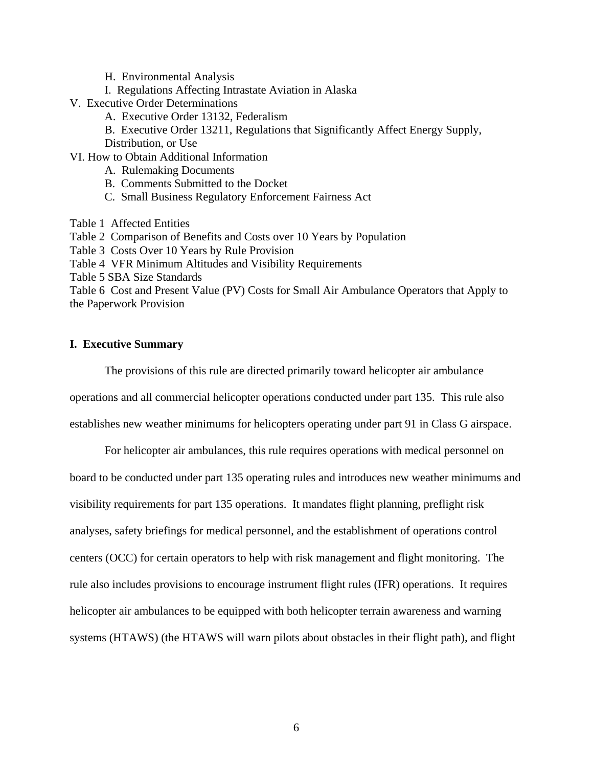- H. Environmental Analysis
- I. Regulations Affecting Intrastate Aviation in Alaska
- V. Executive Order Determinations
	- A. Executive Order 13132, Federalism
	- B. Executive Order 13211, Regulations that Significantly Affect Energy Supply,

Distribution, or Use

- VI. How to Obtain Additional Information
	- A. Rulemaking Documents
	- B. Comments Submitted to the Docket
	- C. Small Business Regulatory Enforcement Fairness Act
- Table 1 Affected Entities
- Table 2 Comparison of Benefits and Costs over 10 Years by Population
- Table 3 Costs Over 10 Years by Rule Provision
- Table 4 VFR Minimum Altitudes and Visibility Requirements
- Table 5 SBA Size Standards
- Table 6 Cost and Present Value (PV) Costs for Small Air Ambulance Operators that Apply to the Paperwork Provision

## **I. Executive Summary**

 The provisions of this rule are directed primarily toward helicopter air ambulance operations and all commercial helicopter operations conducted under part 135. This rule also

establishes new weather minimums for helicopters operating under part 91 in Class G airspace.

For helicopter air ambulances, this rule requires operations with medical personnel on board to be conducted under part 135 operating rules and introduces new weather minimums and visibility requirements for part 135 operations. It mandates flight planning, preflight risk analyses, safety briefings for medical personnel, and the establishment of operations control centers (OCC) for certain operators to help with risk management and flight monitoring. The rule also includes provisions to encourage instrument flight rules (IFR) operations. It requires helicopter air ambulances to be equipped with both helicopter terrain awareness and warning systems (HTAWS) (the HTAWS will warn pilots about obstacles in their flight path), and flight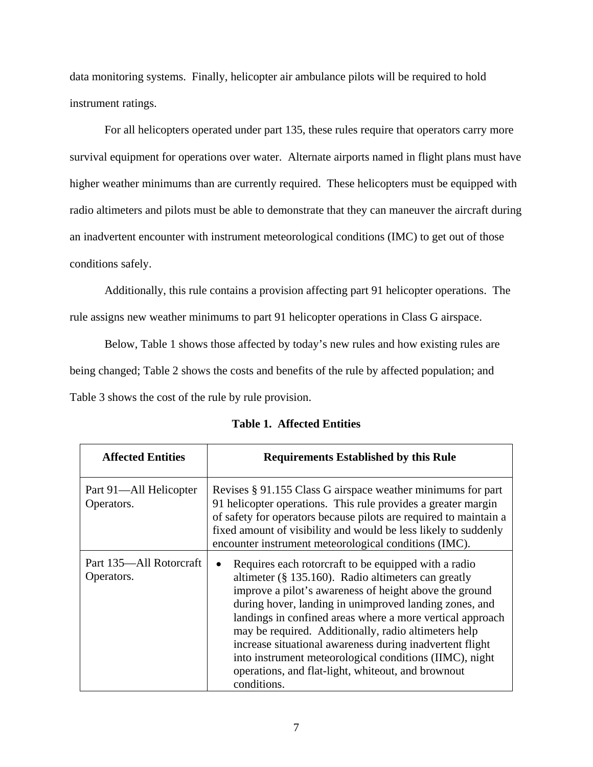data monitoring systems. Finally, helicopter air ambulance pilots will be required to hold instrument ratings.

 For all helicopters operated under part 135, these rules require that operators carry more survival equipment for operations over water. Alternate airports named in flight plans must have higher weather minimums than are currently required. These helicopters must be equipped with radio altimeters and pilots must be able to demonstrate that they can maneuver the aircraft during an inadvertent encounter with instrument meteorological conditions (IMC) to get out of those conditions safely.

 Additionally, this rule contains a provision affecting part 91 helicopter operations. The rule assigns new weather minimums to part 91 helicopter operations in Class G airspace.

 Below, Table 1 shows those affected by today's new rules and how existing rules are being changed; Table 2 shows the costs and benefits of the rule by affected population; and Table 3 shows the cost of the rule by rule provision.

| <b>Affected Entities</b>              | <b>Requirements Established by this Rule</b>                                                                                                                                                                                                                                                                                                                                                                                                                                                                                                         |
|---------------------------------------|------------------------------------------------------------------------------------------------------------------------------------------------------------------------------------------------------------------------------------------------------------------------------------------------------------------------------------------------------------------------------------------------------------------------------------------------------------------------------------------------------------------------------------------------------|
| Part 91—All Helicopter<br>Operators.  | Revises § 91.155 Class G airspace weather minimums for part<br>91 helicopter operations. This rule provides a greater margin<br>of safety for operators because pilots are required to maintain a<br>fixed amount of visibility and would be less likely to suddenly<br>encounter instrument meteorological conditions (IMC).                                                                                                                                                                                                                        |
| Part 135—All Rotorcraft<br>Operators. | Requires each rotorcraft to be equipped with a radio<br>altimeter $(\S 135.160)$ . Radio altimeters can greatly<br>improve a pilot's awareness of height above the ground<br>during hover, landing in unimproved landing zones, and<br>landings in confined areas where a more vertical approach<br>may be required. Additionally, radio altimeters help<br>increase situational awareness during inadvertent flight<br>into instrument meteorological conditions (IIMC), night<br>operations, and flat-light, whiteout, and brownout<br>conditions. |

**Table 1. Affected Entities**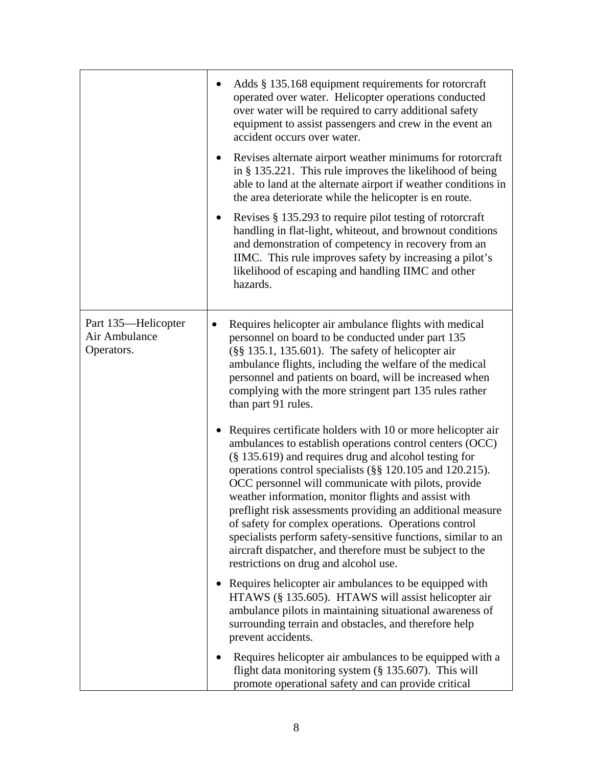|                                                    | Adds § 135.168 equipment requirements for rotorcraft<br>operated over water. Helicopter operations conducted<br>over water will be required to carry additional safety<br>equipment to assist passengers and crew in the event an<br>accident occurs over water.<br>Revises alternate airport weather minimums for rotorcraft<br>$\bullet$<br>in § 135.221. This rule improves the likelihood of being<br>able to land at the alternate airport if weather conditions in<br>the area deteriorate while the helicopter is en route.<br>Revises § 135.293 to require pilot testing of rotorcraft<br>handling in flat-light, whiteout, and brownout conditions<br>and demonstration of competency in recovery from an<br>IIMC. This rule improves safety by increasing a pilot's<br>likelihood of escaping and handling IIMC and other<br>hazards.                                                                                                                                                                                                             |
|----------------------------------------------------|-------------------------------------------------------------------------------------------------------------------------------------------------------------------------------------------------------------------------------------------------------------------------------------------------------------------------------------------------------------------------------------------------------------------------------------------------------------------------------------------------------------------------------------------------------------------------------------------------------------------------------------------------------------------------------------------------------------------------------------------------------------------------------------------------------------------------------------------------------------------------------------------------------------------------------------------------------------------------------------------------------------------------------------------------------------|
| Part 135-Helicopter<br>Air Ambulance<br>Operators. | Requires helicopter air ambulance flights with medical<br>٠<br>personnel on board to be conducted under part 135<br>$(\S\S 135.1, 135.601)$ . The safety of helicopter air<br>ambulance flights, including the welfare of the medical<br>personnel and patients on board, will be increased when<br>complying with the more stringent part 135 rules rather<br>than part 91 rules.<br>Requires certificate holders with 10 or more helicopter air<br>$\bullet$<br>ambulances to establish operations control centers (OCC)<br>(§ 135.619) and requires drug and alcohol testing for<br>operations control specialists (§§ 120.105 and 120.215).<br>OCC personnel will communicate with pilots, provide<br>weather information, monitor flights and assist with<br>preflight risk assessments providing an additional measure<br>of safety for complex operations. Operations control<br>specialists perform safety-sensitive functions, similar to an<br>aircraft dispatcher, and therefore must be subject to the<br>restrictions on drug and alcohol use. |
|                                                    | Requires helicopter air ambulances to be equipped with<br>HTAWS (§ 135.605). HTAWS will assist helicopter air<br>ambulance pilots in maintaining situational awareness of<br>surrounding terrain and obstacles, and therefore help<br>prevent accidents.                                                                                                                                                                                                                                                                                                                                                                                                                                                                                                                                                                                                                                                                                                                                                                                                    |
|                                                    | Requires helicopter air ambulances to be equipped with a<br>flight data monitoring system (§ 135.607). This will<br>promote operational safety and can provide critical                                                                                                                                                                                                                                                                                                                                                                                                                                                                                                                                                                                                                                                                                                                                                                                                                                                                                     |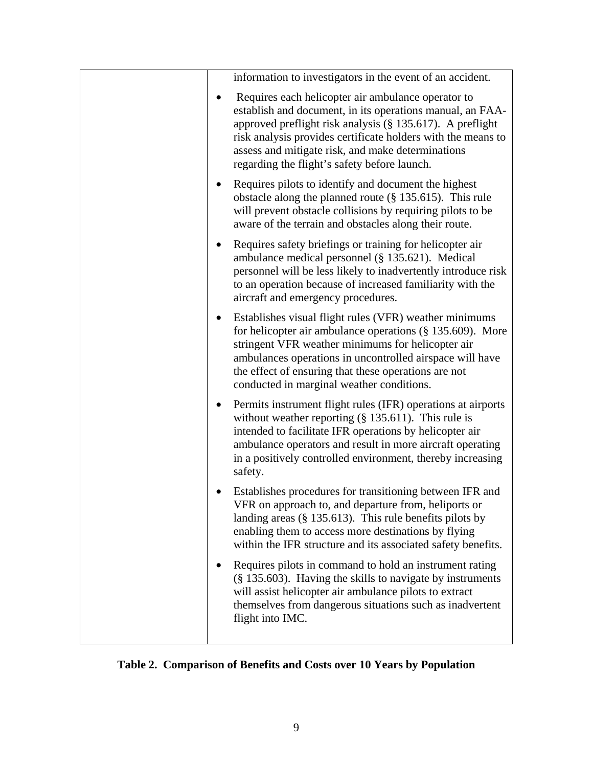|  | information to investigators in the event of an accident.                                                                                                                                                                                                                                                                                         |
|--|---------------------------------------------------------------------------------------------------------------------------------------------------------------------------------------------------------------------------------------------------------------------------------------------------------------------------------------------------|
|  | Requires each helicopter air ambulance operator to<br>establish and document, in its operations manual, an FAA-<br>approved preflight risk analysis (§ 135.617). A preflight<br>risk analysis provides certificate holders with the means to<br>assess and mitigate risk, and make determinations<br>regarding the flight's safety before launch. |
|  | Requires pilots to identify and document the highest<br>obstacle along the planned route $(\S 135.615)$ . This rule<br>will prevent obstacle collisions by requiring pilots to be<br>aware of the terrain and obstacles along their route.                                                                                                        |
|  | Requires safety briefings or training for helicopter air<br>ambulance medical personnel (§ 135.621). Medical<br>personnel will be less likely to inadvertently introduce risk<br>to an operation because of increased familiarity with the<br>aircraft and emergency procedures.                                                                  |
|  | Establishes visual flight rules (VFR) weather minimums<br>for helicopter air ambulance operations $(\S 135.609)$ . More<br>stringent VFR weather minimums for helicopter air<br>ambulances operations in uncontrolled airspace will have<br>the effect of ensuring that these operations are not<br>conducted in marginal weather conditions.     |
|  | Permits instrument flight rules (IFR) operations at airports<br>without weather reporting $(\S 135.611)$ . This rule is<br>intended to facilitate IFR operations by helicopter air<br>ambulance operators and result in more aircraft operating<br>in a positively controlled environment, thereby increasing<br>safety.                          |
|  | Establishes procedures for transitioning between IFR and<br>VFR on approach to, and departure from, heliports or<br>landing areas $(\S 135.613)$ . This rule benefits pilots by<br>enabling them to access more destinations by flying<br>within the IFR structure and its associated safety benefits.                                            |
|  | Requires pilots in command to hold an instrument rating<br>(§ 135.603). Having the skills to navigate by instruments<br>will assist helicopter air ambulance pilots to extract<br>themselves from dangerous situations such as inadvertent<br>flight into IMC.                                                                                    |

**Table 2. Comparison of Benefits and Costs over 10 Years by Population**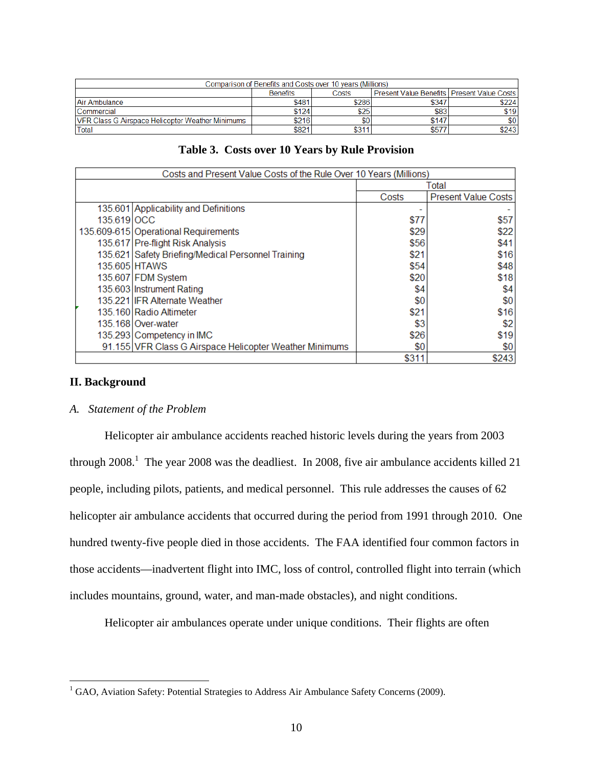| Comparison of Benefits and Costs over 10 years (Millions) |                 |       |                                              |       |  |
|-----------------------------------------------------------|-----------------|-------|----------------------------------------------|-------|--|
|                                                           | <b>Benefits</b> | Costs | Present Value Benefits   Present Value Costs |       |  |
| Air Ambulance                                             | \$481           | \$286 | \$347                                        | \$224 |  |
| l Commercial                                              | \$124           | \$25  | \$83                                         | \$19  |  |
| <b>IVER Class G Airspace Helicopter Weather Minimums</b>  | \$216           | \$0   | \$147                                        | \$0   |  |
| Total                                                     | \$821           | \$311 | \$577                                        | \$243 |  |

|  | Table 3. Costs over 10 Years by Rule Provision |  |  |  |  |
|--|------------------------------------------------|--|--|--|--|
|--|------------------------------------------------|--|--|--|--|

| Costs and Present Value Costs of the Rule Over 10 Years (Millions) |                                                         |       |                            |  |
|--------------------------------------------------------------------|---------------------------------------------------------|-------|----------------------------|--|
| Total                                                              |                                                         |       |                            |  |
|                                                                    |                                                         | Costs | <b>Present Value Costs</b> |  |
|                                                                    | 135.601 Applicability and Definitions                   |       |                            |  |
| 135.619 OCC                                                        |                                                         | \$77  | \$57                       |  |
|                                                                    | 135.609-615 Operational Requirements                    | \$29  | \$22                       |  |
|                                                                    | 135.617 Pre-flight Risk Analysis                        | \$56  | \$41                       |  |
|                                                                    | 135.621 Safety Briefing/Medical Personnel Training      | \$21  | \$16                       |  |
|                                                                    | 135.605 HTAWS                                           | \$54  | \$48                       |  |
|                                                                    | 135.607 FDM System                                      | \$20  | \$18                       |  |
|                                                                    | 135.603 Instrument Rating                               | \$4   | \$4                        |  |
|                                                                    | 135.221 IFR Alternate Weather                           | \$0   | \$0                        |  |
|                                                                    | 135.160 Radio Altimeter                                 | \$21  | \$16                       |  |
|                                                                    | 135.168 Over-water                                      | \$3   | \$2                        |  |
|                                                                    | 135.293 Competency in IMC                               | \$26  | \$19                       |  |
|                                                                    | 91.155 VFR Class G Airspace Helicopter Weather Minimums | \$0   | \$0                        |  |
|                                                                    |                                                         | \$311 | \$243                      |  |

## **II. Background**

 $\overline{a}$ 

## *A. Statement of the Problem*

Helicopter air ambulance accidents reached historic levels during the years from 2003 through  $2008$ .<sup>1</sup> The year 2008 was the deadliest. In 2008, five air ambulance accidents killed 21 people, including pilots, patients, and medical personnel. This rule addresses the causes of 62 helicopter air ambulance accidents that occurred during the period from 1991 through 2010. One hundred twenty-five people died in those accidents. The FAA identified four common factors in those accidents—inadvertent flight into IMC, loss of control, controlled flight into terrain (which includes mountains, ground, water, and man-made obstacles), and night conditions.

Helicopter air ambulances operate under unique conditions. Their flights are often

<sup>&</sup>lt;sup>1</sup> GAO, Aviation Safety: Potential Strategies to Address Air Ambulance Safety Concerns (2009).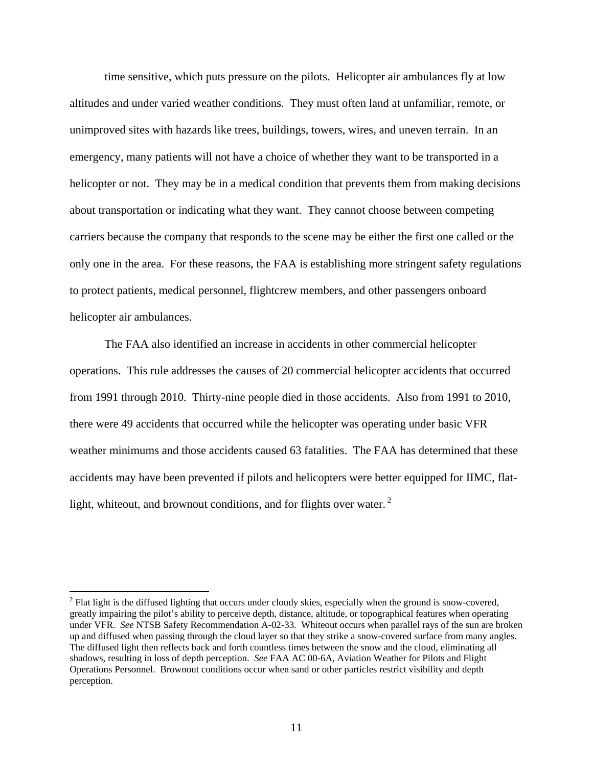time sensitive, which puts pressure on the pilots. Helicopter air ambulances fly at low altitudes and under varied weather conditions. They must often land at unfamiliar, remote, or unimproved sites with hazards like trees, buildings, towers, wires, and uneven terrain. In an emergency, many patients will not have a choice of whether they want to be transported in a helicopter or not. They may be in a medical condition that prevents them from making decisions about transportation or indicating what they want. They cannot choose between competing carriers because the company that responds to the scene may be either the first one called or the only one in the area. For these reasons, the FAA is establishing more stringent safety regulations to protect patients, medical personnel, flightcrew members, and other passengers onboard helicopter air ambulances.

The FAA also identified an increase in accidents in other commercial helicopter operations. This rule addresses the causes of 20 commercial helicopter accidents that occurred from 1991 through 2010. Thirty-nine people died in those accidents. Also from 1991 to 2010, there were 49 accidents that occurred while the helicopter was operating under basic VFR weather minimums and those accidents caused 63 fatalities. The FAA has determined that these accidents may have been prevented if pilots and helicopters were better equipped for IIMC, flatlight, whiteout, and brownout conditions, and for flights over water.  $2^2$ 

 $\overline{a}$ 

 $2^2$  Flat light is the diffused lighting that occurs under cloudy skies, especially when the ground is snow-covered, greatly impairing the pilot's ability to perceive depth, distance, altitude, or topographical features when operating under VFR. *See* NTSB Safety Recommendation A-02-33. Whiteout occurs when parallel rays of the sun are broken up and diffused when passing through the cloud layer so that they strike a snow-covered surface from many angles. The diffused light then reflects back and forth countless times between the snow and the cloud, eliminating all shadows, resulting in loss of depth perception. *See* FAA AC 00-6A, Aviation Weather for Pilots and Flight Operations Personnel. Brownout conditions occur when sand or other particles restrict visibility and depth perception.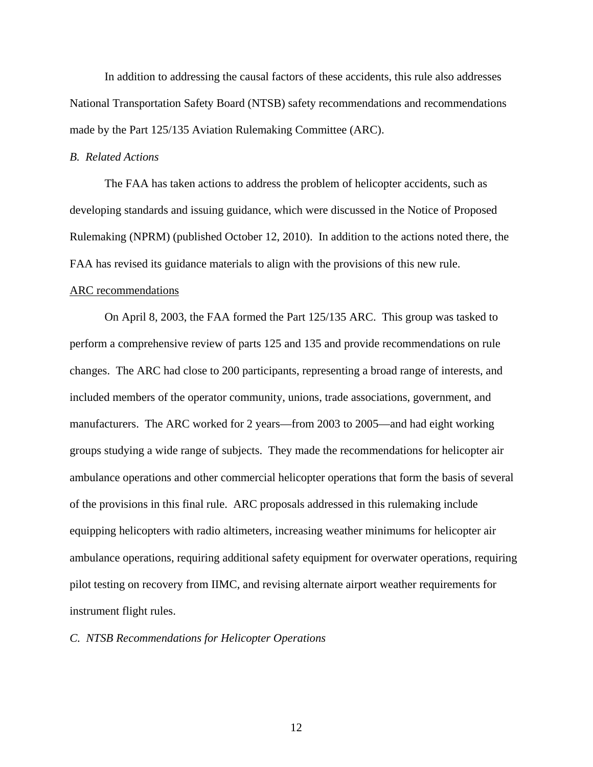In addition to addressing the causal factors of these accidents, this rule also addresses National Transportation Safety Board (NTSB) safety recommendations and recommendations made by the Part 125/135 Aviation Rulemaking Committee (ARC).

## *B. Related Actions*

 The FAA has taken actions to address the problem of helicopter accidents, such as developing standards and issuing guidance, which were discussed in the Notice of Proposed Rulemaking (NPRM) (published October 12, 2010). In addition to the actions noted there, the FAA has revised its guidance materials to align with the provisions of this new rule.

## ARC recommendations

On April 8, 2003, the FAA formed the Part 125/135 ARC. This group was tasked to perform a comprehensive review of parts 125 and 135 and provide recommendations on rule changes. The ARC had close to 200 participants, representing a broad range of interests, and included members of the operator community, unions, trade associations, government, and manufacturers. The ARC worked for 2 years—from 2003 to 2005—and had eight working groups studying a wide range of subjects. They made the recommendations for helicopter air ambulance operations and other commercial helicopter operations that form the basis of several of the provisions in this final rule. ARC proposals addressed in this rulemaking include equipping helicopters with radio altimeters, increasing weather minimums for helicopter air ambulance operations, requiring additional safety equipment for overwater operations, requiring pilot testing on recovery from IIMC, and revising alternate airport weather requirements for instrument flight rules.

## *C. NTSB Recommendations for Helicopter Operations*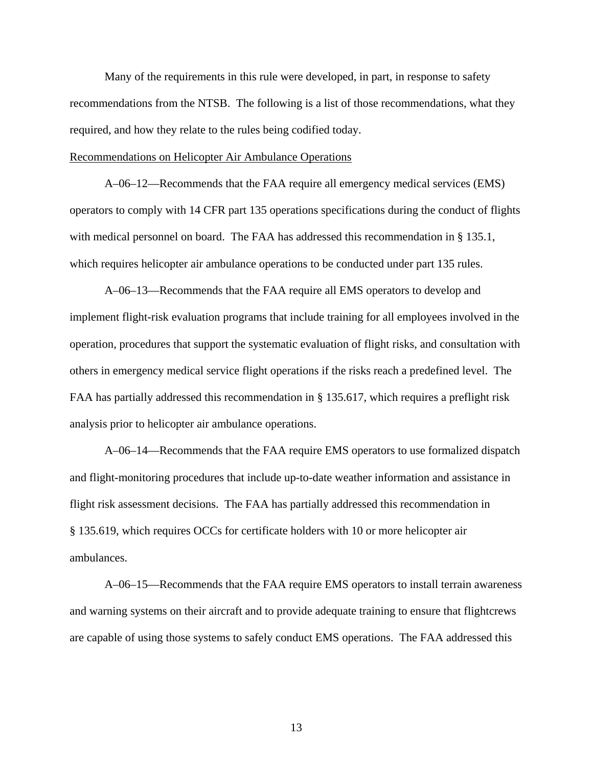Many of the requirements in this rule were developed, in part, in response to safety recommendations from the NTSB. The following is a list of those recommendations, what they required, and how they relate to the rules being codified today.

## Recommendations on Helicopter Air Ambulance Operations

A–06–12—Recommends that the FAA require all emergency medical services (EMS) operators to comply with 14 CFR part 135 operations specifications during the conduct of flights with medical personnel on board. The FAA has addressed this recommendation in § 135.1, which requires helicopter air ambulance operations to be conducted under part 135 rules.

A–06–13—Recommends that the FAA require all EMS operators to develop and implement flight-risk evaluation programs that include training for all employees involved in the operation, procedures that support the systematic evaluation of flight risks, and consultation with others in emergency medical service flight operations if the risks reach a predefined level. The FAA has partially addressed this recommendation in § 135.617, which requires a preflight risk analysis prior to helicopter air ambulance operations.

A–06–14—Recommends that the FAA require EMS operators to use formalized dispatch and flight-monitoring procedures that include up-to-date weather information and assistance in flight risk assessment decisions. The FAA has partially addressed this recommendation in § 135.619, which requires OCCs for certificate holders with 10 or more helicopter air ambulances.

 A–06–15—Recommends that the FAA require EMS operators to install terrain awareness and warning systems on their aircraft and to provide adequate training to ensure that flightcrews are capable of using those systems to safely conduct EMS operations. The FAA addressed this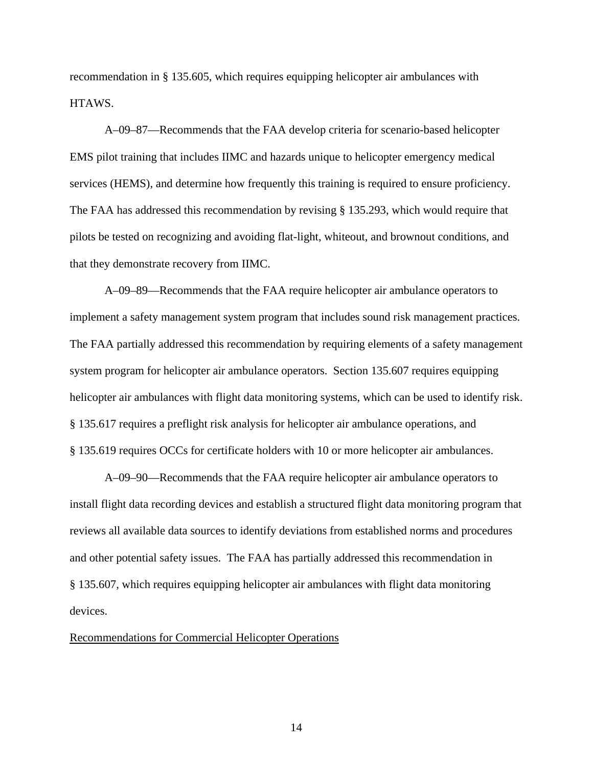recommendation in § 135.605, which requires equipping helicopter air ambulances with HTAWS.

 A–09–87—Recommends that the FAA develop criteria for scenario-based helicopter EMS pilot training that includes IIMC and hazards unique to helicopter emergency medical services (HEMS), and determine how frequently this training is required to ensure proficiency. The FAA has addressed this recommendation by revising § 135.293, which would require that pilots be tested on recognizing and avoiding flat-light, whiteout, and brownout conditions, and that they demonstrate recovery from IIMC.

 A–09–89—Recommends that the FAA require helicopter air ambulance operators to implement a safety management system program that includes sound risk management practices. The FAA partially addressed this recommendation by requiring elements of a safety management system program for helicopter air ambulance operators. Section 135.607 requires equipping helicopter air ambulances with flight data monitoring systems, which can be used to identify risk. § 135.617 requires a preflight risk analysis for helicopter air ambulance operations, and § 135.619 requires OCCs for certificate holders with 10 or more helicopter air ambulances.

 A–09–90—Recommends that the FAA require helicopter air ambulance operators to install flight data recording devices and establish a structured flight data monitoring program that reviews all available data sources to identify deviations from established norms and procedures and other potential safety issues. The FAA has partially addressed this recommendation in § 135.607, which requires equipping helicopter air ambulances with flight data monitoring devices.

## Recommendations for Commercial Helicopter Operations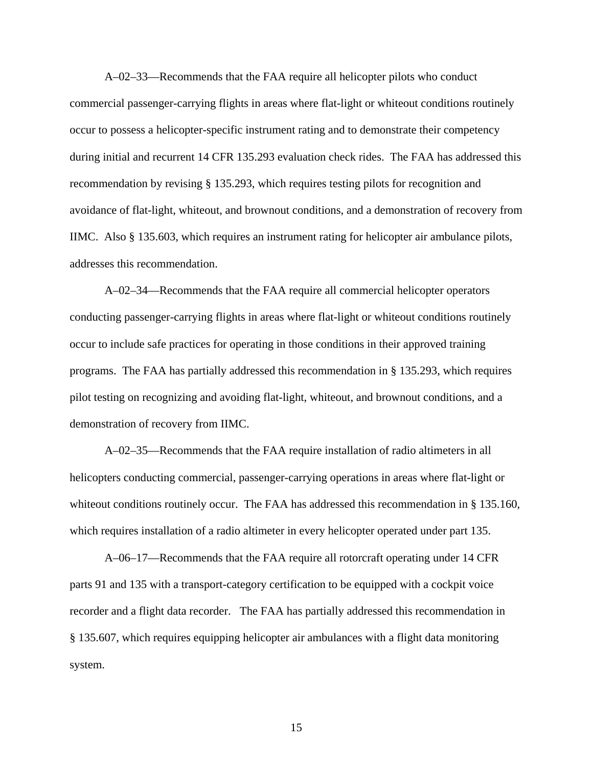A–02–33—Recommends that the FAA require all helicopter pilots who conduct commercial passenger-carrying flights in areas where flat-light or whiteout conditions routinely occur to possess a helicopter-specific instrument rating and to demonstrate their competency during initial and recurrent 14 CFR 135.293 evaluation check rides. The FAA has addressed this recommendation by revising § 135.293, which requires testing pilots for recognition and avoidance of flat-light, whiteout, and brownout conditions, and a demonstration of recovery from IIMC. Also § 135.603, which requires an instrument rating for helicopter air ambulance pilots, addresses this recommendation.

 A–02–34—Recommends that the FAA require all commercial helicopter operators conducting passenger-carrying flights in areas where flat-light or whiteout conditions routinely occur to include safe practices for operating in those conditions in their approved training programs. The FAA has partially addressed this recommendation in § 135.293, which requires pilot testing on recognizing and avoiding flat-light, whiteout, and brownout conditions, and a demonstration of recovery from IIMC.

 A–02–35—Recommends that the FAA require installation of radio altimeters in all helicopters conducting commercial, passenger-carrying operations in areas where flat-light or whiteout conditions routinely occur. The FAA has addressed this recommendation in § 135.160, which requires installation of a radio altimeter in every helicopter operated under part 135.

A–06–17—Recommends that the FAA require all rotorcraft operating under 14 CFR parts 91 and 135 with a transport-category certification to be equipped with a cockpit voice recorder and a flight data recorder. The FAA has partially addressed this recommendation in § 135.607, which requires equipping helicopter air ambulances with a flight data monitoring system.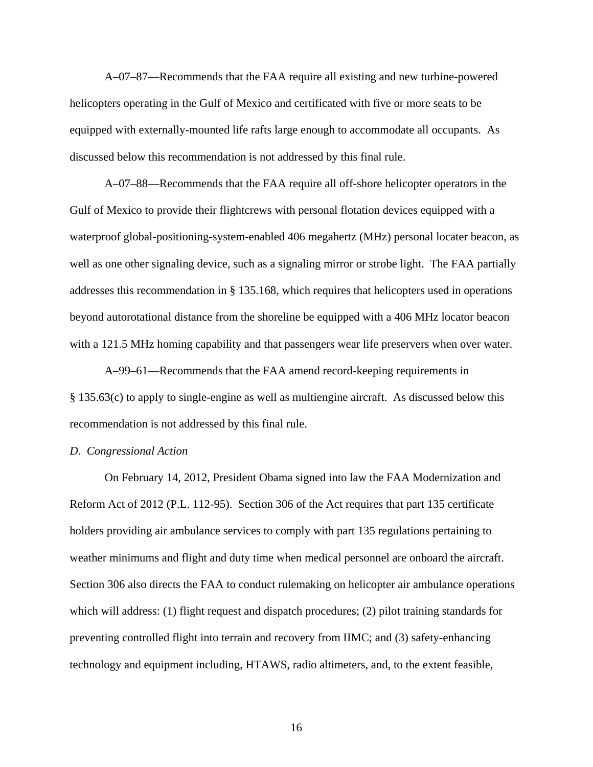A–07–87—Recommends that the FAA require all existing and new turbine-powered helicopters operating in the Gulf of Mexico and certificated with five or more seats to be equipped with externally-mounted life rafts large enough to accommodate all occupants. As discussed below this recommendation is not addressed by this final rule.

A–07–88—Recommends that the FAA require all off-shore helicopter operators in the Gulf of Mexico to provide their flightcrews with personal flotation devices equipped with a waterproof global-positioning-system-enabled 406 megahertz (MHz) personal locater beacon, as well as one other signaling device, such as a signaling mirror or strobe light. The FAA partially addresses this recommendation in § 135.168, which requires that helicopters used in operations beyond autorotational distance from the shoreline be equipped with a 406 MHz locator beacon with a 121.5 MHz homing capability and that passengers wear life preservers when over water.

A–99–61—Recommends that the FAA amend record-keeping requirements in § 135.63(c) to apply to single-engine as well as multiengine aircraft. As discussed below this recommendation is not addressed by this final rule.

## *D. Congressional Action*

On February 14, 2012, President Obama signed into law the FAA Modernization and Reform Act of 2012 (P.L. 112-95). Section 306 of the Act requires that part 135 certificate holders providing air ambulance services to comply with part 135 regulations pertaining to weather minimums and flight and duty time when medical personnel are onboard the aircraft. Section 306 also directs the FAA to conduct rulemaking on helicopter air ambulance operations which will address: (1) flight request and dispatch procedures; (2) pilot training standards for preventing controlled flight into terrain and recovery from IIMC; and (3) safety-enhancing technology and equipment including, HTAWS, radio altimeters, and, to the extent feasible,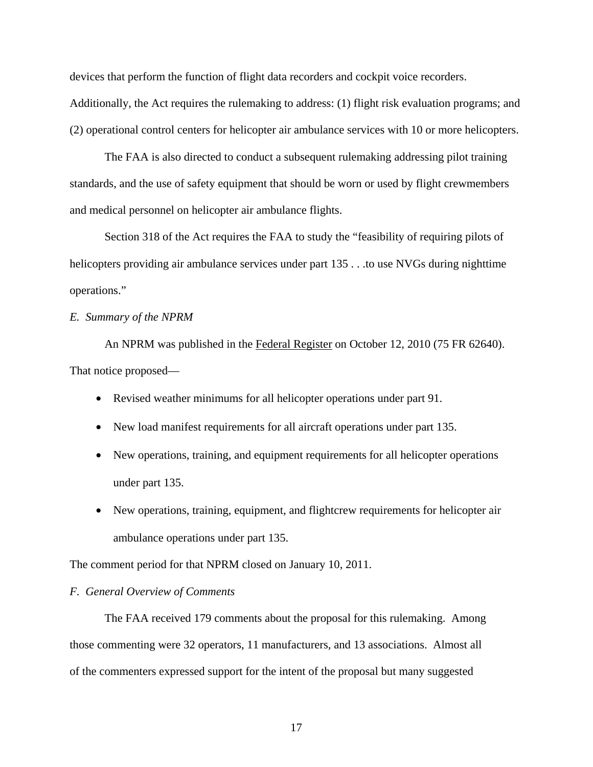devices that perform the function of flight data recorders and cockpit voice recorders. Additionally, the Act requires the rulemaking to address: (1) flight risk evaluation programs; and (2) operational control centers for helicopter air ambulance services with 10 or more helicopters.

 The FAA is also directed to conduct a subsequent rulemaking addressing pilot training standards, and the use of safety equipment that should be worn or used by flight crewmembers and medical personnel on helicopter air ambulance flights.

 Section 318 of the Act requires the FAA to study the "feasibility of requiring pilots of helicopters providing air ambulance services under part 135... to use NVGs during nighttime operations."

## *E. Summary of the NPRM*

An NPRM was published in the Federal Register on October 12, 2010 (75 FR 62640). That notice proposed—

- Revised weather minimums for all helicopter operations under part 91.
- New load manifest requirements for all aircraft operations under part 135.
- New operations, training, and equipment requirements for all helicopter operations under part 135.
- New operations, training, equipment, and flightcrew requirements for helicopter air ambulance operations under part 135.

The comment period for that NPRM closed on January 10, 2011.

## *F. General Overview of Comments*

 The FAA received 179 comments about the proposal for this rulemaking. Among those commenting were 32 operators, 11 manufacturers, and 13 associations. Almost all of the commenters expressed support for the intent of the proposal but many suggested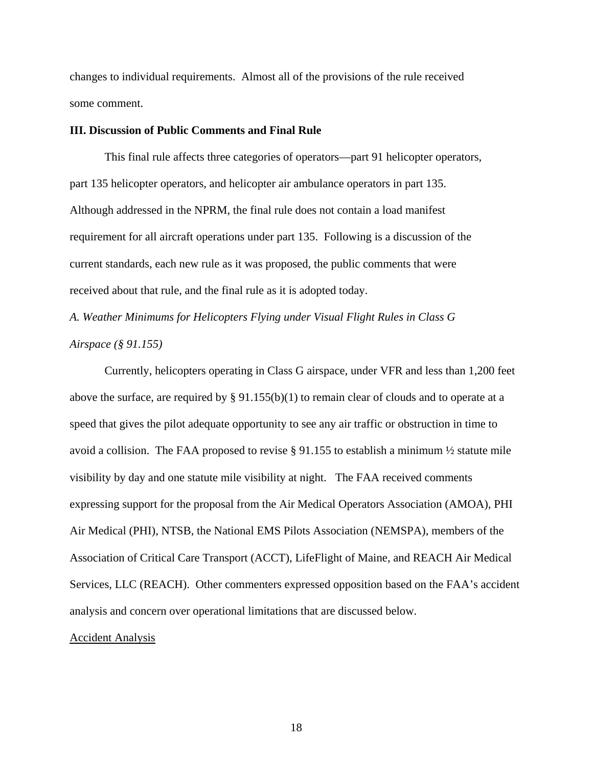changes to individual requirements. Almost all of the provisions of the rule received some comment.

## **III. Discussion of Public Comments and Final Rule**

 This final rule affects three categories of operators—part 91 helicopter operators, part 135 helicopter operators, and helicopter air ambulance operators in part 135. Although addressed in the NPRM, the final rule does not contain a load manifest requirement for all aircraft operations under part 135. Following is a discussion of the current standards, each new rule as it was proposed, the public comments that were received about that rule, and the final rule as it is adopted today.

*A. Weather Minimums for Helicopters Flying under Visual Flight Rules in Class G Airspace (§ 91.155)* 

Currently, helicopters operating in Class G airspace, under VFR and less than 1,200 feet above the surface, are required by § 91.155(b)(1) to remain clear of clouds and to operate at a speed that gives the pilot adequate opportunity to see any air traffic or obstruction in time to avoid a collision. The FAA proposed to revise § 91.155 to establish a minimum ½ statute mile visibility by day and one statute mile visibility at night. The FAA received comments expressing support for the proposal from the Air Medical Operators Association (AMOA), PHI Air Medical (PHI), NTSB, the National EMS Pilots Association (NEMSPA), members of the Association of Critical Care Transport (ACCT), LifeFlight of Maine, and REACH Air Medical Services, LLC (REACH). Other commenters expressed opposition based on the FAA's accident analysis and concern over operational limitations that are discussed below.

#### Accident Analysis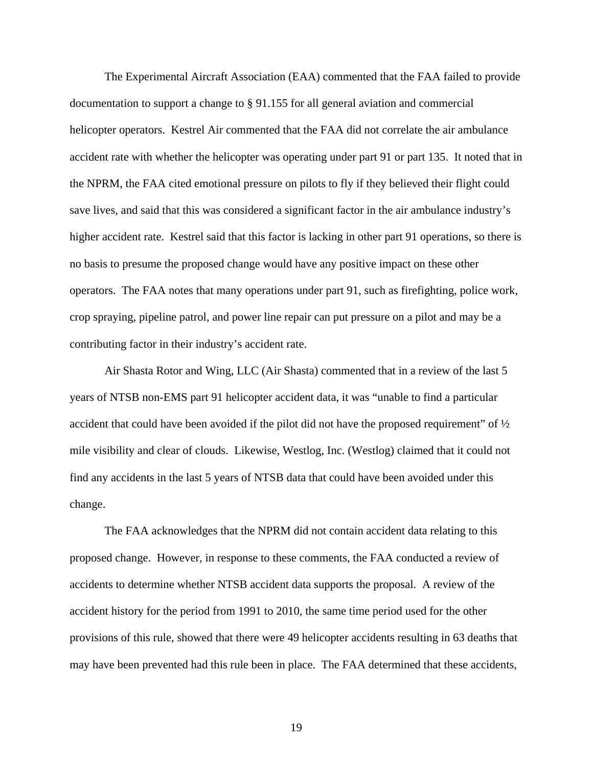The Experimental Aircraft Association (EAA) commented that the FAA failed to provide documentation to support a change to § 91.155 for all general aviation and commercial helicopter operators. Kestrel Air commented that the FAA did not correlate the air ambulance accident rate with whether the helicopter was operating under part 91 or part 135. It noted that in the NPRM, the FAA cited emotional pressure on pilots to fly if they believed their flight could save lives, and said that this was considered a significant factor in the air ambulance industry's higher accident rate. Kestrel said that this factor is lacking in other part 91 operations, so there is no basis to presume the proposed change would have any positive impact on these other operators. The FAA notes that many operations under part 91, such as firefighting, police work, crop spraying, pipeline patrol, and power line repair can put pressure on a pilot and may be a contributing factor in their industry's accident rate.

 Air Shasta Rotor and Wing, LLC (Air Shasta) commented that in a review of the last 5 years of NTSB non-EMS part 91 helicopter accident data, it was "unable to find a particular accident that could have been avoided if the pilot did not have the proposed requirement" of  $\frac{1}{2}$ mile visibility and clear of clouds. Likewise, Westlog, Inc. (Westlog) claimed that it could not find any accidents in the last 5 years of NTSB data that could have been avoided under this change.

 The FAA acknowledges that the NPRM did not contain accident data relating to this proposed change. However, in response to these comments, the FAA conducted a review of accidents to determine whether NTSB accident data supports the proposal. A review of the accident history for the period from 1991 to 2010, the same time period used for the other provisions of this rule, showed that there were 49 helicopter accidents resulting in 63 deaths that may have been prevented had this rule been in place. The FAA determined that these accidents,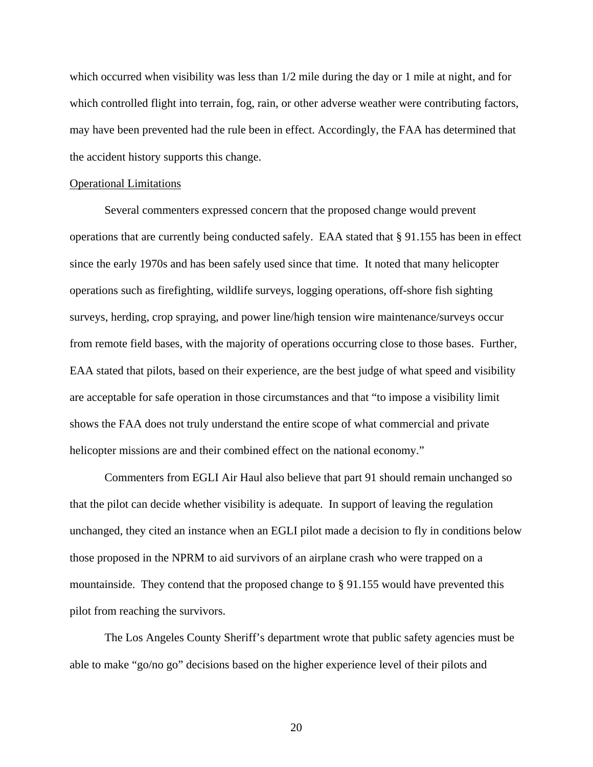which occurred when visibility was less than  $1/2$  mile during the day or 1 mile at night, and for which controlled flight into terrain, fog, rain, or other adverse weather were contributing factors, may have been prevented had the rule been in effect. Accordingly, the FAA has determined that the accident history supports this change.

## Operational Limitations

 Several commenters expressed concern that the proposed change would prevent operations that are currently being conducted safely. EAA stated that § 91.155 has been in effect since the early 1970s and has been safely used since that time. It noted that many helicopter operations such as firefighting, wildlife surveys, logging operations, off-shore fish sighting surveys, herding, crop spraying, and power line/high tension wire maintenance/surveys occur from remote field bases, with the majority of operations occurring close to those bases. Further, EAA stated that pilots, based on their experience, are the best judge of what speed and visibility are acceptable for safe operation in those circumstances and that "to impose a visibility limit shows the FAA does not truly understand the entire scope of what commercial and private helicopter missions are and their combined effect on the national economy."

 Commenters from EGLI Air Haul also believe that part 91 should remain unchanged so that the pilot can decide whether visibility is adequate. In support of leaving the regulation unchanged, they cited an instance when an EGLI pilot made a decision to fly in conditions below those proposed in the NPRM to aid survivors of an airplane crash who were trapped on a mountainside. They contend that the proposed change to § 91.155 would have prevented this pilot from reaching the survivors.

 The Los Angeles County Sheriff's department wrote that public safety agencies must be able to make "go/no go" decisions based on the higher experience level of their pilots and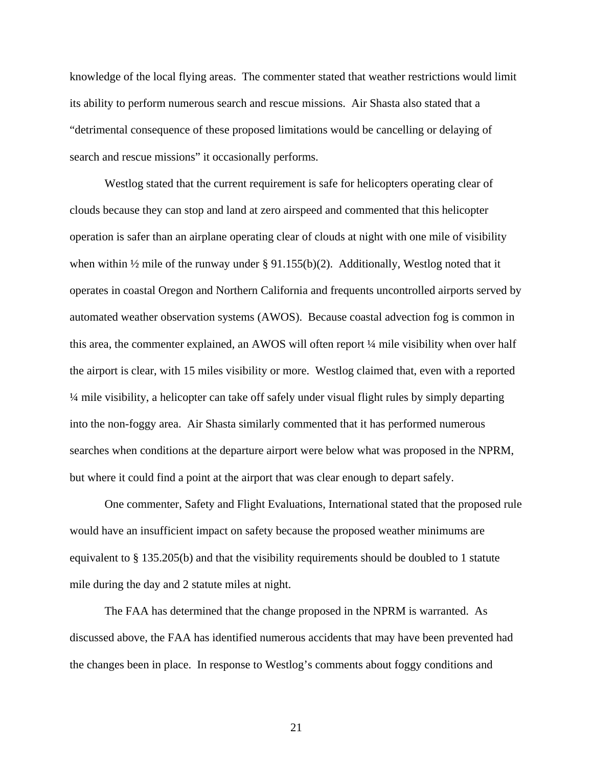knowledge of the local flying areas. The commenter stated that weather restrictions would limit its ability to perform numerous search and rescue missions. Air Shasta also stated that a "detrimental consequence of these proposed limitations would be cancelling or delaying of search and rescue missions" it occasionally performs.

Westlog stated that the current requirement is safe for helicopters operating clear of clouds because they can stop and land at zero airspeed and commented that this helicopter operation is safer than an airplane operating clear of clouds at night with one mile of visibility when within  $\frac{1}{2}$  mile of the runway under § 91.155(b)(2). Additionally, Westlog noted that it operates in coastal Oregon and Northern California and frequents uncontrolled airports served by automated weather observation systems (AWOS). Because coastal advection fog is common in this area, the commenter explained, an AWOS will often report ¼ mile visibility when over half the airport is clear, with 15 miles visibility or more. Westlog claimed that, even with a reported ¼ mile visibility, a helicopter can take off safely under visual flight rules by simply departing into the non-foggy area. Air Shasta similarly commented that it has performed numerous searches when conditions at the departure airport were below what was proposed in the NPRM, but where it could find a point at the airport that was clear enough to depart safely.

One commenter, Safety and Flight Evaluations, International stated that the proposed rule would have an insufficient impact on safety because the proposed weather minimums are equivalent to § 135.205(b) and that the visibility requirements should be doubled to 1 statute mile during the day and 2 statute miles at night.

 The FAA has determined that the change proposed in the NPRM is warranted. As discussed above, the FAA has identified numerous accidents that may have been prevented had the changes been in place. In response to Westlog's comments about foggy conditions and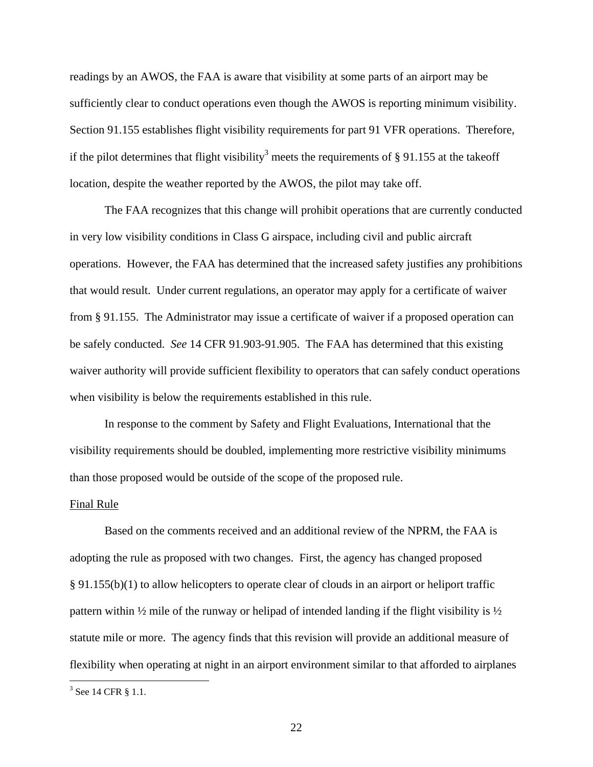readings by an AWOS, the FAA is aware that visibility at some parts of an airport may be sufficiently clear to conduct operations even though the AWOS is reporting minimum visibility. Section 91.155 establishes flight visibility requirements for part 91 VFR operations. Therefore, if the pilot determines that flight visibility<sup>3</sup> meets the requirements of § 91.155 at the takeoff location, despite the weather reported by the AWOS, the pilot may take off.

 The FAA recognizes that this change will prohibit operations that are currently conducted in very low visibility conditions in Class G airspace, including civil and public aircraft operations. However, the FAA has determined that the increased safety justifies any prohibitions that would result. Under current regulations, an operator may apply for a certificate of waiver from § 91.155. The Administrator may issue a certificate of waiver if a proposed operation can be safely conducted. *See* 14 CFR 91.903-91.905. The FAA has determined that this existing waiver authority will provide sufficient flexibility to operators that can safely conduct operations when visibility is below the requirements established in this rule.

In response to the comment by Safety and Flight Evaluations, International that the visibility requirements should be doubled, implementing more restrictive visibility minimums than those proposed would be outside of the scope of the proposed rule.

#### Final Rule

 Based on the comments received and an additional review of the NPRM, the FAA is adopting the rule as proposed with two changes. First, the agency has changed proposed § 91.155(b)(1) to allow helicopters to operate clear of clouds in an airport or heliport traffic pattern within  $\frac{1}{2}$  mile of the runway or helipad of intended landing if the flight visibility is  $\frac{1}{2}$ statute mile or more. The agency finds that this revision will provide an additional measure of flexibility when operating at night in an airport environment similar to that afforded to airplanes

 $\overline{a}$ 

<sup>&</sup>lt;sup>3</sup> See 14 CFR § 1.1.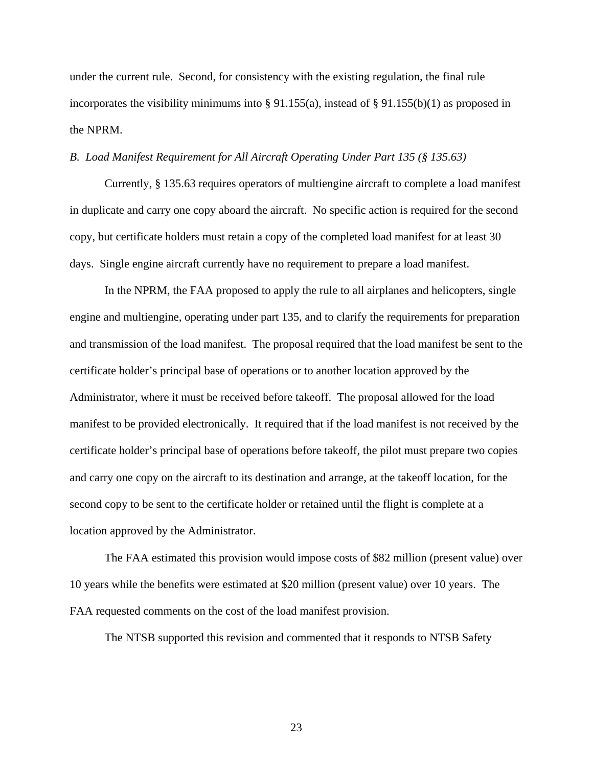under the current rule. Second, for consistency with the existing regulation, the final rule incorporates the visibility minimums into  $\S 91.155(a)$ , instead of  $\S 91.155(b)(1)$  as proposed in the NPRM.

## *B. Load Manifest Requirement for All Aircraft Operating Under Part 135 (§ 135.63)*

 Currently, § 135.63 requires operators of multiengine aircraft to complete a load manifest in duplicate and carry one copy aboard the aircraft. No specific action is required for the second copy, but certificate holders must retain a copy of the completed load manifest for at least 30 days. Single engine aircraft currently have no requirement to prepare a load manifest.

 In the NPRM, the FAA proposed to apply the rule to all airplanes and helicopters, single engine and multiengine, operating under part 135, and to clarify the requirements for preparation and transmission of the load manifest. The proposal required that the load manifest be sent to the certificate holder's principal base of operations or to another location approved by the Administrator, where it must be received before takeoff. The proposal allowed for the load manifest to be provided electronically. It required that if the load manifest is not received by the certificate holder's principal base of operations before takeoff, the pilot must prepare two copies and carry one copy on the aircraft to its destination and arrange, at the takeoff location, for the second copy to be sent to the certificate holder or retained until the flight is complete at a location approved by the Administrator.

 The FAA estimated this provision would impose costs of \$82 million (present value) over 10 years while the benefits were estimated at \$20 million (present value) over 10 years. The FAA requested comments on the cost of the load manifest provision.

The NTSB supported this revision and commented that it responds to NTSB Safety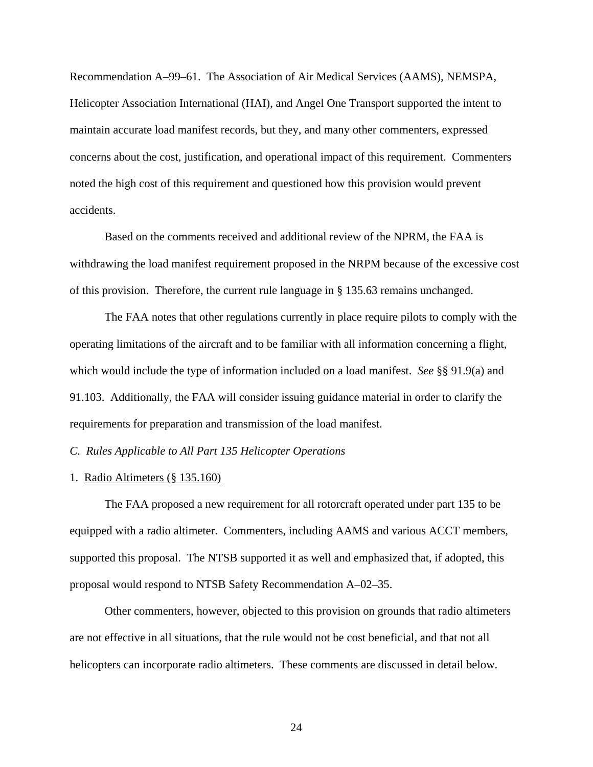Recommendation A–99–61. The Association of Air Medical Services (AAMS), NEMSPA, Helicopter Association International (HAI), and Angel One Transport supported the intent to maintain accurate load manifest records, but they, and many other commenters, expressed concerns about the cost, justification, and operational impact of this requirement. Commenters noted the high cost of this requirement and questioned how this provision would prevent accidents.

Based on the comments received and additional review of the NPRM, the FAA is withdrawing the load manifest requirement proposed in the NRPM because of the excessive cost of this provision. Therefore, the current rule language in § 135.63 remains unchanged.

The FAA notes that other regulations currently in place require pilots to comply with the operating limitations of the aircraft and to be familiar with all information concerning a flight, which would include the type of information included on a load manifest. *See* §§ 91.9(a) and 91.103. Additionally, the FAA will consider issuing guidance material in order to clarify the requirements for preparation and transmission of the load manifest.

*C. Rules Applicable to All Part 135 Helicopter Operations* 

## 1. Radio Altimeters (§ 135.160)

 The FAA proposed a new requirement for all rotorcraft operated under part 135 to be equipped with a radio altimeter. Commenters, including AAMS and various ACCT members, supported this proposal. The NTSB supported it as well and emphasized that, if adopted, this proposal would respond to NTSB Safety Recommendation A–02–35.

 Other commenters, however, objected to this provision on grounds that radio altimeters are not effective in all situations, that the rule would not be cost beneficial, and that not all helicopters can incorporate radio altimeters. These comments are discussed in detail below.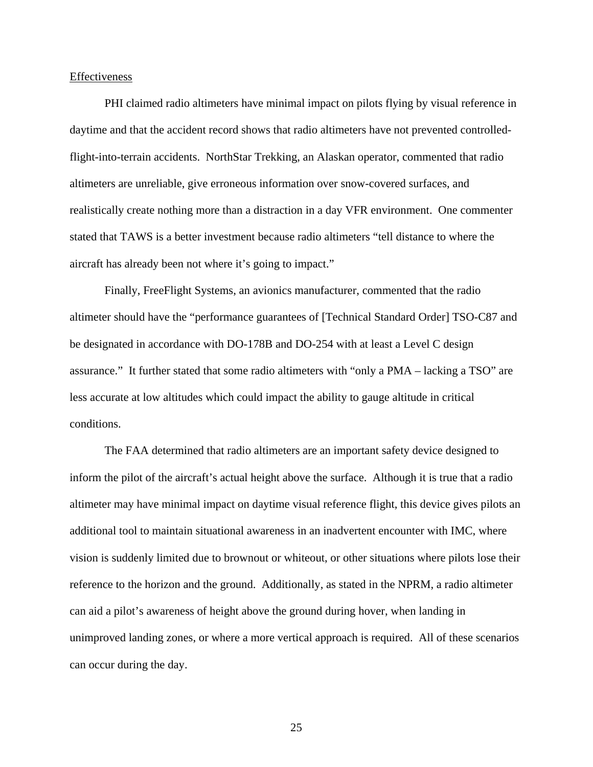#### Effectiveness

 PHI claimed radio altimeters have minimal impact on pilots flying by visual reference in daytime and that the accident record shows that radio altimeters have not prevented controlledflight-into-terrain accidents. NorthStar Trekking, an Alaskan operator, commented that radio altimeters are unreliable, give erroneous information over snow-covered surfaces, and realistically create nothing more than a distraction in a day VFR environment. One commenter stated that TAWS is a better investment because radio altimeters "tell distance to where the aircraft has already been not where it's going to impact."

 Finally, FreeFlight Systems, an avionics manufacturer, commented that the radio altimeter should have the "performance guarantees of [Technical Standard Order] TSO-C87 and be designated in accordance with DO-178B and DO-254 with at least a Level C design assurance." It further stated that some radio altimeters with "only a PMA – lacking a TSO" are less accurate at low altitudes which could impact the ability to gauge altitude in critical conditions.

 The FAA determined that radio altimeters are an important safety device designed to inform the pilot of the aircraft's actual height above the surface. Although it is true that a radio altimeter may have minimal impact on daytime visual reference flight, this device gives pilots an additional tool to maintain situational awareness in an inadvertent encounter with IMC, where vision is suddenly limited due to brownout or whiteout, or other situations where pilots lose their reference to the horizon and the ground. Additionally, as stated in the NPRM, a radio altimeter can aid a pilot's awareness of height above the ground during hover, when landing in unimproved landing zones, or where a more vertical approach is required. All of these scenarios can occur during the day.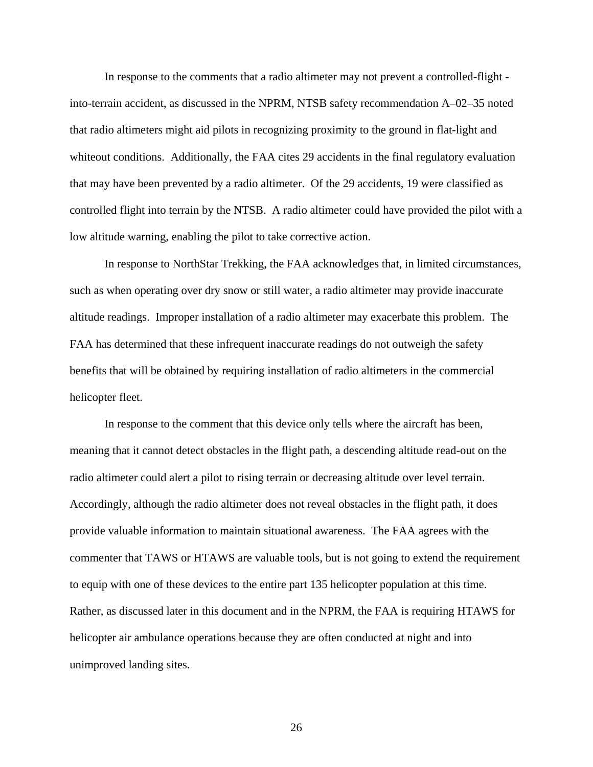In response to the comments that a radio altimeter may not prevent a controlled-flight into-terrain accident, as discussed in the NPRM, NTSB safety recommendation A–02–35 noted that radio altimeters might aid pilots in recognizing proximity to the ground in flat-light and whiteout conditions. Additionally, the FAA cites 29 accidents in the final regulatory evaluation that may have been prevented by a radio altimeter. Of the 29 accidents, 19 were classified as controlled flight into terrain by the NTSB. A radio altimeter could have provided the pilot with a low altitude warning, enabling the pilot to take corrective action.

 In response to NorthStar Trekking, the FAA acknowledges that, in limited circumstances, such as when operating over dry snow or still water, a radio altimeter may provide inaccurate altitude readings. Improper installation of a radio altimeter may exacerbate this problem. The FAA has determined that these infrequent inaccurate readings do not outweigh the safety benefits that will be obtained by requiring installation of radio altimeters in the commercial helicopter fleet.

In response to the comment that this device only tells where the aircraft has been, meaning that it cannot detect obstacles in the flight path, a descending altitude read-out on the radio altimeter could alert a pilot to rising terrain or decreasing altitude over level terrain. Accordingly, although the radio altimeter does not reveal obstacles in the flight path, it does provide valuable information to maintain situational awareness. The FAA agrees with the commenter that TAWS or HTAWS are valuable tools, but is not going to extend the requirement to equip with one of these devices to the entire part 135 helicopter population at this time. Rather, as discussed later in this document and in the NPRM, the FAA is requiring HTAWS for helicopter air ambulance operations because they are often conducted at night and into unimproved landing sites.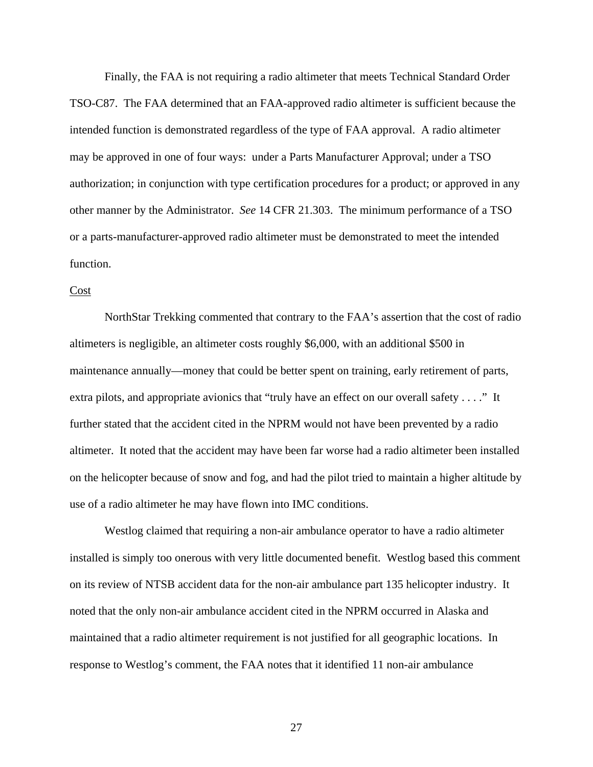Finally, the FAA is not requiring a radio altimeter that meets Technical Standard Order TSO-C87. The FAA determined that an FAA-approved radio altimeter is sufficient because the intended function is demonstrated regardless of the type of FAA approval. A radio altimeter may be approved in one of four ways: under a Parts Manufacturer Approval; under a TSO authorization; in conjunction with type certification procedures for a product; or approved in any other manner by the Administrator. *See* 14 CFR 21.303. The minimum performance of a TSO or a parts-manufacturer-approved radio altimeter must be demonstrated to meet the intended function.

#### Cost

NorthStar Trekking commented that contrary to the FAA's assertion that the cost of radio altimeters is negligible, an altimeter costs roughly \$6,000, with an additional \$500 in maintenance annually—money that could be better spent on training, early retirement of parts, extra pilots, and appropriate avionics that "truly have an effect on our overall safety . . . ." It further stated that the accident cited in the NPRM would not have been prevented by a radio altimeter. It noted that the accident may have been far worse had a radio altimeter been installed on the helicopter because of snow and fog, and had the pilot tried to maintain a higher altitude by use of a radio altimeter he may have flown into IMC conditions.

 Westlog claimed that requiring a non-air ambulance operator to have a radio altimeter installed is simply too onerous with very little documented benefit. Westlog based this comment on its review of NTSB accident data for the non-air ambulance part 135 helicopter industry. It noted that the only non-air ambulance accident cited in the NPRM occurred in Alaska and maintained that a radio altimeter requirement is not justified for all geographic locations. In response to Westlog's comment, the FAA notes that it identified 11 non-air ambulance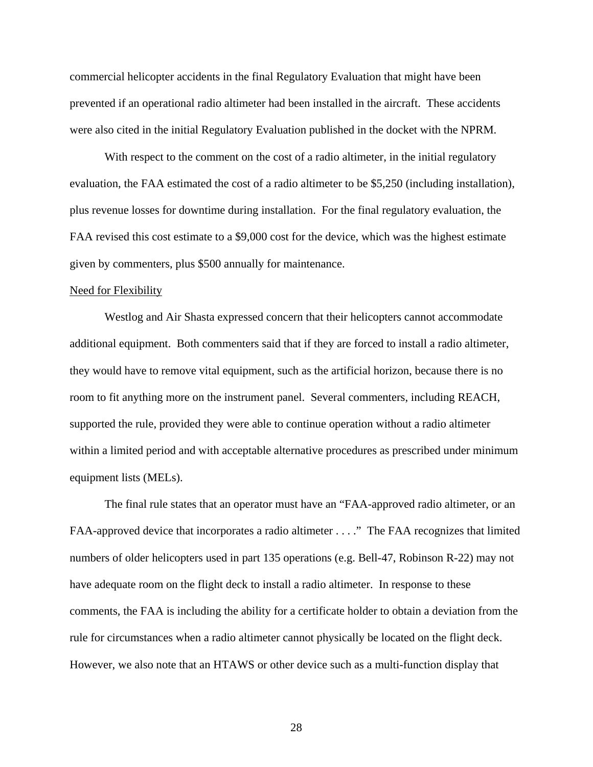commercial helicopter accidents in the final Regulatory Evaluation that might have been prevented if an operational radio altimeter had been installed in the aircraft. These accidents were also cited in the initial Regulatory Evaluation published in the docket with the NPRM.

With respect to the comment on the cost of a radio altimeter, in the initial regulatory evaluation, the FAA estimated the cost of a radio altimeter to be \$5,250 (including installation), plus revenue losses for downtime during installation. For the final regulatory evaluation, the FAA revised this cost estimate to a \$9,000 cost for the device, which was the highest estimate given by commenters, plus \$500 annually for maintenance.

## Need for Flexibility

 Westlog and Air Shasta expressed concern that their helicopters cannot accommodate additional equipment. Both commenters said that if they are forced to install a radio altimeter, they would have to remove vital equipment, such as the artificial horizon, because there is no room to fit anything more on the instrument panel. Several commenters, including REACH, supported the rule, provided they were able to continue operation without a radio altimeter within a limited period and with acceptable alternative procedures as prescribed under minimum equipment lists (MELs).

 The final rule states that an operator must have an "FAA-approved radio altimeter, or an FAA-approved device that incorporates a radio altimeter . . . ." The FAA recognizes that limited numbers of older helicopters used in part 135 operations (e.g. Bell-47, Robinson R-22) may not have adequate room on the flight deck to install a radio altimeter. In response to these comments, the FAA is including the ability for a certificate holder to obtain a deviation from the rule for circumstances when a radio altimeter cannot physically be located on the flight deck. However, we also note that an HTAWS or other device such as a multi-function display that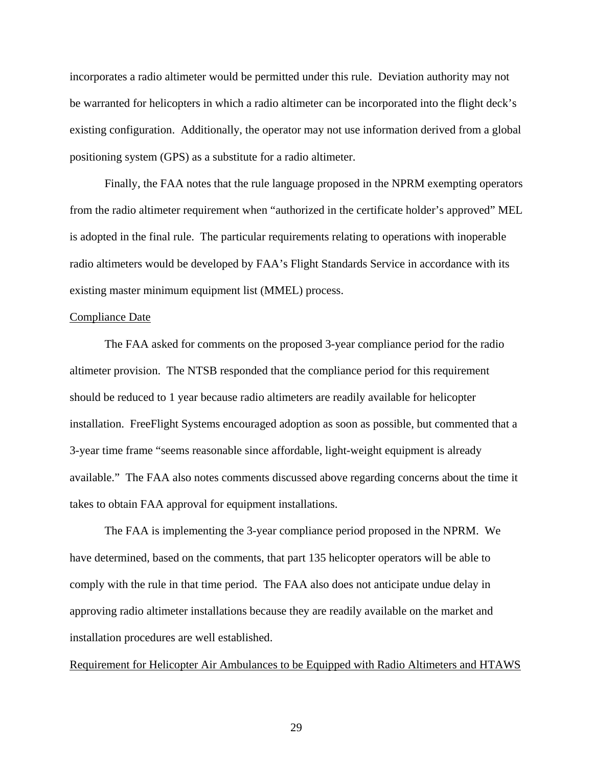incorporates a radio altimeter would be permitted under this rule. Deviation authority may not be warranted for helicopters in which a radio altimeter can be incorporated into the flight deck's existing configuration. Additionally, the operator may not use information derived from a global positioning system (GPS) as a substitute for a radio altimeter.

 Finally, the FAA notes that the rule language proposed in the NPRM exempting operators from the radio altimeter requirement when "authorized in the certificate holder's approved" MEL is adopted in the final rule. The particular requirements relating to operations with inoperable radio altimeters would be developed by FAA's Flight Standards Service in accordance with its existing master minimum equipment list (MMEL) process.

## Compliance Date

 The FAA asked for comments on the proposed 3-year compliance period for the radio altimeter provision. The NTSB responded that the compliance period for this requirement should be reduced to 1 year because radio altimeters are readily available for helicopter installation. FreeFlight Systems encouraged adoption as soon as possible, but commented that a 3-year time frame "seems reasonable since affordable, light-weight equipment is already available." The FAA also notes comments discussed above regarding concerns about the time it takes to obtain FAA approval for equipment installations.

 The FAA is implementing the 3-year compliance period proposed in the NPRM. We have determined, based on the comments, that part 135 helicopter operators will be able to comply with the rule in that time period. The FAA also does not anticipate undue delay in approving radio altimeter installations because they are readily available on the market and installation procedures are well established.

#### Requirement for Helicopter Air Ambulances to be Equipped with Radio Altimeters and HTAWS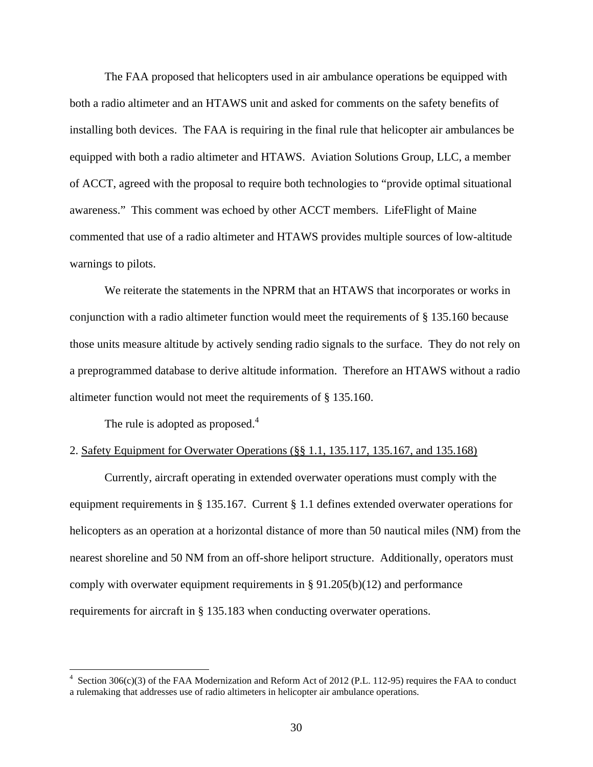The FAA proposed that helicopters used in air ambulance operations be equipped with both a radio altimeter and an HTAWS unit and asked for comments on the safety benefits of installing both devices. The FAA is requiring in the final rule that helicopter air ambulances be equipped with both a radio altimeter and HTAWS. Aviation Solutions Group, LLC, a member of ACCT, agreed with the proposal to require both technologies to "provide optimal situational awareness." This comment was echoed by other ACCT members. LifeFlight of Maine commented that use of a radio altimeter and HTAWS provides multiple sources of low-altitude warnings to pilots.

 We reiterate the statements in the NPRM that an HTAWS that incorporates or works in conjunction with a radio altimeter function would meet the requirements of § 135.160 because those units measure altitude by actively sending radio signals to the surface. They do not rely on a preprogrammed database to derive altitude information. Therefore an HTAWS without a radio altimeter function would not meet the requirements of § 135.160.

The rule is adopted as proposed.<sup>4</sup>

1

## 2. Safety Equipment for Overwater Operations (§§ 1.1, 135.117, 135.167, and 135.168)

Currently, aircraft operating in extended overwater operations must comply with the equipment requirements in § 135.167. Current § 1.1 defines extended overwater operations for helicopters as an operation at a horizontal distance of more than 50 nautical miles (NM) from the nearest shoreline and 50 NM from an off-shore heliport structure. Additionally, operators must comply with overwater equipment requirements in § 91.205(b)(12) and performance requirements for aircraft in § 135.183 when conducting overwater operations.

<sup>4</sup> Section 306(c)(3) of the FAA Modernization and Reform Act of 2012 (P.L. 112-95) requires the FAA to conduct a rulemaking that addresses use of radio altimeters in helicopter air ambulance operations.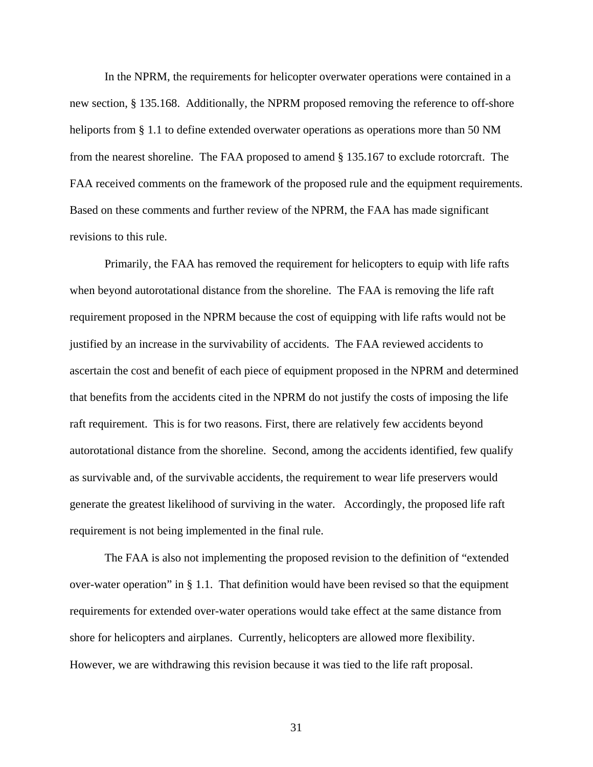In the NPRM, the requirements for helicopter overwater operations were contained in a new section, § 135.168. Additionally, the NPRM proposed removing the reference to off-shore heliports from § 1.1 to define extended overwater operations as operations more than 50 NM from the nearest shoreline. The FAA proposed to amend § 135.167 to exclude rotorcraft. The FAA received comments on the framework of the proposed rule and the equipment requirements. Based on these comments and further review of the NPRM, the FAA has made significant revisions to this rule.

 Primarily, the FAA has removed the requirement for helicopters to equip with life rafts when beyond autorotational distance from the shoreline. The FAA is removing the life raft requirement proposed in the NPRM because the cost of equipping with life rafts would not be justified by an increase in the survivability of accidents. The FAA reviewed accidents to ascertain the cost and benefit of each piece of equipment proposed in the NPRM and determined that benefits from the accidents cited in the NPRM do not justify the costs of imposing the life raft requirement. This is for two reasons. First, there are relatively few accidents beyond autorotational distance from the shoreline. Second, among the accidents identified, few qualify as survivable and, of the survivable accidents, the requirement to wear life preservers would generate the greatest likelihood of surviving in the water. Accordingly, the proposed life raft requirement is not being implemented in the final rule.

The FAA is also not implementing the proposed revision to the definition of "extended over-water operation" in § 1.1. That definition would have been revised so that the equipment requirements for extended over-water operations would take effect at the same distance from shore for helicopters and airplanes. Currently, helicopters are allowed more flexibility. However, we are withdrawing this revision because it was tied to the life raft proposal.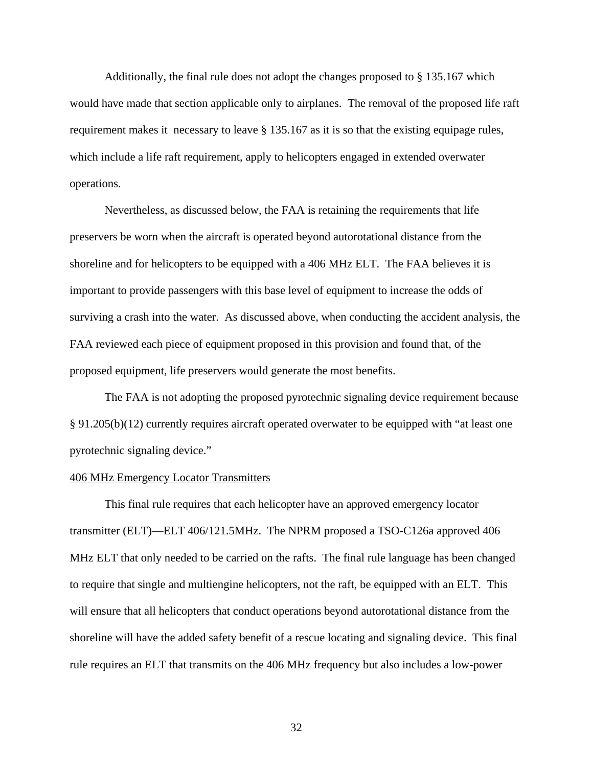Additionally, the final rule does not adopt the changes proposed to § 135.167 which would have made that section applicable only to airplanes. The removal of the proposed life raft requirement makes it necessary to leave § 135.167 as it is so that the existing equipage rules, which include a life raft requirement, apply to helicopters engaged in extended overwater operations.

Nevertheless, as discussed below, the FAA is retaining the requirements that life preservers be worn when the aircraft is operated beyond autorotational distance from the shoreline and for helicopters to be equipped with a 406 MHz ELT. The FAA believes it is important to provide passengers with this base level of equipment to increase the odds of surviving a crash into the water. As discussed above, when conducting the accident analysis, the FAA reviewed each piece of equipment proposed in this provision and found that, of the proposed equipment, life preservers would generate the most benefits.

The FAA is not adopting the proposed pyrotechnic signaling device requirement because § 91.205(b)(12) currently requires aircraft operated overwater to be equipped with "at least one pyrotechnic signaling device."

## 406 MHz Emergency Locator Transmitters

This final rule requires that each helicopter have an approved emergency locator transmitter (ELT)—ELT 406/121.5MHz. The NPRM proposed a TSO-C126a approved 406 MHz ELT that only needed to be carried on the rafts. The final rule language has been changed to require that single and multiengine helicopters, not the raft, be equipped with an ELT. This will ensure that all helicopters that conduct operations beyond autorotational distance from the shoreline will have the added safety benefit of a rescue locating and signaling device. This final rule requires an ELT that transmits on the 406 MHz frequency but also includes a low-power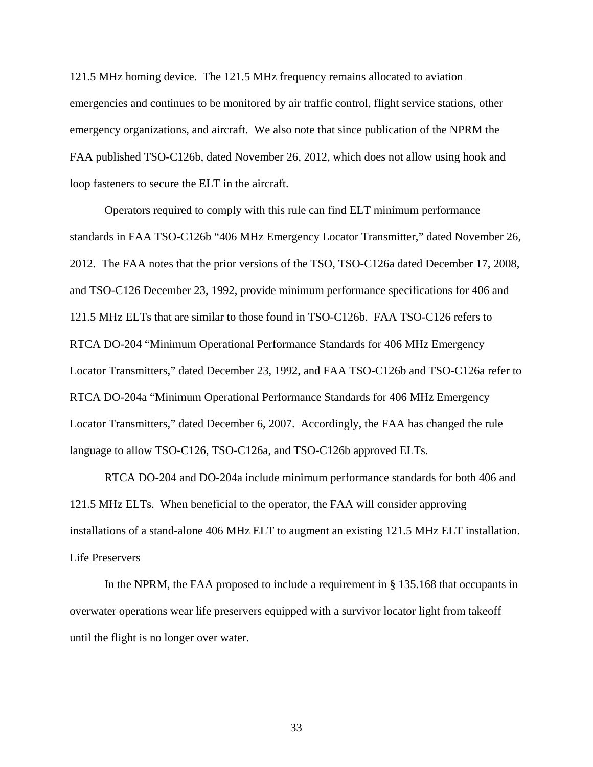121.5 MHz homing device. The 121.5 MHz frequency remains allocated to aviation emergencies and continues to be monitored by air traffic control, flight service stations, other emergency organizations, and aircraft. We also note that since publication of the NPRM the FAA published TSO-C126b, dated November 26, 2012, which does not allow using hook and loop fasteners to secure the ELT in the aircraft.

Operators required to comply with this rule can find ELT minimum performance standards in FAA TSO-C126b "406 MHz Emergency Locator Transmitter," dated November 26, 2012. The FAA notes that the prior versions of the TSO, TSO-C126a dated December 17, 2008, and TSO-C126 December 23, 1992, provide minimum performance specifications for 406 and 121.5 MHz ELTs that are similar to those found in TSO-C126b. FAA TSO-C126 refers to RTCA DO-204 "Minimum Operational Performance Standards for 406 MHz Emergency Locator Transmitters," dated December 23, 1992, and FAA TSO-C126b and TSO-C126a refer to RTCA DO-204a "Minimum Operational Performance Standards for 406 MHz Emergency Locator Transmitters," dated December 6, 2007. Accordingly, the FAA has changed the rule language to allow TSO-C126, TSO-C126a, and TSO-C126b approved ELTs.

RTCA DO-204 and DO-204a include minimum performance standards for both 406 and 121.5 MHz ELTs. When beneficial to the operator, the FAA will consider approving installations of a stand-alone 406 MHz ELT to augment an existing 121.5 MHz ELT installation. Life Preservers

 In the NPRM, the FAA proposed to include a requirement in § 135.168 that occupants in overwater operations wear life preservers equipped with a survivor locator light from takeoff until the flight is no longer over water.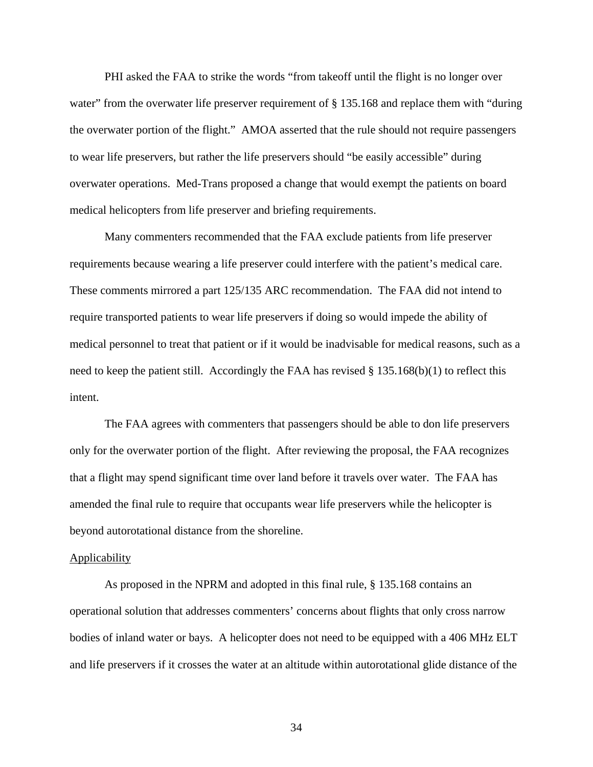PHI asked the FAA to strike the words "from takeoff until the flight is no longer over water" from the overwater life preserver requirement of § 135.168 and replace them with "during" the overwater portion of the flight." AMOA asserted that the rule should not require passengers to wear life preservers, but rather the life preservers should "be easily accessible" during overwater operations. Med-Trans proposed a change that would exempt the patients on board medical helicopters from life preserver and briefing requirements.

Many commenters recommended that the FAA exclude patients from life preserver requirements because wearing a life preserver could interfere with the patient's medical care. These comments mirrored a part 125/135 ARC recommendation. The FAA did not intend to require transported patients to wear life preservers if doing so would impede the ability of medical personnel to treat that patient or if it would be inadvisable for medical reasons, such as a need to keep the patient still. Accordingly the FAA has revised  $\S 135.168(b)(1)$  to reflect this intent.

 The FAA agrees with commenters that passengers should be able to don life preservers only for the overwater portion of the flight. After reviewing the proposal, the FAA recognizes that a flight may spend significant time over land before it travels over water. The FAA has amended the final rule to require that occupants wear life preservers while the helicopter is beyond autorotational distance from the shoreline.

## **Applicability**

As proposed in the NPRM and adopted in this final rule, § 135.168 contains an operational solution that addresses commenters' concerns about flights that only cross narrow bodies of inland water or bays. A helicopter does not need to be equipped with a 406 MHz ELT and life preservers if it crosses the water at an altitude within autorotational glide distance of the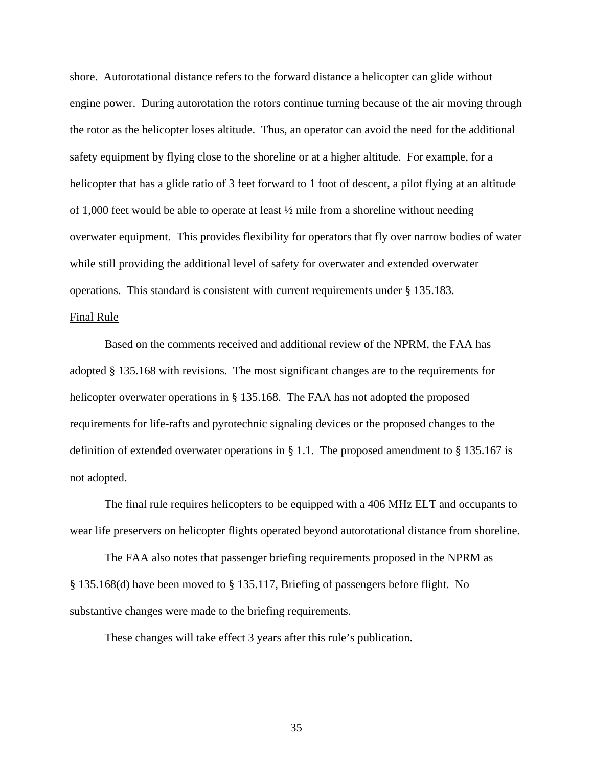shore. Autorotational distance refers to the forward distance a helicopter can glide without engine power. During autorotation the rotors continue turning because of the air moving through the rotor as the helicopter loses altitude. Thus, an operator can avoid the need for the additional safety equipment by flying close to the shoreline or at a higher altitude. For example, for a helicopter that has a glide ratio of 3 feet forward to 1 foot of descent, a pilot flying at an altitude of 1,000 feet would be able to operate at least ½ mile from a shoreline without needing overwater equipment. This provides flexibility for operators that fly over narrow bodies of water while still providing the additional level of safety for overwater and extended overwater operations. This standard is consistent with current requirements under § 135.183.

## Final Rule

Based on the comments received and additional review of the NPRM, the FAA has adopted § 135.168 with revisions. The most significant changes are to the requirements for helicopter overwater operations in § 135.168. The FAA has not adopted the proposed requirements for life-rafts and pyrotechnic signaling devices or the proposed changes to the definition of extended overwater operations in § 1.1. The proposed amendment to § 135.167 is not adopted.

The final rule requires helicopters to be equipped with a 406 MHz ELT and occupants to wear life preservers on helicopter flights operated beyond autorotational distance from shoreline.

The FAA also notes that passenger briefing requirements proposed in the NPRM as § 135.168(d) have been moved to § 135.117, Briefing of passengers before flight. No substantive changes were made to the briefing requirements.

These changes will take effect 3 years after this rule's publication.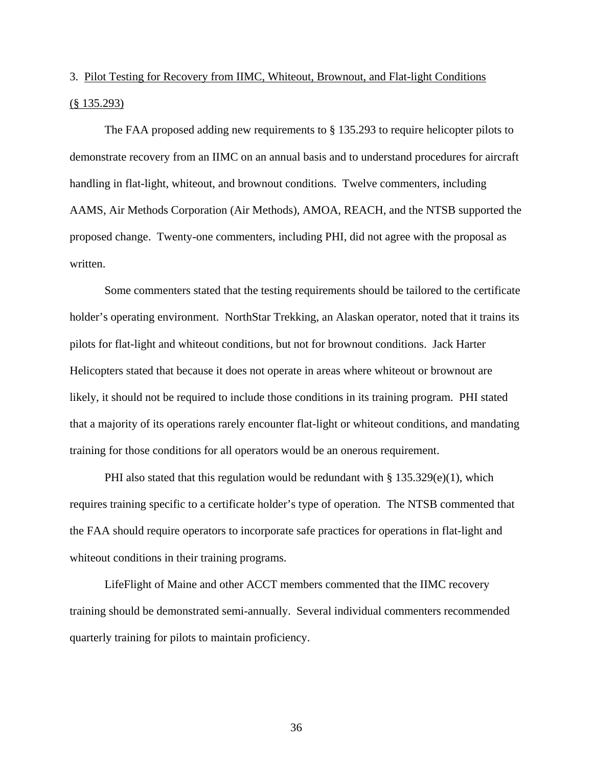# 3. Pilot Testing for Recovery from IIMC, Whiteout, Brownout, and Flat-light Conditions (§ 135.293)

The FAA proposed adding new requirements to § 135.293 to require helicopter pilots to demonstrate recovery from an IIMC on an annual basis and to understand procedures for aircraft handling in flat-light, whiteout, and brownout conditions. Twelve commenters, including AAMS, Air Methods Corporation (Air Methods), AMOA, REACH, and the NTSB supported the proposed change. Twenty-one commenters, including PHI, did not agree with the proposal as written.

Some commenters stated that the testing requirements should be tailored to the certificate holder's operating environment. NorthStar Trekking, an Alaskan operator, noted that it trains its pilots for flat-light and whiteout conditions, but not for brownout conditions. Jack Harter Helicopters stated that because it does not operate in areas where whiteout or brownout are likely, it should not be required to include those conditions in its training program. PHI stated that a majority of its operations rarely encounter flat-light or whiteout conditions, and mandating training for those conditions for all operators would be an onerous requirement.

PHI also stated that this regulation would be redundant with  $\S 135.329(e)(1)$ , which requires training specific to a certificate holder's type of operation. The NTSB commented that the FAA should require operators to incorporate safe practices for operations in flat-light and whiteout conditions in their training programs.

 LifeFlight of Maine and other ACCT members commented that the IIMC recovery training should be demonstrated semi-annually. Several individual commenters recommended quarterly training for pilots to maintain proficiency.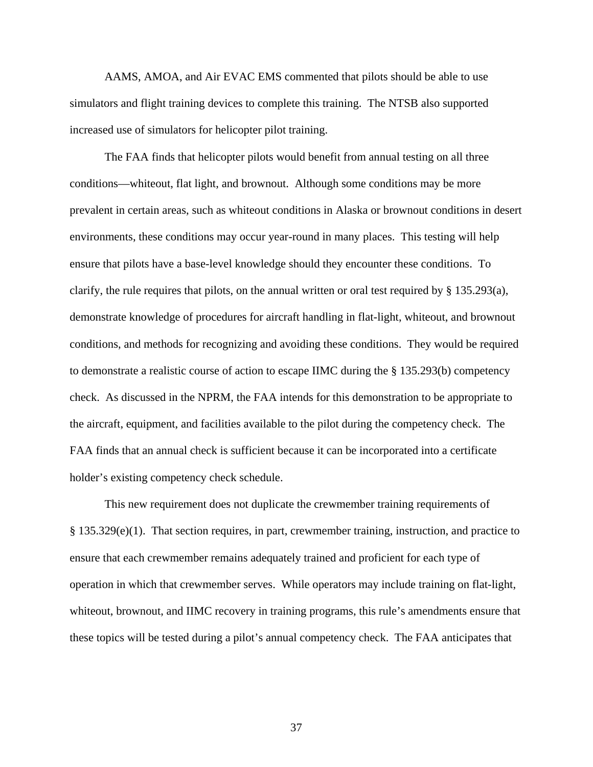AAMS, AMOA, and Air EVAC EMS commented that pilots should be able to use simulators and flight training devices to complete this training. The NTSB also supported increased use of simulators for helicopter pilot training.

 The FAA finds that helicopter pilots would benefit from annual testing on all three conditions—whiteout, flat light, and brownout. Although some conditions may be more prevalent in certain areas, such as whiteout conditions in Alaska or brownout conditions in desert environments, these conditions may occur year-round in many places. This testing will help ensure that pilots have a base-level knowledge should they encounter these conditions. To clarify, the rule requires that pilots, on the annual written or oral test required by § 135.293(a), demonstrate knowledge of procedures for aircraft handling in flat-light, whiteout, and brownout conditions, and methods for recognizing and avoiding these conditions. They would be required to demonstrate a realistic course of action to escape IIMC during the § 135.293(b) competency check. As discussed in the NPRM, the FAA intends for this demonstration to be appropriate to the aircraft, equipment, and facilities available to the pilot during the competency check. The FAA finds that an annual check is sufficient because it can be incorporated into a certificate holder's existing competency check schedule.

 This new requirement does not duplicate the crewmember training requirements of § 135.329(e)(1). That section requires, in part, crewmember training, instruction, and practice to ensure that each crewmember remains adequately trained and proficient for each type of operation in which that crewmember serves. While operators may include training on flat-light, whiteout, brownout, and IIMC recovery in training programs, this rule's amendments ensure that these topics will be tested during a pilot's annual competency check. The FAA anticipates that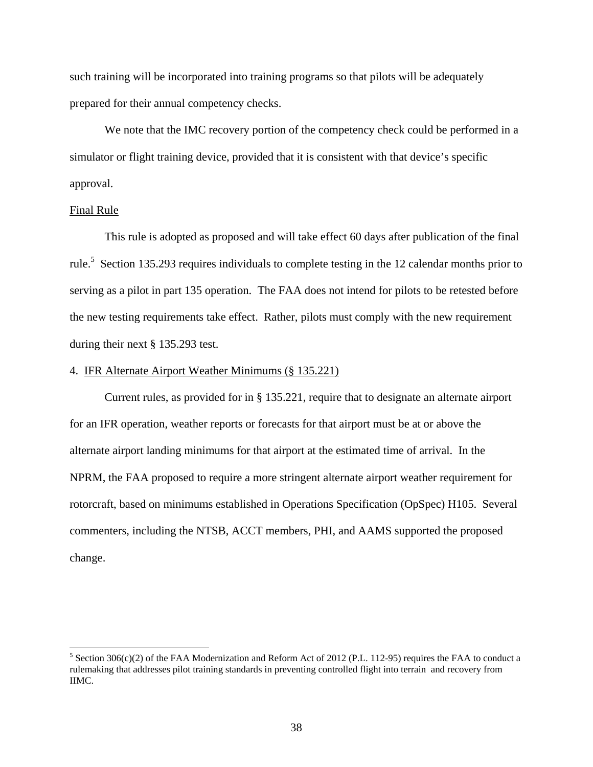such training will be incorporated into training programs so that pilots will be adequately prepared for their annual competency checks.

 We note that the IMC recovery portion of the competency check could be performed in a simulator or flight training device, provided that it is consistent with that device's specific approval.

## Final Rule

<u>.</u>

This rule is adopted as proposed and will take effect 60 days after publication of the final rule.<sup>5</sup> Section 135.293 requires individuals to complete testing in the 12 calendar months prior to serving as a pilot in part 135 operation. The FAA does not intend for pilots to be retested before the new testing requirements take effect. Rather, pilots must comply with the new requirement during their next § 135.293 test.

## 4. IFR Alternate Airport Weather Minimums (§ 135.221)

Current rules, as provided for in § 135.221, require that to designate an alternate airport for an IFR operation, weather reports or forecasts for that airport must be at or above the alternate airport landing minimums for that airport at the estimated time of arrival. In the NPRM, the FAA proposed to require a more stringent alternate airport weather requirement for rotorcraft, based on minimums established in Operations Specification (OpSpec) H105. Several commenters, including the NTSB, ACCT members, PHI, and AAMS supported the proposed change.

<sup>&</sup>lt;sup>5</sup> Section 306(c)(2) of the FAA Modernization and Reform Act of 2012 (P.L. 112-95) requires the FAA to conduct a rulemaking that addresses pilot training standards in preventing controlled flight into terrain and recovery from IIMC.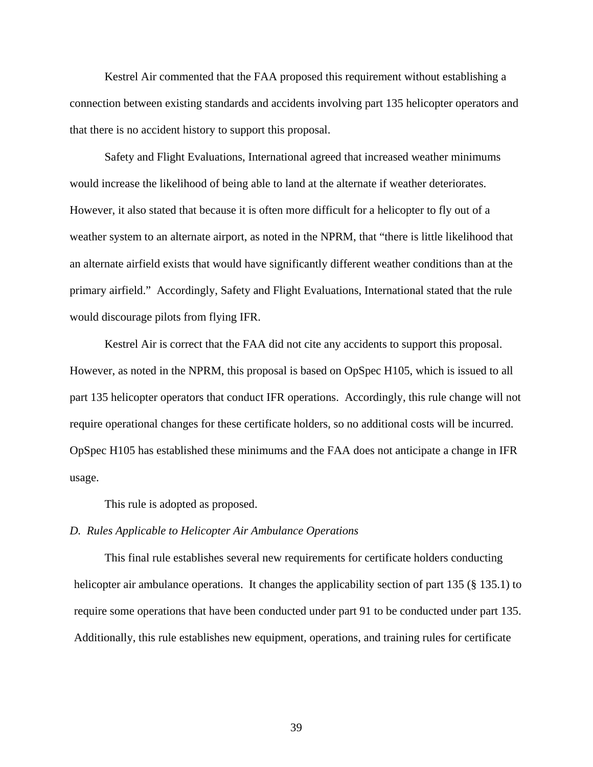Kestrel Air commented that the FAA proposed this requirement without establishing a connection between existing standards and accidents involving part 135 helicopter operators and that there is no accident history to support this proposal.

Safety and Flight Evaluations, International agreed that increased weather minimums would increase the likelihood of being able to land at the alternate if weather deteriorates. However, it also stated that because it is often more difficult for a helicopter to fly out of a weather system to an alternate airport, as noted in the NPRM, that "there is little likelihood that an alternate airfield exists that would have significantly different weather conditions than at the primary airfield." Accordingly, Safety and Flight Evaluations, International stated that the rule would discourage pilots from flying IFR.

Kestrel Air is correct that the FAA did not cite any accidents to support this proposal. However, as noted in the NPRM, this proposal is based on OpSpec H105, which is issued to all part 135 helicopter operators that conduct IFR operations. Accordingly, this rule change will not require operational changes for these certificate holders, so no additional costs will be incurred. OpSpec H105 has established these minimums and the FAA does not anticipate a change in IFR usage.

This rule is adopted as proposed.

## *D. Rules Applicable to Helicopter Air Ambulance Operations*

 This final rule establishes several new requirements for certificate holders conducting helicopter air ambulance operations. It changes the applicability section of part 135 (§ 135.1) to require some operations that have been conducted under part 91 to be conducted under part 135. Additionally, this rule establishes new equipment, operations, and training rules for certificate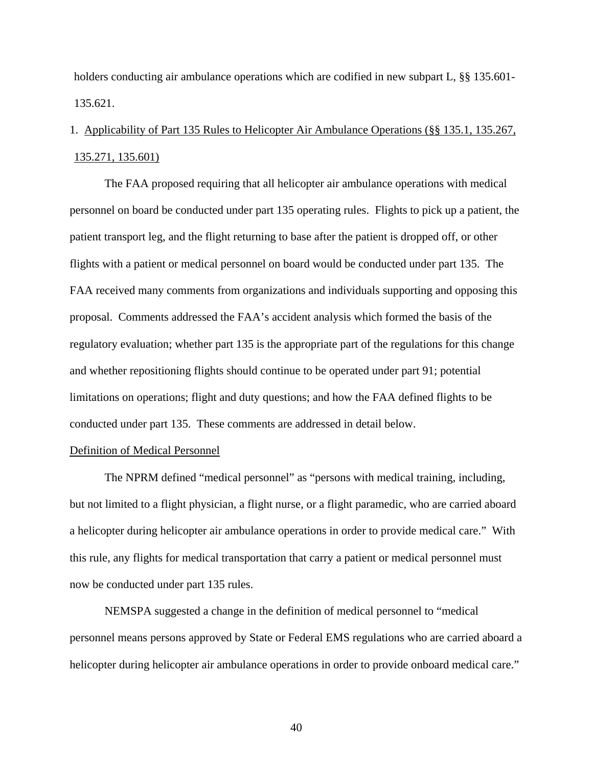holders conducting air ambulance operations which are codified in new subpart L, §§ 135.601- 135.621.

# 1. Applicability of Part 135 Rules to Helicopter Air Ambulance Operations (§§ 135.1, 135.267, 135.271, 135.601)

 The FAA proposed requiring that all helicopter air ambulance operations with medical personnel on board be conducted under part 135 operating rules. Flights to pick up a patient, the patient transport leg, and the flight returning to base after the patient is dropped off, or other flights with a patient or medical personnel on board would be conducted under part 135. The FAA received many comments from organizations and individuals supporting and opposing this proposal. Comments addressed the FAA's accident analysis which formed the basis of the regulatory evaluation; whether part 135 is the appropriate part of the regulations for this change and whether repositioning flights should continue to be operated under part 91; potential limitations on operations; flight and duty questions; and how the FAA defined flights to be conducted under part 135. These comments are addressed in detail below.

## Definition of Medical Personnel

The NPRM defined "medical personnel" as "persons with medical training, including, but not limited to a flight physician, a flight nurse, or a flight paramedic, who are carried aboard a helicopter during helicopter air ambulance operations in order to provide medical care." With this rule, any flights for medical transportation that carry a patient or medical personnel must now be conducted under part 135 rules.

 NEMSPA suggested a change in the definition of medical personnel to "medical personnel means persons approved by State or Federal EMS regulations who are carried aboard a helicopter during helicopter air ambulance operations in order to provide onboard medical care."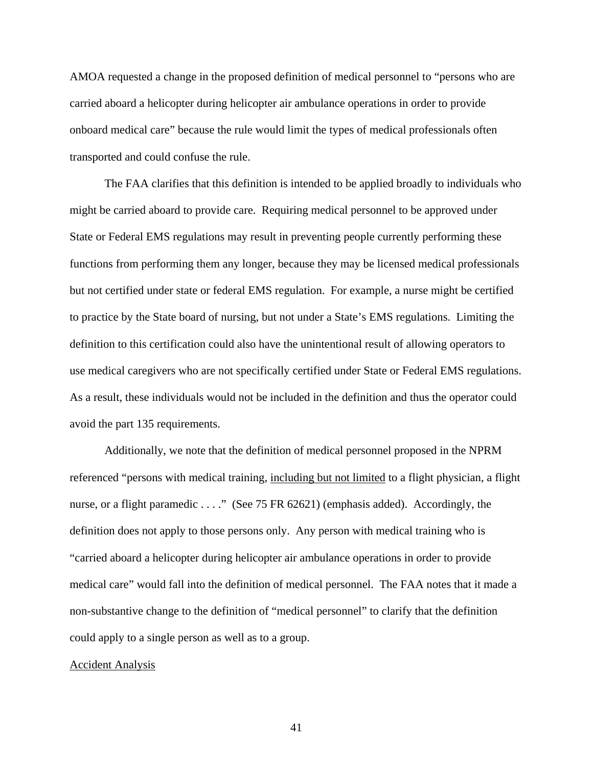AMOA requested a change in the proposed definition of medical personnel to "persons who are carried aboard a helicopter during helicopter air ambulance operations in order to provide onboard medical care" because the rule would limit the types of medical professionals often transported and could confuse the rule.

 The FAA clarifies that this definition is intended to be applied broadly to individuals who might be carried aboard to provide care. Requiring medical personnel to be approved under State or Federal EMS regulations may result in preventing people currently performing these functions from performing them any longer, because they may be licensed medical professionals but not certified under state or federal EMS regulation. For example, a nurse might be certified to practice by the State board of nursing, but not under a State's EMS regulations. Limiting the definition to this certification could also have the unintentional result of allowing operators to use medical caregivers who are not specifically certified under State or Federal EMS regulations. As a result, these individuals would not be included in the definition and thus the operator could avoid the part 135 requirements.

 Additionally, we note that the definition of medical personnel proposed in the NPRM referenced "persons with medical training, including but not limited to a flight physician, a flight nurse, or a flight paramedic . . . ." (See 75 FR 62621) (emphasis added). Accordingly, the definition does not apply to those persons only. Any person with medical training who is "carried aboard a helicopter during helicopter air ambulance operations in order to provide medical care" would fall into the definition of medical personnel. The FAA notes that it made a non-substantive change to the definition of "medical personnel" to clarify that the definition could apply to a single person as well as to a group.

#### Accident Analysis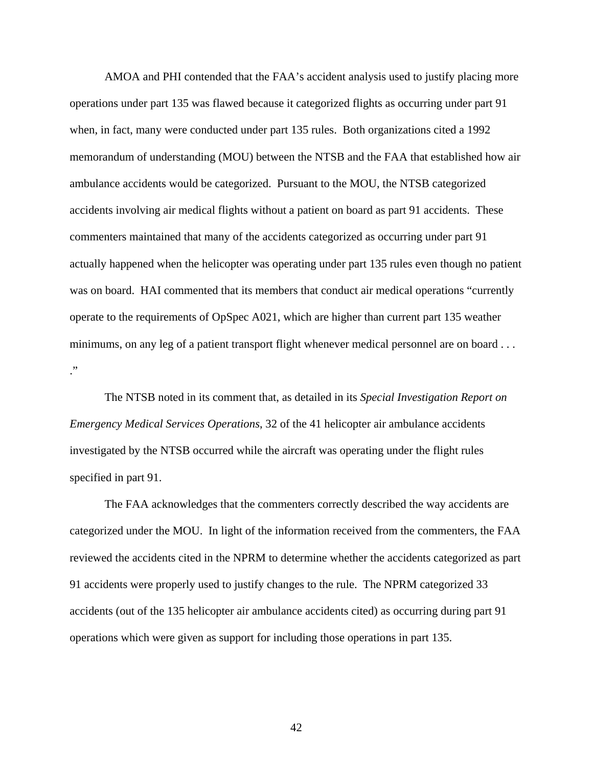AMOA and PHI contended that the FAA's accident analysis used to justify placing more operations under part 135 was flawed because it categorized flights as occurring under part 91 when, in fact, many were conducted under part 135 rules. Both organizations cited a 1992 memorandum of understanding (MOU) between the NTSB and the FAA that established how air ambulance accidents would be categorized. Pursuant to the MOU, the NTSB categorized accidents involving air medical flights without a patient on board as part 91 accidents. These commenters maintained that many of the accidents categorized as occurring under part 91 actually happened when the helicopter was operating under part 135 rules even though no patient was on board. HAI commented that its members that conduct air medical operations "currently operate to the requirements of OpSpec A021, which are higher than current part 135 weather minimums, on any leg of a patient transport flight whenever medical personnel are on board . . . ."

 The NTSB noted in its comment that, as detailed in its *Special Investigation Report on Emergency Medical Services Operations*, 32 of the 41 helicopter air ambulance accidents investigated by the NTSB occurred while the aircraft was operating under the flight rules specified in part 91.

 The FAA acknowledges that the commenters correctly described the way accidents are categorized under the MOU. In light of the information received from the commenters, the FAA reviewed the accidents cited in the NPRM to determine whether the accidents categorized as part 91 accidents were properly used to justify changes to the rule. The NPRM categorized 33 accidents (out of the 135 helicopter air ambulance accidents cited) as occurring during part 91 operations which were given as support for including those operations in part 135.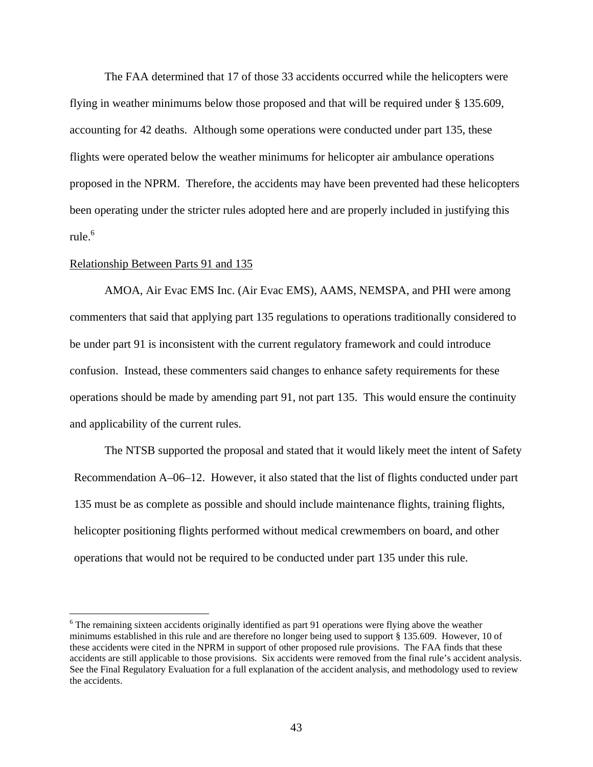The FAA determined that 17 of those 33 accidents occurred while the helicopters were flying in weather minimums below those proposed and that will be required under § 135.609, accounting for 42 deaths. Although some operations were conducted under part 135, these flights were operated below the weather minimums for helicopter air ambulance operations proposed in the NPRM. Therefore, the accidents may have been prevented had these helicopters been operating under the stricter rules adopted here and are properly included in justifying this rule. $^6$ 

## Relationship Between Parts 91 and 135

 $\overline{a}$ 

 AMOA, Air Evac EMS Inc. (Air Evac EMS), AAMS, NEMSPA, and PHI were among commenters that said that applying part 135 regulations to operations traditionally considered to be under part 91 is inconsistent with the current regulatory framework and could introduce confusion. Instead, these commenters said changes to enhance safety requirements for these operations should be made by amending part 91, not part 135. This would ensure the continuity and applicability of the current rules.

 The NTSB supported the proposal and stated that it would likely meet the intent of Safety Recommendation A–06–12. However, it also stated that the list of flights conducted under part 135 must be as complete as possible and should include maintenance flights, training flights, helicopter positioning flights performed without medical crewmembers on board, and other operations that would not be required to be conducted under part 135 under this rule.

<sup>&</sup>lt;sup>6</sup> The remaining sixteen accidents originally identified as part 91 operations were flying above the weather minimums established in this rule and are therefore no longer being used to support § 135.609. However, 10 of these accidents were cited in the NPRM in support of other proposed rule provisions. The FAA finds that these accidents are still applicable to those provisions. Six accidents were removed from the final rule's accident analysis. See the Final Regulatory Evaluation for a full explanation of the accident analysis, and methodology used to review the accidents.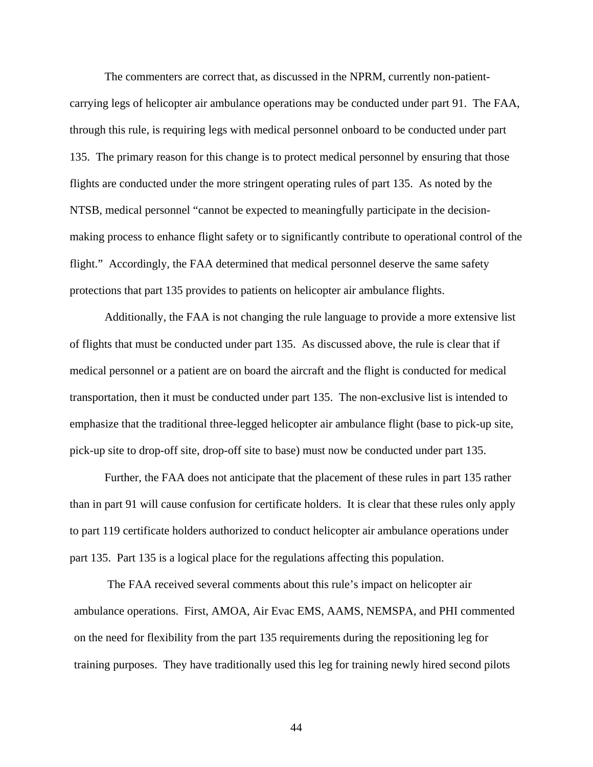The commenters are correct that, as discussed in the NPRM, currently non-patientcarrying legs of helicopter air ambulance operations may be conducted under part 91. The FAA, through this rule, is requiring legs with medical personnel onboard to be conducted under part 135. The primary reason for this change is to protect medical personnel by ensuring that those flights are conducted under the more stringent operating rules of part 135. As noted by the NTSB, medical personnel "cannot be expected to meaningfully participate in the decisionmaking process to enhance flight safety or to significantly contribute to operational control of the flight." Accordingly, the FAA determined that medical personnel deserve the same safety protections that part 135 provides to patients on helicopter air ambulance flights.

 Additionally, the FAA is not changing the rule language to provide a more extensive list of flights that must be conducted under part 135. As discussed above, the rule is clear that if medical personnel or a patient are on board the aircraft and the flight is conducted for medical transportation, then it must be conducted under part 135. The non-exclusive list is intended to emphasize that the traditional three-legged helicopter air ambulance flight (base to pick-up site, pick-up site to drop-off site, drop-off site to base) must now be conducted under part 135.

 Further, the FAA does not anticipate that the placement of these rules in part 135 rather than in part 91 will cause confusion for certificate holders. It is clear that these rules only apply to part 119 certificate holders authorized to conduct helicopter air ambulance operations under part 135. Part 135 is a logical place for the regulations affecting this population.

 The FAA received several comments about this rule's impact on helicopter air ambulance operations. First, AMOA, Air Evac EMS, AAMS, NEMSPA, and PHI commented on the need for flexibility from the part 135 requirements during the repositioning leg for training purposes. They have traditionally used this leg for training newly hired second pilots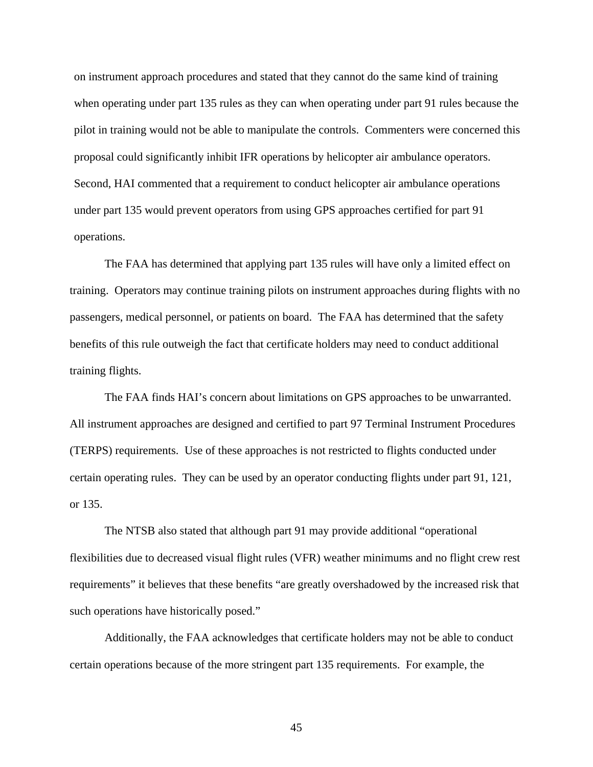on instrument approach procedures and stated that they cannot do the same kind of training when operating under part 135 rules as they can when operating under part 91 rules because the pilot in training would not be able to manipulate the controls. Commenters were concerned this proposal could significantly inhibit IFR operations by helicopter air ambulance operators. Second, HAI commented that a requirement to conduct helicopter air ambulance operations under part 135 would prevent operators from using GPS approaches certified for part 91 operations.

 The FAA has determined that applying part 135 rules will have only a limited effect on training. Operators may continue training pilots on instrument approaches during flights with no passengers, medical personnel, or patients on board. The FAA has determined that the safety benefits of this rule outweigh the fact that certificate holders may need to conduct additional training flights.

The FAA finds HAI's concern about limitations on GPS approaches to be unwarranted. All instrument approaches are designed and certified to part 97 Terminal Instrument Procedures (TERPS) requirements. Use of these approaches is not restricted to flights conducted under certain operating rules. They can be used by an operator conducting flights under part 91, 121, or 135.

 The NTSB also stated that although part 91 may provide additional "operational flexibilities due to decreased visual flight rules (VFR) weather minimums and no flight crew rest requirements" it believes that these benefits "are greatly overshadowed by the increased risk that such operations have historically posed."

 Additionally, the FAA acknowledges that certificate holders may not be able to conduct certain operations because of the more stringent part 135 requirements. For example, the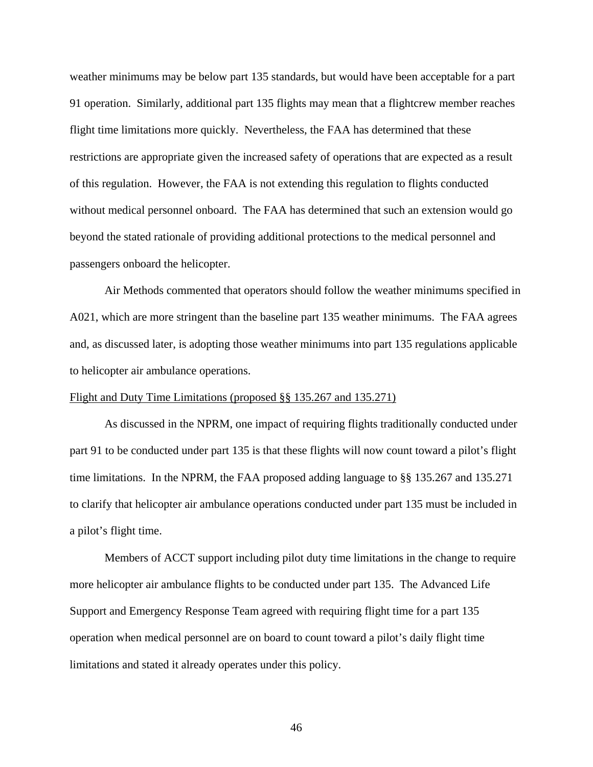weather minimums may be below part 135 standards, but would have been acceptable for a part 91 operation. Similarly, additional part 135 flights may mean that a flightcrew member reaches flight time limitations more quickly. Nevertheless, the FAA has determined that these restrictions are appropriate given the increased safety of operations that are expected as a result of this regulation. However, the FAA is not extending this regulation to flights conducted without medical personnel onboard. The FAA has determined that such an extension would go beyond the stated rationale of providing additional protections to the medical personnel and passengers onboard the helicopter.

 Air Methods commented that operators should follow the weather minimums specified in A021, which are more stringent than the baseline part 135 weather minimums. The FAA agrees and, as discussed later, is adopting those weather minimums into part 135 regulations applicable to helicopter air ambulance operations.

# Flight and Duty Time Limitations (proposed §§ 135.267 and 135.271)

As discussed in the NPRM, one impact of requiring flights traditionally conducted under part 91 to be conducted under part 135 is that these flights will now count toward a pilot's flight time limitations. In the NPRM, the FAA proposed adding language to §§ 135.267 and 135.271 to clarify that helicopter air ambulance operations conducted under part 135 must be included in a pilot's flight time.

Members of ACCT support including pilot duty time limitations in the change to require more helicopter air ambulance flights to be conducted under part 135. The Advanced Life Support and Emergency Response Team agreed with requiring flight time for a part 135 operation when medical personnel are on board to count toward a pilot's daily flight time limitations and stated it already operates under this policy.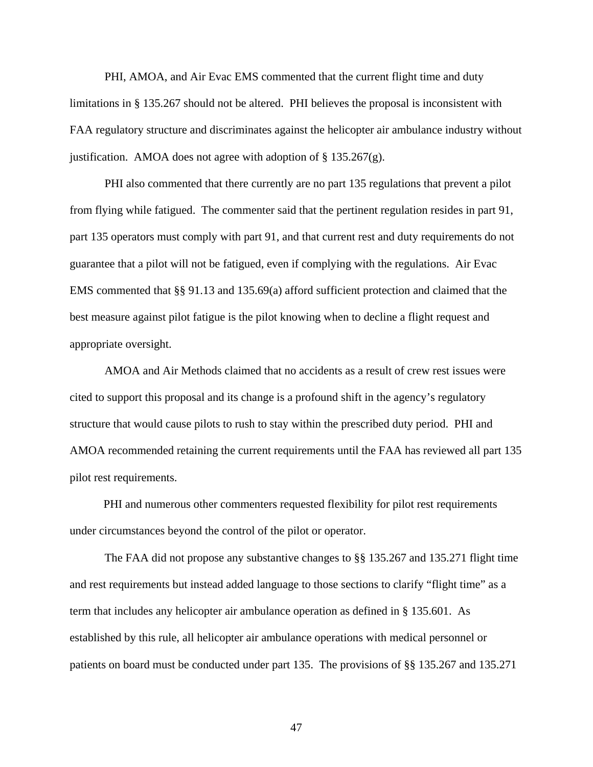PHI, AMOA, and Air Evac EMS commented that the current flight time and duty limitations in § 135.267 should not be altered. PHI believes the proposal is inconsistent with FAA regulatory structure and discriminates against the helicopter air ambulance industry without justification. AMOA does not agree with adoption of  $\S 135.267(g)$ .

 PHI also commented that there currently are no part 135 regulations that prevent a pilot from flying while fatigued. The commenter said that the pertinent regulation resides in part 91, part 135 operators must comply with part 91, and that current rest and duty requirements do not guarantee that a pilot will not be fatigued, even if complying with the regulations. Air Evac EMS commented that §§ 91.13 and 135.69(a) afford sufficient protection and claimed that the best measure against pilot fatigue is the pilot knowing when to decline a flight request and appropriate oversight.

 AMOA and Air Methods claimed that no accidents as a result of crew rest issues were cited to support this proposal and its change is a profound shift in the agency's regulatory structure that would cause pilots to rush to stay within the prescribed duty period. PHI and AMOA recommended retaining the current requirements until the FAA has reviewed all part 135 pilot rest requirements.

 PHI and numerous other commenters requested flexibility for pilot rest requirements under circumstances beyond the control of the pilot or operator.

The FAA did not propose any substantive changes to §§ 135.267 and 135.271 flight time and rest requirements but instead added language to those sections to clarify "flight time" as a term that includes any helicopter air ambulance operation as defined in § 135.601. As established by this rule, all helicopter air ambulance operations with medical personnel or patients on board must be conducted under part 135. The provisions of §§ 135.267 and 135.271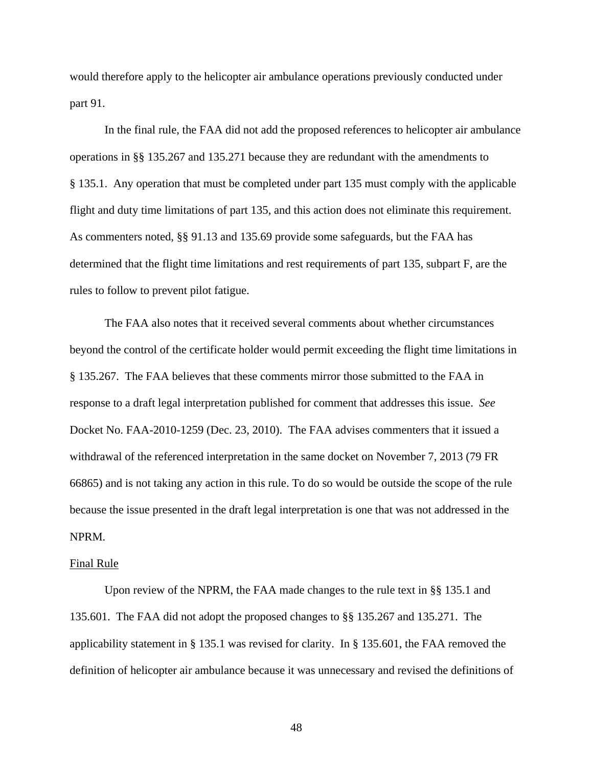would therefore apply to the helicopter air ambulance operations previously conducted under part 91.

In the final rule, the FAA did not add the proposed references to helicopter air ambulance operations in §§ 135.267 and 135.271 because they are redundant with the amendments to § 135.1. Any operation that must be completed under part 135 must comply with the applicable flight and duty time limitations of part 135, and this action does not eliminate this requirement. As commenters noted, §§ 91.13 and 135.69 provide some safeguards, but the FAA has determined that the flight time limitations and rest requirements of part 135, subpart F, are the rules to follow to prevent pilot fatigue.

 The FAA also notes that it received several comments about whether circumstances beyond the control of the certificate holder would permit exceeding the flight time limitations in § 135.267. The FAA believes that these comments mirror those submitted to the FAA in response to a draft legal interpretation published for comment that addresses this issue. *See* Docket No. FAA-2010-1259 (Dec. 23, 2010). The FAA advises commenters that it issued a withdrawal of the referenced interpretation in the same docket on November 7, 2013 (79 FR 66865) and is not taking any action in this rule. To do so would be outside the scope of the rule because the issue presented in the draft legal interpretation is one that was not addressed in the NPRM.

#### Final Rule

 Upon review of the NPRM, the FAA made changes to the rule text in §§ 135.1 and 135.601. The FAA did not adopt the proposed changes to §§ 135.267 and 135.271. The applicability statement in § 135.1 was revised for clarity. In § 135.601, the FAA removed the definition of helicopter air ambulance because it was unnecessary and revised the definitions of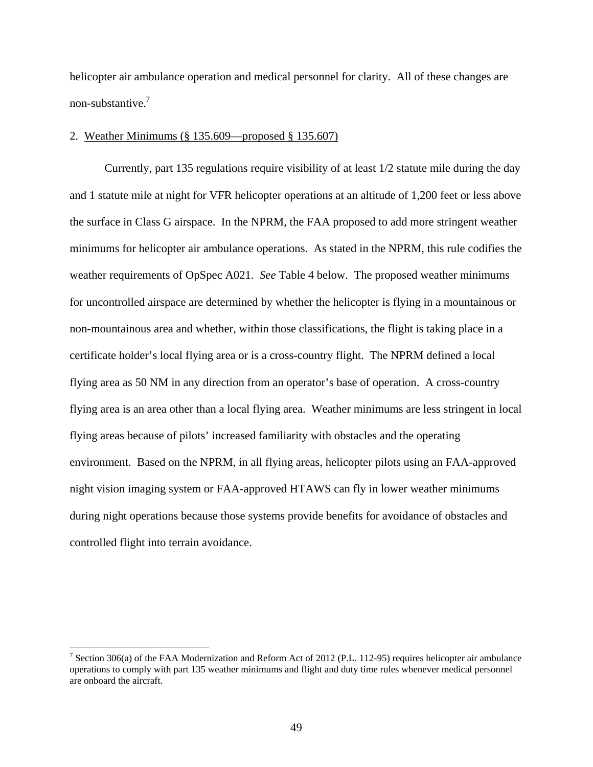helicopter air ambulance operation and medical personnel for clarity. All of these changes are non-substantive.7

# 2. Weather Minimums (§ 135.609—proposed § 135.607)

Currently, part 135 regulations require visibility of at least 1/2 statute mile during the day and 1 statute mile at night for VFR helicopter operations at an altitude of 1,200 feet or less above the surface in Class G airspace. In the NPRM, the FAA proposed to add more stringent weather minimums for helicopter air ambulance operations. As stated in the NPRM, this rule codifies the weather requirements of OpSpec A021. *See* Table 4 below. The proposed weather minimums for uncontrolled airspace are determined by whether the helicopter is flying in a mountainous or non-mountainous area and whether, within those classifications, the flight is taking place in a certificate holder's local flying area or is a cross-country flight. The NPRM defined a local flying area as 50 NM in any direction from an operator's base of operation. A cross-country flying area is an area other than a local flying area. Weather minimums are less stringent in local flying areas because of pilots' increased familiarity with obstacles and the operating environment. Based on the NPRM, in all flying areas, helicopter pilots using an FAA-approved night vision imaging system or FAA-approved HTAWS can fly in lower weather minimums during night operations because those systems provide benefits for avoidance of obstacles and controlled flight into terrain avoidance.

<u>.</u>

<sup>&</sup>lt;sup>7</sup> Section 306(a) of the FAA Modernization and Reform Act of 2012 (P.L. 112-95) requires helicopter air ambulance operations to comply with part 135 weather minimums and flight and duty time rules whenever medical personnel are onboard the aircraft.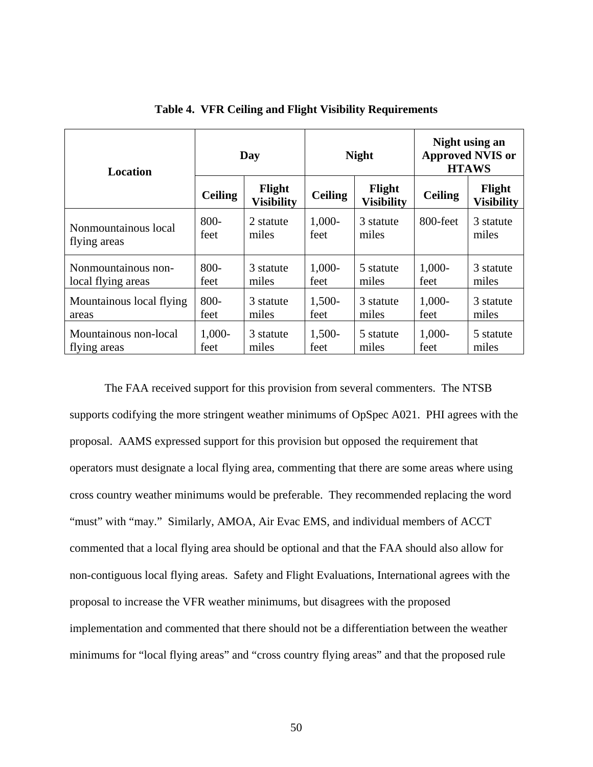| <b>Location</b>          | Day            |                             | <b>Night</b>   |                             | Night using an<br><b>Approved NVIS or</b><br><b>HTAWS</b> |                             |
|--------------------------|----------------|-----------------------------|----------------|-----------------------------|-----------------------------------------------------------|-----------------------------|
|                          | <b>Ceiling</b> | Flight<br><b>Visibility</b> | <b>Ceiling</b> | Flight<br><b>Visibility</b> | <b>Ceiling</b>                                            | Flight<br><b>Visibility</b> |
| Nonmountainous local     | $800 -$        | 2 statute                   | $1,000-$       | 3 statute                   | 800-feet                                                  | 3 statute                   |
| flying areas             | feet           | miles                       | feet           | miles                       |                                                           | miles                       |
| Nonmountainous non-      | $800 -$        | 3 statute                   | $1,000-$       | 5 statute                   | $1,000-$                                                  | 3 statute                   |
| local flying areas       | feet           | miles                       | feet           | miles                       | feet                                                      | miles                       |
| Mountainous local flying | $800 -$        | 3 statute                   | 1,500-         | 3 statute                   | $1,000-$                                                  | 3 statute                   |
| areas                    | feet           | miles                       | feet           | miles                       | feet                                                      | miles                       |
| Mountainous non-local    | $1,000-$       | 3 statute                   | 1,500-         | 5 statute                   | $1,000-$                                                  | 5 statute                   |
| flying areas             | feet           | miles                       | feet           | miles                       | feet                                                      | miles                       |

**Table 4. VFR Ceiling and Flight Visibility Requirements** 

The FAA received support for this provision from several commenters. The NTSB supports codifying the more stringent weather minimums of OpSpec A021. PHI agrees with the proposal. AAMS expressed support for this provision but opposed the requirement that operators must designate a local flying area, commenting that there are some areas where using cross country weather minimums would be preferable. They recommended replacing the word "must" with "may." Similarly, AMOA, Air Evac EMS, and individual members of ACCT commented that a local flying area should be optional and that the FAA should also allow for non-contiguous local flying areas. Safety and Flight Evaluations, International agrees with the proposal to increase the VFR weather minimums, but disagrees with the proposed implementation and commented that there should not be a differentiation between the weather minimums for "local flying areas" and "cross country flying areas" and that the proposed rule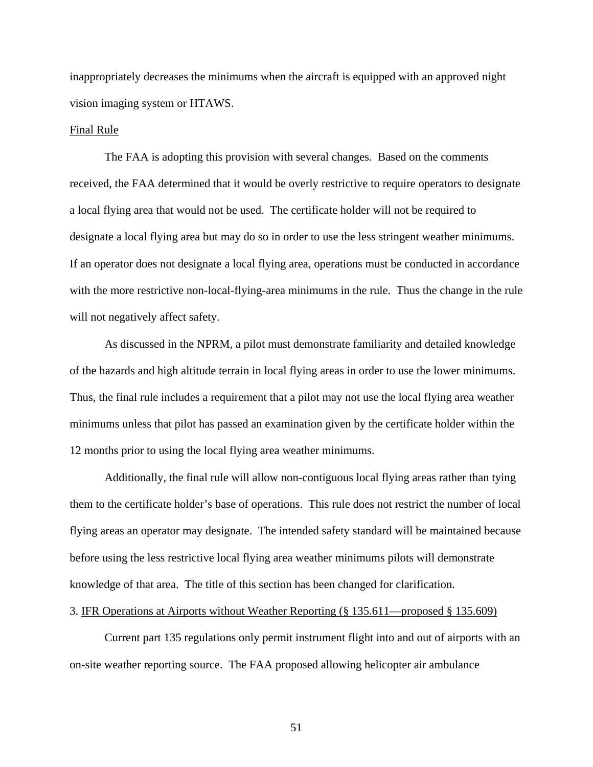inappropriately decreases the minimums when the aircraft is equipped with an approved night vision imaging system or HTAWS.

## Final Rule

The FAA is adopting this provision with several changes. Based on the comments received, the FAA determined that it would be overly restrictive to require operators to designate a local flying area that would not be used. The certificate holder will not be required to designate a local flying area but may do so in order to use the less stringent weather minimums. If an operator does not designate a local flying area, operations must be conducted in accordance with the more restrictive non-local-flying-area minimums in the rule. Thus the change in the rule will not negatively affect safety.

As discussed in the NPRM, a pilot must demonstrate familiarity and detailed knowledge of the hazards and high altitude terrain in local flying areas in order to use the lower minimums. Thus, the final rule includes a requirement that a pilot may not use the local flying area weather minimums unless that pilot has passed an examination given by the certificate holder within the 12 months prior to using the local flying area weather minimums.

Additionally, the final rule will allow non-contiguous local flying areas rather than tying them to the certificate holder's base of operations. This rule does not restrict the number of local flying areas an operator may designate. The intended safety standard will be maintained because before using the less restrictive local flying area weather minimums pilots will demonstrate knowledge of that area. The title of this section has been changed for clarification.

# 3. IFR Operations at Airports without Weather Reporting (§ 135.611—proposed § 135.609)

Current part 135 regulations only permit instrument flight into and out of airports with an on-site weather reporting source. The FAA proposed allowing helicopter air ambulance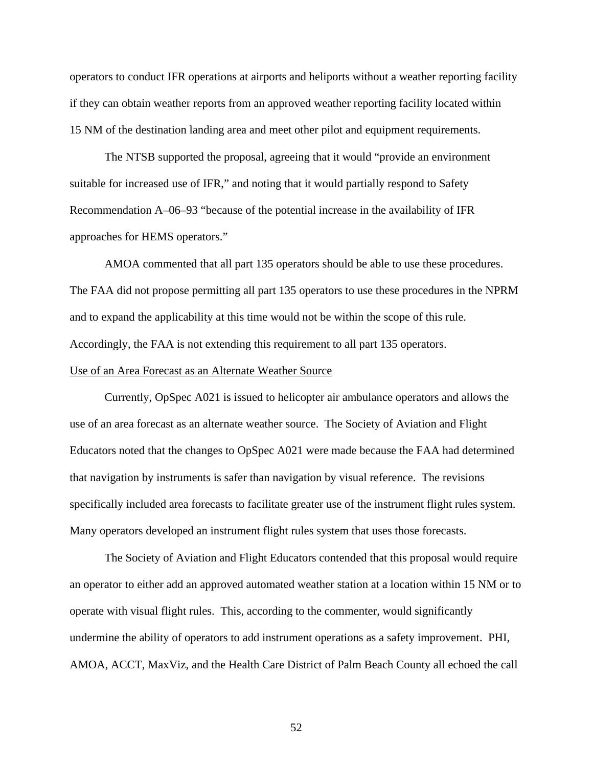operators to conduct IFR operations at airports and heliports without a weather reporting facility if they can obtain weather reports from an approved weather reporting facility located within 15 NM of the destination landing area and meet other pilot and equipment requirements.

The NTSB supported the proposal, agreeing that it would "provide an environment suitable for increased use of IFR," and noting that it would partially respond to Safety Recommendation A–06–93 "because of the potential increase in the availability of IFR approaches for HEMS operators."

AMOA commented that all part 135 operators should be able to use these procedures. The FAA did not propose permitting all part 135 operators to use these procedures in the NPRM and to expand the applicability at this time would not be within the scope of this rule. Accordingly, the FAA is not extending this requirement to all part 135 operators.

# Use of an Area Forecast as an Alternate Weather Source

Currently, OpSpec A021 is issued to helicopter air ambulance operators and allows the use of an area forecast as an alternate weather source. The Society of Aviation and Flight Educators noted that the changes to OpSpec A021 were made because the FAA had determined that navigation by instruments is safer than navigation by visual reference. The revisions specifically included area forecasts to facilitate greater use of the instrument flight rules system. Many operators developed an instrument flight rules system that uses those forecasts.

 The Society of Aviation and Flight Educators contended that this proposal would require an operator to either add an approved automated weather station at a location within 15 NM or to operate with visual flight rules. This, according to the commenter, would significantly undermine the ability of operators to add instrument operations as a safety improvement. PHI, AMOA, ACCT, MaxViz, and the Health Care District of Palm Beach County all echoed the call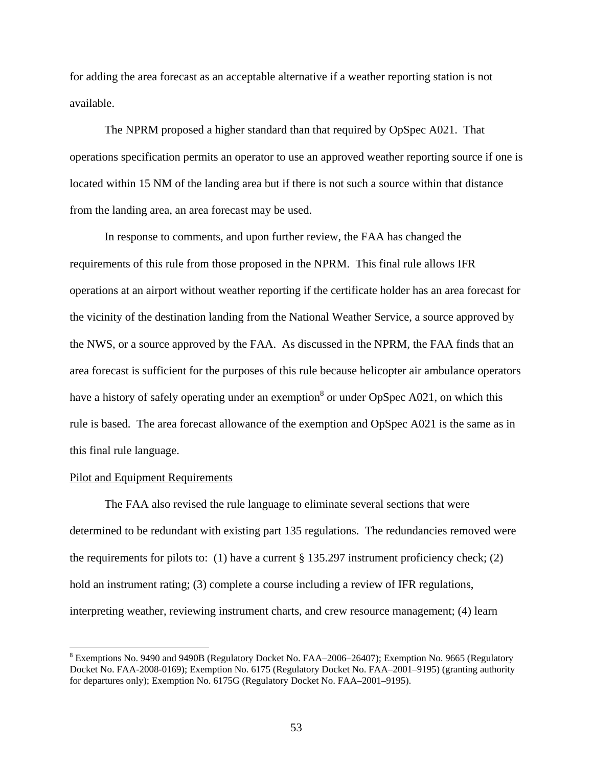for adding the area forecast as an acceptable alternative if a weather reporting station is not available.

 The NPRM proposed a higher standard than that required by OpSpec A021. That operations specification permits an operator to use an approved weather reporting source if one is located within 15 NM of the landing area but if there is not such a source within that distance from the landing area, an area forecast may be used.

 In response to comments, and upon further review, the FAA has changed the requirements of this rule from those proposed in the NPRM. This final rule allows IFR operations at an airport without weather reporting if the certificate holder has an area forecast for the vicinity of the destination landing from the National Weather Service, a source approved by the NWS, or a source approved by the FAA. As discussed in the NPRM, the FAA finds that an area forecast is sufficient for the purposes of this rule because helicopter air ambulance operators have a history of safely operating under an exemption<sup>8</sup> or under OpSpec A021, on which this rule is based. The area forecast allowance of the exemption and OpSpec A021 is the same as in this final rule language.

# Pilot and Equipment Requirements

 $\overline{a}$ 

 The FAA also revised the rule language to eliminate several sections that were determined to be redundant with existing part 135 regulations. The redundancies removed were the requirements for pilots to: (1) have a current  $\S 135.297$  instrument proficiency check; (2) hold an instrument rating; (3) complete a course including a review of IFR regulations, interpreting weather, reviewing instrument charts, and crew resource management; (4) learn

 $8$  Exemptions No. 9490 and 9490B (Regulatory Docket No. FAA–2006–26407); Exemption No. 9665 (Regulatory Docket No. FAA-2008-0169); Exemption No. 6175 (Regulatory Docket No. FAA–2001–9195) (granting authority for departures only); Exemption No. 6175G (Regulatory Docket No. FAA–2001–9195).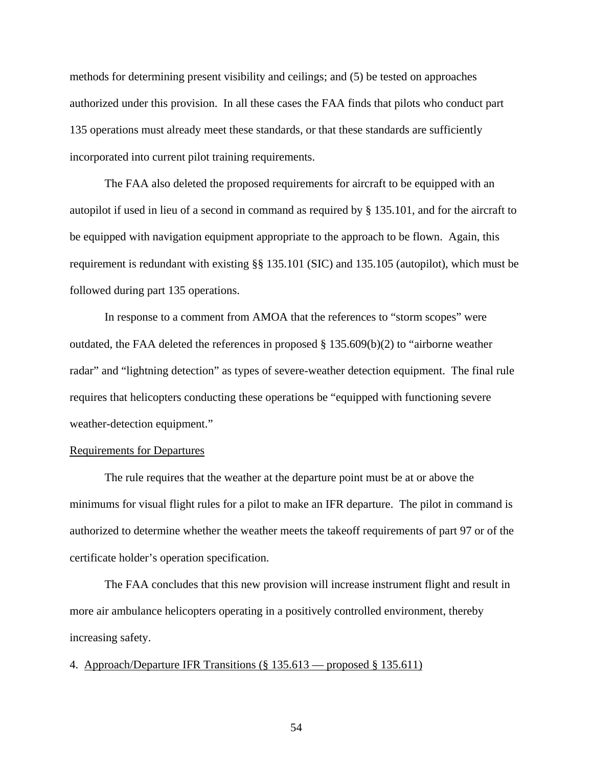methods for determining present visibility and ceilings; and (5) be tested on approaches authorized under this provision. In all these cases the FAA finds that pilots who conduct part 135 operations must already meet these standards, or that these standards are sufficiently incorporated into current pilot training requirements.

 The FAA also deleted the proposed requirements for aircraft to be equipped with an autopilot if used in lieu of a second in command as required by § 135.101, and for the aircraft to be equipped with navigation equipment appropriate to the approach to be flown. Again, this requirement is redundant with existing §§ 135.101 (SIC) and 135.105 (autopilot), which must be followed during part 135 operations.

 In response to a comment from AMOA that the references to "storm scopes" were outdated, the FAA deleted the references in proposed § 135.609(b)(2) to "airborne weather radar" and "lightning detection" as types of severe-weather detection equipment. The final rule requires that helicopters conducting these operations be "equipped with functioning severe weather-detection equipment."

## Requirements for Departures

 The rule requires that the weather at the departure point must be at or above the minimums for visual flight rules for a pilot to make an IFR departure. The pilot in command is authorized to determine whether the weather meets the takeoff requirements of part 97 or of the certificate holder's operation specification.

The FAA concludes that this new provision will increase instrument flight and result in more air ambulance helicopters operating in a positively controlled environment, thereby increasing safety.

4. Approach/Departure IFR Transitions (§ 135.613 — proposed § 135.611)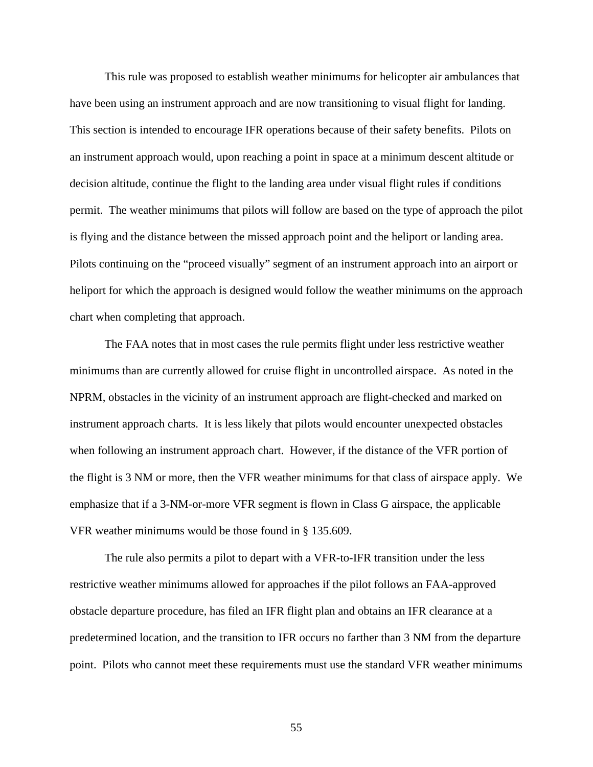This rule was proposed to establish weather minimums for helicopter air ambulances that have been using an instrument approach and are now transitioning to visual flight for landing. This section is intended to encourage IFR operations because of their safety benefits. Pilots on an instrument approach would, upon reaching a point in space at a minimum descent altitude or decision altitude, continue the flight to the landing area under visual flight rules if conditions permit. The weather minimums that pilots will follow are based on the type of approach the pilot is flying and the distance between the missed approach point and the heliport or landing area. Pilots continuing on the "proceed visually" segment of an instrument approach into an airport or heliport for which the approach is designed would follow the weather minimums on the approach chart when completing that approach.

The FAA notes that in most cases the rule permits flight under less restrictive weather minimums than are currently allowed for cruise flight in uncontrolled airspace. As noted in the NPRM, obstacles in the vicinity of an instrument approach are flight-checked and marked on instrument approach charts. It is less likely that pilots would encounter unexpected obstacles when following an instrument approach chart. However, if the distance of the VFR portion of the flight is 3 NM or more, then the VFR weather minimums for that class of airspace apply. We emphasize that if a 3-NM-or-more VFR segment is flown in Class G airspace, the applicable VFR weather minimums would be those found in § 135.609.

The rule also permits a pilot to depart with a VFR-to-IFR transition under the less restrictive weather minimums allowed for approaches if the pilot follows an FAA-approved obstacle departure procedure, has filed an IFR flight plan and obtains an IFR clearance at a predetermined location, and the transition to IFR occurs no farther than 3 NM from the departure point. Pilots who cannot meet these requirements must use the standard VFR weather minimums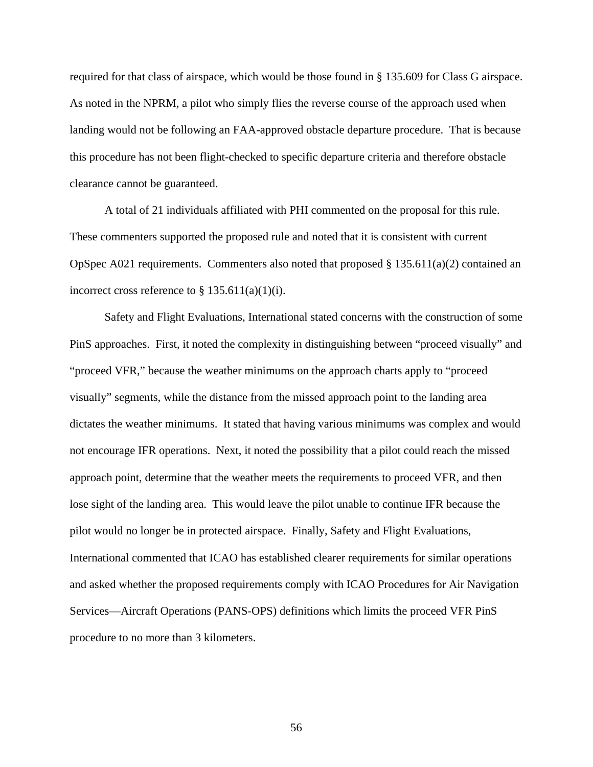required for that class of airspace, which would be those found in § 135.609 for Class G airspace. As noted in the NPRM, a pilot who simply flies the reverse course of the approach used when landing would not be following an FAA-approved obstacle departure procedure. That is because this procedure has not been flight-checked to specific departure criteria and therefore obstacle clearance cannot be guaranteed.

 A total of 21 individuals affiliated with PHI commented on the proposal for this rule. These commenters supported the proposed rule and noted that it is consistent with current OpSpec A021 requirements. Commenters also noted that proposed  $\S$  135.611(a)(2) contained an incorrect cross reference to  $\S 135.611(a)(1)(i)$ .

 Safety and Flight Evaluations, International stated concerns with the construction of some PinS approaches. First, it noted the complexity in distinguishing between "proceed visually" and "proceed VFR," because the weather minimums on the approach charts apply to "proceed visually" segments, while the distance from the missed approach point to the landing area dictates the weather minimums. It stated that having various minimums was complex and would not encourage IFR operations. Next, it noted the possibility that a pilot could reach the missed approach point, determine that the weather meets the requirements to proceed VFR, and then lose sight of the landing area. This would leave the pilot unable to continue IFR because the pilot would no longer be in protected airspace. Finally, Safety and Flight Evaluations, International commented that ICAO has established clearer requirements for similar operations and asked whether the proposed requirements comply with ICAO Procedures for Air Navigation Services—Aircraft Operations (PANS-OPS) definitions which limits the proceed VFR PinS procedure to no more than 3 kilometers.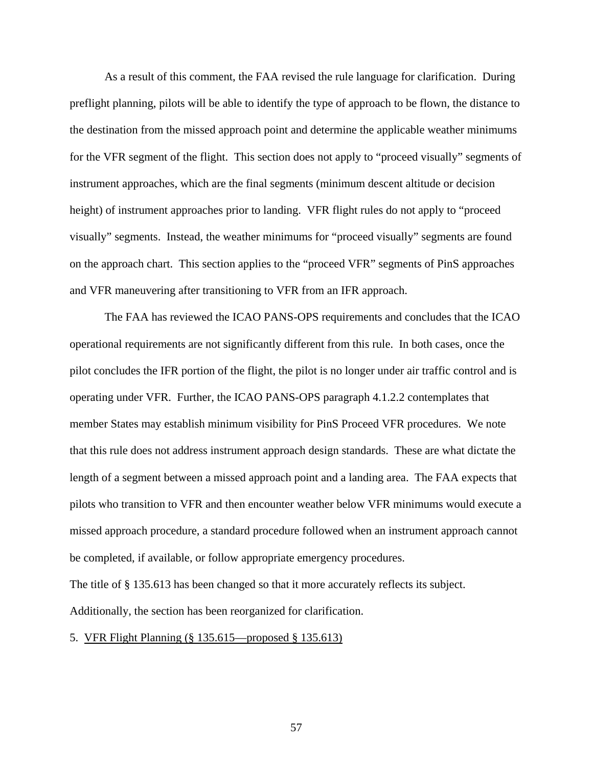As a result of this comment, the FAA revised the rule language for clarification. During preflight planning, pilots will be able to identify the type of approach to be flown, the distance to the destination from the missed approach point and determine the applicable weather minimums for the VFR segment of the flight. This section does not apply to "proceed visually" segments of instrument approaches, which are the final segments (minimum descent altitude or decision height) of instrument approaches prior to landing. VFR flight rules do not apply to "proceed visually" segments. Instead, the weather minimums for "proceed visually" segments are found on the approach chart. This section applies to the "proceed VFR" segments of PinS approaches and VFR maneuvering after transitioning to VFR from an IFR approach.

The FAA has reviewed the ICAO PANS-OPS requirements and concludes that the ICAO operational requirements are not significantly different from this rule. In both cases, once the pilot concludes the IFR portion of the flight, the pilot is no longer under air traffic control and is operating under VFR. Further, the ICAO PANS-OPS paragraph 4.1.2.2 contemplates that member States may establish minimum visibility for PinS Proceed VFR procedures. We note that this rule does not address instrument approach design standards. These are what dictate the length of a segment between a missed approach point and a landing area. The FAA expects that pilots who transition to VFR and then encounter weather below VFR minimums would execute a missed approach procedure, a standard procedure followed when an instrument approach cannot be completed, if available, or follow appropriate emergency procedures.

The title of § 135.613 has been changed so that it more accurately reflects its subject. Additionally, the section has been reorganized for clarification.

# 5. VFR Flight Planning (§ 135.615—proposed § 135.613)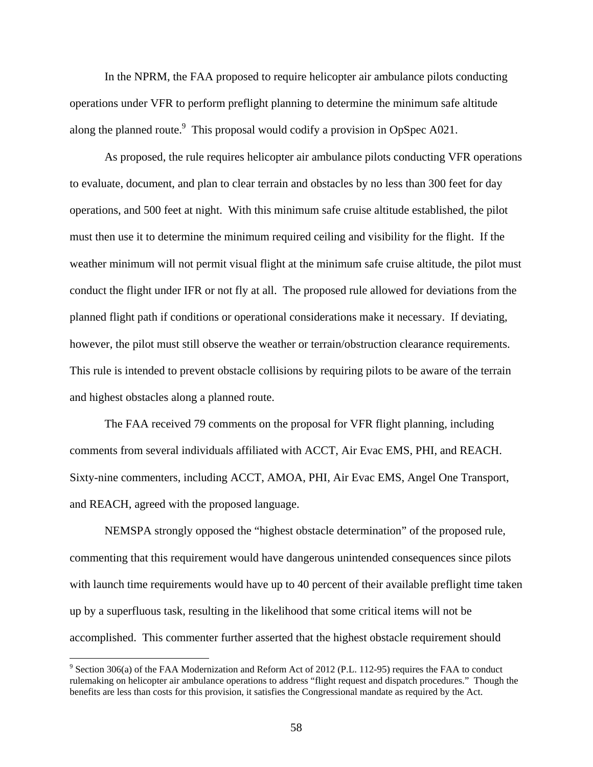In the NPRM, the FAA proposed to require helicopter air ambulance pilots conducting operations under VFR to perform preflight planning to determine the minimum safe altitude along the planned route.<sup>9</sup> This proposal would codify a provision in OpSpec A021.

As proposed, the rule requires helicopter air ambulance pilots conducting VFR operations to evaluate, document, and plan to clear terrain and obstacles by no less than 300 feet for day operations, and 500 feet at night. With this minimum safe cruise altitude established, the pilot must then use it to determine the minimum required ceiling and visibility for the flight. If the weather minimum will not permit visual flight at the minimum safe cruise altitude, the pilot must conduct the flight under IFR or not fly at all. The proposed rule allowed for deviations from the planned flight path if conditions or operational considerations make it necessary. If deviating, however, the pilot must still observe the weather or terrain/obstruction clearance requirements. This rule is intended to prevent obstacle collisions by requiring pilots to be aware of the terrain and highest obstacles along a planned route.

The FAA received 79 comments on the proposal for VFR flight planning, including comments from several individuals affiliated with ACCT, Air Evac EMS, PHI, and REACH. Sixty-nine commenters, including ACCT, AMOA, PHI, Air Evac EMS, Angel One Transport, and REACH, agreed with the proposed language.

NEMSPA strongly opposed the "highest obstacle determination" of the proposed rule, commenting that this requirement would have dangerous unintended consequences since pilots with launch time requirements would have up to 40 percent of their available preflight time taken up by a superfluous task, resulting in the likelihood that some critical items will not be accomplished. This commenter further asserted that the highest obstacle requirement should

 $\overline{a}$ 

 $9$  Section 306(a) of the FAA Modernization and Reform Act of 2012 (P.L. 112-95) requires the FAA to conduct rulemaking on helicopter air ambulance operations to address "flight request and dispatch procedures." Though the benefits are less than costs for this provision, it satisfies the Congressional mandate as required by the Act.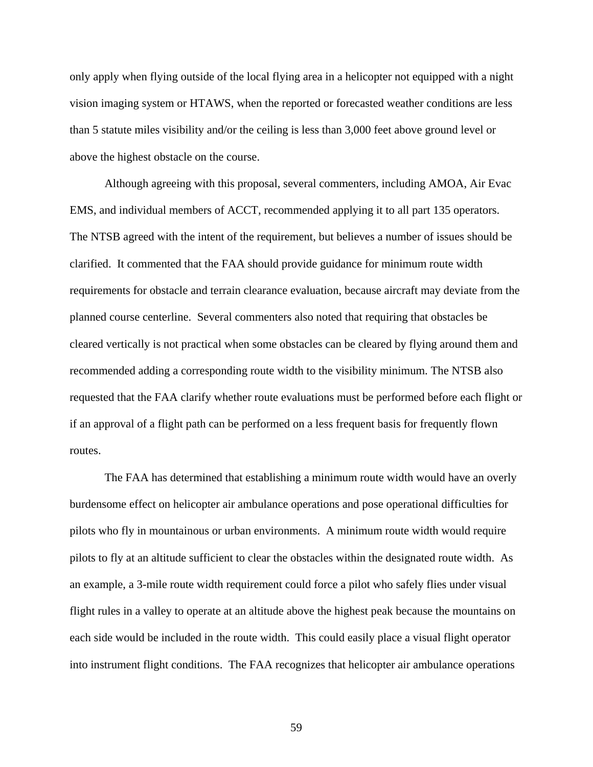only apply when flying outside of the local flying area in a helicopter not equipped with a night vision imaging system or HTAWS, when the reported or forecasted weather conditions are less than 5 statute miles visibility and/or the ceiling is less than 3,000 feet above ground level or above the highest obstacle on the course.

Although agreeing with this proposal, several commenters, including AMOA, Air Evac EMS, and individual members of ACCT, recommended applying it to all part 135 operators. The NTSB agreed with the intent of the requirement, but believes a number of issues should be clarified. It commented that the FAA should provide guidance for minimum route width requirements for obstacle and terrain clearance evaluation, because aircraft may deviate from the planned course centerline. Several commenters also noted that requiring that obstacles be cleared vertically is not practical when some obstacles can be cleared by flying around them and recommended adding a corresponding route width to the visibility minimum. The NTSB also requested that the FAA clarify whether route evaluations must be performed before each flight or if an approval of a flight path can be performed on a less frequent basis for frequently flown routes.

The FAA has determined that establishing a minimum route width would have an overly burdensome effect on helicopter air ambulance operations and pose operational difficulties for pilots who fly in mountainous or urban environments. A minimum route width would require pilots to fly at an altitude sufficient to clear the obstacles within the designated route width. As an example, a 3-mile route width requirement could force a pilot who safely flies under visual flight rules in a valley to operate at an altitude above the highest peak because the mountains on each side would be included in the route width. This could easily place a visual flight operator into instrument flight conditions. The FAA recognizes that helicopter air ambulance operations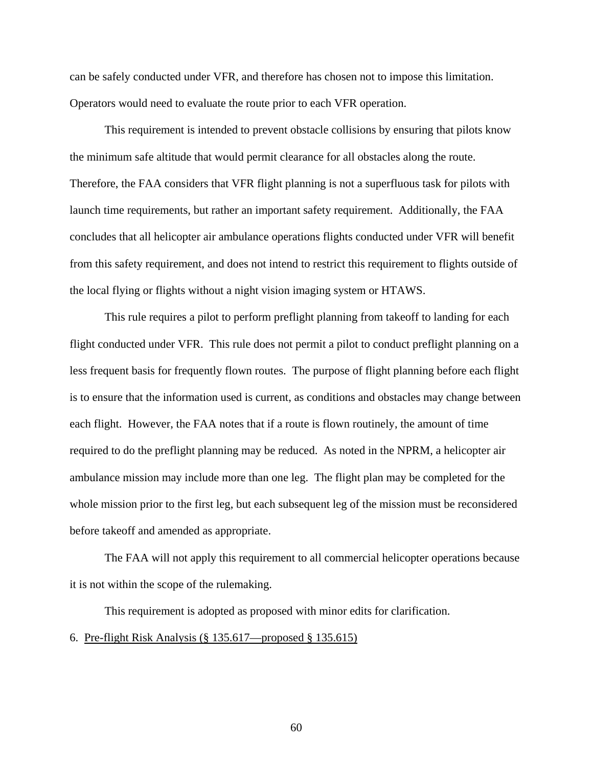can be safely conducted under VFR, and therefore has chosen not to impose this limitation. Operators would need to evaluate the route prior to each VFR operation.

This requirement is intended to prevent obstacle collisions by ensuring that pilots know the minimum safe altitude that would permit clearance for all obstacles along the route. Therefore, the FAA considers that VFR flight planning is not a superfluous task for pilots with launch time requirements, but rather an important safety requirement. Additionally, the FAA concludes that all helicopter air ambulance operations flights conducted under VFR will benefit from this safety requirement, and does not intend to restrict this requirement to flights outside of the local flying or flights without a night vision imaging system or HTAWS.

This rule requires a pilot to perform preflight planning from takeoff to landing for each flight conducted under VFR. This rule does not permit a pilot to conduct preflight planning on a less frequent basis for frequently flown routes. The purpose of flight planning before each flight is to ensure that the information used is current, as conditions and obstacles may change between each flight. However, the FAA notes that if a route is flown routinely, the amount of time required to do the preflight planning may be reduced. As noted in the NPRM, a helicopter air ambulance mission may include more than one leg. The flight plan may be completed for the whole mission prior to the first leg, but each subsequent leg of the mission must be reconsidered before takeoff and amended as appropriate.

The FAA will not apply this requirement to all commercial helicopter operations because it is not within the scope of the rulemaking.

This requirement is adopted as proposed with minor edits for clarification.

# 6. Pre-flight Risk Analysis (§ 135.617—proposed § 135.615)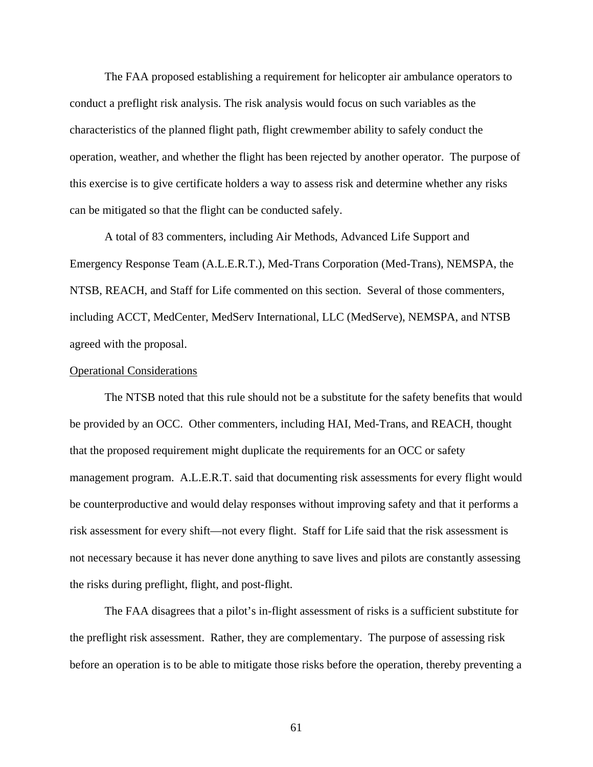The FAA proposed establishing a requirement for helicopter air ambulance operators to conduct a preflight risk analysis. The risk analysis would focus on such variables as the characteristics of the planned flight path, flight crewmember ability to safely conduct the operation, weather, and whether the flight has been rejected by another operator. The purpose of this exercise is to give certificate holders a way to assess risk and determine whether any risks can be mitigated so that the flight can be conducted safely.

 A total of 83 commenters, including Air Methods, Advanced Life Support and Emergency Response Team (A.L.E.R.T.), Med-Trans Corporation (Med-Trans), NEMSPA, the NTSB, REACH, and Staff for Life commented on this section. Several of those commenters, including ACCT, MedCenter, MedServ International, LLC (MedServe), NEMSPA, and NTSB agreed with the proposal.

# Operational Considerations

 The NTSB noted that this rule should not be a substitute for the safety benefits that would be provided by an OCC. Other commenters, including HAI, Med-Trans, and REACH, thought that the proposed requirement might duplicate the requirements for an OCC or safety management program. A.L.E.R.T. said that documenting risk assessments for every flight would be counterproductive and would delay responses without improving safety and that it performs a risk assessment for every shift—not every flight. Staff for Life said that the risk assessment is not necessary because it has never done anything to save lives and pilots are constantly assessing the risks during preflight, flight, and post-flight.

 The FAA disagrees that a pilot's in-flight assessment of risks is a sufficient substitute for the preflight risk assessment. Rather, they are complementary. The purpose of assessing risk before an operation is to be able to mitigate those risks before the operation, thereby preventing a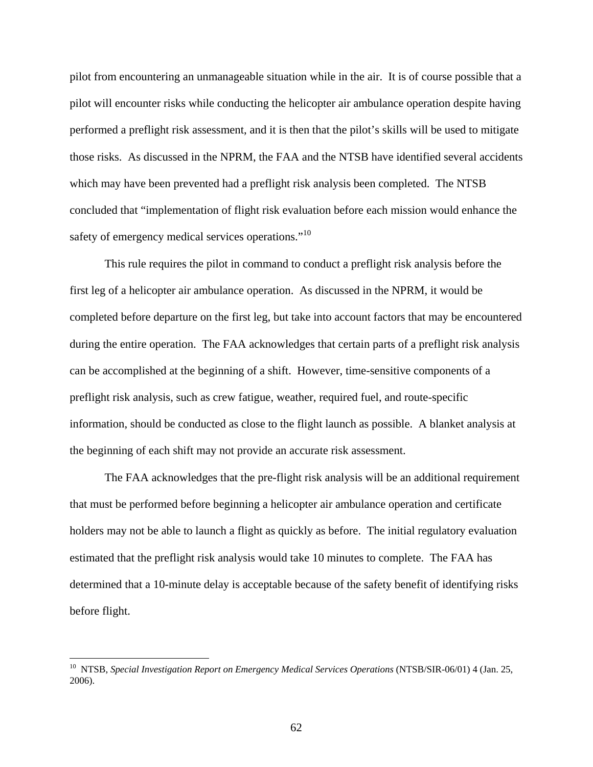pilot from encountering an unmanageable situation while in the air. It is of course possible that a pilot will encounter risks while conducting the helicopter air ambulance operation despite having performed a preflight risk assessment, and it is then that the pilot's skills will be used to mitigate those risks. As discussed in the NPRM, the FAA and the NTSB have identified several accidents which may have been prevented had a preflight risk analysis been completed. The NTSB concluded that "implementation of flight risk evaluation before each mission would enhance the safety of emergency medical services operations."<sup>10</sup>

 This rule requires the pilot in command to conduct a preflight risk analysis before the first leg of a helicopter air ambulance operation. As discussed in the NPRM, it would be completed before departure on the first leg, but take into account factors that may be encountered during the entire operation. The FAA acknowledges that certain parts of a preflight risk analysis can be accomplished at the beginning of a shift. However, time-sensitive components of a preflight risk analysis, such as crew fatigue, weather, required fuel, and route-specific information, should be conducted as close to the flight launch as possible. A blanket analysis at the beginning of each shift may not provide an accurate risk assessment.

The FAA acknowledges that the pre-flight risk analysis will be an additional requirement that must be performed before beginning a helicopter air ambulance operation and certificate holders may not be able to launch a flight as quickly as before. The initial regulatory evaluation estimated that the preflight risk analysis would take 10 minutes to complete. The FAA has determined that a 10-minute delay is acceptable because of the safety benefit of identifying risks before flight.

 $\overline{a}$ 

<sup>&</sup>lt;sup>10</sup> NTSB, *Special Investigation Report on Emergency Medical Services Operations* (NTSB/SIR-06/01) 4 (Jan. 25, 2006).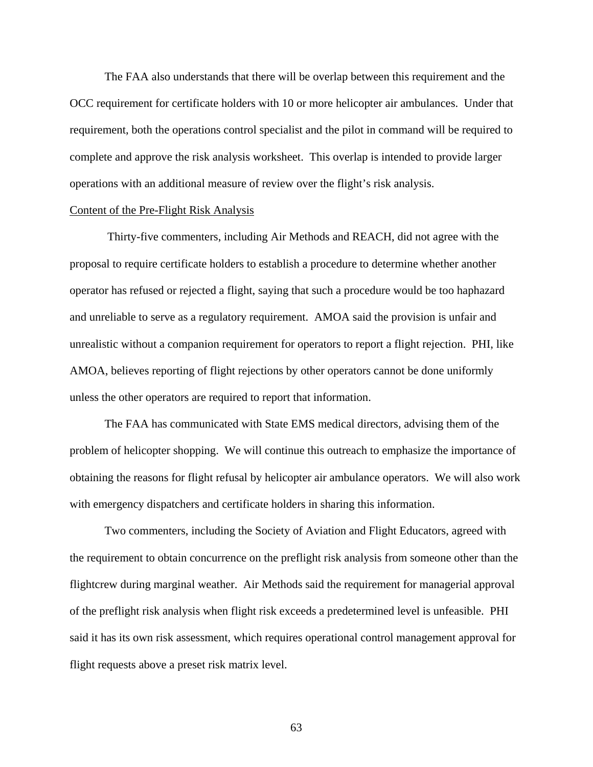The FAA also understands that there will be overlap between this requirement and the OCC requirement for certificate holders with 10 or more helicopter air ambulances. Under that requirement, both the operations control specialist and the pilot in command will be required to complete and approve the risk analysis worksheet. This overlap is intended to provide larger operations with an additional measure of review over the flight's risk analysis.

## Content of the Pre-Flight Risk Analysis

 Thirty-five commenters, including Air Methods and REACH, did not agree with the proposal to require certificate holders to establish a procedure to determine whether another operator has refused or rejected a flight, saying that such a procedure would be too haphazard and unreliable to serve as a regulatory requirement. AMOA said the provision is unfair and unrealistic without a companion requirement for operators to report a flight rejection. PHI, like AMOA, believes reporting of flight rejections by other operators cannot be done uniformly unless the other operators are required to report that information.

The FAA has communicated with State EMS medical directors, advising them of the problem of helicopter shopping. We will continue this outreach to emphasize the importance of obtaining the reasons for flight refusal by helicopter air ambulance operators. We will also work with emergency dispatchers and certificate holders in sharing this information.

 Two commenters, including the Society of Aviation and Flight Educators, agreed with the requirement to obtain concurrence on the preflight risk analysis from someone other than the flightcrew during marginal weather. Air Methods said the requirement for managerial approval of the preflight risk analysis when flight risk exceeds a predetermined level is unfeasible. PHI said it has its own risk assessment, which requires operational control management approval for flight requests above a preset risk matrix level.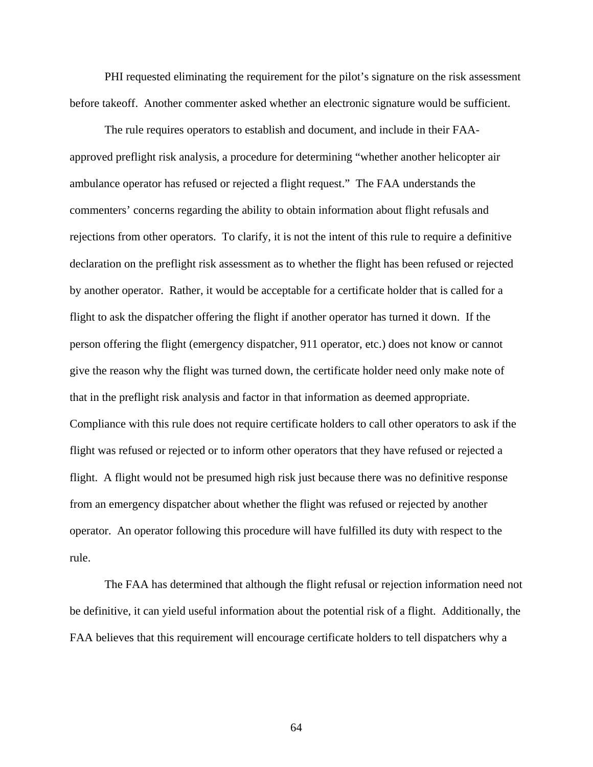PHI requested eliminating the requirement for the pilot's signature on the risk assessment before takeoff. Another commenter asked whether an electronic signature would be sufficient.

 The rule requires operators to establish and document, and include in their FAAapproved preflight risk analysis, a procedure for determining "whether another helicopter air ambulance operator has refused or rejected a flight request." The FAA understands the commenters' concerns regarding the ability to obtain information about flight refusals and rejections from other operators. To clarify, it is not the intent of this rule to require a definitive declaration on the preflight risk assessment as to whether the flight has been refused or rejected by another operator. Rather, it would be acceptable for a certificate holder that is called for a flight to ask the dispatcher offering the flight if another operator has turned it down. If the person offering the flight (emergency dispatcher, 911 operator, etc.) does not know or cannot give the reason why the flight was turned down, the certificate holder need only make note of that in the preflight risk analysis and factor in that information as deemed appropriate. Compliance with this rule does not require certificate holders to call other operators to ask if the flight was refused or rejected or to inform other operators that they have refused or rejected a flight. A flight would not be presumed high risk just because there was no definitive response from an emergency dispatcher about whether the flight was refused or rejected by another operator. An operator following this procedure will have fulfilled its duty with respect to the rule.

 The FAA has determined that although the flight refusal or rejection information need not be definitive, it can yield useful information about the potential risk of a flight. Additionally, the FAA believes that this requirement will encourage certificate holders to tell dispatchers why a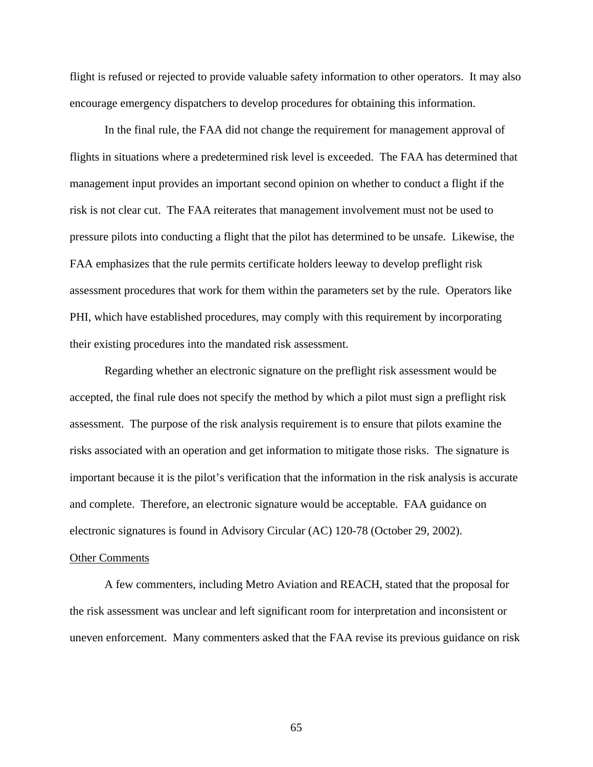flight is refused or rejected to provide valuable safety information to other operators. It may also encourage emergency dispatchers to develop procedures for obtaining this information.

 In the final rule, the FAA did not change the requirement for management approval of flights in situations where a predetermined risk level is exceeded. The FAA has determined that management input provides an important second opinion on whether to conduct a flight if the risk is not clear cut. The FAA reiterates that management involvement must not be used to pressure pilots into conducting a flight that the pilot has determined to be unsafe. Likewise, the FAA emphasizes that the rule permits certificate holders leeway to develop preflight risk assessment procedures that work for them within the parameters set by the rule. Operators like PHI, which have established procedures, may comply with this requirement by incorporating their existing procedures into the mandated risk assessment.

 Regarding whether an electronic signature on the preflight risk assessment would be accepted, the final rule does not specify the method by which a pilot must sign a preflight risk assessment. The purpose of the risk analysis requirement is to ensure that pilots examine the risks associated with an operation and get information to mitigate those risks. The signature is important because it is the pilot's verification that the information in the risk analysis is accurate and complete. Therefore, an electronic signature would be acceptable. FAA guidance on electronic signatures is found in Advisory Circular (AC) 120-78 (October 29, 2002).

#### Other Comments

 A few commenters, including Metro Aviation and REACH, stated that the proposal for the risk assessment was unclear and left significant room for interpretation and inconsistent or uneven enforcement. Many commenters asked that the FAA revise its previous guidance on risk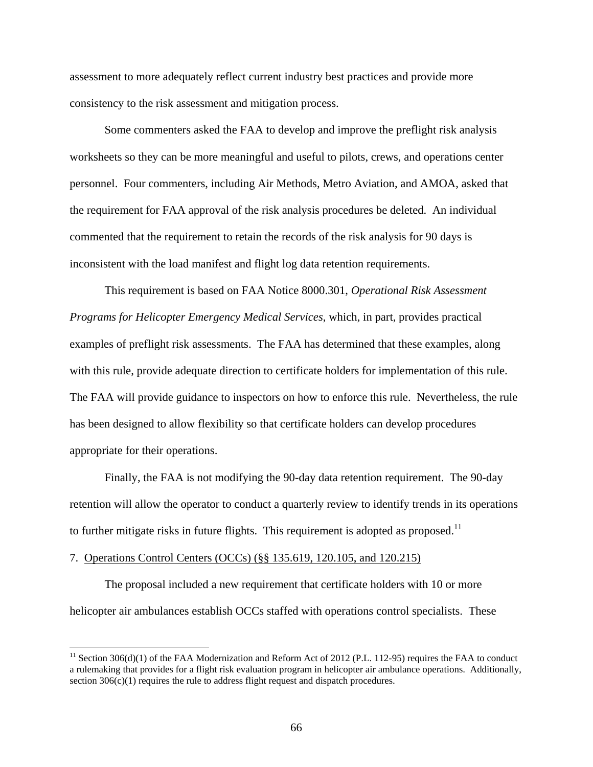assessment to more adequately reflect current industry best practices and provide more consistency to the risk assessment and mitigation process.

 Some commenters asked the FAA to develop and improve the preflight risk analysis worksheets so they can be more meaningful and useful to pilots, crews, and operations center personnel. Four commenters, including Air Methods, Metro Aviation, and AMOA, asked that the requirement for FAA approval of the risk analysis procedures be deleted. An individual commented that the requirement to retain the records of the risk analysis for 90 days is inconsistent with the load manifest and flight log data retention requirements.

 This requirement is based on FAA Notice 8000.301, *Operational Risk Assessment Programs for Helicopter Emergency Medical Services*, which, in part, provides practical examples of preflight risk assessments. The FAA has determined that these examples, along with this rule, provide adequate direction to certificate holders for implementation of this rule. The FAA will provide guidance to inspectors on how to enforce this rule. Nevertheless, the rule has been designed to allow flexibility so that certificate holders can develop procedures appropriate for their operations.

Finally, the FAA is not modifying the 90-day data retention requirement. The 90-day retention will allow the operator to conduct a quarterly review to identify trends in its operations to further mitigate risks in future flights. This requirement is adopted as proposed.<sup>11</sup>

#### 7. Operations Control Centers (OCCs) (§§ 135.619, 120.105, and 120.215)

 $\overline{a}$ 

The proposal included a new requirement that certificate holders with 10 or more helicopter air ambulances establish OCCs staffed with operations control specialists. These

<sup>&</sup>lt;sup>11</sup> Section 306(d)(1) of the FAA Modernization and Reform Act of 2012 (P.L. 112-95) requires the FAA to conduct a rulemaking that provides for a flight risk evaluation program in helicopter air ambulance operations. Additionally, section 306(c)(1) requires the rule to address flight request and dispatch procedures.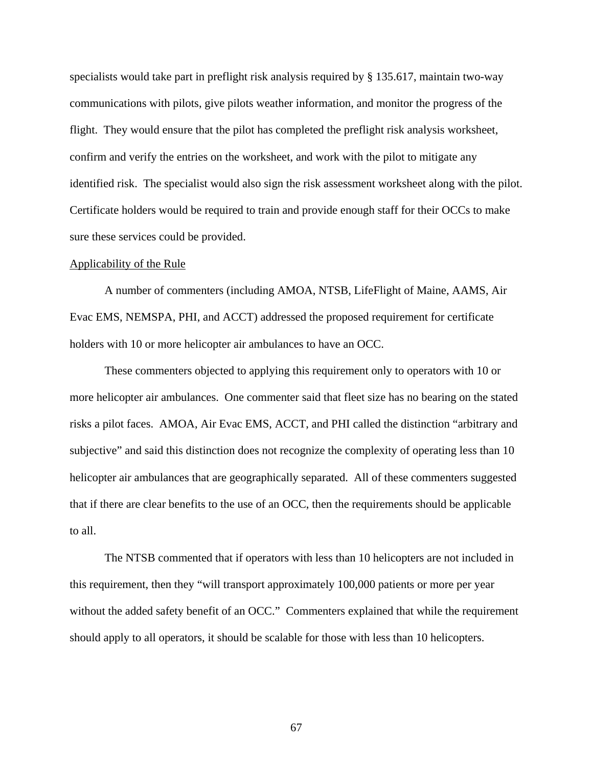specialists would take part in preflight risk analysis required by § 135.617, maintain two-way communications with pilots, give pilots weather information, and monitor the progress of the flight. They would ensure that the pilot has completed the preflight risk analysis worksheet, confirm and verify the entries on the worksheet, and work with the pilot to mitigate any identified risk. The specialist would also sign the risk assessment worksheet along with the pilot. Certificate holders would be required to train and provide enough staff for their OCCs to make sure these services could be provided.

## Applicability of the Rule

 A number of commenters (including AMOA, NTSB, LifeFlight of Maine, AAMS, Air Evac EMS, NEMSPA, PHI, and ACCT) addressed the proposed requirement for certificate holders with 10 or more helicopter air ambulances to have an OCC.

 These commenters objected to applying this requirement only to operators with 10 or more helicopter air ambulances. One commenter said that fleet size has no bearing on the stated risks a pilot faces. AMOA, Air Evac EMS, ACCT, and PHI called the distinction "arbitrary and subjective" and said this distinction does not recognize the complexity of operating less than 10 helicopter air ambulances that are geographically separated. All of these commenters suggested that if there are clear benefits to the use of an OCC, then the requirements should be applicable to all.

 The NTSB commented that if operators with less than 10 helicopters are not included in this requirement, then they "will transport approximately 100,000 patients or more per year without the added safety benefit of an OCC." Commenters explained that while the requirement should apply to all operators, it should be scalable for those with less than 10 helicopters.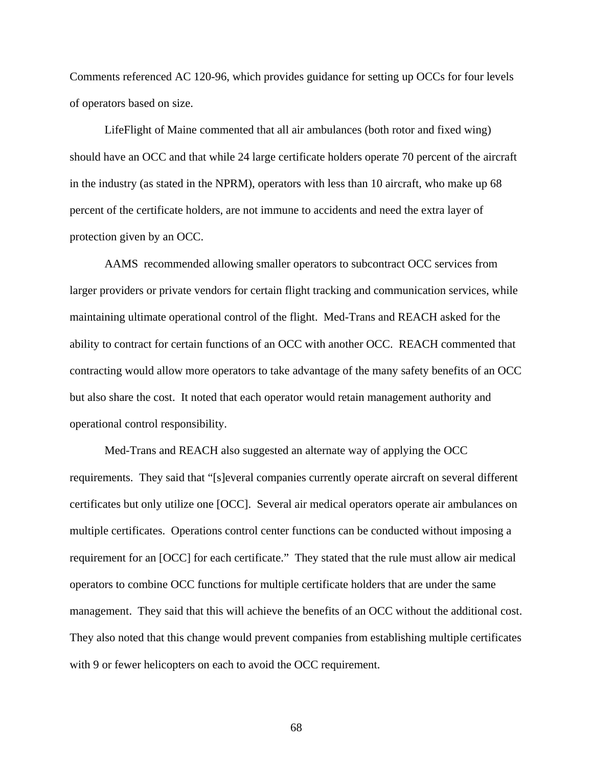Comments referenced AC 120-96, which provides guidance for setting up OCCs for four levels of operators based on size.

 LifeFlight of Maine commented that all air ambulances (both rotor and fixed wing) should have an OCC and that while 24 large certificate holders operate 70 percent of the aircraft in the industry (as stated in the NPRM), operators with less than 10 aircraft, who make up 68 percent of the certificate holders, are not immune to accidents and need the extra layer of protection given by an OCC.

 AAMS recommended allowing smaller operators to subcontract OCC services from larger providers or private vendors for certain flight tracking and communication services, while maintaining ultimate operational control of the flight. Med-Trans and REACH asked for the ability to contract for certain functions of an OCC with another OCC. REACH commented that contracting would allow more operators to take advantage of the many safety benefits of an OCC but also share the cost. It noted that each operator would retain management authority and operational control responsibility.

 Med-Trans and REACH also suggested an alternate way of applying the OCC requirements. They said that "[s]everal companies currently operate aircraft on several different certificates but only utilize one [OCC]. Several air medical operators operate air ambulances on multiple certificates. Operations control center functions can be conducted without imposing a requirement for an [OCC] for each certificate." They stated that the rule must allow air medical operators to combine OCC functions for multiple certificate holders that are under the same management. They said that this will achieve the benefits of an OCC without the additional cost. They also noted that this change would prevent companies from establishing multiple certificates with 9 or fewer helicopters on each to avoid the OCC requirement.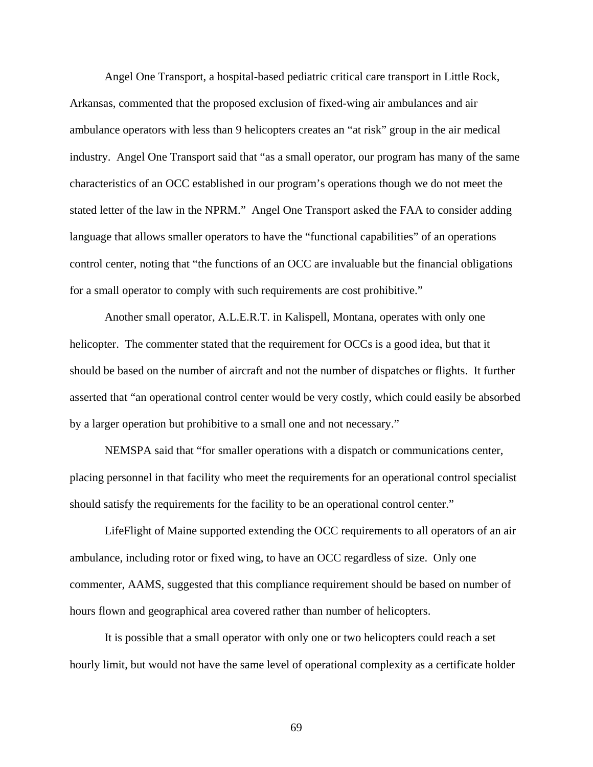Angel One Transport, a hospital-based pediatric critical care transport in Little Rock, Arkansas, commented that the proposed exclusion of fixed-wing air ambulances and air ambulance operators with less than 9 helicopters creates an "at risk" group in the air medical industry. Angel One Transport said that "as a small operator, our program has many of the same characteristics of an OCC established in our program's operations though we do not meet the stated letter of the law in the NPRM." Angel One Transport asked the FAA to consider adding language that allows smaller operators to have the "functional capabilities" of an operations control center, noting that "the functions of an OCC are invaluable but the financial obligations for a small operator to comply with such requirements are cost prohibitive."

 Another small operator, A.L.E.R.T. in Kalispell, Montana, operates with only one helicopter. The commenter stated that the requirement for OCCs is a good idea, but that it should be based on the number of aircraft and not the number of dispatches or flights. It further asserted that "an operational control center would be very costly, which could easily be absorbed by a larger operation but prohibitive to a small one and not necessary."

 NEMSPA said that "for smaller operations with a dispatch or communications center, placing personnel in that facility who meet the requirements for an operational control specialist should satisfy the requirements for the facility to be an operational control center."

LifeFlight of Maine supported extending the OCC requirements to all operators of an air ambulance, including rotor or fixed wing, to have an OCC regardless of size. Only one commenter, AAMS, suggested that this compliance requirement should be based on number of hours flown and geographical area covered rather than number of helicopters.

It is possible that a small operator with only one or two helicopters could reach a set hourly limit, but would not have the same level of operational complexity as a certificate holder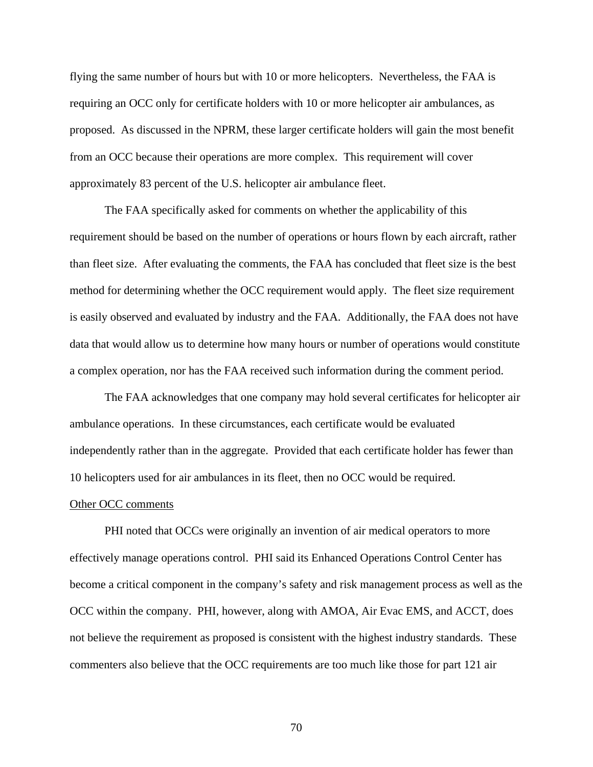flying the same number of hours but with 10 or more helicopters. Nevertheless, the FAA is requiring an OCC only for certificate holders with 10 or more helicopter air ambulances, as proposed. As discussed in the NPRM, these larger certificate holders will gain the most benefit from an OCC because their operations are more complex. This requirement will cover approximately 83 percent of the U.S. helicopter air ambulance fleet.

 The FAA specifically asked for comments on whether the applicability of this requirement should be based on the number of operations or hours flown by each aircraft, rather than fleet size. After evaluating the comments, the FAA has concluded that fleet size is the best method for determining whether the OCC requirement would apply. The fleet size requirement is easily observed and evaluated by industry and the FAA. Additionally, the FAA does not have data that would allow us to determine how many hours or number of operations would constitute a complex operation, nor has the FAA received such information during the comment period.

 The FAA acknowledges that one company may hold several certificates for helicopter air ambulance operations. In these circumstances, each certificate would be evaluated independently rather than in the aggregate. Provided that each certificate holder has fewer than 10 helicopters used for air ambulances in its fleet, then no OCC would be required.

#### Other OCC comments

 PHI noted that OCCs were originally an invention of air medical operators to more effectively manage operations control. PHI said its Enhanced Operations Control Center has become a critical component in the company's safety and risk management process as well as the OCC within the company. PHI, however, along with AMOA, Air Evac EMS, and ACCT, does not believe the requirement as proposed is consistent with the highest industry standards. These commenters also believe that the OCC requirements are too much like those for part 121 air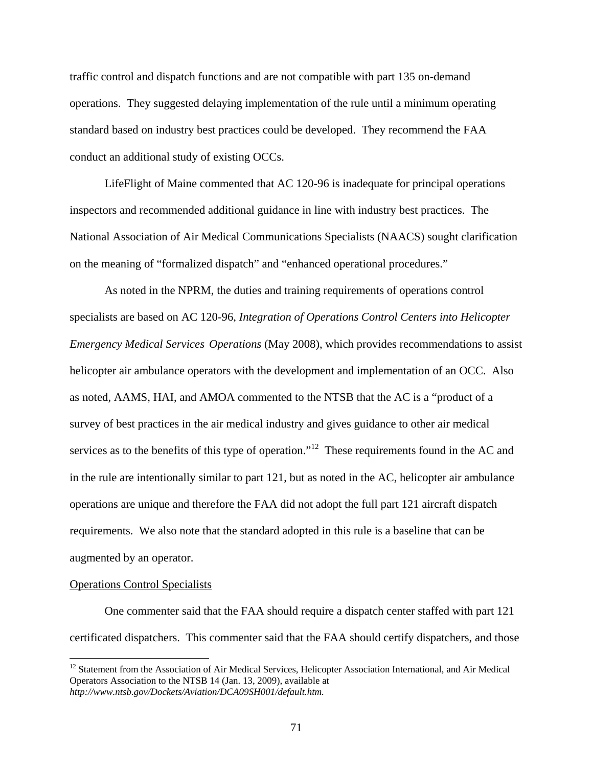traffic control and dispatch functions and are not compatible with part 135 on-demand operations. They suggested delaying implementation of the rule until a minimum operating standard based on industry best practices could be developed. They recommend the FAA conduct an additional study of existing OCCs.

LifeFlight of Maine commented that AC 120-96 is inadequate for principal operations inspectors and recommended additional guidance in line with industry best practices. The National Association of Air Medical Communications Specialists (NAACS) sought clarification on the meaning of "formalized dispatch" and "enhanced operational procedures."

 As noted in the NPRM, the duties and training requirements of operations control specialists are based on AC 120-96, *Integration of Operations Control Centers into Helicopter Emergency Medical Services Operations* (May 2008), which provides recommendations to assist helicopter air ambulance operators with the development and implementation of an OCC. Also as noted, AAMS, HAI, and AMOA commented to the NTSB that the AC is a "product of a survey of best practices in the air medical industry and gives guidance to other air medical services as to the benefits of this type of operation."<sup>12</sup> These requirements found in the AC and in the rule are intentionally similar to part 121, but as noted in the AC, helicopter air ambulance operations are unique and therefore the FAA did not adopt the full part 121 aircraft dispatch requirements. We also note that the standard adopted in this rule is a baseline that can be augmented by an operator.

## Operations Control Specialists

1

 One commenter said that the FAA should require a dispatch center staffed with part 121 certificated dispatchers. This commenter said that the FAA should certify dispatchers, and those

 $12$  Statement from the Association of Air Medical Services, Helicopter Association International, and Air Medical Operators Association to the NTSB 14 (Jan. 13, 2009), available at *http://www.ntsb.gov/Dockets/Aviation/DCA09SH001/default.htm.*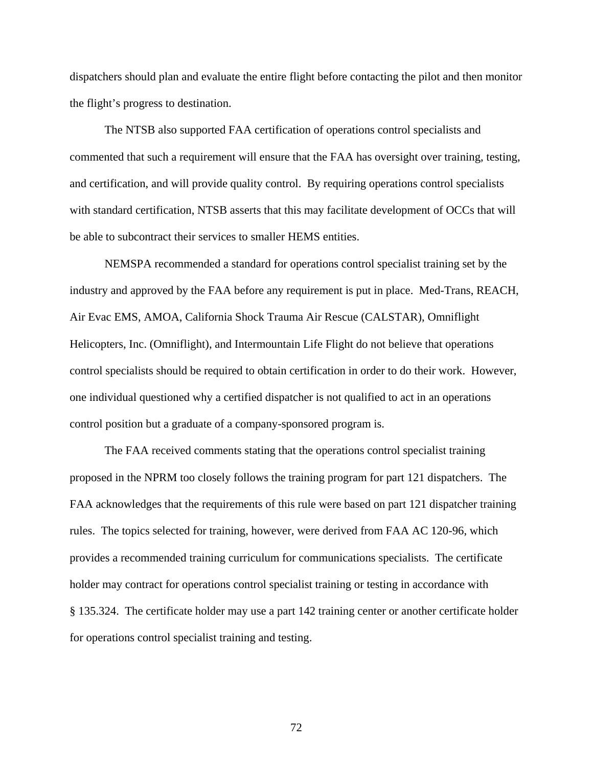dispatchers should plan and evaluate the entire flight before contacting the pilot and then monitor the flight's progress to destination.

 The NTSB also supported FAA certification of operations control specialists and commented that such a requirement will ensure that the FAA has oversight over training, testing, and certification, and will provide quality control. By requiring operations control specialists with standard certification, NTSB asserts that this may facilitate development of OCCs that will be able to subcontract their services to smaller HEMS entities.

 NEMSPA recommended a standard for operations control specialist training set by the industry and approved by the FAA before any requirement is put in place. Med-Trans, REACH, Air Evac EMS, AMOA, California Shock Trauma Air Rescue (CALSTAR), Omniflight Helicopters, Inc. (Omniflight), and Intermountain Life Flight do not believe that operations control specialists should be required to obtain certification in order to do their work. However, one individual questioned why a certified dispatcher is not qualified to act in an operations control position but a graduate of a company-sponsored program is.

 The FAA received comments stating that the operations control specialist training proposed in the NPRM too closely follows the training program for part 121 dispatchers. The FAA acknowledges that the requirements of this rule were based on part 121 dispatcher training rules. The topics selected for training, however, were derived from FAA AC 120-96, which provides a recommended training curriculum for communications specialists. The certificate holder may contract for operations control specialist training or testing in accordance with § 135.324. The certificate holder may use a part 142 training center or another certificate holder for operations control specialist training and testing.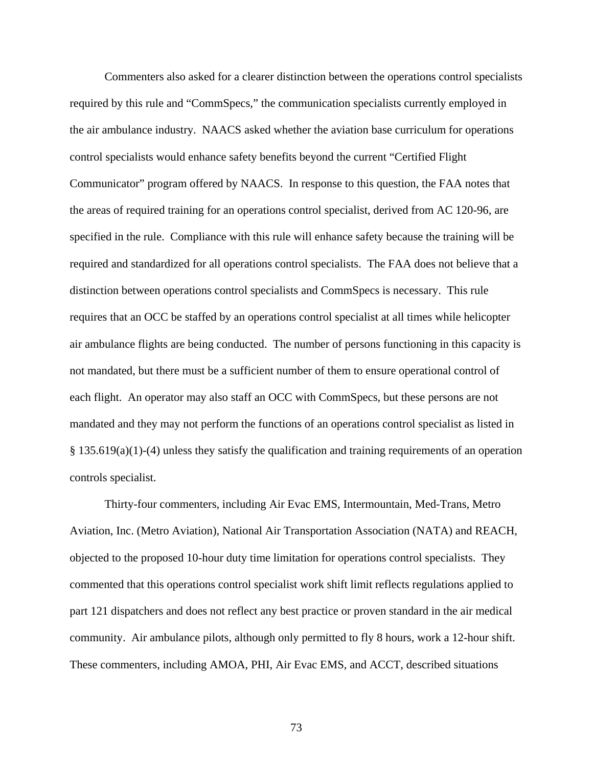Commenters also asked for a clearer distinction between the operations control specialists required by this rule and "CommSpecs," the communication specialists currently employed in the air ambulance industry. NAACS asked whether the aviation base curriculum for operations control specialists would enhance safety benefits beyond the current "Certified Flight Communicator" program offered by NAACS. In response to this question, the FAA notes that the areas of required training for an operations control specialist, derived from AC 120-96, are specified in the rule. Compliance with this rule will enhance safety because the training will be required and standardized for all operations control specialists. The FAA does not believe that a distinction between operations control specialists and CommSpecs is necessary. This rule requires that an OCC be staffed by an operations control specialist at all times while helicopter air ambulance flights are being conducted. The number of persons functioning in this capacity is not mandated, but there must be a sufficient number of them to ensure operational control of each flight. An operator may also staff an OCC with CommSpecs, but these persons are not mandated and they may not perform the functions of an operations control specialist as listed in § 135.619(a)(1)-(4) unless they satisfy the qualification and training requirements of an operation controls specialist.

 Thirty-four commenters, including Air Evac EMS, Intermountain, Med-Trans, Metro Aviation, Inc. (Metro Aviation), National Air Transportation Association (NATA) and REACH, objected to the proposed 10-hour duty time limitation for operations control specialists. They commented that this operations control specialist work shift limit reflects regulations applied to part 121 dispatchers and does not reflect any best practice or proven standard in the air medical community. Air ambulance pilots, although only permitted to fly 8 hours, work a 12-hour shift. These commenters, including AMOA, PHI, Air Evac EMS, and ACCT, described situations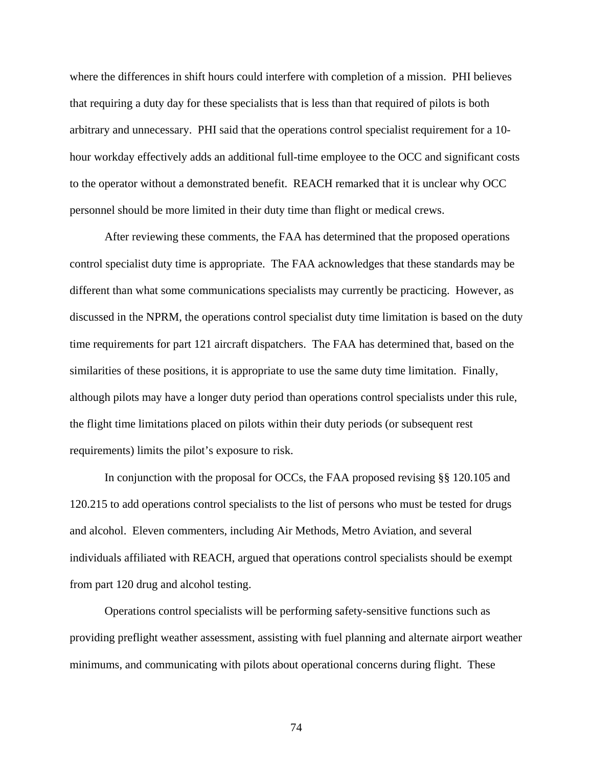where the differences in shift hours could interfere with completion of a mission. PHI believes that requiring a duty day for these specialists that is less than that required of pilots is both arbitrary and unnecessary. PHI said that the operations control specialist requirement for a 10 hour workday effectively adds an additional full-time employee to the OCC and significant costs to the operator without a demonstrated benefit. REACH remarked that it is unclear why OCC personnel should be more limited in their duty time than flight or medical crews.

 After reviewing these comments, the FAA has determined that the proposed operations control specialist duty time is appropriate. The FAA acknowledges that these standards may be different than what some communications specialists may currently be practicing. However, as discussed in the NPRM, the operations control specialist duty time limitation is based on the duty time requirements for part 121 aircraft dispatchers. The FAA has determined that, based on the similarities of these positions, it is appropriate to use the same duty time limitation. Finally, although pilots may have a longer duty period than operations control specialists under this rule, the flight time limitations placed on pilots within their duty periods (or subsequent rest requirements) limits the pilot's exposure to risk.

 In conjunction with the proposal for OCCs, the FAA proposed revising §§ 120.105 and 120.215 to add operations control specialists to the list of persons who must be tested for drugs and alcohol. Eleven commenters, including Air Methods, Metro Aviation, and several individuals affiliated with REACH, argued that operations control specialists should be exempt from part 120 drug and alcohol testing.

Operations control specialists will be performing safety-sensitive functions such as providing preflight weather assessment, assisting with fuel planning and alternate airport weather minimums, and communicating with pilots about operational concerns during flight. These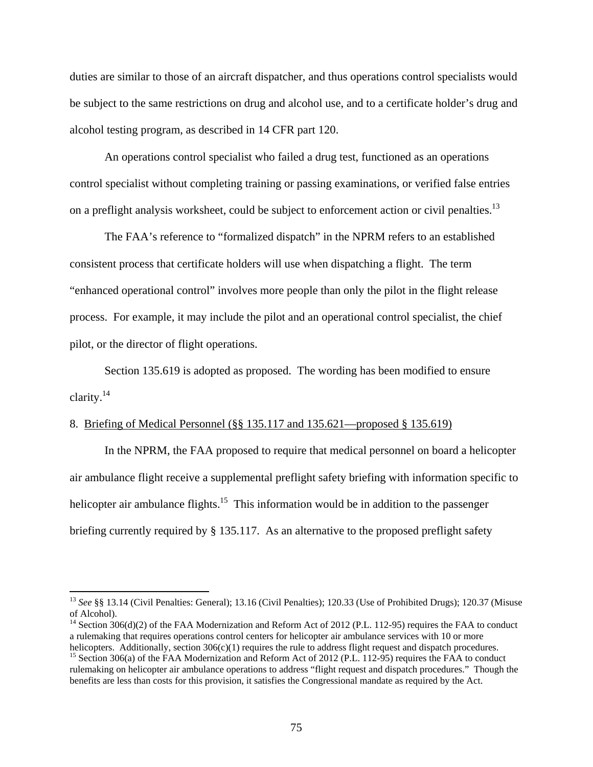duties are similar to those of an aircraft dispatcher, and thus operations control specialists would be subject to the same restrictions on drug and alcohol use, and to a certificate holder's drug and alcohol testing program, as described in 14 CFR part 120.

An operations control specialist who failed a drug test, functioned as an operations control specialist without completing training or passing examinations, or verified false entries on a preflight analysis worksheet, could be subject to enforcement action or civil penalties.<sup>13</sup>

The FAA's reference to "formalized dispatch" in the NPRM refers to an established consistent process that certificate holders will use when dispatching a flight. The term "enhanced operational control" involves more people than only the pilot in the flight release process. For example, it may include the pilot and an operational control specialist, the chief pilot, or the director of flight operations.

Section 135.619 is adopted as proposed. The wording has been modified to ensure clarity.<sup>14</sup>

# 8. Briefing of Medical Personnel (§§ 135.117 and 135.621—proposed § 135.619)

 $\overline{a}$ 

In the NPRM, the FAA proposed to require that medical personnel on board a helicopter air ambulance flight receive a supplemental preflight safety briefing with information specific to helicopter air ambulance flights.<sup>15</sup> This information would be in addition to the passenger briefing currently required by § 135.117. As an alternative to the proposed preflight safety

<sup>13</sup> *See* §§ 13.14 (Civil Penalties: General); 13.16 (Civil Penalties); 120.33 (Use of Prohibited Drugs); 120.37 (Misuse of Alcohol).

<sup>&</sup>lt;sup>14</sup> Section 306(d)(2) of the FAA Modernization and Reform Act of 2012 (P.L. 112-95) requires the FAA to conduct a rulemaking that requires operations control centers for helicopter air ambulance services with 10 or more helicopters. Additionally, section 306(c)(1) requires the rule to address flight request and dispatch procedures.<br><sup>15</sup> Section 306(a) of the FAA Modernization and Reform Act of 2012 (P.L. 112-95) requires the FAA to conduc

rulemaking on helicopter air ambulance operations to address "flight request and dispatch procedures." Though the benefits are less than costs for this provision, it satisfies the Congressional mandate as required by the Act.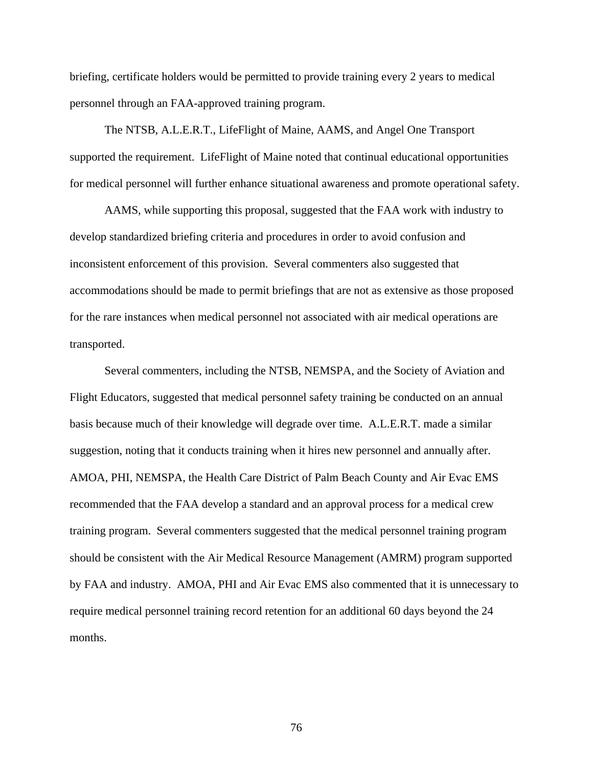briefing, certificate holders would be permitted to provide training every 2 years to medical personnel through an FAA-approved training program.

The NTSB, A.L.E.R.T., LifeFlight of Maine, AAMS, and Angel One Transport supported the requirement. LifeFlight of Maine noted that continual educational opportunities for medical personnel will further enhance situational awareness and promote operational safety.

AAMS, while supporting this proposal, suggested that the FAA work with industry to develop standardized briefing criteria and procedures in order to avoid confusion and inconsistent enforcement of this provision. Several commenters also suggested that accommodations should be made to permit briefings that are not as extensive as those proposed for the rare instances when medical personnel not associated with air medical operations are transported.

Several commenters, including the NTSB, NEMSPA, and the Society of Aviation and Flight Educators, suggested that medical personnel safety training be conducted on an annual basis because much of their knowledge will degrade over time. A.L.E.R.T. made a similar suggestion, noting that it conducts training when it hires new personnel and annually after. AMOA, PHI, NEMSPA, the Health Care District of Palm Beach County and Air Evac EMS recommended that the FAA develop a standard and an approval process for a medical crew training program. Several commenters suggested that the medical personnel training program should be consistent with the Air Medical Resource Management (AMRM) program supported by FAA and industry. AMOA, PHI and Air Evac EMS also commented that it is unnecessary to require medical personnel training record retention for an additional 60 days beyond the 24 months.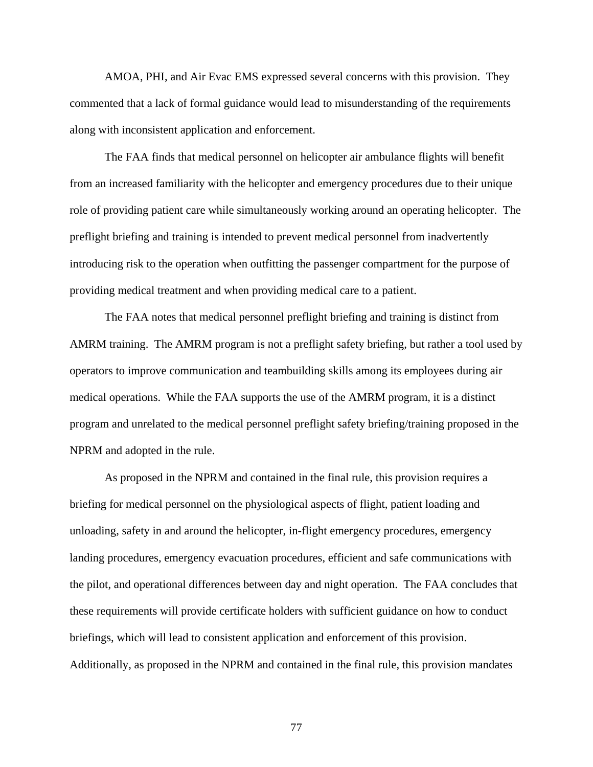AMOA, PHI, and Air Evac EMS expressed several concerns with this provision. They commented that a lack of formal guidance would lead to misunderstanding of the requirements along with inconsistent application and enforcement.

The FAA finds that medical personnel on helicopter air ambulance flights will benefit from an increased familiarity with the helicopter and emergency procedures due to their unique role of providing patient care while simultaneously working around an operating helicopter. The preflight briefing and training is intended to prevent medical personnel from inadvertently introducing risk to the operation when outfitting the passenger compartment for the purpose of providing medical treatment and when providing medical care to a patient.

The FAA notes that medical personnel preflight briefing and training is distinct from AMRM training. The AMRM program is not a preflight safety briefing, but rather a tool used by operators to improve communication and teambuilding skills among its employees during air medical operations. While the FAA supports the use of the AMRM program, it is a distinct program and unrelated to the medical personnel preflight safety briefing/training proposed in the NPRM and adopted in the rule.

As proposed in the NPRM and contained in the final rule, this provision requires a briefing for medical personnel on the physiological aspects of flight, patient loading and unloading, safety in and around the helicopter, in-flight emergency procedures, emergency landing procedures, emergency evacuation procedures, efficient and safe communications with the pilot, and operational differences between day and night operation. The FAA concludes that these requirements will provide certificate holders with sufficient guidance on how to conduct briefings, which will lead to consistent application and enforcement of this provision. Additionally, as proposed in the NPRM and contained in the final rule, this provision mandates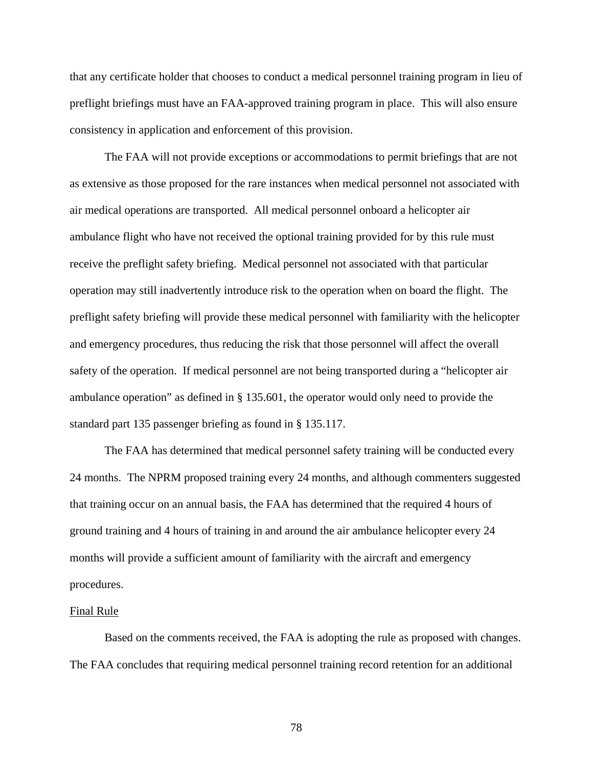that any certificate holder that chooses to conduct a medical personnel training program in lieu of preflight briefings must have an FAA-approved training program in place. This will also ensure consistency in application and enforcement of this provision.

The FAA will not provide exceptions or accommodations to permit briefings that are not as extensive as those proposed for the rare instances when medical personnel not associated with air medical operations are transported. All medical personnel onboard a helicopter air ambulance flight who have not received the optional training provided for by this rule must receive the preflight safety briefing. Medical personnel not associated with that particular operation may still inadvertently introduce risk to the operation when on board the flight. The preflight safety briefing will provide these medical personnel with familiarity with the helicopter and emergency procedures, thus reducing the risk that those personnel will affect the overall safety of the operation. If medical personnel are not being transported during a "helicopter air ambulance operation" as defined in § 135.601, the operator would only need to provide the standard part 135 passenger briefing as found in § 135.117.

 The FAA has determined that medical personnel safety training will be conducted every 24 months. The NPRM proposed training every 24 months, and although commenters suggested that training occur on an annual basis, the FAA has determined that the required 4 hours of ground training and 4 hours of training in and around the air ambulance helicopter every 24 months will provide a sufficient amount of familiarity with the aircraft and emergency procedures.

#### Final Rule

Based on the comments received, the FAA is adopting the rule as proposed with changes. The FAA concludes that requiring medical personnel training record retention for an additional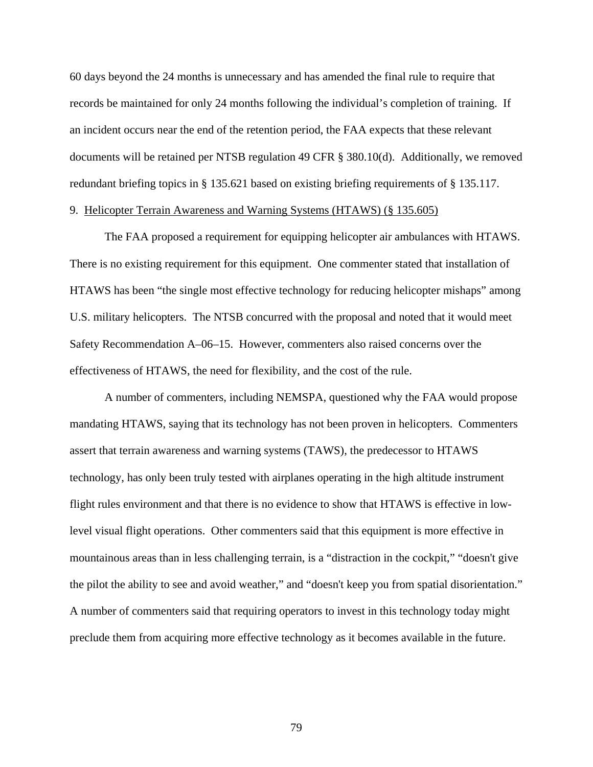60 days beyond the 24 months is unnecessary and has amended the final rule to require that records be maintained for only 24 months following the individual's completion of training. If an incident occurs near the end of the retention period, the FAA expects that these relevant documents will be retained per NTSB regulation 49 CFR § 380.10(d). Additionally, we removed redundant briefing topics in § 135.621 based on existing briefing requirements of § 135.117.

# 9. Helicopter Terrain Awareness and Warning Systems (HTAWS) (§ 135.605)

 The FAA proposed a requirement for equipping helicopter air ambulances with HTAWS. There is no existing requirement for this equipment. One commenter stated that installation of HTAWS has been "the single most effective technology for reducing helicopter mishaps" among U.S. military helicopters. The NTSB concurred with the proposal and noted that it would meet Safety Recommendation A–06–15. However, commenters also raised concerns over the effectiveness of HTAWS, the need for flexibility, and the cost of the rule.

 A number of commenters, including NEMSPA, questioned why the FAA would propose mandating HTAWS, saying that its technology has not been proven in helicopters. Commenters assert that terrain awareness and warning systems (TAWS), the predecessor to HTAWS technology, has only been truly tested with airplanes operating in the high altitude instrument flight rules environment and that there is no evidence to show that HTAWS is effective in lowlevel visual flight operations. Other commenters said that this equipment is more effective in mountainous areas than in less challenging terrain, is a "distraction in the cockpit," "doesn't give the pilot the ability to see and avoid weather," and "doesn't keep you from spatial disorientation." A number of commenters said that requiring operators to invest in this technology today might preclude them from acquiring more effective technology as it becomes available in the future.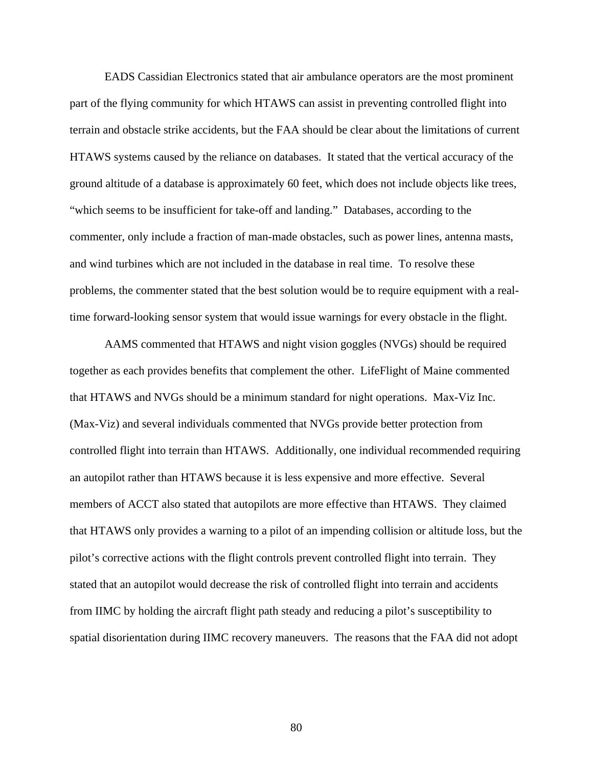EADS Cassidian Electronics stated that air ambulance operators are the most prominent part of the flying community for which HTAWS can assist in preventing controlled flight into terrain and obstacle strike accidents, but the FAA should be clear about the limitations of current HTAWS systems caused by the reliance on databases. It stated that the vertical accuracy of the ground altitude of a database is approximately 60 feet, which does not include objects like trees, "which seems to be insufficient for take-off and landing." Databases, according to the commenter, only include a fraction of man-made obstacles, such as power lines, antenna masts, and wind turbines which are not included in the database in real time. To resolve these problems, the commenter stated that the best solution would be to require equipment with a realtime forward-looking sensor system that would issue warnings for every obstacle in the flight.

 AAMS commented that HTAWS and night vision goggles (NVGs) should be required together as each provides benefits that complement the other. LifeFlight of Maine commented that HTAWS and NVGs should be a minimum standard for night operations. Max-Viz Inc. (Max-Viz) and several individuals commented that NVGs provide better protection from controlled flight into terrain than HTAWS. Additionally, one individual recommended requiring an autopilot rather than HTAWS because it is less expensive and more effective. Several members of ACCT also stated that autopilots are more effective than HTAWS. They claimed that HTAWS only provides a warning to a pilot of an impending collision or altitude loss, but the pilot's corrective actions with the flight controls prevent controlled flight into terrain. They stated that an autopilot would decrease the risk of controlled flight into terrain and accidents from IIMC by holding the aircraft flight path steady and reducing a pilot's susceptibility to spatial disorientation during IIMC recovery maneuvers. The reasons that the FAA did not adopt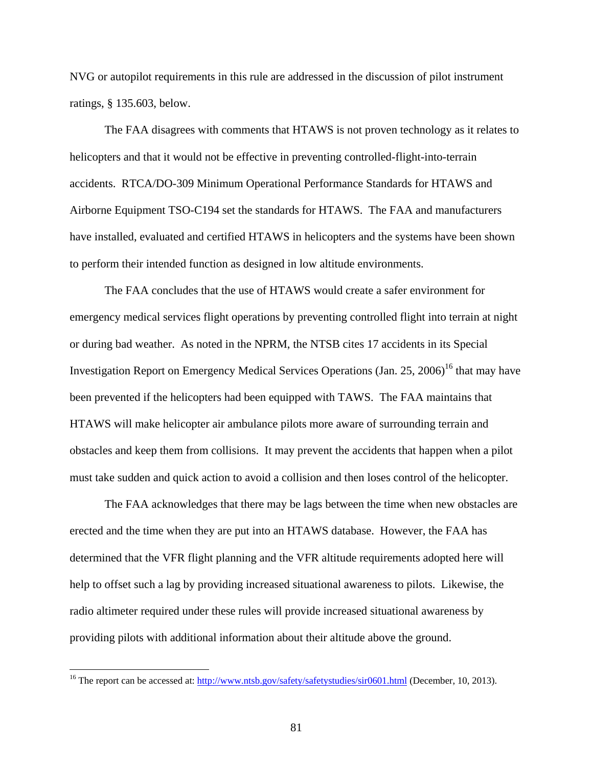NVG or autopilot requirements in this rule are addressed in the discussion of pilot instrument ratings, § 135.603, below.

The FAA disagrees with comments that HTAWS is not proven technology as it relates to helicopters and that it would not be effective in preventing controlled-flight-into-terrain accidents. RTCA/DO-309 Minimum Operational Performance Standards for HTAWS and Airborne Equipment TSO-C194 set the standards for HTAWS. The FAA and manufacturers have installed, evaluated and certified HTAWS in helicopters and the systems have been shown to perform their intended function as designed in low altitude environments.

 The FAA concludes that the use of HTAWS would create a safer environment for emergency medical services flight operations by preventing controlled flight into terrain at night or during bad weather. As noted in the NPRM, the NTSB cites 17 accidents in its Special Investigation Report on Emergency Medical Services Operations (Jan. 25, 2006)<sup>16</sup> that may have been prevented if the helicopters had been equipped with TAWS. The FAA maintains that HTAWS will make helicopter air ambulance pilots more aware of surrounding terrain and obstacles and keep them from collisions. It may prevent the accidents that happen when a pilot must take sudden and quick action to avoid a collision and then loses control of the helicopter.

 The FAA acknowledges that there may be lags between the time when new obstacles are erected and the time when they are put into an HTAWS database. However, the FAA has determined that the VFR flight planning and the VFR altitude requirements adopted here will help to offset such a lag by providing increased situational awareness to pilots. Likewise, the radio altimeter required under these rules will provide increased situational awareness by providing pilots with additional information about their altitude above the ground.

 $\overline{a}$ 

<sup>&</sup>lt;sup>16</sup> The report can be accessed at: http://www.ntsb.gov/safety/safetystudies/sir0601.html (December, 10, 2013).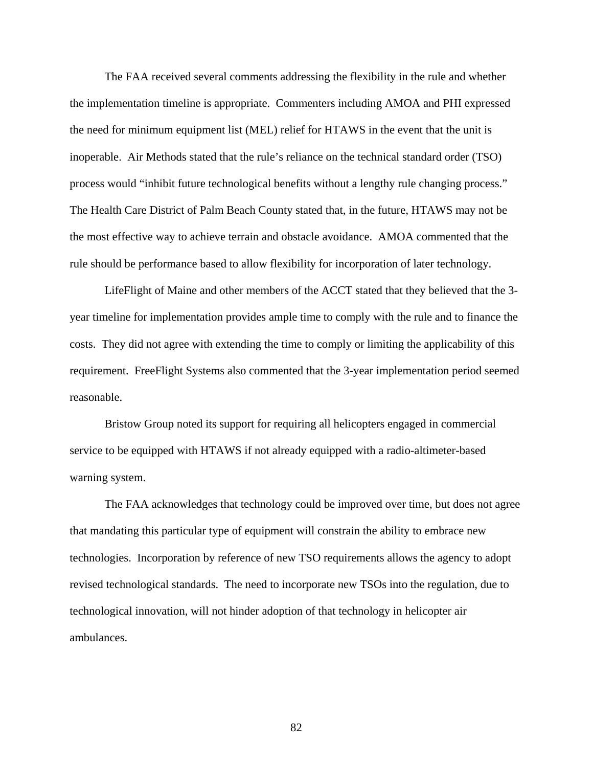The FAA received several comments addressing the flexibility in the rule and whether the implementation timeline is appropriate. Commenters including AMOA and PHI expressed the need for minimum equipment list (MEL) relief for HTAWS in the event that the unit is inoperable. Air Methods stated that the rule's reliance on the technical standard order (TSO) process would "inhibit future technological benefits without a lengthy rule changing process." The Health Care District of Palm Beach County stated that, in the future, HTAWS may not be the most effective way to achieve terrain and obstacle avoidance. AMOA commented that the rule should be performance based to allow flexibility for incorporation of later technology.

 LifeFlight of Maine and other members of the ACCT stated that they believed that the 3 year timeline for implementation provides ample time to comply with the rule and to finance the costs. They did not agree with extending the time to comply or limiting the applicability of this requirement. FreeFlight Systems also commented that the 3-year implementation period seemed reasonable.

 Bristow Group noted its support for requiring all helicopters engaged in commercial service to be equipped with HTAWS if not already equipped with a radio-altimeter-based warning system.

 The FAA acknowledges that technology could be improved over time, but does not agree that mandating this particular type of equipment will constrain the ability to embrace new technologies. Incorporation by reference of new TSO requirements allows the agency to adopt revised technological standards. The need to incorporate new TSOs into the regulation, due to technological innovation, will not hinder adoption of that technology in helicopter air ambulances.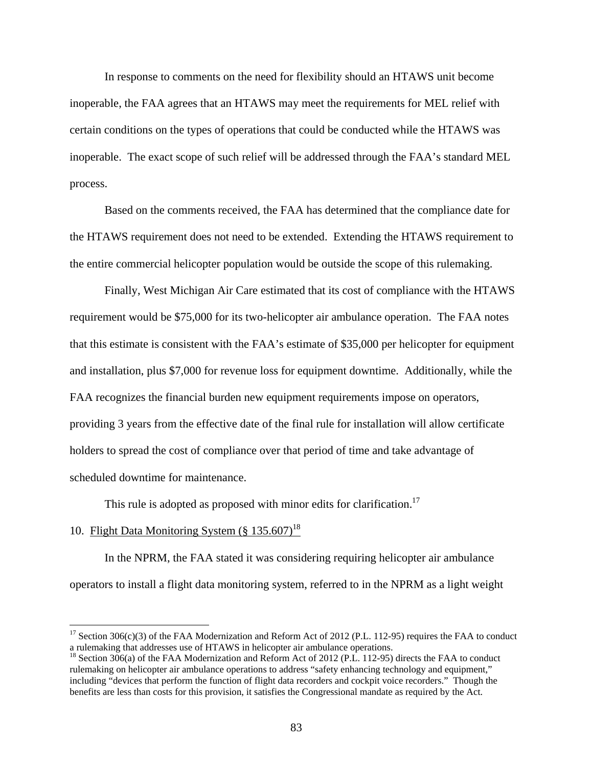In response to comments on the need for flexibility should an HTAWS unit become inoperable, the FAA agrees that an HTAWS may meet the requirements for MEL relief with certain conditions on the types of operations that could be conducted while the HTAWS was inoperable. The exact scope of such relief will be addressed through the FAA's standard MEL process.

 Based on the comments received, the FAA has determined that the compliance date for the HTAWS requirement does not need to be extended. Extending the HTAWS requirement to the entire commercial helicopter population would be outside the scope of this rulemaking.

 Finally, West Michigan Air Care estimated that its cost of compliance with the HTAWS requirement would be \$75,000 for its two-helicopter air ambulance operation. The FAA notes that this estimate is consistent with the FAA's estimate of \$35,000 per helicopter for equipment and installation, plus \$7,000 for revenue loss for equipment downtime. Additionally, while the FAA recognizes the financial burden new equipment requirements impose on operators, providing 3 years from the effective date of the final rule for installation will allow certificate holders to spread the cost of compliance over that period of time and take advantage of scheduled downtime for maintenance.

This rule is adopted as proposed with minor edits for clarification.<sup>17</sup>

# 10. Flight Data Monitoring System  $(\S 135.607)^{18}$

 $\overline{a}$ 

 In the NPRM, the FAA stated it was considering requiring helicopter air ambulance operators to install a flight data monitoring system, referred to in the NPRM as a light weight

<sup>&</sup>lt;sup>17</sup> Section 306(c)(3) of the FAA Modernization and Reform Act of 2012 (P.L. 112-95) requires the FAA to conduct a rulemaking that addresses use of HTAWS in helicopter air ambulance operations.

<sup>&</sup>lt;sup>18</sup> Section 306(a) of the FAA Modernization and Reform Act of 2012 (P.L. 112-95) directs the FAA to conduct rulemaking on helicopter air ambulance operations to address "safety enhancing technology and equipment," including "devices that perform the function of flight data recorders and cockpit voice recorders." Though the benefits are less than costs for this provision, it satisfies the Congressional mandate as required by the Act.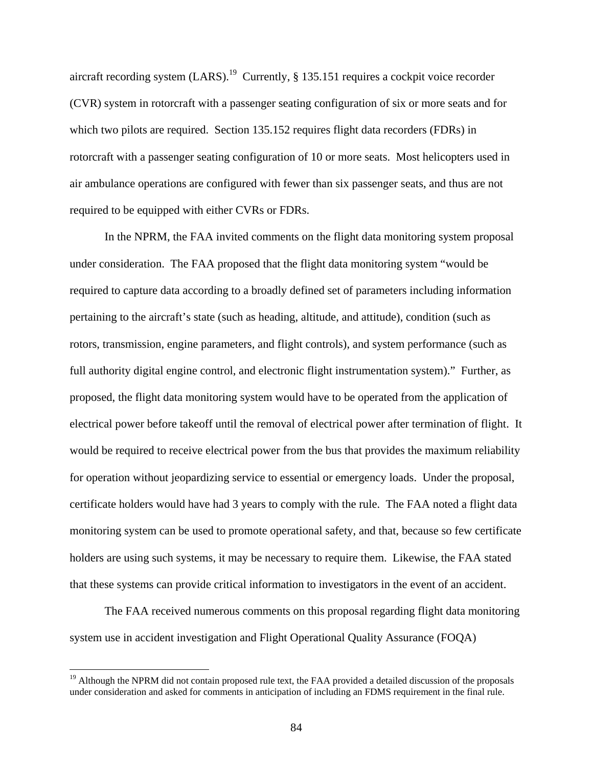aircraft recording system  $(LARS)$ .<sup>19</sup> Currently, § 135.151 requires a cockpit voice recorder (CVR) system in rotorcraft with a passenger seating configuration of six or more seats and for which two pilots are required. Section 135.152 requires flight data recorders (FDRs) in rotorcraft with a passenger seating configuration of 10 or more seats. Most helicopters used in air ambulance operations are configured with fewer than six passenger seats, and thus are not required to be equipped with either CVRs or FDRs.

 In the NPRM, the FAA invited comments on the flight data monitoring system proposal under consideration. The FAA proposed that the flight data monitoring system "would be required to capture data according to a broadly defined set of parameters including information pertaining to the aircraft's state (such as heading, altitude, and attitude), condition (such as rotors, transmission, engine parameters, and flight controls), and system performance (such as full authority digital engine control, and electronic flight instrumentation system)." Further, as proposed, the flight data monitoring system would have to be operated from the application of electrical power before takeoff until the removal of electrical power after termination of flight. It would be required to receive electrical power from the bus that provides the maximum reliability for operation without jeopardizing service to essential or emergency loads. Under the proposal, certificate holders would have had 3 years to comply with the rule. The FAA noted a flight data monitoring system can be used to promote operational safety, and that, because so few certificate holders are using such systems, it may be necessary to require them. Likewise, the FAA stated that these systems can provide critical information to investigators in the event of an accident.

 The FAA received numerous comments on this proposal regarding flight data monitoring system use in accident investigation and Flight Operational Quality Assurance (FOQA)

 $\overline{a}$ 

<sup>&</sup>lt;sup>19</sup> Although the NPRM did not contain proposed rule text, the FAA provided a detailed discussion of the proposals under consideration and asked for comments in anticipation of including an FDMS requirement in the final rule.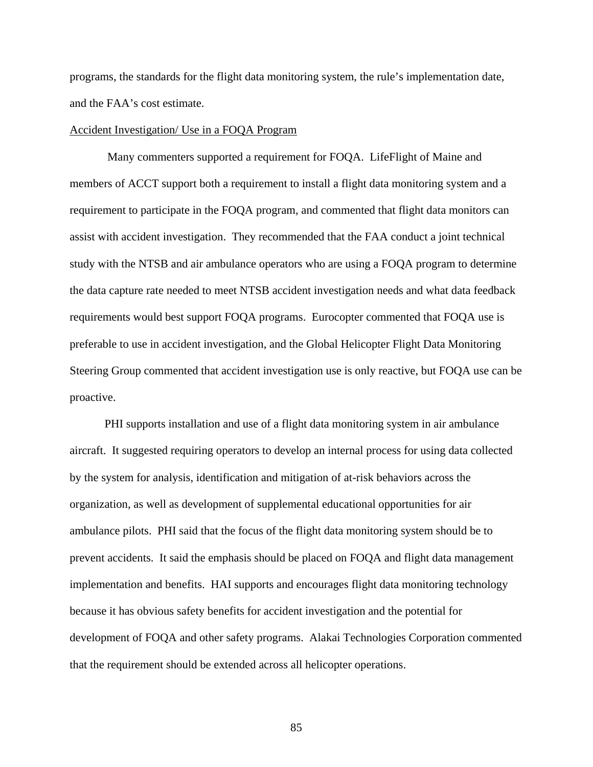programs, the standards for the flight data monitoring system, the rule's implementation date, and the FAA's cost estimate.

### Accident Investigation/ Use in a FOQA Program

 Many commenters supported a requirement for FOQA. LifeFlight of Maine and members of ACCT support both a requirement to install a flight data monitoring system and a requirement to participate in the FOQA program, and commented that flight data monitors can assist with accident investigation. They recommended that the FAA conduct a joint technical study with the NTSB and air ambulance operators who are using a FOQA program to determine the data capture rate needed to meet NTSB accident investigation needs and what data feedback requirements would best support FOQA programs. Eurocopter commented that FOQA use is preferable to use in accident investigation, and the Global Helicopter Flight Data Monitoring Steering Group commented that accident investigation use is only reactive, but FOQA use can be proactive.

 PHI supports installation and use of a flight data monitoring system in air ambulance aircraft. It suggested requiring operators to develop an internal process for using data collected by the system for analysis, identification and mitigation of at-risk behaviors across the organization, as well as development of supplemental educational opportunities for air ambulance pilots. PHI said that the focus of the flight data monitoring system should be to prevent accidents. It said the emphasis should be placed on FOQA and flight data management implementation and benefits. HAI supports and encourages flight data monitoring technology because it has obvious safety benefits for accident investigation and the potential for development of FOQA and other safety programs. Alakai Technologies Corporation commented that the requirement should be extended across all helicopter operations.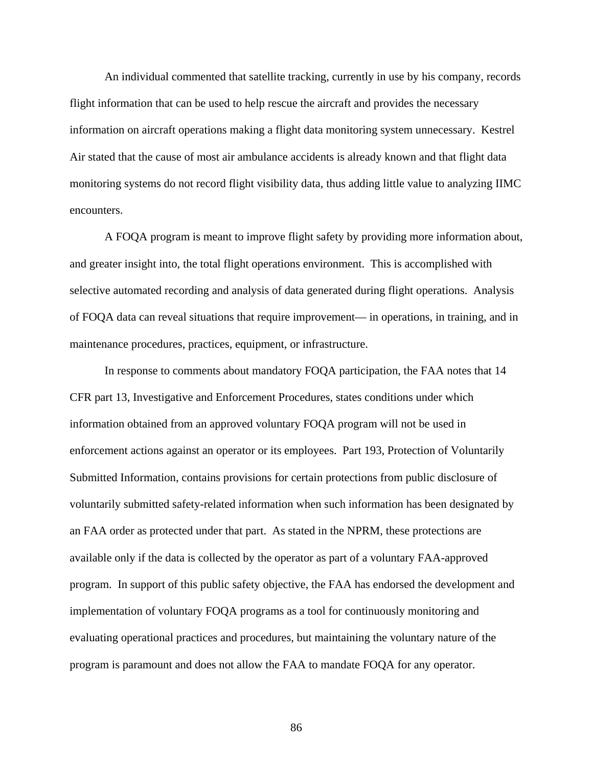An individual commented that satellite tracking, currently in use by his company, records flight information that can be used to help rescue the aircraft and provides the necessary information on aircraft operations making a flight data monitoring system unnecessary. Kestrel Air stated that the cause of most air ambulance accidents is already known and that flight data monitoring systems do not record flight visibility data, thus adding little value to analyzing IIMC encounters.

 A FOQA program is meant to improve flight safety by providing more information about, and greater insight into, the total flight operations environment. This is accomplished with selective automated recording and analysis of data generated during flight operations. Analysis of FOQA data can reveal situations that require improvement— in operations, in training, and in maintenance procedures, practices, equipment, or infrastructure.

 In response to comments about mandatory FOQA participation, the FAA notes that 14 CFR part 13, Investigative and Enforcement Procedures, states conditions under which information obtained from an approved voluntary FOQA program will not be used in enforcement actions against an operator or its employees. Part 193, Protection of Voluntarily Submitted Information, contains provisions for certain protections from public disclosure of voluntarily submitted safety-related information when such information has been designated by an FAA order as protected under that part. As stated in the NPRM, these protections are available only if the data is collected by the operator as part of a voluntary FAA-approved program. In support of this public safety objective, the FAA has endorsed the development and implementation of voluntary FOQA programs as a tool for continuously monitoring and evaluating operational practices and procedures, but maintaining the voluntary nature of the program is paramount and does not allow the FAA to mandate FOQA for any operator.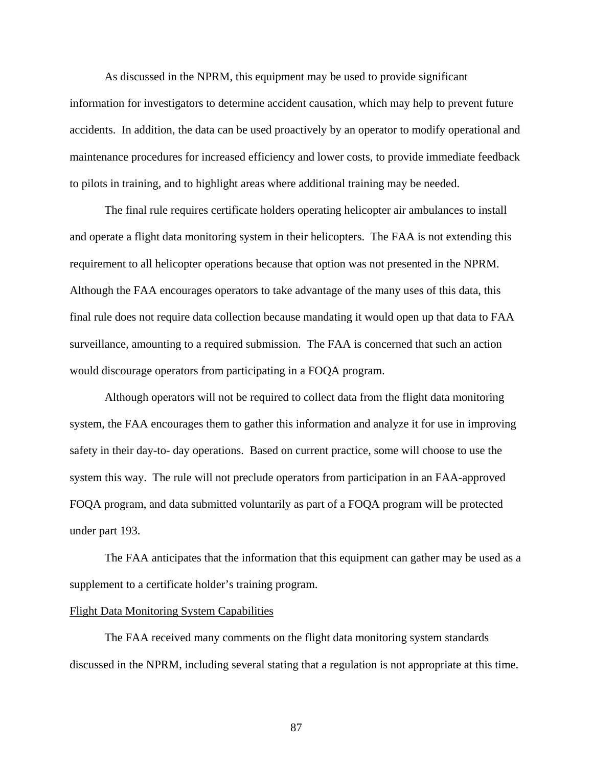As discussed in the NPRM, this equipment may be used to provide significant information for investigators to determine accident causation, which may help to prevent future accidents. In addition, the data can be used proactively by an operator to modify operational and maintenance procedures for increased efficiency and lower costs, to provide immediate feedback to pilots in training, and to highlight areas where additional training may be needed.

The final rule requires certificate holders operating helicopter air ambulances to install and operate a flight data monitoring system in their helicopters. The FAA is not extending this requirement to all helicopter operations because that option was not presented in the NPRM. Although the FAA encourages operators to take advantage of the many uses of this data, this final rule does not require data collection because mandating it would open up that data to FAA surveillance, amounting to a required submission. The FAA is concerned that such an action would discourage operators from participating in a FOQA program.

 Although operators will not be required to collect data from the flight data monitoring system, the FAA encourages them to gather this information and analyze it for use in improving safety in their day-to- day operations. Based on current practice, some will choose to use the system this way. The rule will not preclude operators from participation in an FAA-approved FOQA program, and data submitted voluntarily as part of a FOQA program will be protected under part 193.

 The FAA anticipates that the information that this equipment can gather may be used as a supplement to a certificate holder's training program.

### Flight Data Monitoring System Capabilities

 The FAA received many comments on the flight data monitoring system standards discussed in the NPRM, including several stating that a regulation is not appropriate at this time.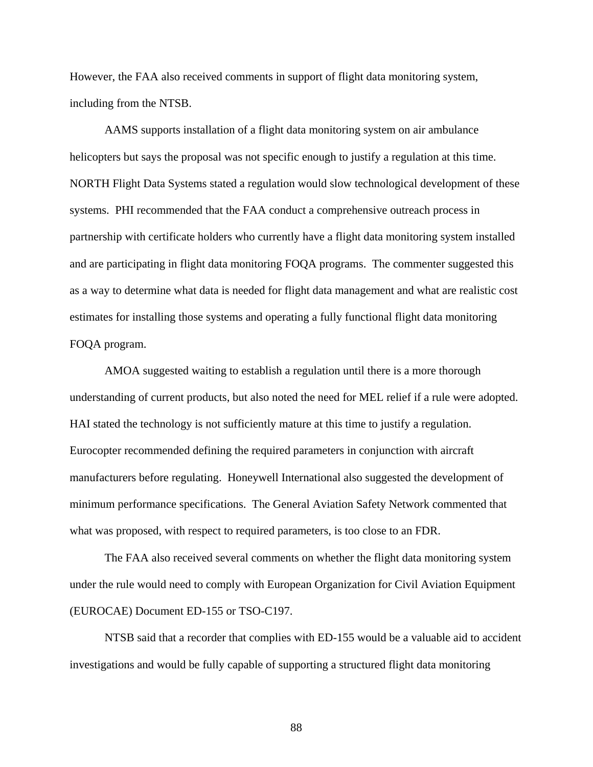However, the FAA also received comments in support of flight data monitoring system, including from the NTSB.

 AAMS supports installation of a flight data monitoring system on air ambulance helicopters but says the proposal was not specific enough to justify a regulation at this time. NORTH Flight Data Systems stated a regulation would slow technological development of these systems. PHI recommended that the FAA conduct a comprehensive outreach process in partnership with certificate holders who currently have a flight data monitoring system installed and are participating in flight data monitoring FOQA programs. The commenter suggested this as a way to determine what data is needed for flight data management and what are realistic cost estimates for installing those systems and operating a fully functional flight data monitoring FOQA program.

 AMOA suggested waiting to establish a regulation until there is a more thorough understanding of current products, but also noted the need for MEL relief if a rule were adopted. HAI stated the technology is not sufficiently mature at this time to justify a regulation. Eurocopter recommended defining the required parameters in conjunction with aircraft manufacturers before regulating. Honeywell International also suggested the development of minimum performance specifications. The General Aviation Safety Network commented that what was proposed, with respect to required parameters, is too close to an FDR.

 The FAA also received several comments on whether the flight data monitoring system under the rule would need to comply with European Organization for Civil Aviation Equipment (EUROCAE) Document ED-155 or TSO-C197.

 NTSB said that a recorder that complies with ED-155 would be a valuable aid to accident investigations and would be fully capable of supporting a structured flight data monitoring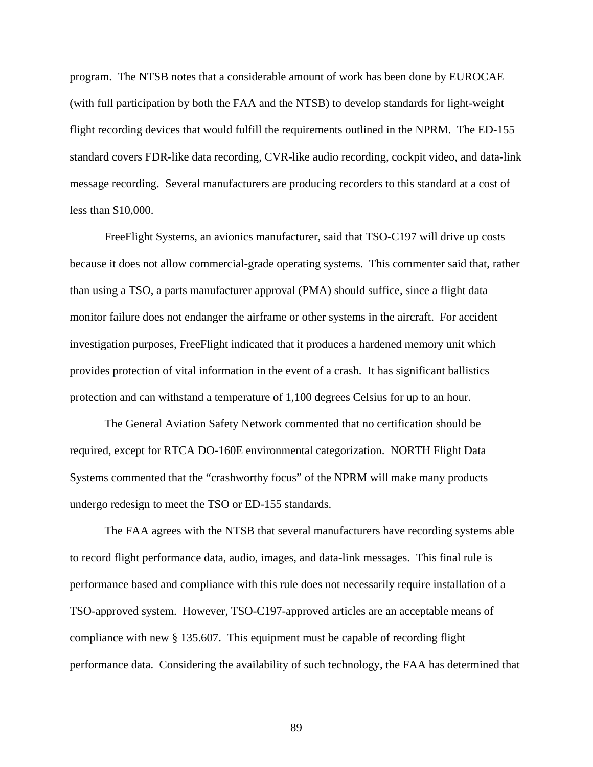program. The NTSB notes that a considerable amount of work has been done by EUROCAE (with full participation by both the FAA and the NTSB) to develop standards for light-weight flight recording devices that would fulfill the requirements outlined in the NPRM. The ED-155 standard covers FDR-like data recording, CVR-like audio recording, cockpit video, and data-link message recording. Several manufacturers are producing recorders to this standard at a cost of less than \$10,000.

FreeFlight Systems, an avionics manufacturer, said that TSO-C197 will drive up costs because it does not allow commercial-grade operating systems. This commenter said that, rather than using a TSO, a parts manufacturer approval (PMA) should suffice, since a flight data monitor failure does not endanger the airframe or other systems in the aircraft. For accident investigation purposes, FreeFlight indicated that it produces a hardened memory unit which provides protection of vital information in the event of a crash. It has significant ballistics protection and can withstand a temperature of 1,100 degrees Celsius for up to an hour.

 The General Aviation Safety Network commented that no certification should be required, except for RTCA DO-160E environmental categorization. NORTH Flight Data Systems commented that the "crashworthy focus" of the NPRM will make many products undergo redesign to meet the TSO or ED-155 standards.

 The FAA agrees with the NTSB that several manufacturers have recording systems able to record flight performance data, audio, images, and data-link messages. This final rule is performance based and compliance with this rule does not necessarily require installation of a TSO-approved system. However, TSO-C197-approved articles are an acceptable means of compliance with new § 135.607. This equipment must be capable of recording flight performance data. Considering the availability of such technology, the FAA has determined that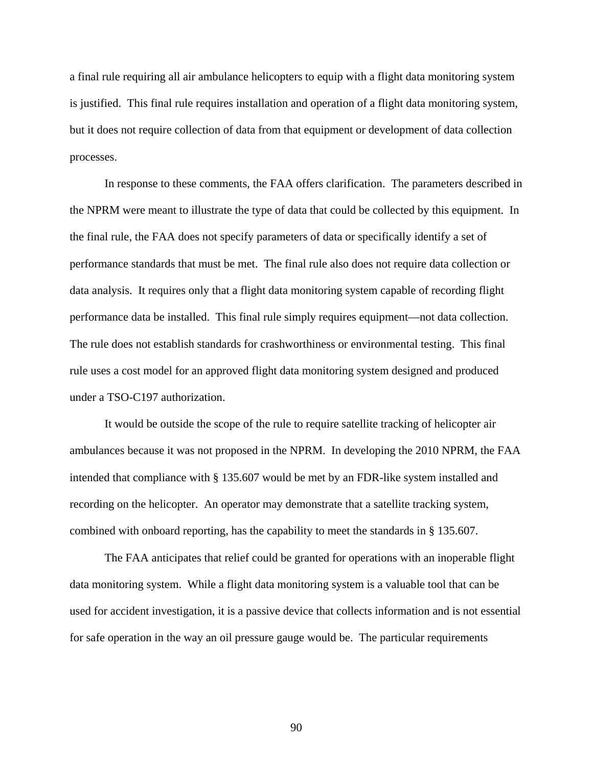a final rule requiring all air ambulance helicopters to equip with a flight data monitoring system is justified. This final rule requires installation and operation of a flight data monitoring system, but it does not require collection of data from that equipment or development of data collection processes.

In response to these comments, the FAA offers clarification. The parameters described in the NPRM were meant to illustrate the type of data that could be collected by this equipment. In the final rule, the FAA does not specify parameters of data or specifically identify a set of performance standards that must be met. The final rule also does not require data collection or data analysis. It requires only that a flight data monitoring system capable of recording flight performance data be installed. This final rule simply requires equipment—not data collection. The rule does not establish standards for crashworthiness or environmental testing. This final rule uses a cost model for an approved flight data monitoring system designed and produced under a TSO-C197 authorization.

It would be outside the scope of the rule to require satellite tracking of helicopter air ambulances because it was not proposed in the NPRM. In developing the 2010 NPRM, the FAA intended that compliance with § 135.607 would be met by an FDR-like system installed and recording on the helicopter. An operator may demonstrate that a satellite tracking system, combined with onboard reporting, has the capability to meet the standards in § 135.607.

The FAA anticipates that relief could be granted for operations with an inoperable flight data monitoring system. While a flight data monitoring system is a valuable tool that can be used for accident investigation, it is a passive device that collects information and is not essential for safe operation in the way an oil pressure gauge would be. The particular requirements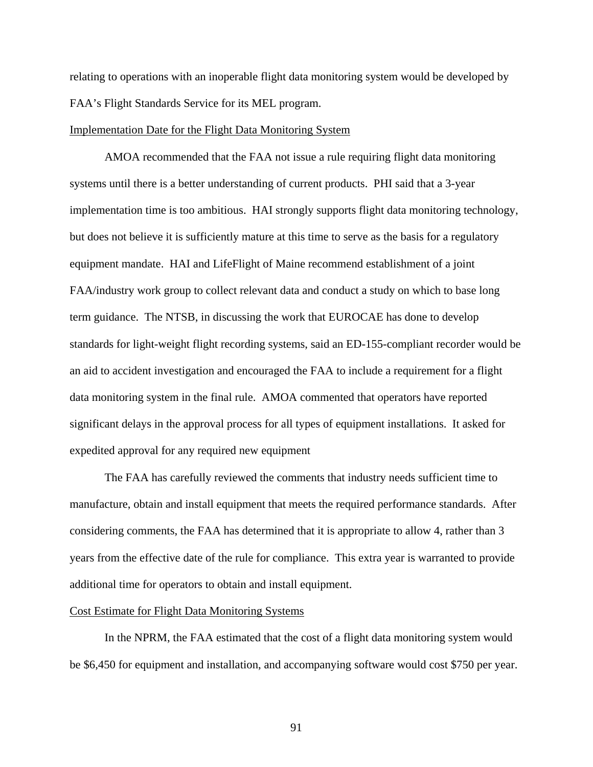relating to operations with an inoperable flight data monitoring system would be developed by FAA's Flight Standards Service for its MEL program.

### Implementation Date for the Flight Data Monitoring System

 AMOA recommended that the FAA not issue a rule requiring flight data monitoring systems until there is a better understanding of current products. PHI said that a 3-year implementation time is too ambitious. HAI strongly supports flight data monitoring technology, but does not believe it is sufficiently mature at this time to serve as the basis for a regulatory equipment mandate. HAI and LifeFlight of Maine recommend establishment of a joint FAA/industry work group to collect relevant data and conduct a study on which to base long term guidance. The NTSB, in discussing the work that EUROCAE has done to develop standards for light-weight flight recording systems, said an ED-155-compliant recorder would be an aid to accident investigation and encouraged the FAA to include a requirement for a flight data monitoring system in the final rule. AMOA commented that operators have reported significant delays in the approval process for all types of equipment installations. It asked for expedited approval for any required new equipment

 The FAA has carefully reviewed the comments that industry needs sufficient time to manufacture, obtain and install equipment that meets the required performance standards. After considering comments, the FAA has determined that it is appropriate to allow 4, rather than 3 years from the effective date of the rule for compliance. This extra year is warranted to provide additional time for operators to obtain and install equipment.

# Cost Estimate for Flight Data Monitoring Systems

In the NPRM, the FAA estimated that the cost of a flight data monitoring system would be \$6,450 for equipment and installation, and accompanying software would cost \$750 per year.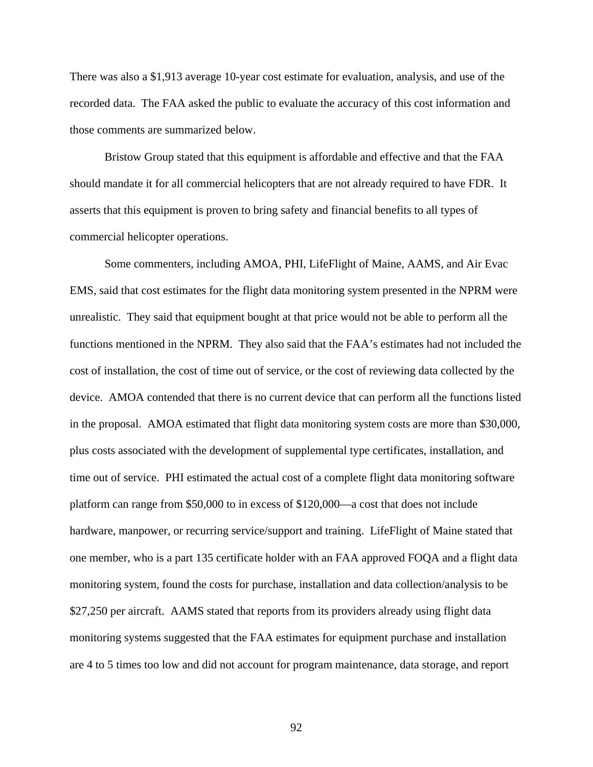There was also a \$1,913 average 10-year cost estimate for evaluation, analysis, and use of the recorded data. The FAA asked the public to evaluate the accuracy of this cost information and those comments are summarized below.

Bristow Group stated that this equipment is affordable and effective and that the FAA should mandate it for all commercial helicopters that are not already required to have FDR. It asserts that this equipment is proven to bring safety and financial benefits to all types of commercial helicopter operations.

 Some commenters, including AMOA, PHI, LifeFlight of Maine, AAMS, and Air Evac EMS, said that cost estimates for the flight data monitoring system presented in the NPRM were unrealistic. They said that equipment bought at that price would not be able to perform all the functions mentioned in the NPRM. They also said that the FAA's estimates had not included the cost of installation, the cost of time out of service, or the cost of reviewing data collected by the device. AMOA contended that there is no current device that can perform all the functions listed in the proposal. AMOA estimated that flight data monitoring system costs are more than \$30,000, plus costs associated with the development of supplemental type certificates, installation, and time out of service. PHI estimated the actual cost of a complete flight data monitoring software platform can range from \$50,000 to in excess of \$120,000—a cost that does not include hardware, manpower, or recurring service/support and training. LifeFlight of Maine stated that one member, who is a part 135 certificate holder with an FAA approved FOQA and a flight data monitoring system, found the costs for purchase, installation and data collection/analysis to be \$27,250 per aircraft. AAMS stated that reports from its providers already using flight data monitoring systems suggested that the FAA estimates for equipment purchase and installation are 4 to 5 times too low and did not account for program maintenance, data storage, and report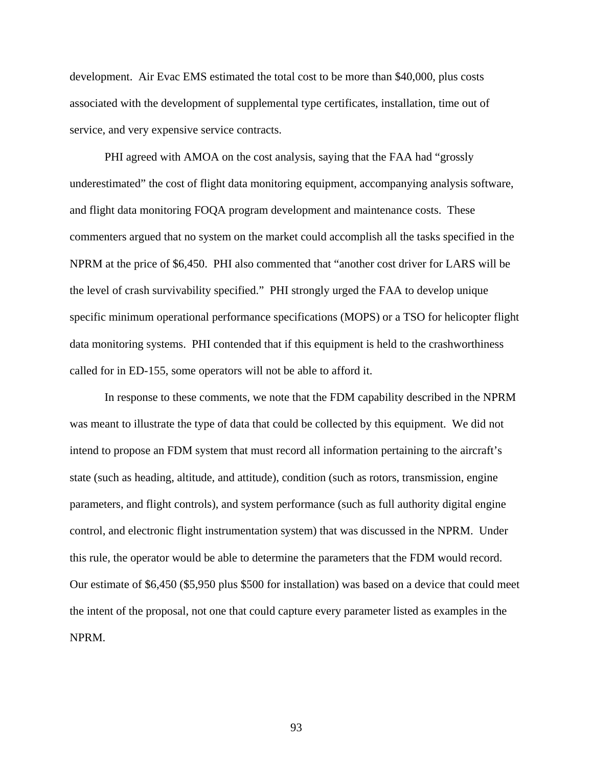development. Air Evac EMS estimated the total cost to be more than \$40,000, plus costs associated with the development of supplemental type certificates, installation, time out of service, and very expensive service contracts.

 PHI agreed with AMOA on the cost analysis, saying that the FAA had "grossly underestimated" the cost of flight data monitoring equipment, accompanying analysis software, and flight data monitoring FOQA program development and maintenance costs. These commenters argued that no system on the market could accomplish all the tasks specified in the NPRM at the price of \$6,450. PHI also commented that "another cost driver for LARS will be the level of crash survivability specified." PHI strongly urged the FAA to develop unique specific minimum operational performance specifications (MOPS) or a TSO for helicopter flight data monitoring systems. PHI contended that if this equipment is held to the crashworthiness called for in ED-155, some operators will not be able to afford it.

In response to these comments, we note that the FDM capability described in the NPRM was meant to illustrate the type of data that could be collected by this equipment. We did not intend to propose an FDM system that must record all information pertaining to the aircraft's state (such as heading, altitude, and attitude), condition (such as rotors, transmission, engine parameters, and flight controls), and system performance (such as full authority digital engine control, and electronic flight instrumentation system) that was discussed in the NPRM. Under this rule, the operator would be able to determine the parameters that the FDM would record. Our estimate of \$6,450 (\$5,950 plus \$500 for installation) was based on a device that could meet the intent of the proposal, not one that could capture every parameter listed as examples in the NPRM.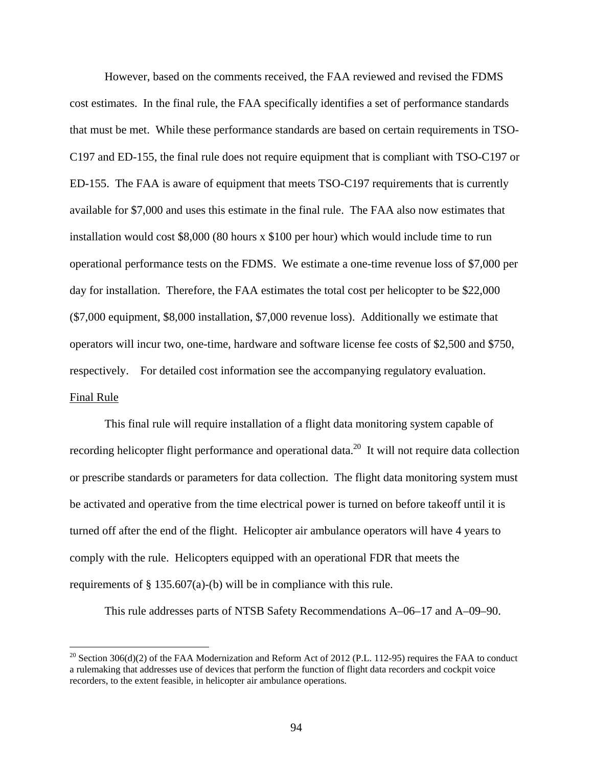However, based on the comments received, the FAA reviewed and revised the FDMS cost estimates. In the final rule, the FAA specifically identifies a set of performance standards that must be met. While these performance standards are based on certain requirements in TSO-C197 and ED-155, the final rule does not require equipment that is compliant with TSO-C197 or ED-155. The FAA is aware of equipment that meets TSO-C197 requirements that is currently available for \$7,000 and uses this estimate in the final rule. The FAA also now estimates that installation would cost \$8,000 (80 hours x \$100 per hour) which would include time to run operational performance tests on the FDMS. We estimate a one-time revenue loss of \$7,000 per day for installation. Therefore, the FAA estimates the total cost per helicopter to be \$22,000 (\$7,000 equipment, \$8,000 installation, \$7,000 revenue loss). Additionally we estimate that operators will incur two, one-time, hardware and software license fee costs of \$2,500 and \$750, respectively. For detailed cost information see the accompanying regulatory evaluation. Final Rule

 This final rule will require installation of a flight data monitoring system capable of recording helicopter flight performance and operational data.<sup>20</sup> It will not require data collection or prescribe standards or parameters for data collection. The flight data monitoring system must be activated and operative from the time electrical power is turned on before takeoff until it is turned off after the end of the flight. Helicopter air ambulance operators will have 4 years to comply with the rule. Helicopters equipped with an operational FDR that meets the requirements of § 135.607(a)-(b) will be in compliance with this rule.

This rule addresses parts of NTSB Safety Recommendations A–06–17 and A–09–90.

 $\overline{a}$ 

<sup>&</sup>lt;sup>20</sup> Section 306(d)(2) of the FAA Modernization and Reform Act of 2012 (P.L. 112-95) requires the FAA to conduct a rulemaking that addresses use of devices that perform the function of flight data recorders and cockpit voice recorders, to the extent feasible, in helicopter air ambulance operations.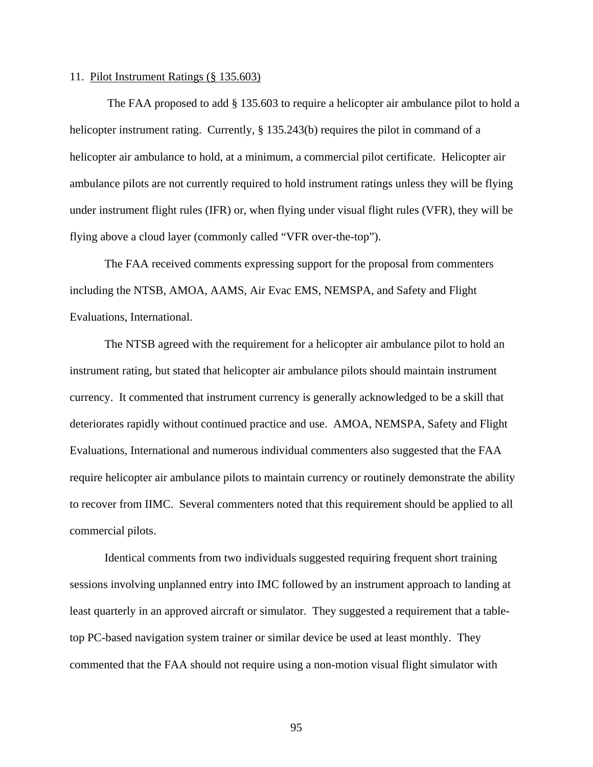#### 11. Pilot Instrument Ratings (§ 135.603)

 The FAA proposed to add § 135.603 to require a helicopter air ambulance pilot to hold a helicopter instrument rating. Currently, § 135.243(b) requires the pilot in command of a helicopter air ambulance to hold, at a minimum, a commercial pilot certificate. Helicopter air ambulance pilots are not currently required to hold instrument ratings unless they will be flying under instrument flight rules (IFR) or, when flying under visual flight rules (VFR), they will be flying above a cloud layer (commonly called "VFR over-the-top").

The FAA received comments expressing support for the proposal from commenters including the NTSB, AMOA, AAMS, Air Evac EMS, NEMSPA, and Safety and Flight Evaluations, International.

 The NTSB agreed with the requirement for a helicopter air ambulance pilot to hold an instrument rating, but stated that helicopter air ambulance pilots should maintain instrument currency. It commented that instrument currency is generally acknowledged to be a skill that deteriorates rapidly without continued practice and use. AMOA, NEMSPA, Safety and Flight Evaluations, International and numerous individual commenters also suggested that the FAA require helicopter air ambulance pilots to maintain currency or routinely demonstrate the ability to recover from IIMC. Several commenters noted that this requirement should be applied to all commercial pilots.

 Identical comments from two individuals suggested requiring frequent short training sessions involving unplanned entry into IMC followed by an instrument approach to landing at least quarterly in an approved aircraft or simulator. They suggested a requirement that a tabletop PC-based navigation system trainer or similar device be used at least monthly. They commented that the FAA should not require using a non-motion visual flight simulator with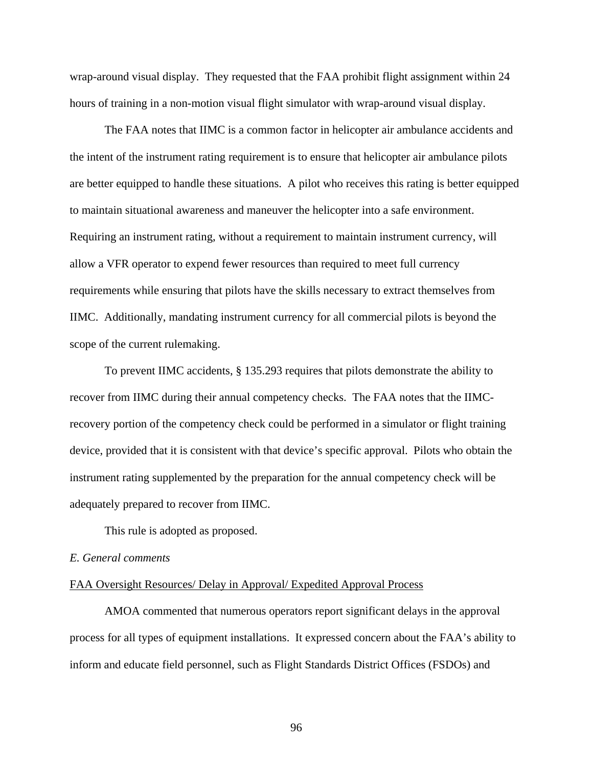wrap-around visual display. They requested that the FAA prohibit flight assignment within 24 hours of training in a non-motion visual flight simulator with wrap-around visual display.

 The FAA notes that IIMC is a common factor in helicopter air ambulance accidents and the intent of the instrument rating requirement is to ensure that helicopter air ambulance pilots are better equipped to handle these situations. A pilot who receives this rating is better equipped to maintain situational awareness and maneuver the helicopter into a safe environment. Requiring an instrument rating, without a requirement to maintain instrument currency, will allow a VFR operator to expend fewer resources than required to meet full currency requirements while ensuring that pilots have the skills necessary to extract themselves from IIMC. Additionally, mandating instrument currency for all commercial pilots is beyond the scope of the current rulemaking.

To prevent IIMC accidents, § 135.293 requires that pilots demonstrate the ability to recover from IIMC during their annual competency checks. The FAA notes that the IIMCrecovery portion of the competency check could be performed in a simulator or flight training device, provided that it is consistent with that device's specific approval. Pilots who obtain the instrument rating supplemented by the preparation for the annual competency check will be adequately prepared to recover from IIMC.

This rule is adopted as proposed.

# *E. General comments*

# FAA Oversight Resources/ Delay in Approval/ Expedited Approval Process

 AMOA commented that numerous operators report significant delays in the approval process for all types of equipment installations. It expressed concern about the FAA's ability to inform and educate field personnel, such as Flight Standards District Offices (FSDOs) and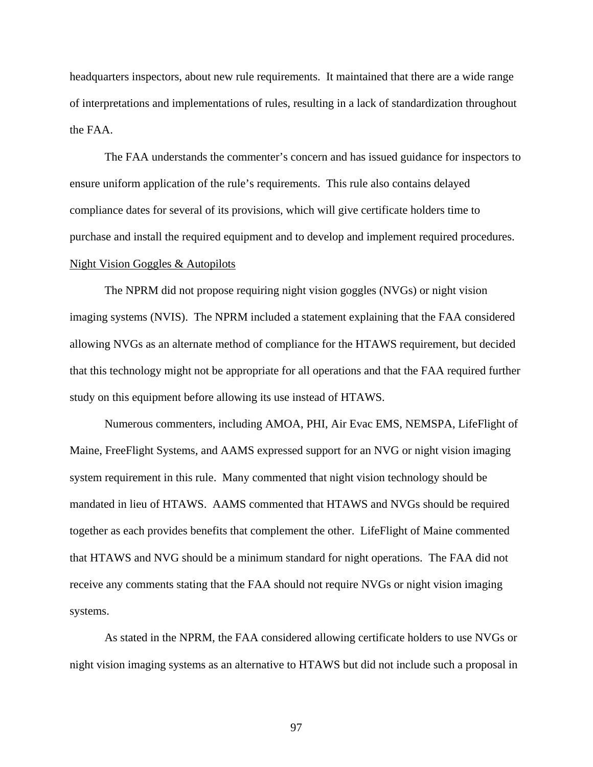headquarters inspectors, about new rule requirements. It maintained that there are a wide range of interpretations and implementations of rules, resulting in a lack of standardization throughout the FAA.

 The FAA understands the commenter's concern and has issued guidance for inspectors to ensure uniform application of the rule's requirements. This rule also contains delayed compliance dates for several of its provisions, which will give certificate holders time to purchase and install the required equipment and to develop and implement required procedures. Night Vision Goggles & Autopilots

The NPRM did not propose requiring night vision goggles (NVGs) or night vision imaging systems (NVIS). The NPRM included a statement explaining that the FAA considered allowing NVGs as an alternate method of compliance for the HTAWS requirement, but decided that this technology might not be appropriate for all operations and that the FAA required further study on this equipment before allowing its use instead of HTAWS.

Numerous commenters, including AMOA, PHI, Air Evac EMS, NEMSPA, LifeFlight of Maine, FreeFlight Systems, and AAMS expressed support for an NVG or night vision imaging system requirement in this rule. Many commented that night vision technology should be mandated in lieu of HTAWS. AAMS commented that HTAWS and NVGs should be required together as each provides benefits that complement the other. LifeFlight of Maine commented that HTAWS and NVG should be a minimum standard for night operations. The FAA did not receive any comments stating that the FAA should not require NVGs or night vision imaging systems.

As stated in the NPRM, the FAA considered allowing certificate holders to use NVGs or night vision imaging systems as an alternative to HTAWS but did not include such a proposal in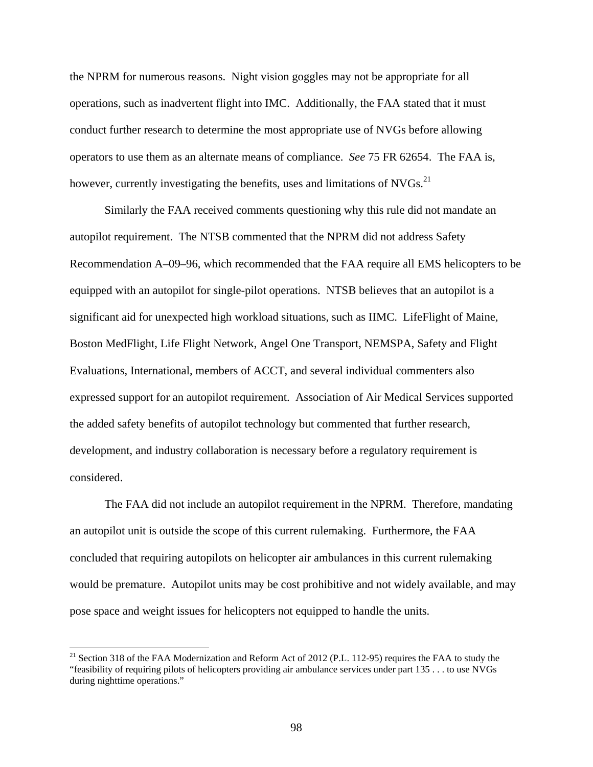the NPRM for numerous reasons. Night vision goggles may not be appropriate for all operations, such as inadvertent flight into IMC. Additionally, the FAA stated that it must conduct further research to determine the most appropriate use of NVGs before allowing operators to use them as an alternate means of compliance. *See* 75 FR 62654. The FAA is, however, currently investigating the benefits, uses and limitations of  $NVGs$ <sup>21</sup>

 Similarly the FAA received comments questioning why this rule did not mandate an autopilot requirement. The NTSB commented that the NPRM did not address Safety Recommendation A–09–96, which recommended that the FAA require all EMS helicopters to be equipped with an autopilot for single-pilot operations. NTSB believes that an autopilot is a significant aid for unexpected high workload situations, such as IIMC. LifeFlight of Maine, Boston MedFlight, Life Flight Network, Angel One Transport, NEMSPA, Safety and Flight Evaluations, International, members of ACCT, and several individual commenters also expressed support for an autopilot requirement. Association of Air Medical Services supported the added safety benefits of autopilot technology but commented that further research, development, and industry collaboration is necessary before a regulatory requirement is considered.

 The FAA did not include an autopilot requirement in the NPRM. Therefore, mandating an autopilot unit is outside the scope of this current rulemaking. Furthermore, the FAA concluded that requiring autopilots on helicopter air ambulances in this current rulemaking would be premature. Autopilot units may be cost prohibitive and not widely available, and may pose space and weight issues for helicopters not equipped to handle the units.

<u>.</u>

<sup>&</sup>lt;sup>21</sup> Section 318 of the FAA Modernization and Reform Act of 2012 (P.L. 112-95) requires the FAA to study the "feasibility of requiring pilots of helicopters providing air ambulance services under part 135 . . . to use NVGs during nighttime operations."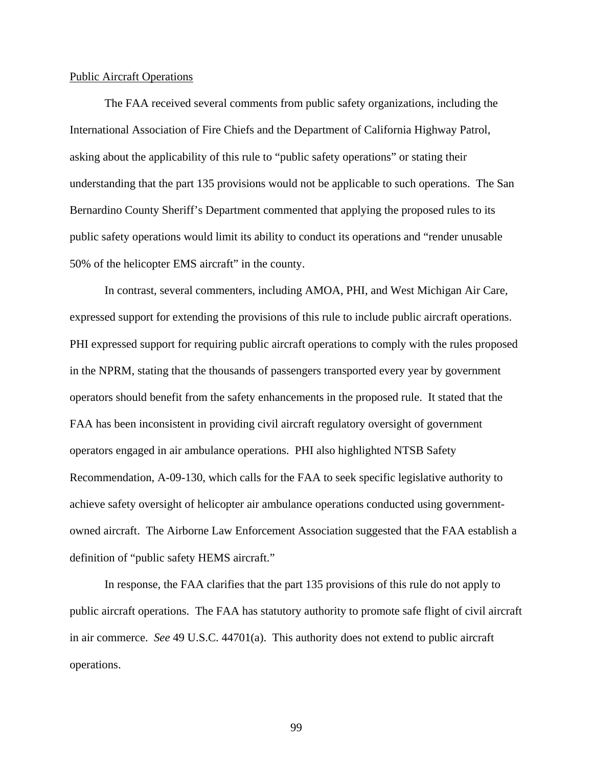#### Public Aircraft Operations

 The FAA received several comments from public safety organizations, including the International Association of Fire Chiefs and the Department of California Highway Patrol, asking about the applicability of this rule to "public safety operations" or stating their understanding that the part 135 provisions would not be applicable to such operations. The San Bernardino County Sheriff's Department commented that applying the proposed rules to its public safety operations would limit its ability to conduct its operations and "render unusable 50% of the helicopter EMS aircraft" in the county.

 In contrast, several commenters, including AMOA, PHI, and West Michigan Air Care, expressed support for extending the provisions of this rule to include public aircraft operations. PHI expressed support for requiring public aircraft operations to comply with the rules proposed in the NPRM, stating that the thousands of passengers transported every year by government operators should benefit from the safety enhancements in the proposed rule. It stated that the FAA has been inconsistent in providing civil aircraft regulatory oversight of government operators engaged in air ambulance operations. PHI also highlighted NTSB Safety Recommendation, A-09-130, which calls for the FAA to seek specific legislative authority to achieve safety oversight of helicopter air ambulance operations conducted using governmentowned aircraft. The Airborne Law Enforcement Association suggested that the FAA establish a definition of "public safety HEMS aircraft."

 In response, the FAA clarifies that the part 135 provisions of this rule do not apply to public aircraft operations. The FAA has statutory authority to promote safe flight of civil aircraft in air commerce. *See* 49 U.S.C. 44701(a). This authority does not extend to public aircraft operations.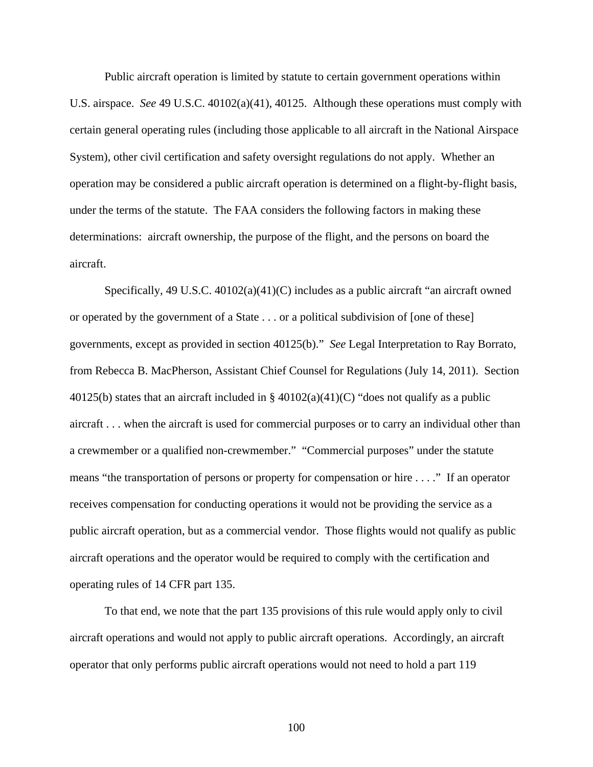Public aircraft operation is limited by statute to certain government operations within U.S. airspace. *See* 49 U.S.C. 40102(a)(41), 40125. Although these operations must comply with certain general operating rules (including those applicable to all aircraft in the National Airspace System), other civil certification and safety oversight regulations do not apply. Whether an operation may be considered a public aircraft operation is determined on a flight-by-flight basis, under the terms of the statute. The FAA considers the following factors in making these determinations: aircraft ownership, the purpose of the flight, and the persons on board the aircraft.

 Specifically, 49 U.S.C. 40102(a)(41)(C) includes as a public aircraft "an aircraft owned or operated by the government of a State . . . or a political subdivision of [one of these] governments, except as provided in section 40125(b)." *See* Legal Interpretation to Ray Borrato, from Rebecca B. MacPherson, Assistant Chief Counsel for Regulations (July 14, 2011). Section 40125(b) states that an aircraft included in § 40102(a)(41)(C) "does not qualify as a public aircraft . . . when the aircraft is used for commercial purposes or to carry an individual other than a crewmember or a qualified non-crewmember." "Commercial purposes" under the statute means "the transportation of persons or property for compensation or hire . . . ." If an operator receives compensation for conducting operations it would not be providing the service as a public aircraft operation, but as a commercial vendor. Those flights would not qualify as public aircraft operations and the operator would be required to comply with the certification and operating rules of 14 CFR part 135.

 To that end, we note that the part 135 provisions of this rule would apply only to civil aircraft operations and would not apply to public aircraft operations. Accordingly, an aircraft operator that only performs public aircraft operations would not need to hold a part 119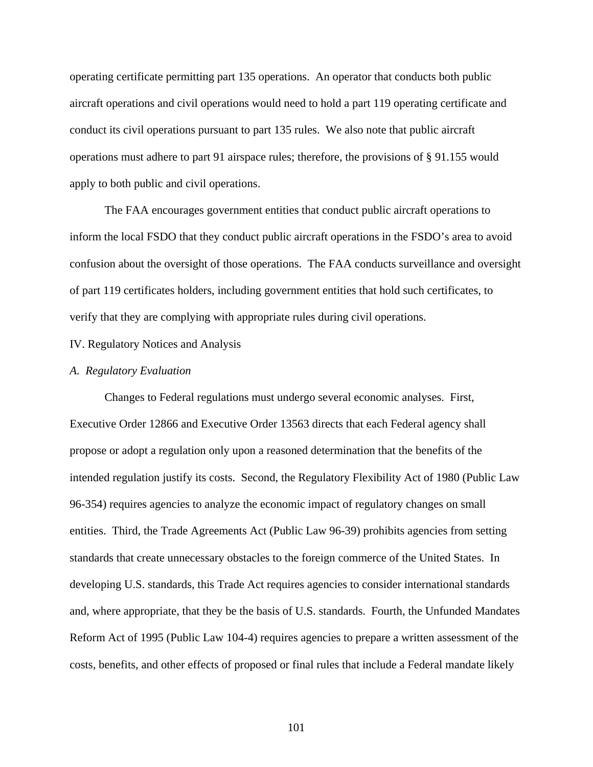operating certificate permitting part 135 operations. An operator that conducts both public aircraft operations and civil operations would need to hold a part 119 operating certificate and conduct its civil operations pursuant to part 135 rules. We also note that public aircraft operations must adhere to part 91 airspace rules; therefore, the provisions of § 91.155 would apply to both public and civil operations.

 The FAA encourages government entities that conduct public aircraft operations to inform the local FSDO that they conduct public aircraft operations in the FSDO's area to avoid confusion about the oversight of those operations. The FAA conducts surveillance and oversight of part 119 certificates holders, including government entities that hold such certificates, to verify that they are complying with appropriate rules during civil operations.

# IV. Regulatory Notices and Analysis

#### *A. Regulatory Evaluation*

 Changes to Federal regulations must undergo several economic analyses. First, Executive Order 12866 and Executive Order 13563 directs that each Federal agency shall propose or adopt a regulation only upon a reasoned determination that the benefits of the intended regulation justify its costs. Second, the Regulatory Flexibility Act of 1980 (Public Law 96-354) requires agencies to analyze the economic impact of regulatory changes on small entities. Third, the Trade Agreements Act (Public Law 96-39) prohibits agencies from setting standards that create unnecessary obstacles to the foreign commerce of the United States. In developing U.S. standards, this Trade Act requires agencies to consider international standards and, where appropriate, that they be the basis of U.S. standards. Fourth, the Unfunded Mandates Reform Act of 1995 (Public Law 104-4) requires agencies to prepare a written assessment of the costs, benefits, and other effects of proposed or final rules that include a Federal mandate likely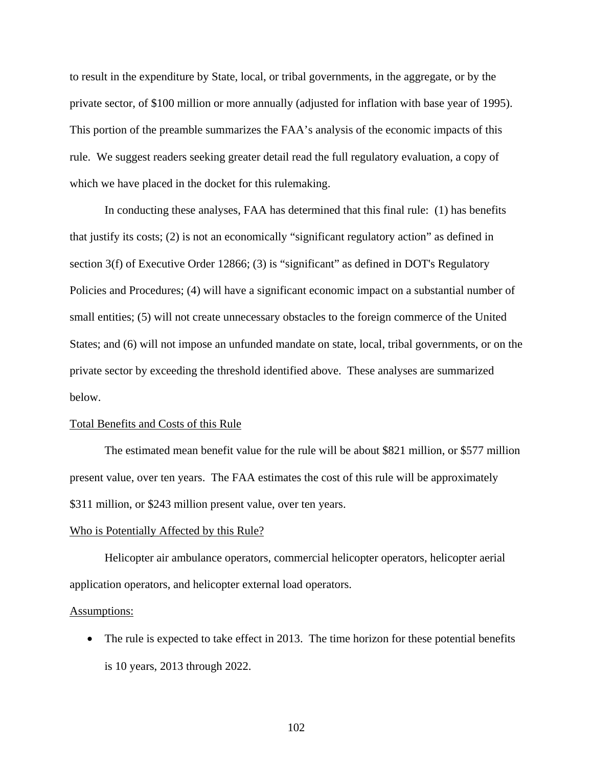to result in the expenditure by State, local, or tribal governments, in the aggregate, or by the private sector, of \$100 million or more annually (adjusted for inflation with base year of 1995). This portion of the preamble summarizes the FAA's analysis of the economic impacts of this rule. We suggest readers seeking greater detail read the full regulatory evaluation, a copy of which we have placed in the docket for this rulemaking.

 In conducting these analyses, FAA has determined that this final rule: (1) has benefits that justify its costs; (2) is not an economically "significant regulatory action" as defined in section 3(f) of Executive Order 12866; (3) is "significant" as defined in DOT's Regulatory Policies and Procedures; (4) will have a significant economic impact on a substantial number of small entities; (5) will not create unnecessary obstacles to the foreign commerce of the United States; and (6) will not impose an unfunded mandate on state, local, tribal governments, or on the private sector by exceeding the threshold identified above. These analyses are summarized below.

### Total Benefits and Costs of this Rule

The estimated mean benefit value for the rule will be about \$821 million, or \$577 million present value, over ten years. The FAA estimates the cost of this rule will be approximately \$311 million, or \$243 million present value, over ten years.

#### Who is Potentially Affected by this Rule?

Helicopter air ambulance operators, commercial helicopter operators, helicopter aerial application operators, and helicopter external load operators.

#### Assumptions:

• The rule is expected to take effect in 2013. The time horizon for these potential benefits is 10 years, 2013 through 2022.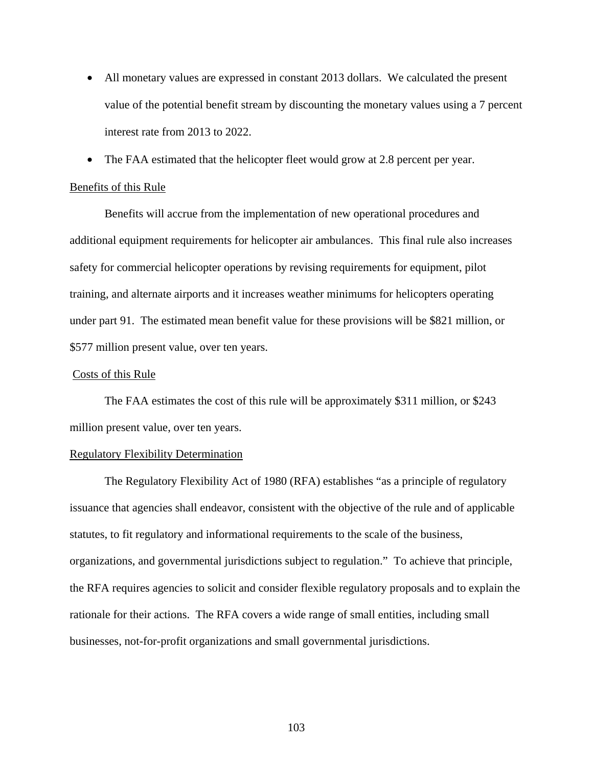- All monetary values are expressed in constant 2013 dollars. We calculated the present value of the potential benefit stream by discounting the monetary values using a 7 percent interest rate from 2013 to 2022.
- The FAA estimated that the helicopter fleet would grow at 2.8 percent per year.

### Benefits of this Rule

Benefits will accrue from the implementation of new operational procedures and additional equipment requirements for helicopter air ambulances. This final rule also increases safety for commercial helicopter operations by revising requirements for equipment, pilot training, and alternate airports and it increases weather minimums for helicopters operating under part 91. The estimated mean benefit value for these provisions will be \$821 million, or \$577 million present value, over ten years.

# Costs of this Rule

The FAA estimates the cost of this rule will be approximately \$311 million, or \$243 million present value, over ten years.

# Regulatory Flexibility Determination

 The Regulatory Flexibility Act of 1980 (RFA) establishes "as a principle of regulatory issuance that agencies shall endeavor, consistent with the objective of the rule and of applicable statutes, to fit regulatory and informational requirements to the scale of the business, organizations, and governmental jurisdictions subject to regulation." To achieve that principle, the RFA requires agencies to solicit and consider flexible regulatory proposals and to explain the rationale for their actions. The RFA covers a wide range of small entities, including small businesses, not-for-profit organizations and small governmental jurisdictions.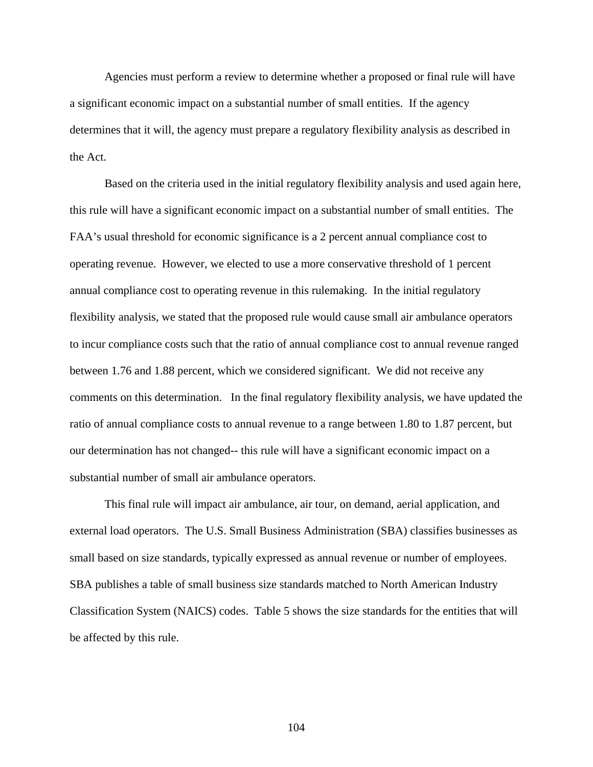Agencies must perform a review to determine whether a proposed or final rule will have a significant economic impact on a substantial number of small entities. If the agency determines that it will, the agency must prepare a regulatory flexibility analysis as described in the Act.

 Based on the criteria used in the initial regulatory flexibility analysis and used again here, this rule will have a significant economic impact on a substantial number of small entities. The FAA's usual threshold for economic significance is a 2 percent annual compliance cost to operating revenue. However, we elected to use a more conservative threshold of 1 percent annual compliance cost to operating revenue in this rulemaking. In the initial regulatory flexibility analysis, we stated that the proposed rule would cause small air ambulance operators to incur compliance costs such that the ratio of annual compliance cost to annual revenue ranged between 1.76 and 1.88 percent, which we considered significant. We did not receive any comments on this determination. In the final regulatory flexibility analysis, we have updated the ratio of annual compliance costs to annual revenue to a range between 1.80 to 1.87 percent, but our determination has not changed-- this rule will have a significant economic impact on a substantial number of small air ambulance operators.

 This final rule will impact air ambulance, air tour, on demand, aerial application, and external load operators. The U.S. Small Business Administration (SBA) classifies businesses as small based on size standards, typically expressed as annual revenue or number of employees. SBA publishes a table of small business size standards matched to North American Industry Classification System (NAICS) codes. Table 5 shows the size standards for the entities that will be affected by this rule.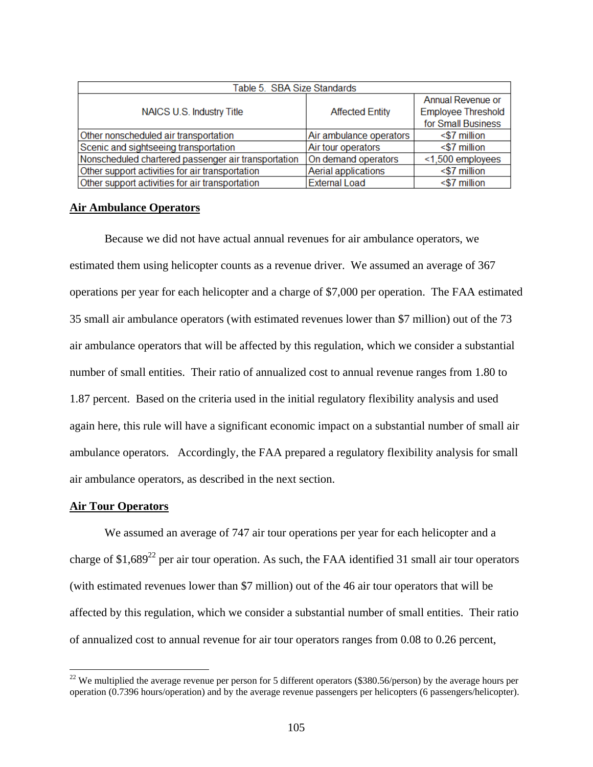| Table 5. SBA Size Standards                         |                         |                           |
|-----------------------------------------------------|-------------------------|---------------------------|
| NAICS U.S. Industry Title                           | <b>Affected Entity</b>  | Annual Revenue or         |
|                                                     |                         | <b>Employee Threshold</b> |
|                                                     |                         | for Small Business        |
| Other nonscheduled air transportation               | Air ambulance operators | $<$ \$7 million           |
| Scenic and sightseeing transportation               | Air tour operators      | $<$ \$7 million           |
| Nonscheduled chartered passenger air transportation | On demand operators     | <1,500 employees          |
| Other support activities for air transportation     | Aerial applications     | <\$7 million              |
| Other support activities for air transportation     | <b>External Load</b>    | $<$ \$7 million           |

# **Air Ambulance Operators**

 Because we did not have actual annual revenues for air ambulance operators, we estimated them using helicopter counts as a revenue driver. We assumed an average of 367 operations per year for each helicopter and a charge of \$7,000 per operation. The FAA estimated 35 small air ambulance operators (with estimated revenues lower than \$7 million) out of the 73 air ambulance operators that will be affected by this regulation, which we consider a substantial number of small entities. Their ratio of annualized cost to annual revenue ranges from 1.80 to 1.87 percent. Based on the criteria used in the initial regulatory flexibility analysis and used again here, this rule will have a significant economic impact on a substantial number of small air ambulance operators. Accordingly, the FAA prepared a regulatory flexibility analysis for small air ambulance operators, as described in the next section.

### **Air Tour Operators**

 $\overline{a}$ 

 We assumed an average of 747 air tour operations per year for each helicopter and a charge of \$1,689<sup>22</sup> per air tour operation. As such, the FAA identified 31 small air tour operators (with estimated revenues lower than \$7 million) out of the 46 air tour operators that will be affected by this regulation, which we consider a substantial number of small entities. Their ratio of annualized cost to annual revenue for air tour operators ranges from 0.08 to 0.26 percent,

 $22$  We multiplied the average revenue per person for 5 different operators (\$380.56/person) by the average hours per operation (0.7396 hours/operation) and by the average revenue passengers per helicopters (6 passengers/helicopter).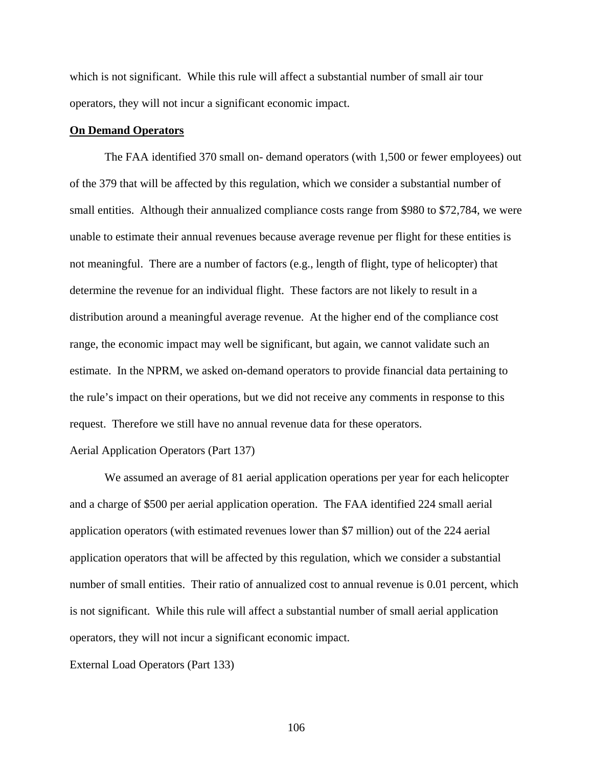which is not significant. While this rule will affect a substantial number of small air tour operators, they will not incur a significant economic impact.

#### **On Demand Operators**

The FAA identified 370 small on- demand operators (with 1,500 or fewer employees) out of the 379 that will be affected by this regulation, which we consider a substantial number of small entities. Although their annualized compliance costs range from \$980 to \$72,784, we were unable to estimate their annual revenues because average revenue per flight for these entities is not meaningful. There are a number of factors (e.g., length of flight, type of helicopter) that determine the revenue for an individual flight. These factors are not likely to result in a distribution around a meaningful average revenue. At the higher end of the compliance cost range, the economic impact may well be significant, but again, we cannot validate such an estimate. In the NPRM, we asked on-demand operators to provide financial data pertaining to the rule's impact on their operations, but we did not receive any comments in response to this request. Therefore we still have no annual revenue data for these operators.

#### Aerial Application Operators (Part 137)

We assumed an average of 81 aerial application operations per year for each helicopter and a charge of \$500 per aerial application operation. The FAA identified 224 small aerial application operators (with estimated revenues lower than \$7 million) out of the 224 aerial application operators that will be affected by this regulation, which we consider a substantial number of small entities. Their ratio of annualized cost to annual revenue is 0.01 percent, which is not significant. While this rule will affect a substantial number of small aerial application operators, they will not incur a significant economic impact.

External Load Operators (Part 133)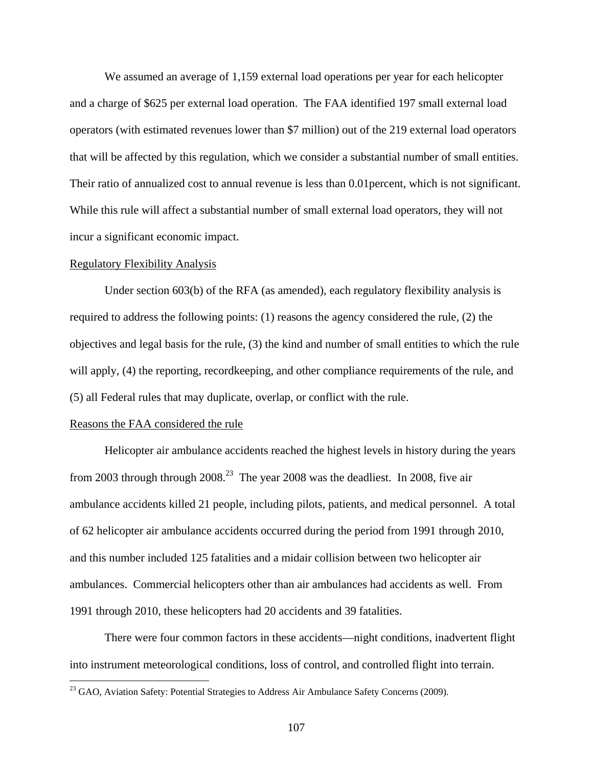We assumed an average of 1,159 external load operations per year for each helicopter and a charge of \$625 per external load operation. The FAA identified 197 small external load operators (with estimated revenues lower than \$7 million) out of the 219 external load operators that will be affected by this regulation, which we consider a substantial number of small entities. Their ratio of annualized cost to annual revenue is less than 0.01percent, which is not significant. While this rule will affect a substantial number of small external load operators, they will not incur a significant economic impact.

#### Regulatory Flexibility Analysis

Under section 603(b) of the RFA (as amended), each regulatory flexibility analysis is required to address the following points: (1) reasons the agency considered the rule, (2) the objectives and legal basis for the rule, (3) the kind and number of small entities to which the rule will apply, (4) the reporting, recordkeeping, and other compliance requirements of the rule, and (5) all Federal rules that may duplicate, overlap, or conflict with the rule.

### Reasons the FAA considered the rule

 $\overline{a}$ 

Helicopter air ambulance accidents reached the highest levels in history during the years from 2003 through through  $2008<sup>23</sup>$  The year 2008 was the deadliest. In 2008, five air ambulance accidents killed 21 people, including pilots, patients, and medical personnel. A total of 62 helicopter air ambulance accidents occurred during the period from 1991 through 2010, and this number included 125 fatalities and a midair collision between two helicopter air ambulances. Commercial helicopters other than air ambulances had accidents as well. From 1991 through 2010, these helicopters had 20 accidents and 39 fatalities.

There were four common factors in these accidents—night conditions, inadvertent flight into instrument meteorological conditions, loss of control, and controlled flight into terrain.

<sup>&</sup>lt;sup>23</sup> GAO, Aviation Safety: Potential Strategies to Address Air Ambulance Safety Concerns (2009).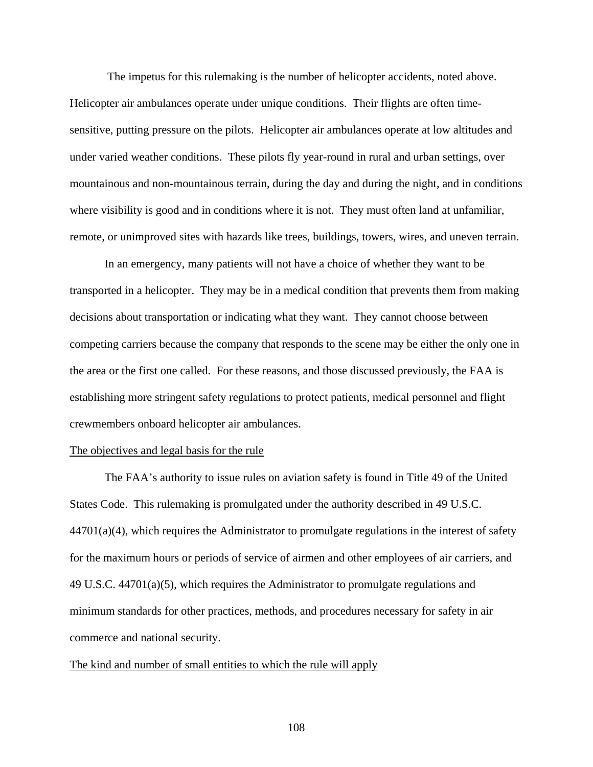The impetus for this rulemaking is the number of helicopter accidents, noted above. Helicopter air ambulances operate under unique conditions. Their flights are often timesensitive, putting pressure on the pilots. Helicopter air ambulances operate at low altitudes and under varied weather conditions. These pilots fly year-round in rural and urban settings, over mountainous and non-mountainous terrain, during the day and during the night, and in conditions where visibility is good and in conditions where it is not. They must often land at unfamiliar, remote, or unimproved sites with hazards like trees, buildings, towers, wires, and uneven terrain.

In an emergency, many patients will not have a choice of whether they want to be transported in a helicopter. They may be in a medical condition that prevents them from making decisions about transportation or indicating what they want. They cannot choose between competing carriers because the company that responds to the scene may be either the only one in the area or the first one called. For these reasons, and those discussed previously, the FAA is establishing more stringent safety regulations to protect patients, medical personnel and flight crewmembers onboard helicopter air ambulances.

### The objectives and legal basis for the rule

The FAA's authority to issue rules on aviation safety is found in Title 49 of the United States Code. This rulemaking is promulgated under the authority described in 49 U.S.C.  $44701(a)(4)$ , which requires the Administrator to promulgate regulations in the interest of safety for the maximum hours or periods of service of airmen and other employees of air carriers, and 49 U.S.C. 44701(a)(5), which requires the Administrator to promulgate regulations and minimum standards for other practices, methods, and procedures necessary for safety in air commerce and national security.

#### The kind and number of small entities to which the rule will apply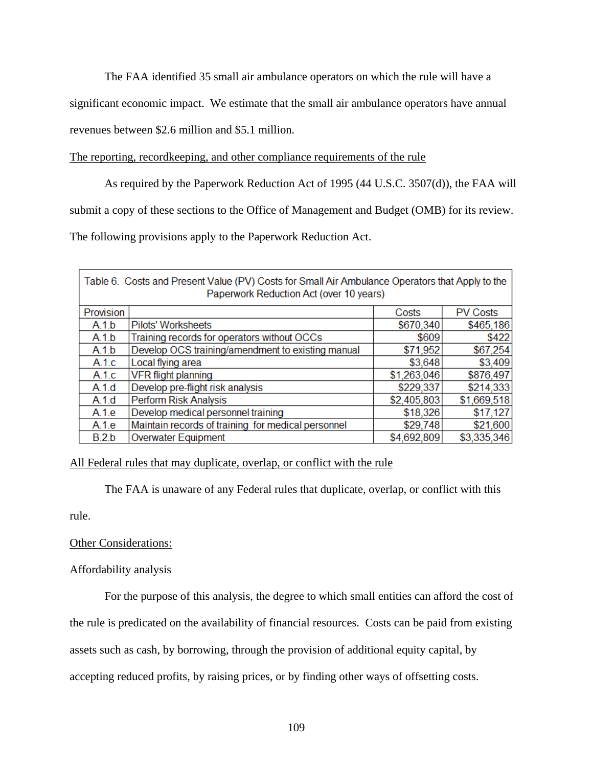The FAA identified 35 small air ambulance operators on which the rule will have a

significant economic impact. We estimate that the small air ambulance operators have annual

revenues between \$2.6 million and \$5.1 million.

# The reporting, recordkeeping, and other compliance requirements of the rule

As required by the Paperwork Reduction Act of 1995 (44 U.S.C. 3507(d)), the FAA will

submit a copy of these sections to the Office of Management and Budget (OMB) for its review.

The following provisions apply to the Paperwork Reduction Act.

| Table 6. Costs and Present Value (PV) Costs for Small Air Ambulance Operators that Apply to the<br>Paperwork Reduction Act (over 10 years) |                                                    |             |                 |  |  |  |  |
|--------------------------------------------------------------------------------------------------------------------------------------------|----------------------------------------------------|-------------|-----------------|--|--|--|--|
| Provision                                                                                                                                  |                                                    | Costs       | <b>PV Costs</b> |  |  |  |  |
| A.1.b                                                                                                                                      | <b>Pilots' Worksheets</b>                          | \$670,340   | \$465,186       |  |  |  |  |
| A.1.b                                                                                                                                      | Training records for operators without OCCs        | \$609       | \$422           |  |  |  |  |
| A.1.b                                                                                                                                      | Develop OCS training/amendment to existing manual  | \$71,952    | \$67,254        |  |  |  |  |
| A.1.c                                                                                                                                      | Local flying area                                  | \$3,648     | \$3,409         |  |  |  |  |
| A.1.c                                                                                                                                      | <b>VFR flight planning</b>                         | \$1,263,046 | \$876,497       |  |  |  |  |
| A.1.d                                                                                                                                      | Develop pre-flight risk analysis                   | \$229,337   | \$214,333       |  |  |  |  |
| A.1.d                                                                                                                                      | Perform Risk Analysis                              | \$2,405,803 | \$1,669,518     |  |  |  |  |
| A.1.e                                                                                                                                      | Develop medical personnel training                 | \$18,326    | \$17,127        |  |  |  |  |
| A.1.e                                                                                                                                      | Maintain records of training for medical personnel | \$29,748    | \$21,600        |  |  |  |  |
| B.2.b                                                                                                                                      | <b>Overwater Equipment</b>                         | \$4,692,809 | \$3,335,346     |  |  |  |  |

# All Federal rules that may duplicate, overlap, or conflict with the rule

The FAA is unaware of any Federal rules that duplicate, overlap, or conflict with this

rule.

# Other Considerations:

# Affordability analysis

For the purpose of this analysis, the degree to which small entities can afford the cost of

the rule is predicated on the availability of financial resources. Costs can be paid from existing

assets such as cash, by borrowing, through the provision of additional equity capital, by

accepting reduced profits, by raising prices, or by finding other ways of offsetting costs.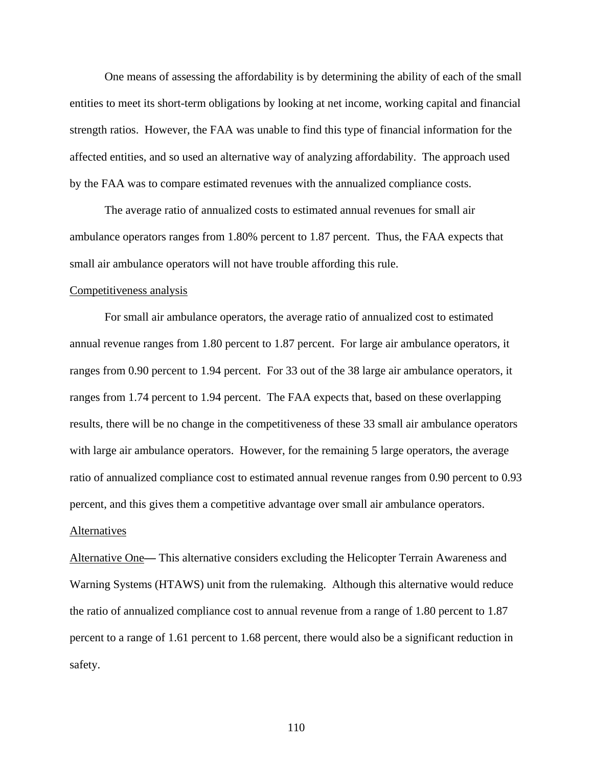One means of assessing the affordability is by determining the ability of each of the small entities to meet its short-term obligations by looking at net income, working capital and financial strength ratios. However, the FAA was unable to find this type of financial information for the affected entities, and so used an alternative way of analyzing affordability. The approach used by the FAA was to compare estimated revenues with the annualized compliance costs.

 The average ratio of annualized costs to estimated annual revenues for small air ambulance operators ranges from 1.80% percent to 1.87 percent. Thus, the FAA expects that small air ambulance operators will not have trouble affording this rule.

#### Competitiveness analysis

For small air ambulance operators, the average ratio of annualized cost to estimated annual revenue ranges from 1.80 percent to 1.87 percent. For large air ambulance operators, it ranges from 0.90 percent to 1.94 percent. For 33 out of the 38 large air ambulance operators, it ranges from 1.74 percent to 1.94 percent. The FAA expects that, based on these overlapping results, there will be no change in the competitiveness of these 33 small air ambulance operators with large air ambulance operators. However, for the remaining 5 large operators, the average ratio of annualized compliance cost to estimated annual revenue ranges from 0.90 percent to 0.93 percent, and this gives them a competitive advantage over small air ambulance operators.

#### Alternatives

Alternative One**—** This alternative considers excluding the Helicopter Terrain Awareness and Warning Systems (HTAWS) unit from the rulemaking. Although this alternative would reduce the ratio of annualized compliance cost to annual revenue from a range of 1.80 percent to 1.87 percent to a range of 1.61 percent to 1.68 percent, there would also be a significant reduction in safety.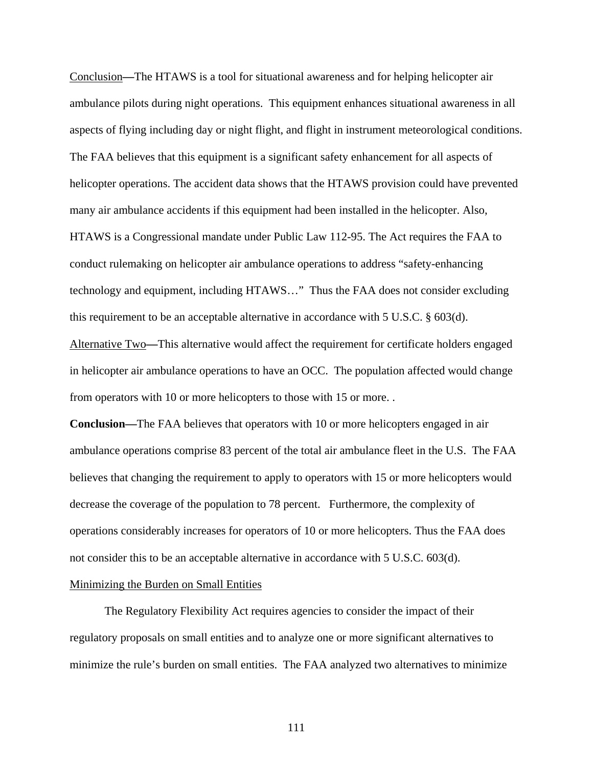Conclusion**—**The HTAWS is a tool for situational awareness and for helping helicopter air ambulance pilots during night operations. This equipment enhances situational awareness in all aspects of flying including day or night flight, and flight in instrument meteorological conditions. The FAA believes that this equipment is a significant safety enhancement for all aspects of helicopter operations. The accident data shows that the HTAWS provision could have prevented many air ambulance accidents if this equipment had been installed in the helicopter. Also, HTAWS is a Congressional mandate under Public Law 112-95. The Act requires the FAA to conduct rulemaking on helicopter air ambulance operations to address "safety-enhancing technology and equipment, including HTAWS…" Thus the FAA does not consider excluding this requirement to be an acceptable alternative in accordance with 5 U.S.C. § 603(d). Alternative Two**—**This alternative would affect the requirement for certificate holders engaged in helicopter air ambulance operations to have an OCC. The population affected would change

from operators with 10 or more helicopters to those with 15 or more. .

**Conclusion—**The FAA believes that operators with 10 or more helicopters engaged in air ambulance operations comprise 83 percent of the total air ambulance fleet in the U.S. The FAA believes that changing the requirement to apply to operators with 15 or more helicopters would decrease the coverage of the population to 78 percent. Furthermore, the complexity of operations considerably increases for operators of 10 or more helicopters. Thus the FAA does not consider this to be an acceptable alternative in accordance with 5 U.S.C. 603(d).

# Minimizing the Burden on Small Entities

The Regulatory Flexibility Act requires agencies to consider the impact of their regulatory proposals on small entities and to analyze one or more significant alternatives to minimize the rule's burden on small entities. The FAA analyzed two alternatives to minimize

111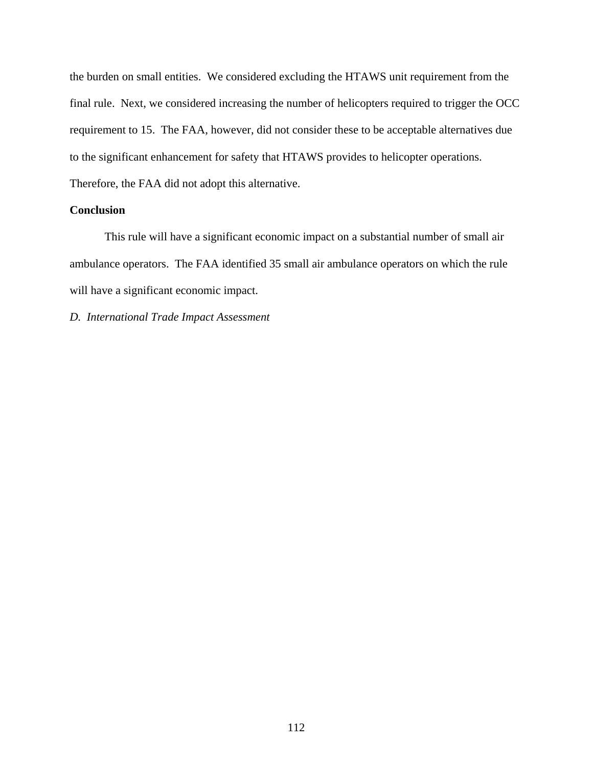the burden on small entities. We considered excluding the HTAWS unit requirement from the final rule. Next, we considered increasing the number of helicopters required to trigger the OCC requirement to 15. The FAA, however, did not consider these to be acceptable alternatives due to the significant enhancement for safety that HTAWS provides to helicopter operations. Therefore, the FAA did not adopt this alternative.

# **Conclusion**

This rule will have a significant economic impact on a substantial number of small air ambulance operators. The FAA identified 35 small air ambulance operators on which the rule will have a significant economic impact.

*D. International Trade Impact Assessment*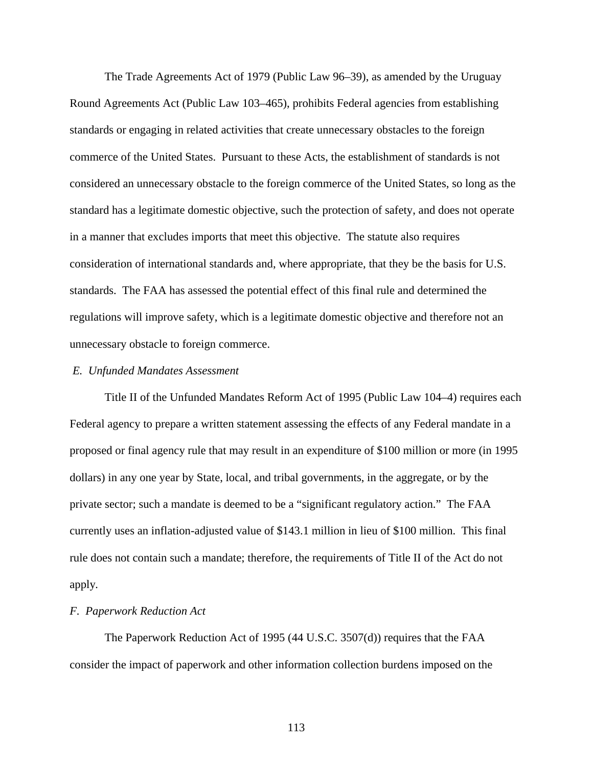The Trade Agreements Act of 1979 (Public Law 96–39), as amended by the Uruguay Round Agreements Act (Public Law 103–465), prohibits Federal agencies from establishing standards or engaging in related activities that create unnecessary obstacles to the foreign commerce of the United States. Pursuant to these Acts, the establishment of standards is not considered an unnecessary obstacle to the foreign commerce of the United States, so long as the standard has a legitimate domestic objective, such the protection of safety, and does not operate in a manner that excludes imports that meet this objective. The statute also requires consideration of international standards and, where appropriate, that they be the basis for U.S. standards. The FAA has assessed the potential effect of this final rule and determined the regulations will improve safety, which is a legitimate domestic objective and therefore not an unnecessary obstacle to foreign commerce.

#### *E. Unfunded Mandates Assessment*

Title II of the Unfunded Mandates Reform Act of 1995 (Public Law 104–4) requires each Federal agency to prepare a written statement assessing the effects of any Federal mandate in a proposed or final agency rule that may result in an expenditure of \$100 million or more (in 1995 dollars) in any one year by State, local, and tribal governments, in the aggregate, or by the private sector; such a mandate is deemed to be a "significant regulatory action." The FAA currently uses an inflation-adjusted value of \$143.1 million in lieu of \$100 million. This final rule does not contain such a mandate; therefore, the requirements of Title II of the Act do not apply*.*

#### *F. Paperwork Reduction Act*

The Paperwork Reduction Act of 1995 (44 U.S.C. 3507(d)) requires that the FAA consider the impact of paperwork and other information collection burdens imposed on the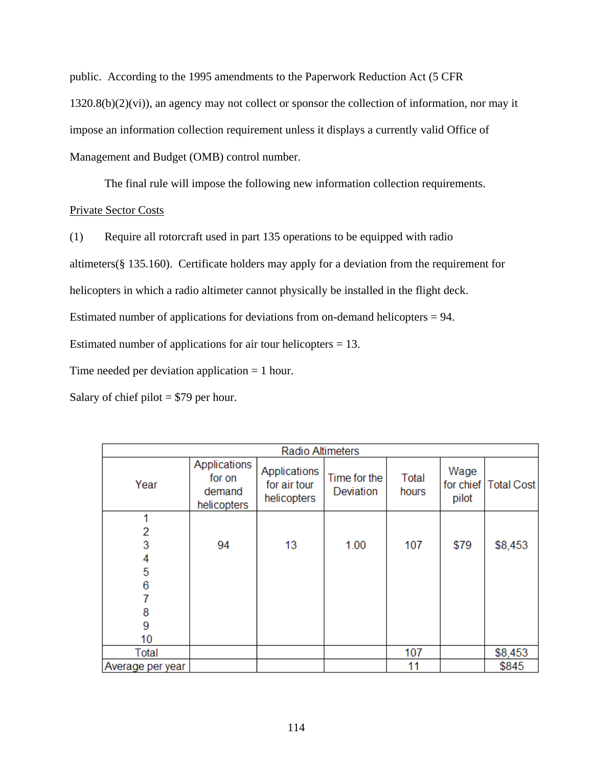public. According to the 1995 amendments to the Paperwork Reduction Act (5 CFR 1320.8(b)(2)(vi)), an agency may not collect or sponsor the collection of information, nor may it impose an information collection requirement unless it displays a currently valid Office of Management and Budget (OMB) control number.

The final rule will impose the following new information collection requirements.

# Private Sector Costs

(1) Require all rotorcraft used in part 135 operations to be equipped with radio

altimeters(§ 135.160). Certificate holders may apply for a deviation from the requirement for

helicopters in which a radio altimeter cannot physically be installed in the flight deck.

Estimated number of applications for deviations from on-demand helicopters = 94.

Estimated number of applications for air tour helicopters  $= 13$ .

Time needed per deviation application = 1 hour.

Salary of chief pilot  $= $79$  per hour.

|                  | <b>Radio Altimeters</b>                         |                                             |                           |                |               |                        |  |
|------------------|-------------------------------------------------|---------------------------------------------|---------------------------|----------------|---------------|------------------------|--|
| Year             | Applications<br>for on<br>demand<br>helicopters | Applications<br>for air tour<br>helicopters | Time for the<br>Deviation | Total<br>hours | Wage<br>pilot | for chief   Total Cost |  |
| 1                |                                                 |                                             |                           |                |               |                        |  |
| 2                |                                                 |                                             |                           |                |               |                        |  |
| 3                | 94                                              | 13                                          | 1.00                      | 107            | \$79          | \$8,453                |  |
| 4                |                                                 |                                             |                           |                |               |                        |  |
| 5                |                                                 |                                             |                           |                |               |                        |  |
| 6                |                                                 |                                             |                           |                |               |                        |  |
|                  |                                                 |                                             |                           |                |               |                        |  |
| 8                |                                                 |                                             |                           |                |               |                        |  |
| 9                |                                                 |                                             |                           |                |               |                        |  |
| 10               |                                                 |                                             |                           |                |               |                        |  |
| Total            |                                                 |                                             |                           | 107            |               | \$8,453                |  |
| Average per year |                                                 |                                             |                           | 11             |               | \$845                  |  |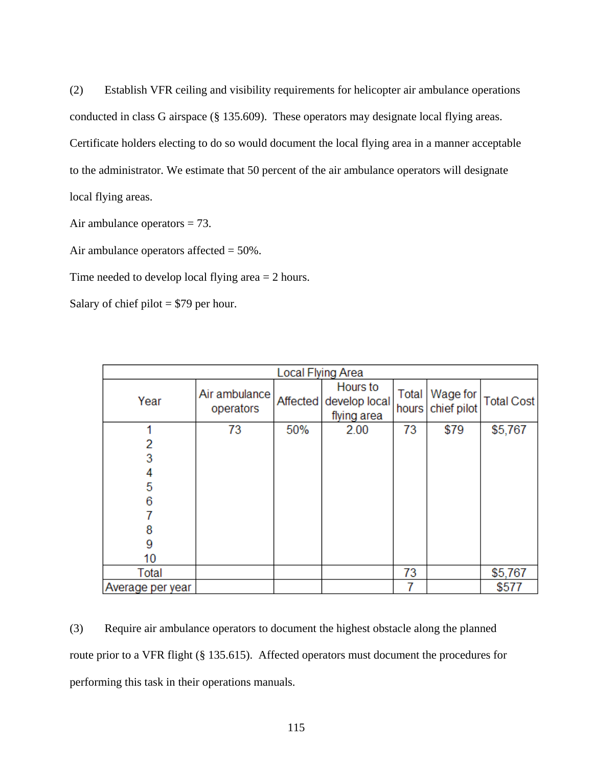(2) Establish VFR ceiling and visibility requirements for helicopter air ambulance operations conducted in class G airspace (§ 135.609). These operators may designate local flying areas. Certificate holders electing to do so would document the local flying area in a manner acceptable to the administrator. We estimate that 50 percent of the air ambulance operators will designate local flying areas.

Air ambulance operators = 73.

Air ambulance operators affected  $= 50\%$ .

Time needed to develop local flying area = 2 hours.

Salary of chief pilot  $= $79$  per hour.

|                  | <b>Local Flying Area</b>   |     |                                                   |                |                         |                   |  |
|------------------|----------------------------|-----|---------------------------------------------------|----------------|-------------------------|-------------------|--|
| Year             | Air ambulance<br>operators |     | Hours to<br>Affected develop local<br>flying area | Total<br>hours | Wage for<br>chief pilot | <b>Total Cost</b> |  |
| 4                | 73                         | 50% | 2.00                                              | 73             | \$79                    | \$5,767           |  |
| 2                |                            |     |                                                   |                |                         |                   |  |
| 3                |                            |     |                                                   |                |                         |                   |  |
| 4                |                            |     |                                                   |                |                         |                   |  |
| 5                |                            |     |                                                   |                |                         |                   |  |
| 6                |                            |     |                                                   |                |                         |                   |  |
|                  |                            |     |                                                   |                |                         |                   |  |
| 8                |                            |     |                                                   |                |                         |                   |  |
| 9                |                            |     |                                                   |                |                         |                   |  |
| 10               |                            |     |                                                   |                |                         |                   |  |
| Total            |                            |     |                                                   | 73             |                         | \$5,767           |  |
| Average per year |                            |     |                                                   |                |                         | \$577             |  |

(3) Require air ambulance operators to document the highest obstacle along the planned route prior to a VFR flight (§ 135.615). Affected operators must document the procedures for performing this task in their operations manuals.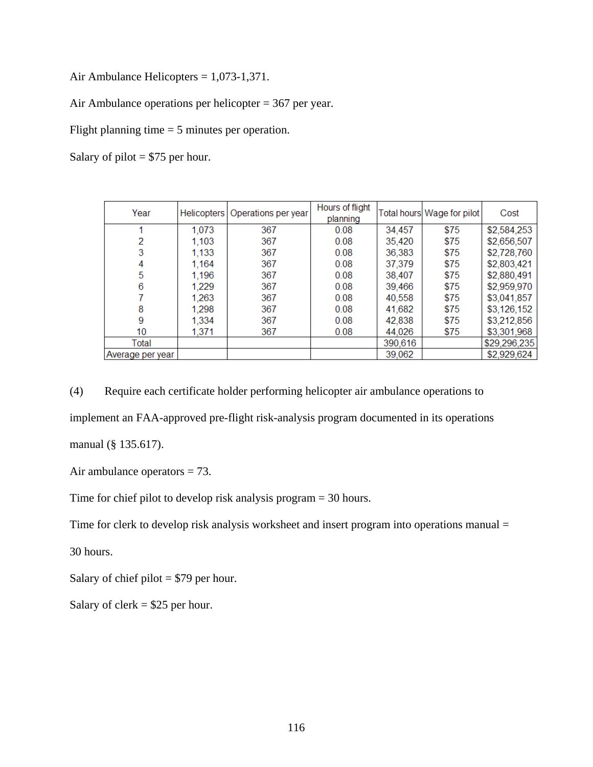Air Ambulance Helicopters = 1,073-1,371.

Air Ambulance operations per helicopter = 367 per year.

Flight planning time = 5 minutes per operation.

Salary of pilot  $= $75$  per hour.

| Year             |       | Helicopters   Operations per year | Hours of flight<br>planning |         | Total hours Wage for pilot | Cost         |
|------------------|-------|-----------------------------------|-----------------------------|---------|----------------------------|--------------|
|                  | 1,073 | 367                               | 0.08                        | 34,457  | \$75                       | \$2,584,253  |
| 2                | 1,103 | 367                               | 0.08                        | 35.420  | \$75                       | \$2,656,507  |
| 3                | 1,133 | 367                               | 0.08                        | 36.383  | \$75                       | \$2,728,760  |
| 4                | 1,164 | 367                               | 0.08                        | 37,379  | \$75                       | \$2,803,421  |
| 5                | 1,196 | 367                               | 0.08                        | 38,407  | \$75                       | \$2,880,491  |
| 6                | 1,229 | 367                               | 0.08                        | 39,466  | \$75                       | \$2,959,970  |
|                  | 1,263 | 367                               | 0.08                        | 40,558  | \$75                       | \$3,041,857  |
| 8                | 1,298 | 367                               | 0.08                        | 41,682  | \$75                       | \$3,126,152  |
| 9                | 1,334 | 367                               | 0.08                        | 42,838  | \$75                       | \$3,212,856  |
| 10               | 1,371 | 367                               | 0.08                        | 44,026  | \$75                       | \$3,301,968  |
| Total            |       |                                   |                             | 390,616 |                            | \$29,296,235 |
| Average per year |       |                                   |                             | 39,062  |                            | \$2,929,624  |

(4) Require each certificate holder performing helicopter air ambulance operations to implement an FAA-approved pre-flight risk-analysis program documented in its operations manual (§ 135.617).

Air ambulance operators = 73.

Time for chief pilot to develop risk analysis program = 30 hours.

Time for clerk to develop risk analysis worksheet and insert program into operations manual =

30 hours.

Salary of chief pilot  $= $79$  per hour.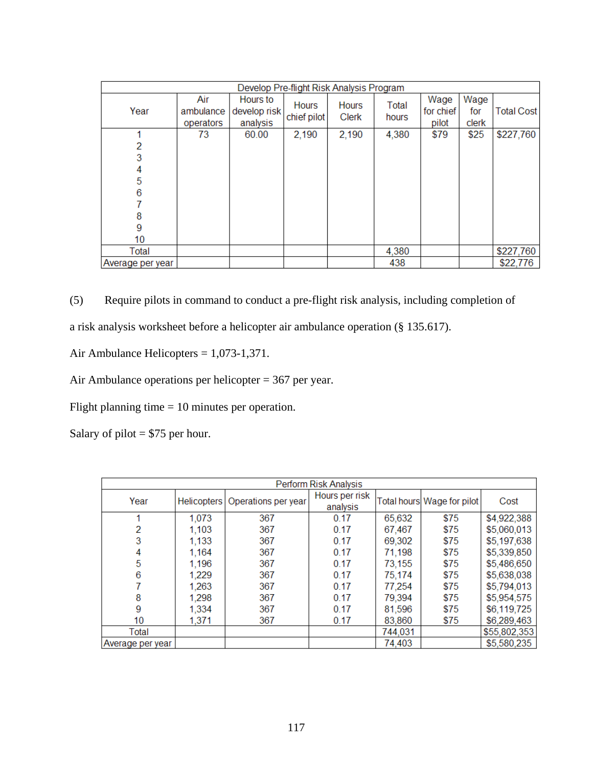|                  | Develop Pre-flight Risk Analysis Program |                                      |                      |                              |                |                            |                      |            |
|------------------|------------------------------------------|--------------------------------------|----------------------|------------------------------|----------------|----------------------------|----------------------|------------|
| Year             | Air<br>ambulance<br>operators            | Hours to<br>develop risk<br>analysis | Hours<br>chief pilot | <b>Hours</b><br><b>Clerk</b> | Total<br>hours | Wage<br>for chief<br>pilot | Wage<br>for<br>clerk | Total Cost |
|                  | 73                                       | 60.00                                | 2,190                | 2,190                        | 4,380          | \$79                       | \$25                 | \$227,760  |
|                  |                                          |                                      |                      |                              |                |                            |                      |            |
| 3                |                                          |                                      |                      |                              |                |                            |                      |            |
|                  |                                          |                                      |                      |                              |                |                            |                      |            |
| 5                |                                          |                                      |                      |                              |                |                            |                      |            |
| 6                |                                          |                                      |                      |                              |                |                            |                      |            |
|                  |                                          |                                      |                      |                              |                |                            |                      |            |
| 8                |                                          |                                      |                      |                              |                |                            |                      |            |
| 9                |                                          |                                      |                      |                              |                |                            |                      |            |
| 10               |                                          |                                      |                      |                              |                |                            |                      |            |
| Total            |                                          |                                      |                      |                              | 4,380          |                            |                      | \$227,760  |
| Average per year |                                          |                                      |                      |                              | 438            |                            |                      | \$22,776   |

(5) Require pilots in command to conduct a pre-flight risk analysis, including completion of

a risk analysis worksheet before a helicopter air ambulance operation (§ 135.617).

Air Ambulance Helicopters = 1,073-1,371.

Air Ambulance operations per helicopter = 367 per year.

Flight planning time = 10 minutes per operation.

Salary of pilot  $= $75$  per hour.

|                  | Perform Risk Analysis |                                   |                            |         |                            |              |  |  |  |
|------------------|-----------------------|-----------------------------------|----------------------------|---------|----------------------------|--------------|--|--|--|
| Year             |                       | Helicopters   Operations per year | Hours per risk<br>analysis |         | Total hours Wage for pilot | Cost         |  |  |  |
|                  | 1,073                 | 367                               | 0.17                       | 65,632  | \$75                       | \$4,922,388  |  |  |  |
| 2                | 1,103                 | 367                               | 0.17                       | 67,467  | \$75                       | \$5,060,013  |  |  |  |
| 3                | 1,133                 | 367                               | 0.17                       | 69,302  | \$75                       | \$5,197,638  |  |  |  |
| 4                | 1,164                 | 367                               | 0.17                       | 71,198  | \$75                       | \$5,339,850  |  |  |  |
| 5                | 1,196                 | 367                               | 0.17                       | 73,155  | \$75                       | \$5,486,650  |  |  |  |
| 6                | 1,229                 | 367                               | 0.17                       | 75,174  | \$75                       | \$5,638,038  |  |  |  |
|                  | 1,263                 | 367                               | 0.17                       | 77,254  | \$75                       | \$5,794,013  |  |  |  |
| 8                | 1,298                 | 367                               | 0.17                       | 79,394  | \$75                       | \$5,954,575  |  |  |  |
| 9                | 1,334                 | 367                               | 0.17                       | 81,596  | \$75                       | \$6,119,725  |  |  |  |
| 10               | 1,371                 | 367                               | 0.17                       | 83,860  | \$75                       | \$6,289,463  |  |  |  |
| Total            |                       |                                   |                            | 744,031 |                            | \$55,802,353 |  |  |  |
| Average per year |                       |                                   |                            | 74,403  |                            | \$5,580,235  |  |  |  |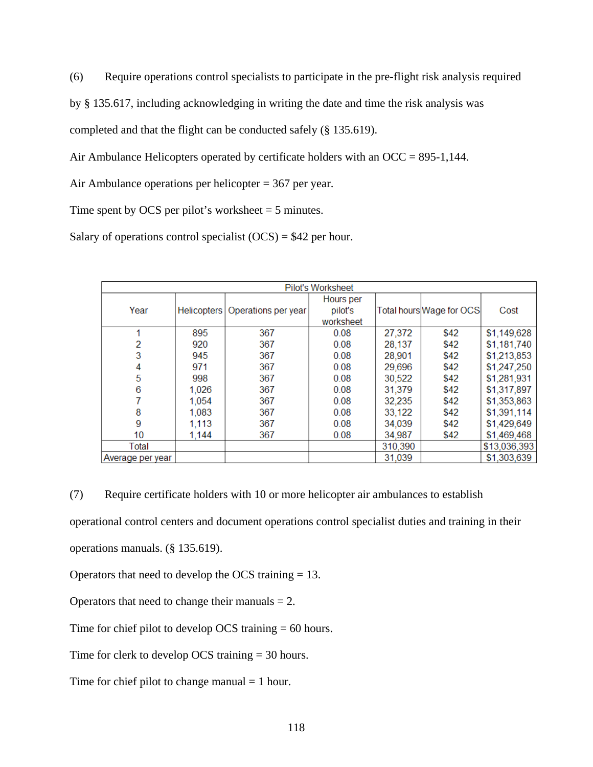(6) Require operations control specialists to participate in the pre-flight risk analysis required

by § 135.617, including acknowledging in writing the date and time the risk analysis was

completed and that the flight can be conducted safely (§ 135.619).

Air Ambulance Helicopters operated by certificate holders with an OCC = 895-1,144.

Air Ambulance operations per helicopter = 367 per year.

Time spent by OCS per pilot's worksheet  $= 5$  minutes.

Salary of operations control specialist  $(OCS) = $42$  per hour.

|                  | Pilot's Worksheet |                                   |           |         |                          |              |  |  |  |
|------------------|-------------------|-----------------------------------|-----------|---------|--------------------------|--------------|--|--|--|
|                  |                   |                                   | Hours per |         |                          |              |  |  |  |
| Year             |                   | Helicopters   Operations per year | pilot's   |         | Total hours Wage for OCS | Cost         |  |  |  |
|                  |                   |                                   | worksheet |         |                          |              |  |  |  |
|                  | 895               | 367                               | 0.08      | 27,372  | \$42                     | \$1,149,628  |  |  |  |
| 2                | 920               | 367                               | 0.08      | 28.137  | \$42                     | \$1,181,740  |  |  |  |
| 3                | 945               | 367                               | 0.08      | 28,901  | \$42                     | \$1,213,853  |  |  |  |
| 4                | 971               | 367                               | 0.08      | 29,696  | \$42                     | \$1,247,250  |  |  |  |
| 5                | 998               | 367                               | 0.08      | 30,522  | \$42                     | \$1,281,931  |  |  |  |
| 6                | 1,026             | 367                               | 0.08      | 31,379  | \$42                     | \$1,317,897  |  |  |  |
| 7                | 1,054             | 367                               | 0.08      | 32,235  | \$42                     | \$1,353,863  |  |  |  |
| 8                | 1,083             | 367                               | 0.08      | 33,122  | \$42                     | \$1,391,114  |  |  |  |
| 9                | 1,113             | 367                               | 0.08      | 34,039  | \$42                     | \$1,429,649  |  |  |  |
| 10 <sup>°</sup>  | 1,144             | 367                               | 0.08      | 34,987  | \$42                     | \$1,469,468  |  |  |  |
| Total            |                   |                                   |           | 310,390 |                          | \$13,036,393 |  |  |  |
| Average per year |                   |                                   |           | 31.039  |                          | \$1,303,639  |  |  |  |

(7) Require certificate holders with 10 or more helicopter air ambulances to establish

operational control centers and document operations control specialist duties and training in their

operations manuals. (§ 135.619).

Operators that need to develop the OCS training = 13.

Operators that need to change their manuals  $= 2$ .

Time for chief pilot to develop OCS training = 60 hours.

Time for clerk to develop OCS training = 30 hours.

Time for chief pilot to change manual  $= 1$  hour.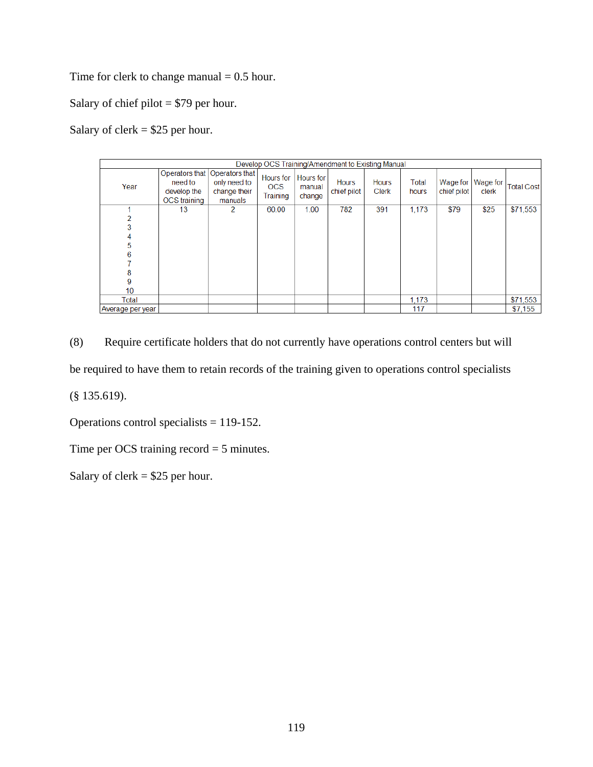Time for clerk to change manual  $= 0.5$  hour.

Salary of chief pilot = \$79 per hour.

Salary of clerk  $= $25$  per hour.

|                  |                                        |                                                                              | Develop OCS Training/Amendment to Existing Manual |                                      |                             |                              |                |                         |                   |                   |
|------------------|----------------------------------------|------------------------------------------------------------------------------|---------------------------------------------------|--------------------------------------|-----------------------------|------------------------------|----------------|-------------------------|-------------------|-------------------|
| Year             | need to<br>develop the<br>OCS training | Operators that   Operators that  <br>only need to<br>change their<br>manuals | <b>Hours</b> for<br><b>OCS</b><br>Training        | <b>Hours</b> for<br>manual<br>change | <b>Hours</b><br>chief pilot | <b>Hours</b><br><b>Clerk</b> | Total<br>hours | Wage for<br>chief pilot | Wage for<br>clerk | <b>Total Cost</b> |
|                  | 13                                     | 2                                                                            | 60.00                                             | 1.00                                 | 782                         | 391                          | 1,173          | \$79                    | \$25              | \$71,553          |
|                  |                                        |                                                                              |                                                   |                                      |                             |                              |                |                         |                   |                   |
|                  |                                        |                                                                              |                                                   |                                      |                             |                              |                |                         |                   |                   |
| 4                |                                        |                                                                              |                                                   |                                      |                             |                              |                |                         |                   |                   |
| 5                |                                        |                                                                              |                                                   |                                      |                             |                              |                |                         |                   |                   |
|                  |                                        |                                                                              |                                                   |                                      |                             |                              |                |                         |                   |                   |
|                  |                                        |                                                                              |                                                   |                                      |                             |                              |                |                         |                   |                   |
| 8                |                                        |                                                                              |                                                   |                                      |                             |                              |                |                         |                   |                   |
| 9                |                                        |                                                                              |                                                   |                                      |                             |                              |                |                         |                   |                   |
| 10               |                                        |                                                                              |                                                   |                                      |                             |                              |                |                         |                   |                   |
| Total            |                                        |                                                                              |                                                   |                                      |                             |                              | 1,173          |                         |                   | \$71,553          |
| Average per year |                                        |                                                                              |                                                   |                                      |                             |                              | 117            |                         |                   | \$7,155           |

(8) Require certificate holders that do not currently have operations control centers but will be required to have them to retain records of the training given to operations control specialists (§ 135.619).

Operations control specialists = 119-152.

Time per OCS training record = 5 minutes.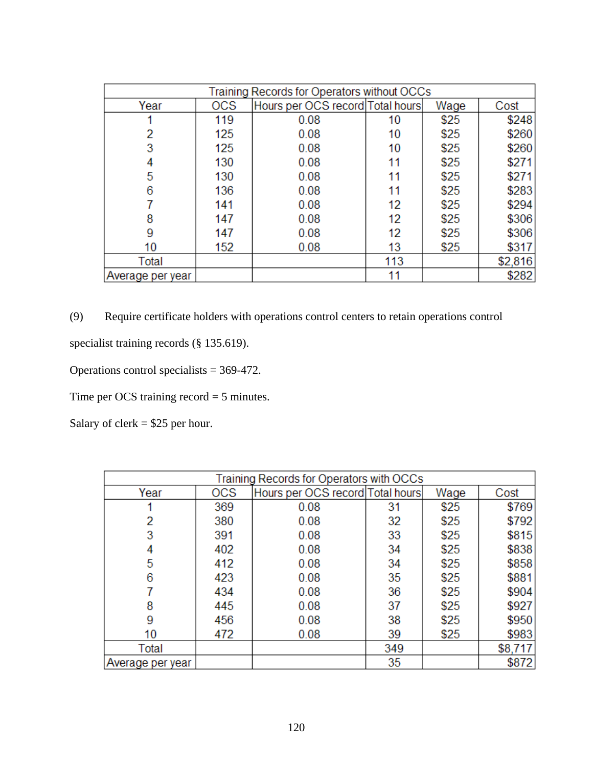|                  | Training Records for Operators without OCCs |                                  |     |      |         |  |  |  |
|------------------|---------------------------------------------|----------------------------------|-----|------|---------|--|--|--|
| Year             | OCS                                         | Hours per OCS record Total hours |     | Wage | Cost    |  |  |  |
|                  | 119                                         | 0.08                             | 10  | \$25 | \$248   |  |  |  |
| 2                | 125                                         | 0.08                             | 10  | \$25 | \$260   |  |  |  |
| 3                | 125                                         | 0.08                             | 10  | \$25 | \$260   |  |  |  |
| 4                | 130                                         | 0.08                             | 11  | \$25 | \$271   |  |  |  |
| 5                | 130                                         | 0.08                             | 11  | \$25 | \$271   |  |  |  |
| 6                | 136                                         | 0.08                             | 11  | \$25 | \$283   |  |  |  |
|                  | 141                                         | 0.08                             | 12  | \$25 | \$294   |  |  |  |
| 8                | 147                                         | 0.08                             | 12  | \$25 | \$306   |  |  |  |
| 9                | 147                                         | 0.08                             | 12  | \$25 | \$306   |  |  |  |
| 10               | 152                                         | 0.08                             | 13  | \$25 | \$317   |  |  |  |
| Total            |                                             |                                  | 113 |      | \$2,816 |  |  |  |
| Average per year |                                             |                                  | 11  |      | \$282   |  |  |  |

(9) Require certificate holders with operations control centers to retain operations control

specialist training records (§ 135.619).

Operations control specialists = 369-472.

Time per OCS training record = 5 minutes.

| Training Records for Operators with OCCs |            |                                  |     |      |         |  |  |
|------------------------------------------|------------|----------------------------------|-----|------|---------|--|--|
| Year                                     | <b>OCS</b> | Hours per OCS record Total hours |     | Wage | Cost    |  |  |
|                                          | 369        | 0.08                             | 31  | \$25 | \$769   |  |  |
| 2                                        | 380        | 0.08                             | 32  | \$25 | \$792   |  |  |
| 3                                        | 391        | 0.08                             | 33  | \$25 | \$815   |  |  |
|                                          | 402        | 0.08                             | 34  | \$25 | \$838   |  |  |
| 5                                        | 412        | 0.08                             | 34  | \$25 | \$858   |  |  |
| 6                                        | 423        | 0.08                             | 35  | \$25 | \$881   |  |  |
|                                          | 434        | 0.08                             | 36  | \$25 | \$904   |  |  |
| 8                                        | 445        | 0.08                             | 37  | \$25 | \$927   |  |  |
| 9                                        | 456        | 0.08                             | 38  | \$25 | \$950   |  |  |
| 10                                       | 472        | 0.08                             | 39  | \$25 | \$983   |  |  |
| Total                                    |            |                                  | 349 |      | \$8,717 |  |  |
| Average per year                         |            |                                  | 35  |      | \$872   |  |  |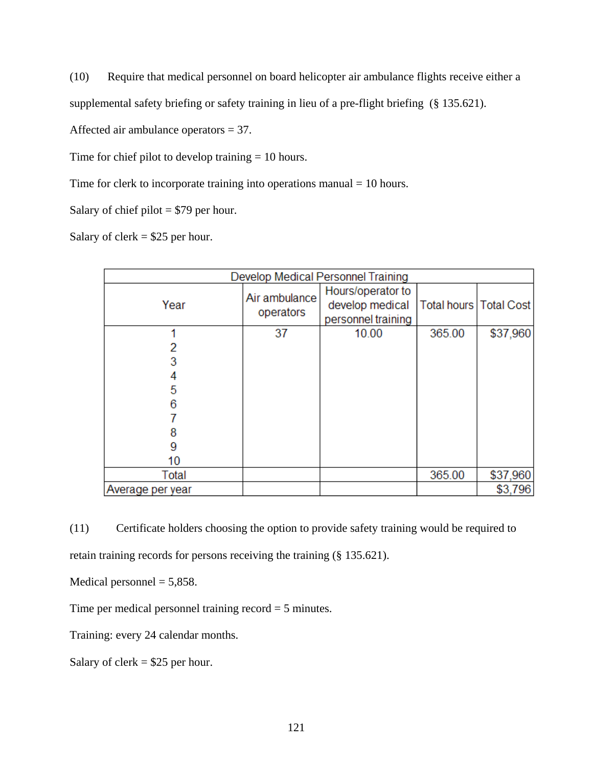(10) Require that medical personnel on board helicopter air ambulance flights receive either a

supplemental safety briefing or safety training in lieu of a pre-flight briefing (§ 135.621).

Affected air ambulance operators = 37.

Time for chief pilot to develop training  $= 10$  hours.

Time for clerk to incorporate training into operations manual = 10 hours.

Salary of chief pilot = \$79 per hour.

Salary of clerk  $= $25$  per hour.

|                  | Develop Medical Personnel Training |                                                            |                          |          |  |  |  |
|------------------|------------------------------------|------------------------------------------------------------|--------------------------|----------|--|--|--|
| Year             | Air ambulance<br>operators         | Hours/operator to<br>develop medical<br>personnel training | Total hours   Total Cost |          |  |  |  |
|                  | 37                                 | 10.00                                                      | 365.00                   | \$37,960 |  |  |  |
|                  |                                    |                                                            |                          |          |  |  |  |
|                  |                                    |                                                            |                          |          |  |  |  |
|                  |                                    |                                                            |                          |          |  |  |  |
| 5                |                                    |                                                            |                          |          |  |  |  |
| 6                |                                    |                                                            |                          |          |  |  |  |
|                  |                                    |                                                            |                          |          |  |  |  |
| 8                |                                    |                                                            |                          |          |  |  |  |
| 9                |                                    |                                                            |                          |          |  |  |  |
| 10               |                                    |                                                            |                          |          |  |  |  |
| Total            |                                    |                                                            | 365.00                   | \$37,960 |  |  |  |
| Average per year |                                    |                                                            |                          | \$3,796  |  |  |  |

(11) Certificate holders choosing the option to provide safety training would be required to retain training records for persons receiving the training (§ 135.621).

Medical personnel  $= 5,858$ .

Time per medical personnel training record = 5 minutes.

Training: every 24 calendar months.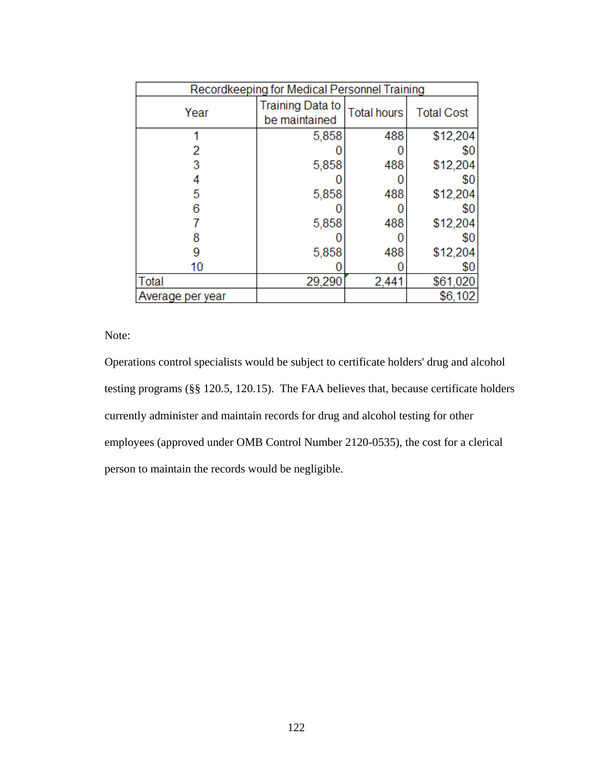| Recordkeeping for Medical Personnel Training |                                          |                    |                   |  |  |  |
|----------------------------------------------|------------------------------------------|--------------------|-------------------|--|--|--|
| Year                                         | <b>Training Data to</b><br>be maintained | <b>Total hours</b> | <b>Total Cost</b> |  |  |  |
|                                              | 5,858                                    | 488                | \$12,204          |  |  |  |
|                                              |                                          |                    | \$0               |  |  |  |
|                                              | 5,858                                    | 488                | \$12,204          |  |  |  |
|                                              |                                          |                    | \$0               |  |  |  |
| 5                                            | 5,858                                    | 488                | \$12,204          |  |  |  |
|                                              |                                          |                    | \$0               |  |  |  |
|                                              | 5,858                                    | 488                | \$12,204          |  |  |  |
|                                              |                                          |                    | \$0               |  |  |  |
|                                              | 5,858                                    | 488                | \$12,204          |  |  |  |
| 10                                           |                                          |                    | \$0               |  |  |  |
| Total                                        | 29,290                                   | 2,441              | \$61,020          |  |  |  |
| Average per year                             |                                          |                    | \$6,102           |  |  |  |

Note:

Operations control specialists would be subject to certificate holders' drug and alcohol testing programs (§§ 120.5, 120.15). The FAA believes that, because certificate holders currently administer and maintain records for drug and alcohol testing for other employees (approved under OMB Control Number 2120-0535), the cost for a clerical person to maintain the records would be negligible.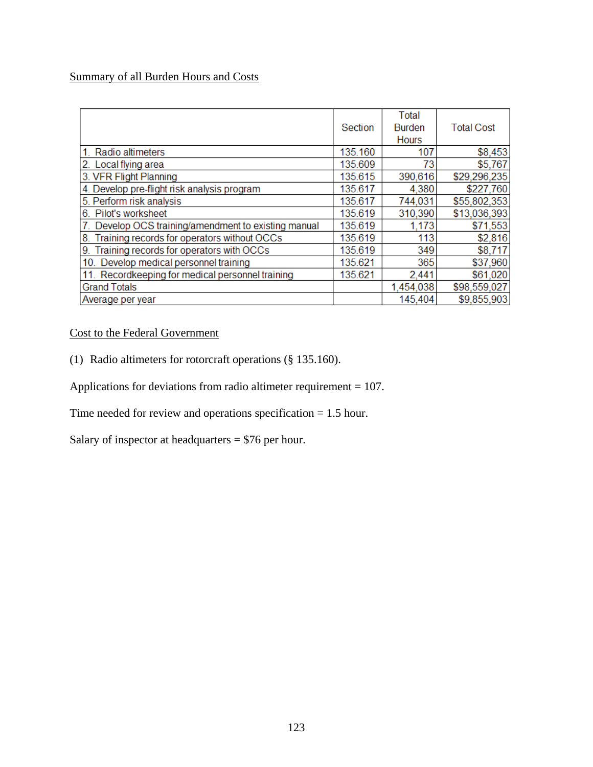# Summary of all Burden Hours and Costs

|                                                   | Section | Total<br><b>Burden</b><br><b>Hours</b> | <b>Total Cost</b> |
|---------------------------------------------------|---------|----------------------------------------|-------------------|
| Radio altimeters<br>1.                            | 135.160 | 107                                    | \$8,453           |
| 2. Local flying area                              | 135.609 | 73                                     | \$5,767           |
| 3. VFR Flight Planning                            | 135.615 | 390,616                                | \$29,296,235      |
| 4. Develop pre-flight risk analysis program       | 135.617 | 4,380                                  | \$227,760         |
| 5. Perform risk analysis                          | 135.617 | 744,031                                | \$55,802,353      |
| 6. Pilot's worksheet                              | 135.619 | 310,390                                | \$13,036,393      |
| Develop OCS training/amendment to existing manual | 135.619 | 1,173                                  | \$71,553          |
| Training records for operators without OCCs<br>8. | 135.619 | 113                                    | \$2,816           |
| Training records for operators with OCCs<br>9.    | 135.619 | 349                                    | \$8,717           |
| 10. Develop medical personnel training            | 135.621 | 365                                    | \$37,960          |
| 11. Recordkeeping for medical personnel training  | 135.621 | 2,441                                  | \$61,020          |
| <b>Grand Totals</b>                               |         | 1,454,038                              | \$98,559,027      |
| Average per year                                  |         | 145,404                                | \$9,855,903       |

# Cost to the Federal Government

(1) Radio altimeters for rotorcraft operations (§ 135.160).

Applications for deviations from radio altimeter requirement = 107.

Time needed for review and operations specification = 1.5 hour.

Salary of inspector at headquarters = \$76 per hour.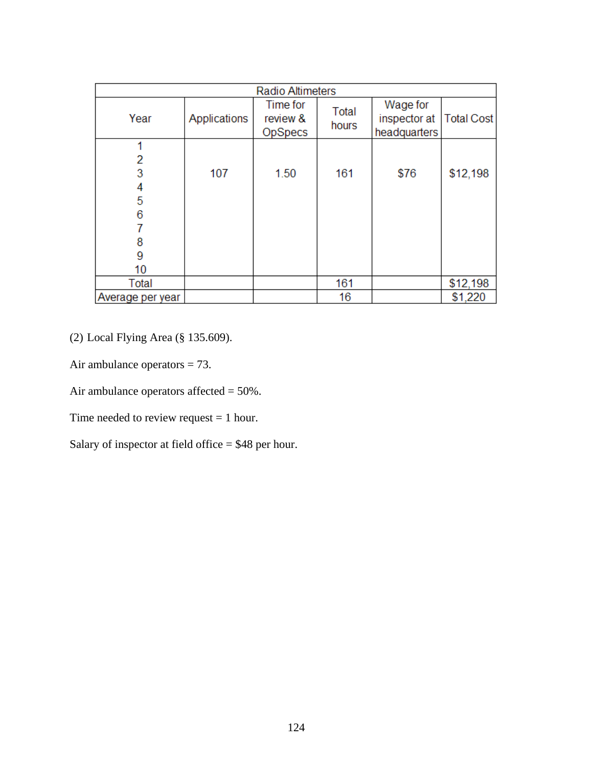| <b>Radio Altimeters</b>                    |              |                                 |                |                                          |                   |
|--------------------------------------------|--------------|---------------------------------|----------------|------------------------------------------|-------------------|
| Year                                       | Applications | Time for<br>review &<br>OpSpecs | Total<br>hours | Wage for<br>inspector at<br>headquarters | <b>Total Cost</b> |
| 1<br>2<br>3<br>4<br>5<br>6<br>8<br>9<br>10 | 107          | 1.50                            | 161            | \$76                                     | \$12,198          |
| Total                                      |              |                                 | 161            |                                          | \$12,198          |
| Average per year                           |              |                                 | 16             |                                          | \$1,220           |

(2) Local Flying Area (§ 135.609).

Air ambulance operators = 73.

Air ambulance operators affected = 50%.

Time needed to review request = 1 hour.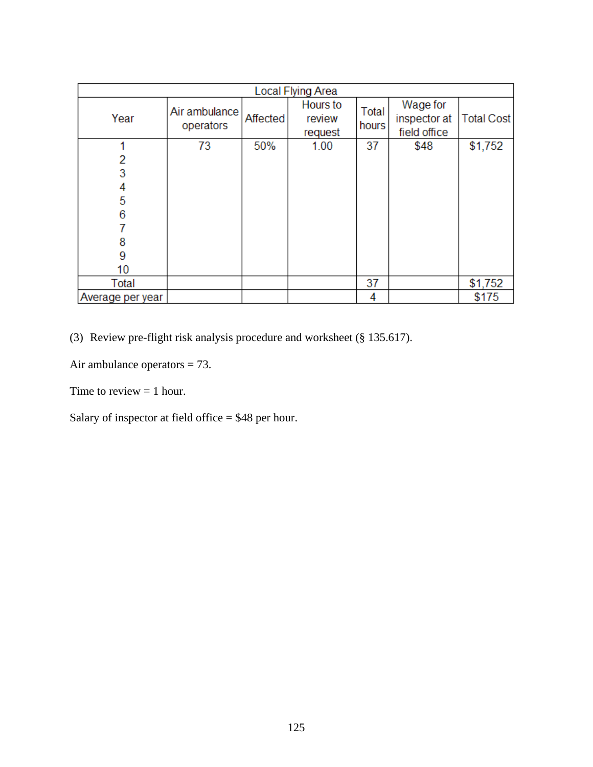| Local Flying Area |                            |          |                               |                |                                          |                   |
|-------------------|----------------------------|----------|-------------------------------|----------------|------------------------------------------|-------------------|
| Year              | Air ambulance<br>operators | Affected | Hours to<br>review<br>request | Total<br>hours | Wage for<br>inspector at<br>field office | <b>Total Cost</b> |
| 4                 | 73                         | 50%      | 1.00                          | 37             | \$48                                     | \$1,752           |
| 2                 |                            |          |                               |                |                                          |                   |
| 3                 |                            |          |                               |                |                                          |                   |
| 4                 |                            |          |                               |                |                                          |                   |
| 5                 |                            |          |                               |                |                                          |                   |
| 6                 |                            |          |                               |                |                                          |                   |
|                   |                            |          |                               |                |                                          |                   |
| 8                 |                            |          |                               |                |                                          |                   |
| 9                 |                            |          |                               |                |                                          |                   |
| 10                |                            |          |                               |                |                                          |                   |
| Total             |                            |          |                               | 37             |                                          | \$1,752           |
| Average per year  |                            |          |                               | 4              |                                          | \$175             |

(3) Review pre-flight risk analysis procedure and worksheet (§ 135.617).

Air ambulance operators = 73.

Time to review  $= 1$  hour.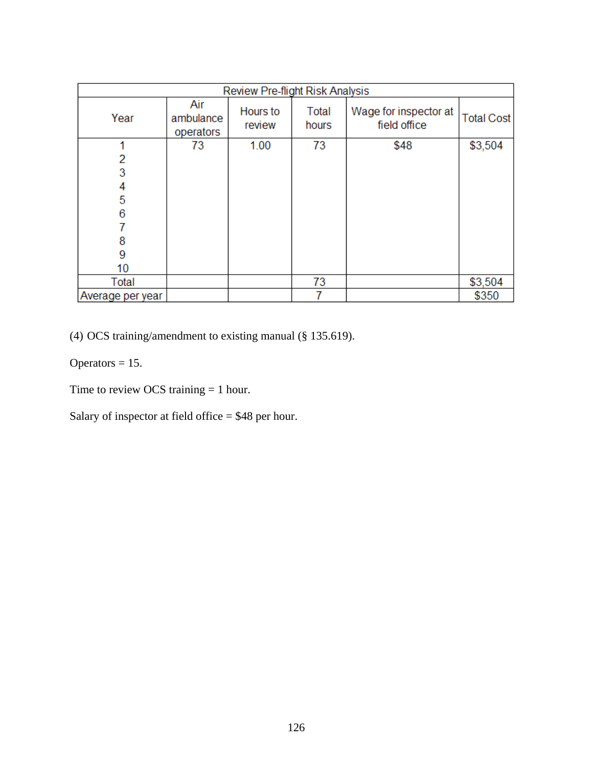| <b>Review Pre-flight Risk Analysis</b> |                               |                    |                |                                       |                   |
|----------------------------------------|-------------------------------|--------------------|----------------|---------------------------------------|-------------------|
| Year                                   | Air<br>ambulance<br>operators | Hours to<br>review | Total<br>hours | Wage for inspector at<br>field office | <b>Total Cost</b> |
|                                        | 73                            | 1.00               | 73             | \$48                                  | \$3,504           |
| 2                                      |                               |                    |                |                                       |                   |
| 3                                      |                               |                    |                |                                       |                   |
| 4                                      |                               |                    |                |                                       |                   |
| 5                                      |                               |                    |                |                                       |                   |
| 6                                      |                               |                    |                |                                       |                   |
|                                        |                               |                    |                |                                       |                   |
| 8                                      |                               |                    |                |                                       |                   |
| 9                                      |                               |                    |                |                                       |                   |
| 10                                     |                               |                    |                |                                       |                   |
| Total                                  |                               |                    | 73             |                                       | \$3,504           |
| Average per year                       |                               |                    |                |                                       | \$350             |

(4) OCS training/amendment to existing manual (§ 135.619).

Operators  $= 15$ .

Time to review OCS training = 1 hour.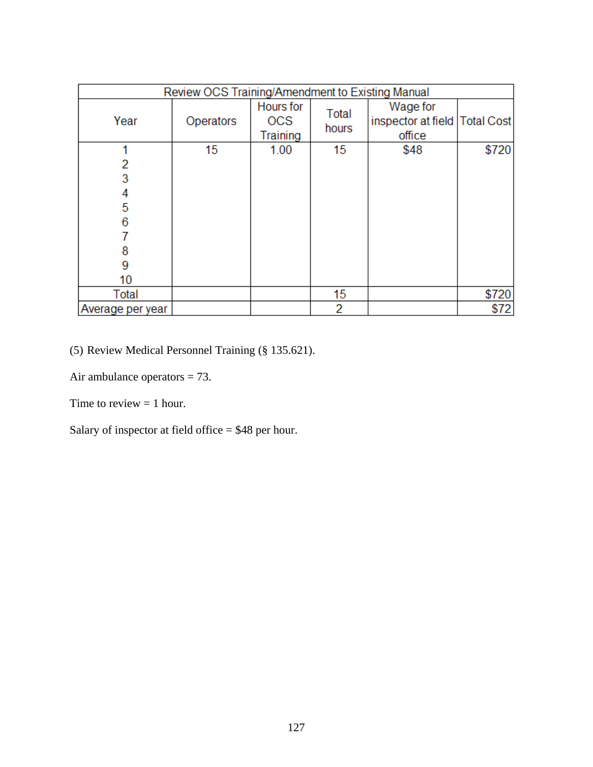| Review OCS Training/Amendment to Existing Manual |           |                                            |                  |                                                         |       |
|--------------------------------------------------|-----------|--------------------------------------------|------------------|---------------------------------------------------------|-------|
| Year                                             | Operators | <b>Hours</b> for<br><b>OCS</b><br>Training | Total<br>hours   | Wage for<br>inspector at field   Total Cost  <br>office |       |
| 2<br>3<br>4<br>5<br>6<br>8<br>9<br>10            | 15        | 1.00                                       | 15 <sub>15</sub> | \$48                                                    | \$720 |
| Total                                            |           |                                            | 15               |                                                         | \$720 |
| Average per year                                 |           |                                            | 2                |                                                         | \$72  |

(5) Review Medical Personnel Training (§ 135.621).

Air ambulance operators = 73.

Time to review  $= 1$  hour.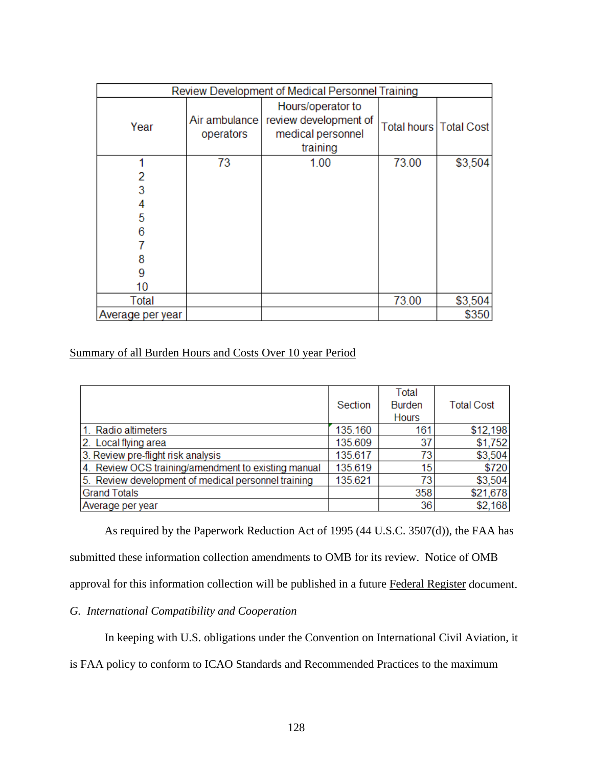| Review Development of Medical Personnel Training |                            |                                                                             |                          |         |
|--------------------------------------------------|----------------------------|-----------------------------------------------------------------------------|--------------------------|---------|
| Year                                             | Air ambulance<br>operators | Hours/operator to<br>review development of<br>medical personnel<br>training | Total hours   Total Cost |         |
| 4                                                | 73                         | 1.00                                                                        | 73.00                    | \$3,504 |
| 2                                                |                            |                                                                             |                          |         |
| 3                                                |                            |                                                                             |                          |         |
|                                                  |                            |                                                                             |                          |         |
| 5                                                |                            |                                                                             |                          |         |
| 6                                                |                            |                                                                             |                          |         |
|                                                  |                            |                                                                             |                          |         |
|                                                  |                            |                                                                             |                          |         |
| 9                                                |                            |                                                                             |                          |         |
| 10                                               |                            |                                                                             |                          |         |
| Total                                            |                            |                                                                             | 73.00                    | \$3,504 |
| Average per year                                 |                            |                                                                             |                          | \$350   |

# Summary of all Burden Hours and Costs Over 10 year Period

|                                                     | Section | Total<br><b>Burden</b><br><b>Hours</b> | <b>Total Cost</b> |
|-----------------------------------------------------|---------|----------------------------------------|-------------------|
| 1. Radio altimeters                                 | 135.160 | 161                                    | \$12,198          |
| 2. Local flying area                                | 135.609 | 37                                     | \$1,752           |
| 3. Review pre-flight risk analysis                  | 135.617 | 73                                     | \$3,504           |
| 4. Review OCS training/amendment to existing manual | 135.619 | 15                                     | \$720             |
| 5. Review development of medical personnel training | 135.621 | 73                                     | \$3,504           |
| <b>Grand Totals</b>                                 |         | 358                                    | \$21,678          |
| Average per year                                    |         | 36                                     | \$2,168           |

As required by the Paperwork Reduction Act of 1995 (44 U.S.C. 3507(d)), the FAA has submitted these information collection amendments to OMB for its review. Notice of OMB approval for this information collection will be published in a future Federal Register document.

# *G. International Compatibility and Cooperation*

In keeping with U.S. obligations under the Convention on International Civil Aviation, it

is FAA policy to conform to ICAO Standards and Recommended Practices to the maximum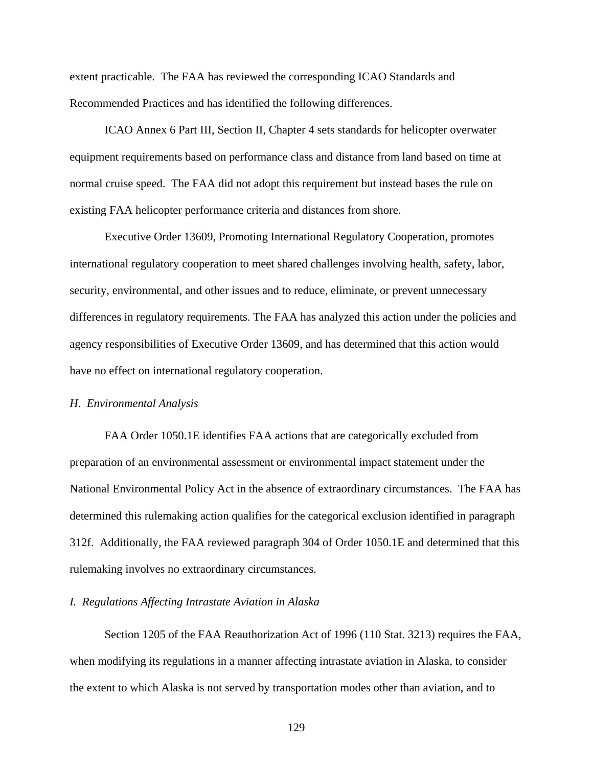extent practicable. The FAA has reviewed the corresponding ICAO Standards and Recommended Practices and has identified the following differences.

ICAO Annex 6 Part III, Section II, Chapter 4 sets standards for helicopter overwater equipment requirements based on performance class and distance from land based on time at normal cruise speed. The FAA did not adopt this requirement but instead bases the rule on existing FAA helicopter performance criteria and distances from shore.

Executive Order 13609, Promoting International Regulatory Cooperation, promotes international regulatory cooperation to meet shared challenges involving health, safety, labor, security, environmental, and other issues and to reduce, eliminate, or prevent unnecessary differences in regulatory requirements. The FAA has analyzed this action under the policies and agency responsibilities of Executive Order 13609, and has determined that this action would have no effect on international regulatory cooperation.

#### *H. Environmental Analysis*

FAA Order 1050.1E identifies FAA actions that are categorically excluded from preparation of an environmental assessment or environmental impact statement under the National Environmental Policy Act in the absence of extraordinary circumstances. The FAA has determined this rulemaking action qualifies for the categorical exclusion identified in paragraph 312f. Additionally, the FAA reviewed paragraph 304 of Order 1050.1E and determined that this rulemaking involves no extraordinary circumstances.

## *I. Regulations Affecting Intrastate Aviation in Alaska*

Section 1205 of the FAA Reauthorization Act of 1996 (110 Stat. 3213) requires the FAA, when modifying its regulations in a manner affecting intrastate aviation in Alaska, to consider the extent to which Alaska is not served by transportation modes other than aviation, and to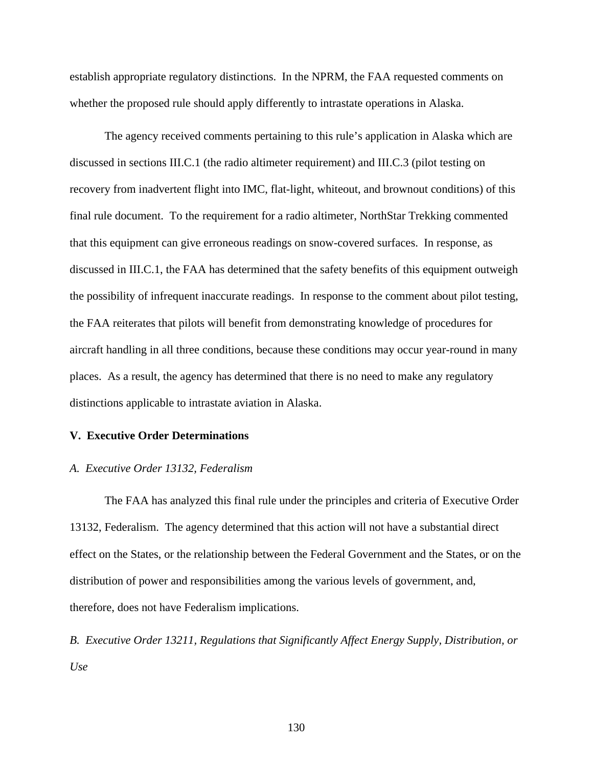establish appropriate regulatory distinctions. In the NPRM, the FAA requested comments on whether the proposed rule should apply differently to intrastate operations in Alaska.

The agency received comments pertaining to this rule's application in Alaska which are discussed in sections III.C.1 (the radio altimeter requirement) and III.C.3 (pilot testing on recovery from inadvertent flight into IMC, flat-light, whiteout, and brownout conditions) of this final rule document. To the requirement for a radio altimeter, NorthStar Trekking commented that this equipment can give erroneous readings on snow-covered surfaces. In response, as discussed in III.C.1, the FAA has determined that the safety benefits of this equipment outweigh the possibility of infrequent inaccurate readings. In response to the comment about pilot testing, the FAA reiterates that pilots will benefit from demonstrating knowledge of procedures for aircraft handling in all three conditions, because these conditions may occur year-round in many places. As a result, the agency has determined that there is no need to make any regulatory distinctions applicable to intrastate aviation in Alaska.

# **V. Executive Order Determinations**

## *A. Executive Order 13132, Federalism*

The FAA has analyzed this final rule under the principles and criteria of Executive Order 13132, Federalism. The agency determined that this action will not have a substantial direct effect on the States, or the relationship between the Federal Government and the States, or on the distribution of power and responsibilities among the various levels of government, and, therefore, does not have Federalism implications.

*B. Executive Order 13211, Regulations that Significantly Affect Energy Supply, Distribution, or Use*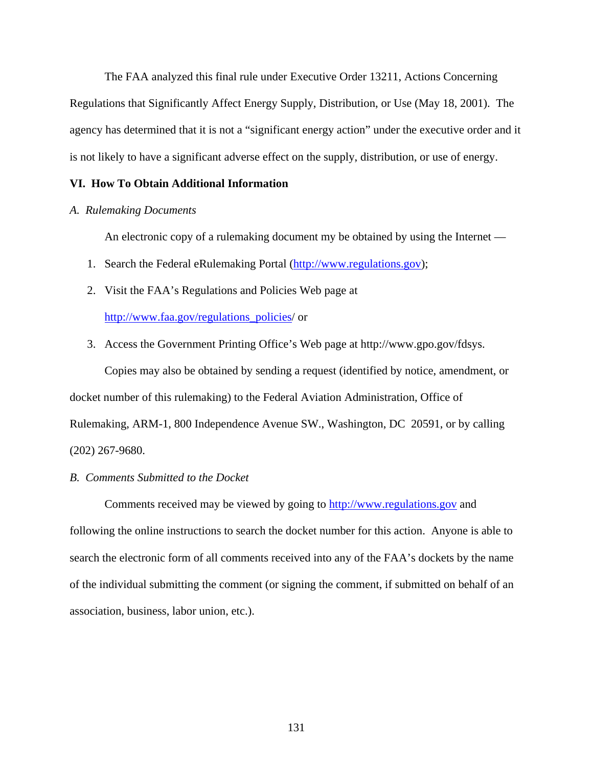The FAA analyzed this final rule under Executive Order 13211, Actions Concerning Regulations that Significantly Affect Energy Supply, Distribution, or Use (May 18, 2001). The agency has determined that it is not a "significant energy action" under the executive order and it is not likely to have a significant adverse effect on the supply, distribution, or use of energy.

# **VI. How To Obtain Additional Information**

# *A. Rulemaking Documents*

An electronic copy of a rulemaking document my be obtained by using the Internet —

- 1. Search the Federal eRulemaking Portal (http://www.regulations.gov);
- 2. Visit the FAA's Regulations and Policies Web page at

http://www.faa.gov/regulations\_policies/ or

3. Access the Government Printing Office's Web page at http://www.gpo.gov/fdsys.

Copies may also be obtained by sending a request (identified by notice, amendment, or docket number of this rulemaking) to the Federal Aviation Administration, Office of Rulemaking, ARM-1, 800 Independence Avenue SW., Washington, DC 20591, or by calling (202) 267-9680.

## *B. Comments Submitted to the Docket*

 Comments received may be viewed by going to http://www.regulations.gov and following the online instructions to search the docket number for this action. Anyone is able to search the electronic form of all comments received into any of the FAA's dockets by the name of the individual submitting the comment (or signing the comment, if submitted on behalf of an association, business, labor union, etc.).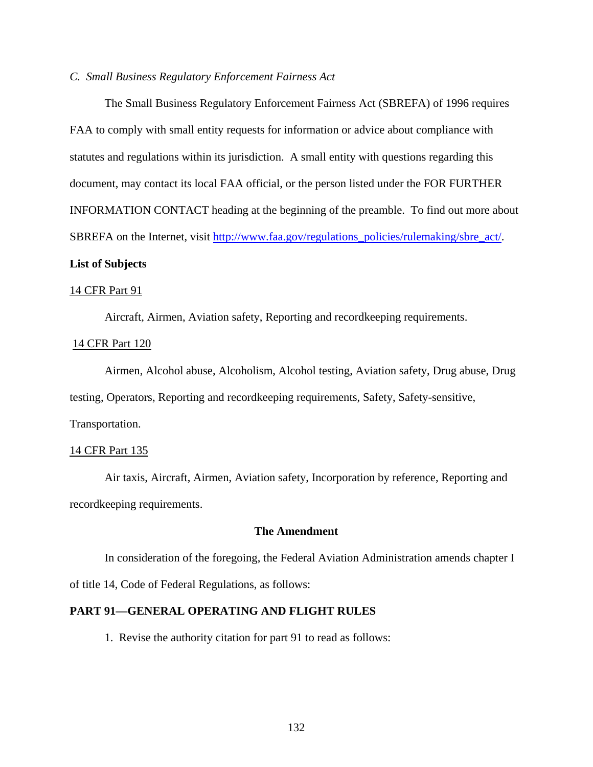# *C. Small Business Regulatory Enforcement Fairness Act*

 The Small Business Regulatory Enforcement Fairness Act (SBREFA) of 1996 requires FAA to comply with small entity requests for information or advice about compliance with statutes and regulations within its jurisdiction. A small entity with questions regarding this document, may contact its local FAA official, or the person listed under the FOR FURTHER INFORMATION CONTACT heading at the beginning of the preamble. To find out more about SBREFA on the Internet, visit http://www.faa.gov/regulations\_policies/rulemaking/sbre\_act/. **List of Subjects**

# 14 CFR Part 91

Aircraft, Airmen, Aviation safety, Reporting and recordkeeping requirements.

#### 14 CFR Part 120

 Airmen, Alcohol abuse, Alcoholism, Alcohol testing, Aviation safety, Drug abuse, Drug testing, Operators, Reporting and recordkeeping requirements, Safety, Safety-sensitive, Transportation.

#### 14 CFR Part 135

 Air taxis, Aircraft, Airmen, Aviation safety, Incorporation by reference, Reporting and recordkeeping requirements.

# **The Amendment**

In consideration of the foregoing, the Federal Aviation Administration amends chapter I of title 14, Code of Federal Regulations, as follows:

# **PART 91—GENERAL OPERATING AND FLIGHT RULES**

1. Revise the authority citation for part 91 to read as follows: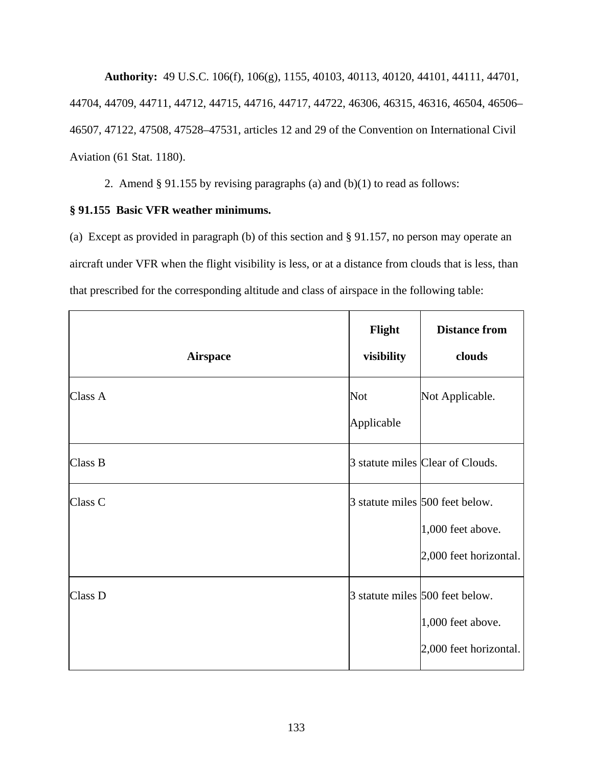**Authority:** 49 U.S.C. 106(f), 106(g), 1155, 40103, 40113, 40120, 44101, 44111, 44701, 44704, 44709, 44711, 44712, 44715, 44716, 44717, 44722, 46306, 46315, 46316, 46504, 46506– 46507, 47122, 47508, 47528–47531, articles 12 and 29 of the Convention on International Civil Aviation (61 Stat. 1180).

2. Amend § 91.155 by revising paragraphs (a) and (b)(1) to read as follows:

# **§ 91.155 Basic VFR weather minimums.**

(a) Except as provided in paragraph (b) of this section and § 91.157, no person may operate an aircraft under VFR when the flight visibility is less, or at a distance from clouds that is less, than that prescribed for the corresponding altitude and class of airspace in the following table:

| <b>Airspace</b> | Flight<br>visibility     | <b>Distance from</b><br>clouds                                                 |
|-----------------|--------------------------|--------------------------------------------------------------------------------|
| Class A         | <b>Not</b><br>Applicable | Not Applicable.                                                                |
| Class B         |                          | 3 statute miles Clear of Clouds.                                               |
| Class C         |                          | 3 statute miles 500 feet below.<br>1,000 feet above.<br>2,000 feet horizontal. |
| Class D         |                          | 3 statute miles 500 feet below.<br>1,000 feet above.<br>2,000 feet horizontal. |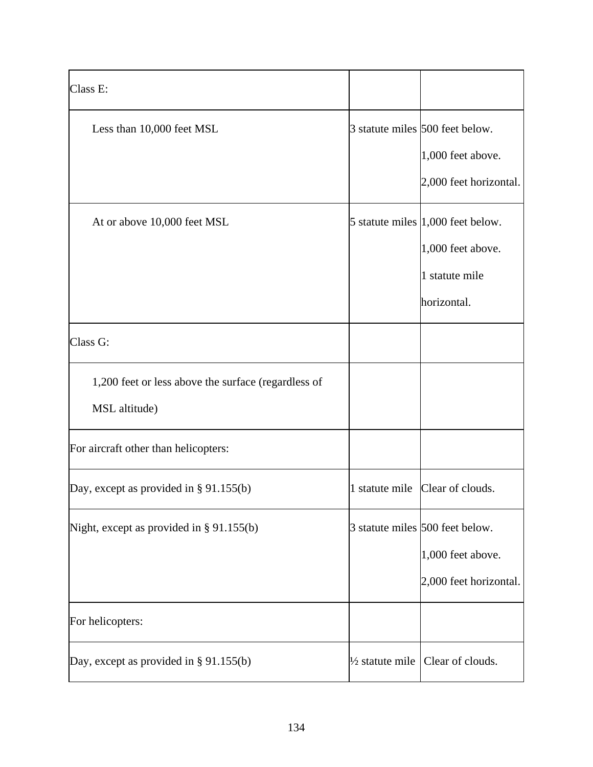| Class E:                                                             |                            |                                                                                            |
|----------------------------------------------------------------------|----------------------------|--------------------------------------------------------------------------------------------|
| Less than 10,000 feet MSL                                            |                            | 3 statute miles 500 feet below.<br>1,000 feet above.<br>2,000 feet horizontal.             |
| At or above 10,000 feet MSL                                          |                            | 5 statute miles $ 1,000$ feet below.<br>1,000 feet above.<br>1 statute mile<br>horizontal. |
| Class G:                                                             |                            |                                                                                            |
| 1,200 feet or less above the surface (regardless of<br>MSL altitude) |                            |                                                                                            |
| For aircraft other than helicopters:                                 |                            |                                                                                            |
| Day, except as provided in $\S 91.155(b)$                            |                            | 1 statute mile Clear of clouds.                                                            |
| Night, except as provided in $\S 91.155(b)$                          |                            | 3 statute miles 500 feet below.<br>1,000 feet above.<br>2,000 feet horizontal.             |
| For helicopters:                                                     |                            |                                                                                            |
| Day, except as provided in $\S 91.155(b)$                            | $\frac{1}{2}$ statute mile | Clear of clouds.                                                                           |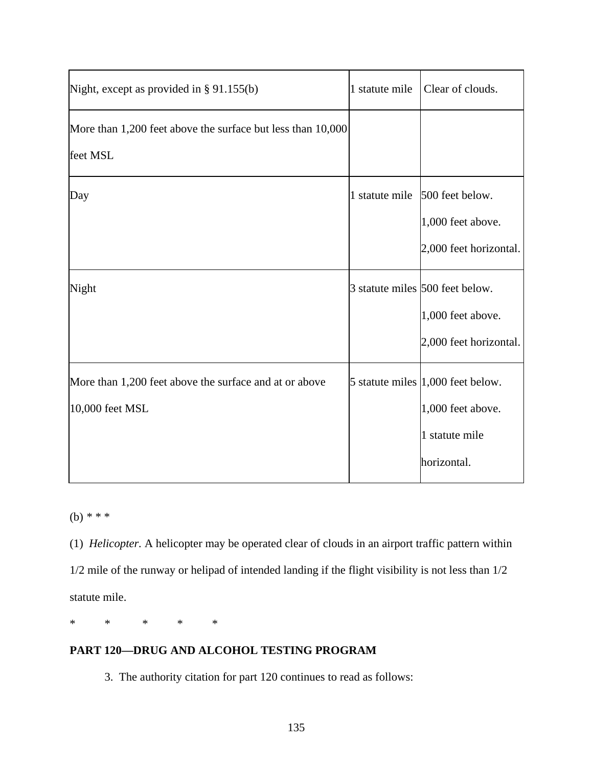| Night, except as provided in $\S 91.155(b)$                               | 1 statute mile | Clear of clouds.                                                                           |
|---------------------------------------------------------------------------|----------------|--------------------------------------------------------------------------------------------|
| More than 1,200 feet above the surface but less than 10,000<br>feet MSL   |                |                                                                                            |
| Day                                                                       |                | 1 statute mile 500 feet below.<br>1,000 feet above.<br>2,000 feet horizontal.              |
| Night                                                                     |                | 3 statute miles 500 feet below.<br>1,000 feet above.<br>2,000 feet horizontal.             |
| More than 1,200 feet above the surface and at or above<br>10,000 feet MSL |                | 5 statute miles $ 1,000$ feet below.<br>1,000 feet above.<br>1 statute mile<br>horizontal. |

(b) *\* \* \**

(1) *Helicopter.* A helicopter may be operated clear of clouds in an airport traffic pattern within 1/2 mile of the runway or helipad of intended landing if the flight visibility is not less than 1/2 statute mile.

\* \* \* \* \*

# **PART 120—DRUG AND ALCOHOL TESTING PROGRAM**

3. The authority citation for part 120 continues to read as follows: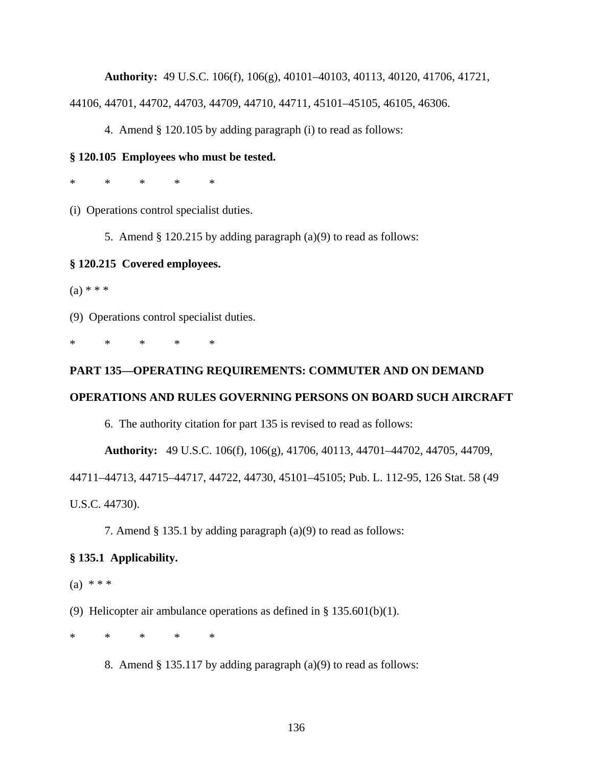**Authority:** 49 U.S.C. 106(f), 106(g), 40101–40103, 40113, 40120, 41706, 41721,

44106, 44701, 44702, 44703, 44709, 44710, 44711, 45101–45105, 46105, 46306.

4. Amend § 120.105 by adding paragraph (i) to read as follows:

## **§ 120.105 Employees who must be tested.**

\* \* \* \* \*

(i) Operations control specialist duties.

5. Amend § 120.215 by adding paragraph (a)(9) to read as follows:

#### **§ 120.215 Covered employees.**

 $(a) * * *$ 

(9) Operations control specialist duties.

\* \* \* \* \*

#### **PART 135—OPERATING REQUIREMENTS: COMMUTER AND ON DEMAND**

#### **OPERATIONS AND RULES GOVERNING PERSONS ON BOARD SUCH AIRCRAFT**

6. The authority citation for part 135 is revised to read as follows:

**Authority:** 49 U.S.C. 106(f), 106(g), 41706, 40113, 44701–44702, 44705, 44709,

44711–44713, 44715–44717, 44722, 44730, 45101–45105; Pub. L. 112-95, 126 Stat. 58 (49

U.S.C. 44730).

7. Amend § 135.1 by adding paragraph (a)(9) to read as follows:

#### **§ 135.1 Applicability.**

 $(a) * * * *$ 

(9) Helicopter air ambulance operations as defined in  $\S 135.601(b)(1)$ .

\* \* \* \* \*

8. Amend § 135.117 by adding paragraph (a)(9) to read as follows: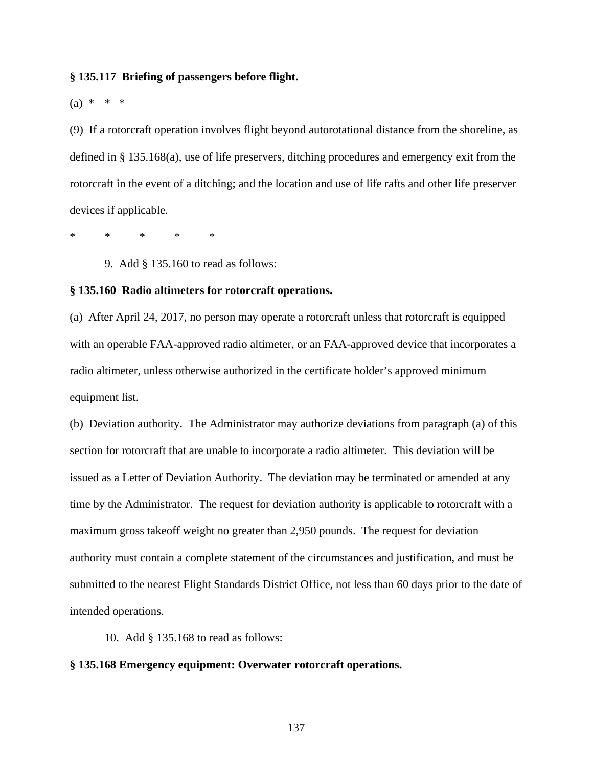## **§ 135.117 Briefing of passengers before flight.**

 $(a) * * * *$ 

(9) If a rotorcraft operation involves flight beyond autorotational distance from the shoreline, as defined in § 135.168(a), use of life preservers, ditching procedures and emergency exit from the rotorcraft in the event of a ditching; and the location and use of life rafts and other life preserver devices if applicable.

\* \* \* \* \*

9. Add § 135.160 to read as follows:

# **§ 135.160 Radio altimeters for rotorcraft operations.**

(a) After April 24, 2017, no person may operate a rotorcraft unless that rotorcraft is equipped with an operable FAA-approved radio altimeter, or an FAA-approved device that incorporates a radio altimeter, unless otherwise authorized in the certificate holder's approved minimum equipment list.

(b) Deviation authority. The Administrator may authorize deviations from paragraph (a) of this section for rotorcraft that are unable to incorporate a radio altimeter. This deviation will be issued as a Letter of Deviation Authority. The deviation may be terminated or amended at any time by the Administrator. The request for deviation authority is applicable to rotorcraft with a maximum gross takeoff weight no greater than 2,950 pounds. The request for deviation authority must contain a complete statement of the circumstances and justification, and must be submitted to the nearest Flight Standards District Office, not less than 60 days prior to the date of intended operations.

10. Add § 135.168 to read as follows:

#### **§ 135.168 Emergency equipment: Overwater rotorcraft operations.**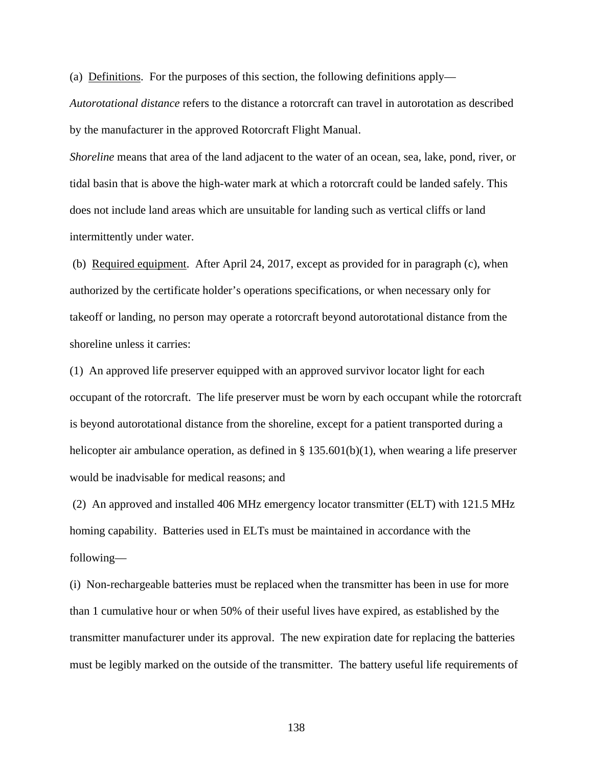(a) Definitions. For the purposes of this section, the following definitions apply—

*Autorotational distance* refers to the distance a rotorcraft can travel in autorotation as described by the manufacturer in the approved Rotorcraft Flight Manual.

*Shoreline* means that area of the land adjacent to the water of an ocean, sea, lake, pond, river, or tidal basin that is above the high-water mark at which a rotorcraft could be landed safely. This does not include land areas which are unsuitable for landing such as vertical cliffs or land intermittently under water.

(b) Required equipment. After April 24, 2017, except as provided for in paragraph (c), when authorized by the certificate holder's operations specifications, or when necessary only for takeoff or landing, no person may operate a rotorcraft beyond autorotational distance from the shoreline unless it carries:

(1) An approved life preserver equipped with an approved survivor locator light for each occupant of the rotorcraft. The life preserver must be worn by each occupant while the rotorcraft is beyond autorotational distance from the shoreline, except for a patient transported during a helicopter air ambulance operation, as defined in § 135.601(b)(1), when wearing a life preserver would be inadvisable for medical reasons; and

 (2) An approved and installed 406 MHz emergency locator transmitter (ELT) with 121.5 MHz homing capability. Batteries used in ELTs must be maintained in accordance with the following—

(i) Non-rechargeable batteries must be replaced when the transmitter has been in use for more than 1 cumulative hour or when 50% of their useful lives have expired, as established by the transmitter manufacturer under its approval. The new expiration date for replacing the batteries must be legibly marked on the outside of the transmitter. The battery useful life requirements of

138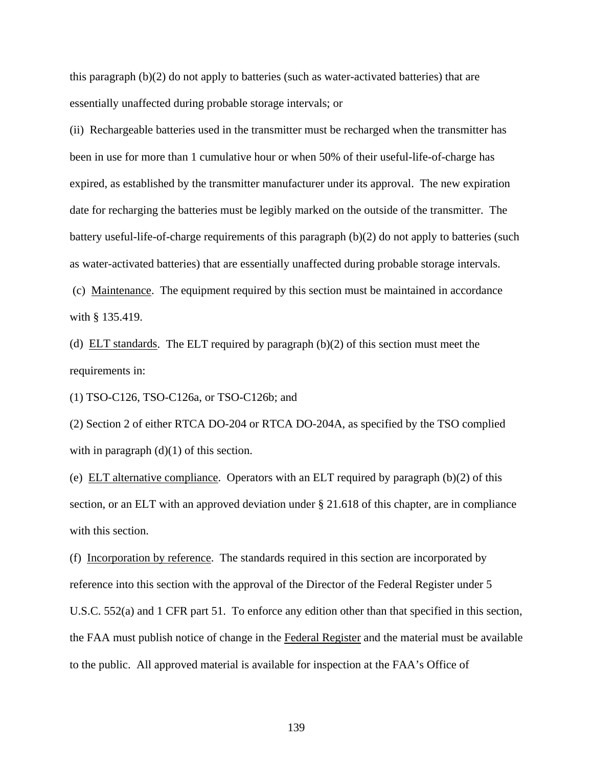this paragraph (b)(2) do not apply to batteries (such as water-activated batteries) that are essentially unaffected during probable storage intervals; or

(ii) Rechargeable batteries used in the transmitter must be recharged when the transmitter has been in use for more than 1 cumulative hour or when 50% of their useful-life-of-charge has expired, as established by the transmitter manufacturer under its approval. The new expiration date for recharging the batteries must be legibly marked on the outside of the transmitter. The battery useful-life-of-charge requirements of this paragraph (b)(2) do not apply to batteries (such as water-activated batteries) that are essentially unaffected during probable storage intervals.

 (c) Maintenance. The equipment required by this section must be maintained in accordance with § 135.419.

(d)  $ELT$  standards. The ELT required by paragraph (b)(2) of this section must meet the requirements in:

(1) TSO-C126, TSO-C126a, or TSO-C126b; and

(2) Section 2 of either RTCA DO-204 or RTCA DO-204A, as specified by the TSO complied with in paragraph  $(d)(1)$  of this section.

(e) ELT alternative compliance. Operators with an ELT required by paragraph (b)(2) of this section, or an ELT with an approved deviation under § 21.618 of this chapter, are in compliance with this section.

(f) Incorporation by reference. The standards required in this section are incorporated by reference into this section with the approval of the Director of the Federal Register under 5 U.S.C. 552(a) and 1 CFR part 51. To enforce any edition other than that specified in this section, the FAA must publish notice of change in the Federal Register and the material must be available to the public. All approved material is available for inspection at the FAA's Office of

139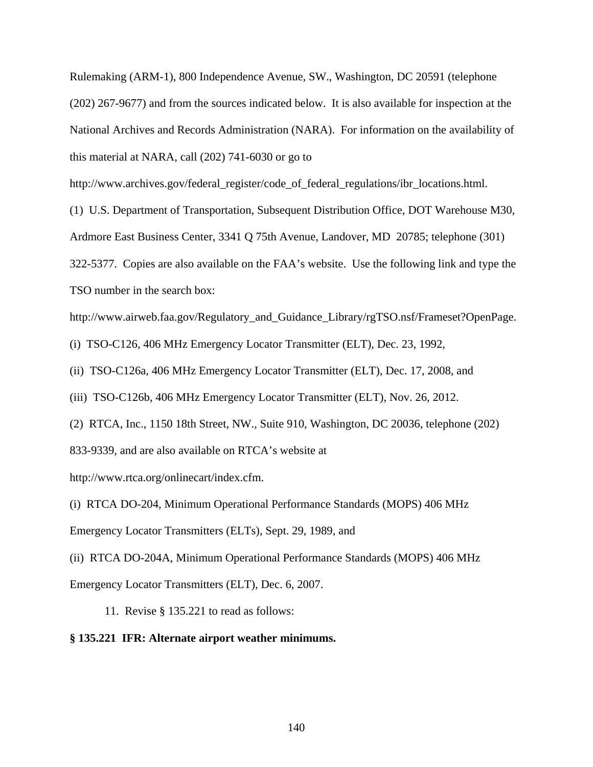Rulemaking (ARM-1), 800 Independence Avenue, SW., Washington, DC 20591 (telephone (202) 267-9677) and from the sources indicated below. It is also available for inspection at the National Archives and Records Administration (NARA). For information on the availability of this material at NARA, call (202) 741-6030 or go to

http://www.archives.gov/federal\_register/code\_of\_federal\_regulations/ibr\_locations.html.

(1) U.S. Department of Transportation, Subsequent Distribution Office, DOT Warehouse M30,

Ardmore East Business Center, 3341 Q 75th Avenue, Landover, MD 20785; telephone (301)

322-5377. Copies are also available on the FAA's website. Use the following link and type the TSO number in the search box:

http://www.airweb.faa.gov/Regulatory\_and\_Guidance\_Library/rgTSO.nsf/Frameset?OpenPage.

(i) TSO-C126, 406 MHz Emergency Locator Transmitter (ELT), Dec. 23, 1992,

(ii) TSO-C126a, 406 MHz Emergency Locator Transmitter (ELT), Dec. 17, 2008, and

(iii) TSO-C126b, 406 MHz Emergency Locator Transmitter (ELT), Nov. 26, 2012.

(2) RTCA, Inc., 1150 18th Street, NW., Suite 910, Washington, DC 20036, telephone (202) 833-9339, and are also available on RTCA's website at

http://www.rtca.org/onlinecart/index.cfm.

(i) RTCA DO-204, Minimum Operational Performance Standards (MOPS) 406 MHz Emergency Locator Transmitters (ELTs), Sept. 29, 1989, and

(ii) RTCA DO-204A, Minimum Operational Performance Standards (MOPS) 406 MHz Emergency Locator Transmitters (ELT), Dec. 6, 2007.

11. Revise § 135.221 to read as follows:

# **§ 135.221 IFR: Alternate airport weather minimums.**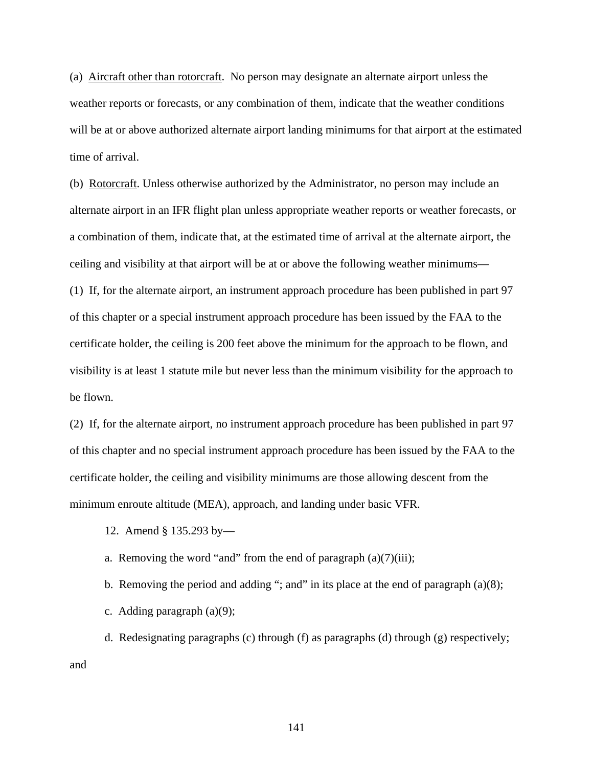(a) Aircraft other than rotorcraft. No person may designate an alternate airport unless the weather reports or forecasts, or any combination of them, indicate that the weather conditions will be at or above authorized alternate airport landing minimums for that airport at the estimated time of arrival.

(b) Rotorcraft. Unless otherwise authorized by the Administrator, no person may include an alternate airport in an IFR flight plan unless appropriate weather reports or weather forecasts, or a combination of them, indicate that, at the estimated time of arrival at the alternate airport, the ceiling and visibility at that airport will be at or above the following weather minimums— (1) If, for the alternate airport, an instrument approach procedure has been published in part 97 of this chapter or a special instrument approach procedure has been issued by the FAA to the

certificate holder, the ceiling is 200 feet above the minimum for the approach to be flown, and visibility is at least 1 statute mile but never less than the minimum visibility for the approach to be flown.

(2) If, for the alternate airport, no instrument approach procedure has been published in part 97 of this chapter and no special instrument approach procedure has been issued by the FAA to the certificate holder, the ceiling and visibility minimums are those allowing descent from the minimum enroute altitude (MEA), approach, and landing under basic VFR.

- 12. Amend § 135.293 by—
- a. Removing the word "and" from the end of paragraph  $(a)(7)(iii)$ ;
- b. Removing the period and adding "; and" in its place at the end of paragraph  $(a)(8)$ ;
- c. Adding paragraph (a)(9);

 d. Redesignating paragraphs (c) through (f) as paragraphs (d) through (g) respectively; and

141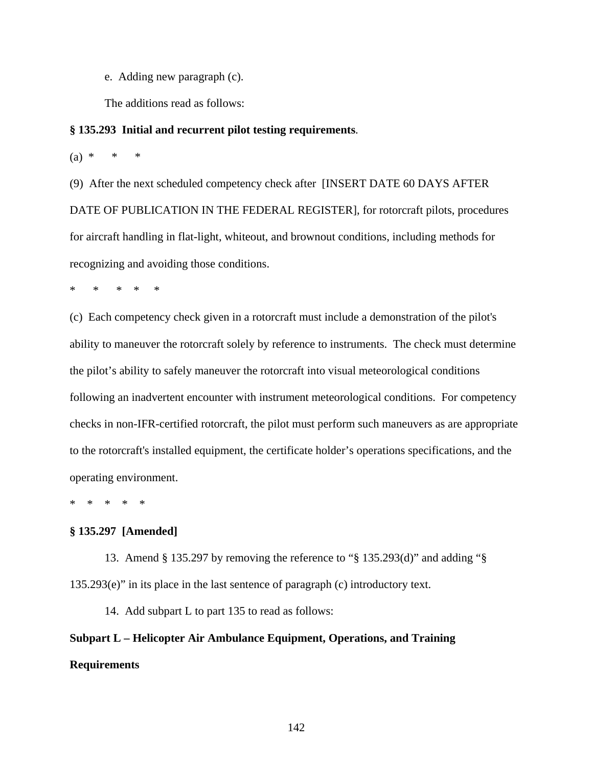e. Adding new paragraph (c).

The additions read as follows:

#### **§ 135.293 Initial and recurrent pilot testing requirements**.

 $(a) * * * * *$ 

(9) After the next scheduled competency check after [INSERT DATE 60 DAYS AFTER DATE OF PUBLICATION IN THE FEDERAL REGISTER], for rotorcraft pilots, procedures for aircraft handling in flat-light, whiteout, and brownout conditions, including methods for recognizing and avoiding those conditions.

\* \* \* \* \*

(c) Each competency check given in a rotorcraft must include a demonstration of the pilot's ability to maneuver the rotorcraft solely by reference to instruments. The check must determine the pilot's ability to safely maneuver the rotorcraft into visual meteorological conditions following an inadvertent encounter with instrument meteorological conditions. For competency checks in non-IFR-certified rotorcraft, the pilot must perform such maneuvers as are appropriate to the rotorcraft's installed equipment, the certificate holder's operations specifications, and the operating environment.

\* \* \* \* \*

# **§ 135.297 [Amended]**

 13. Amend § 135.297 by removing the reference to "§ 135.293(d)" and adding "§ 135.293(e)" in its place in the last sentence of paragraph (c) introductory text.

14. Add subpart L to part 135 to read as follows:

**Subpart L – Helicopter Air Ambulance Equipment, Operations, and Training Requirements**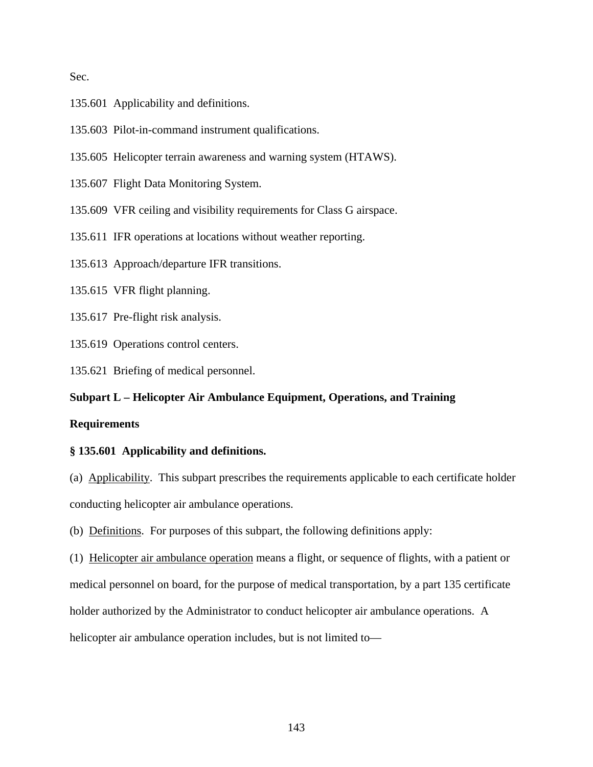Sec.

- 135.601 Applicability and definitions.
- 135.603 Pilot-in-command instrument qualifications.
- 135.605 Helicopter terrain awareness and warning system (HTAWS).
- 135.607 Flight Data Monitoring System.
- 135.609 VFR ceiling and visibility requirements for Class G airspace.
- 135.611 IFR operations at locations without weather reporting.
- 135.613 Approach/departure IFR transitions.
- 135.615 VFR flight planning.
- 135.617 Pre-flight risk analysis.
- 135.619 Operations control centers.
- 135.621 Briefing of medical personnel.

# **Subpart L – Helicopter Air Ambulance Equipment, Operations, and Training**

# **Requirements**

# **§ 135.601 Applicability and definitions.**

(a) Applicability. This subpart prescribes the requirements applicable to each certificate holder conducting helicopter air ambulance operations.

(b) Definitions. For purposes of this subpart, the following definitions apply:

(1) Helicopter air ambulance operation means a flight, or sequence of flights, with a patient or medical personnel on board, for the purpose of medical transportation, by a part 135 certificate holder authorized by the Administrator to conduct helicopter air ambulance operations. A helicopter air ambulance operation includes, but is not limited to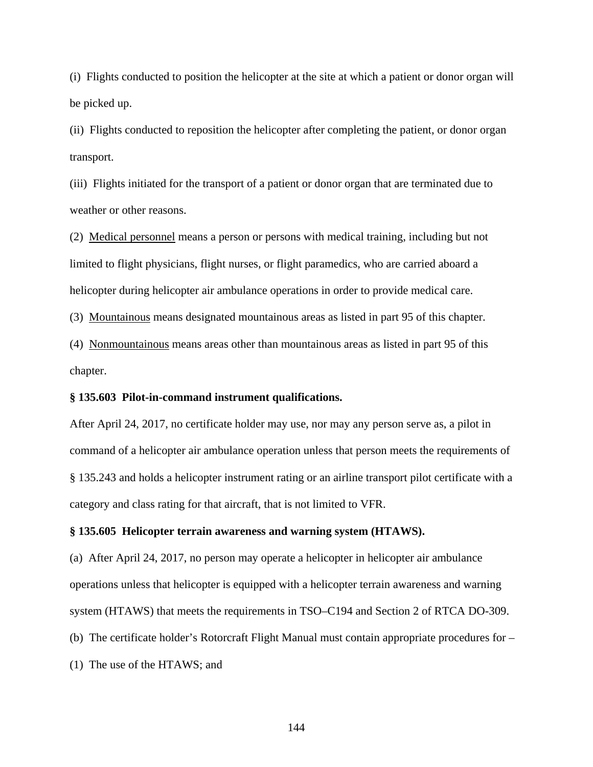(i) Flights conducted to position the helicopter at the site at which a patient or donor organ will be picked up.

(ii) Flights conducted to reposition the helicopter after completing the patient, or donor organ transport.

(iii) Flights initiated for the transport of a patient or donor organ that are terminated due to weather or other reasons.

(2) Medical personnel means a person or persons with medical training, including but not limited to flight physicians, flight nurses, or flight paramedics, who are carried aboard a helicopter during helicopter air ambulance operations in order to provide medical care.

(3) Mountainous means designated mountainous areas as listed in part 95 of this chapter.

(4) Nonmountainous means areas other than mountainous areas as listed in part 95 of this chapter.

#### **§ 135.603 Pilot-in-command instrument qualifications.**

After April 24, 2017, no certificate holder may use, nor may any person serve as, a pilot in command of a helicopter air ambulance operation unless that person meets the requirements of § 135.243 and holds a helicopter instrument rating or an airline transport pilot certificate with a category and class rating for that aircraft, that is not limited to VFR.

#### **§ 135.605 Helicopter terrain awareness and warning system (HTAWS).**

(a) After April 24, 2017, no person may operate a helicopter in helicopter air ambulance operations unless that helicopter is equipped with a helicopter terrain awareness and warning system (HTAWS) that meets the requirements in TSO–C194 and Section 2 of RTCA DO-309.

(b) The certificate holder's Rotorcraft Flight Manual must contain appropriate procedures for –

(1) The use of the HTAWS; and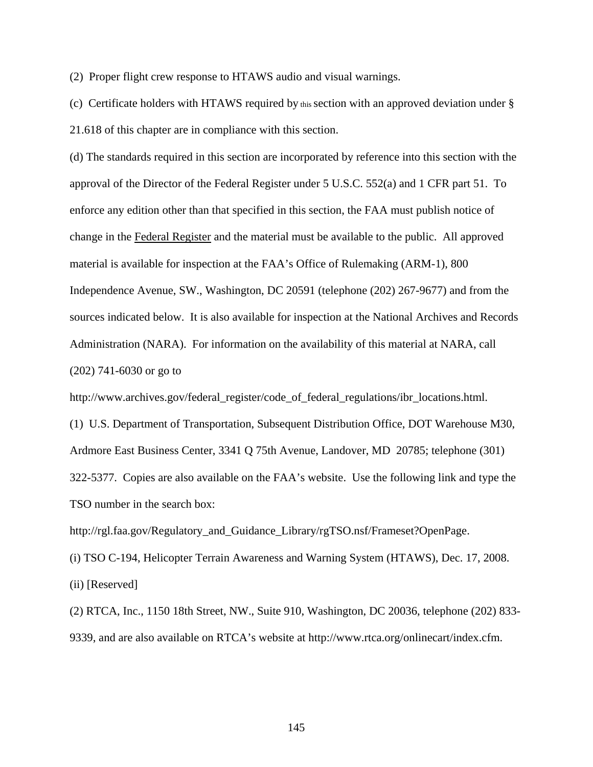(2) Proper flight crew response to HTAWS audio and visual warnings.

(c) Certificate holders with HTAWS required by this section with an approved deviation under § 21.618 of this chapter are in compliance with this section.

(d) The standards required in this section are incorporated by reference into this section with the approval of the Director of the Federal Register under 5 U.S.C. 552(a) and 1 CFR part 51. To enforce any edition other than that specified in this section, the FAA must publish notice of change in the Federal Register and the material must be available to the public. All approved material is available for inspection at the FAA's Office of Rulemaking (ARM-1), 800 Independence Avenue, SW., Washington, DC 20591 (telephone (202) 267-9677) and from the sources indicated below. It is also available for inspection at the National Archives and Records Administration (NARA). For information on the availability of this material at NARA, call (202) 741-6030 or go to

http://www.archives.gov/federal\_register/code\_of\_federal\_regulations/ibr\_locations.html.

(1) U.S. Department of Transportation, Subsequent Distribution Office, DOT Warehouse M30, Ardmore East Business Center, 3341 Q 75th Avenue, Landover, MD 20785; telephone (301) 322-5377. Copies are also available on the FAA's website. Use the following link and type the TSO number in the search box:

http://rgl.faa.gov/Regulatory\_and\_Guidance\_Library/rgTSO.nsf/Frameset?OpenPage.

(i) TSO C-194, Helicopter Terrain Awareness and Warning System (HTAWS), Dec. 17, 2008.

(ii) [Reserved]

(2) RTCA, Inc., 1150 18th Street, NW., Suite 910, Washington, DC 20036, telephone (202) 833- 9339, and are also available on RTCA's website at http://www.rtca.org/onlinecart/index.cfm.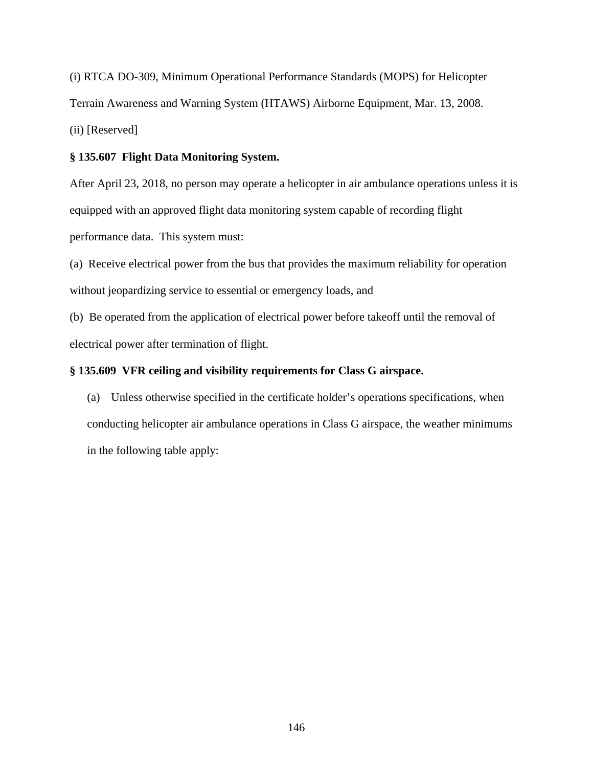(i) RTCA DO-309, Minimum Operational Performance Standards (MOPS) for Helicopter Terrain Awareness and Warning System (HTAWS) Airborne Equipment, Mar. 13, 2008. (ii) [Reserved]

# **§ 135.607 Flight Data Monitoring System.**

After April 23, 2018, no person may operate a helicopter in air ambulance operations unless it is equipped with an approved flight data monitoring system capable of recording flight performance data. This system must:

(a) Receive electrical power from the bus that provides the maximum reliability for operation without jeopardizing service to essential or emergency loads, and

(b) Be operated from the application of electrical power before takeoff until the removal of electrical power after termination of flight.

# **§ 135.609 VFR ceiling and visibility requirements for Class G airspace.**

(a) Unless otherwise specified in the certificate holder's operations specifications, when conducting helicopter air ambulance operations in Class G airspace, the weather minimums in the following table apply: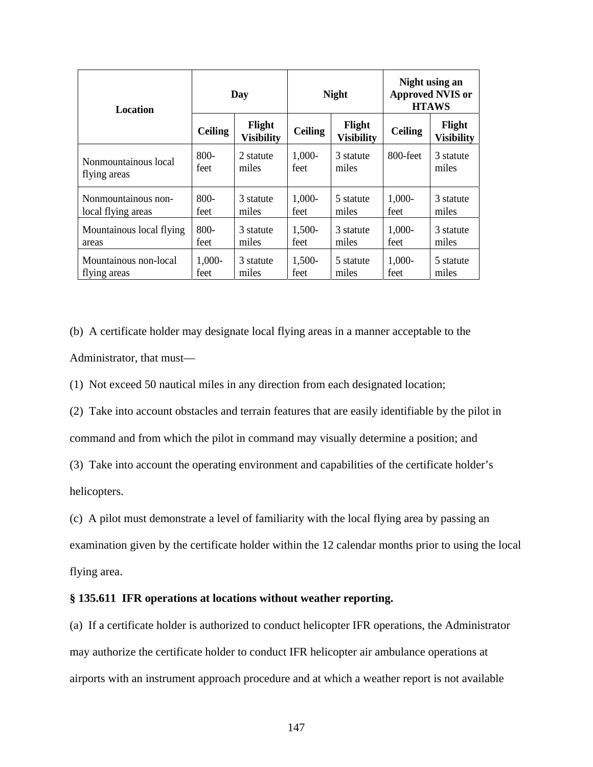| <b>Location</b>          | Day            |                             | <b>Night</b>   |                             | Night using an<br><b>Approved NVIS or</b><br><b>HTAWS</b> |                             |
|--------------------------|----------------|-----------------------------|----------------|-----------------------------|-----------------------------------------------------------|-----------------------------|
|                          | <b>Ceiling</b> | Flight<br><b>Visibility</b> | <b>Ceiling</b> | Flight<br><b>Visibility</b> | <b>Ceiling</b>                                            | Flight<br><b>Visibility</b> |
| Nonmountainous local     | 800-           | 2 statute                   | 1,000-         | 3 statute                   | 800-feet                                                  | 3 statute                   |
| flying areas             | feet           | miles                       | feet           | miles                       |                                                           | miles                       |
| Nonmountainous non-      | 800-           | 3 statute                   | $1,000-$       | 5 statute                   | 1,000-                                                    | 3 statute                   |
| local flying areas       | feet           | miles                       | feet           | miles                       | feet                                                      | miles                       |
| Mountainous local flying | $800 -$        | 3 statute                   | 1,500-         | 3 statute                   | $1,000-$                                                  | 3 statute                   |
| areas                    | feet           | miles                       | feet           | miles                       | feet                                                      | miles                       |
| Mountainous non-local    | 1,000-         | 3 statute                   | 1,500-         | 5 statute                   | 1,000-                                                    | 5 statute                   |
| flying areas             | feet           | miles                       | feet           | miles                       | feet                                                      | miles                       |

(b) A certificate holder may designate local flying areas in a manner acceptable to the Administrator, that must—

(1) Not exceed 50 nautical miles in any direction from each designated location;

(2) Take into account obstacles and terrain features that are easily identifiable by the pilot in

command and from which the pilot in command may visually determine a position; and

(3) Take into account the operating environment and capabilities of the certificate holder's helicopters.

(c) A pilot must demonstrate a level of familiarity with the local flying area by passing an examination given by the certificate holder within the 12 calendar months prior to using the local flying area.

### **§ 135.611 IFR operations at locations without weather reporting.**

(a) If a certificate holder is authorized to conduct helicopter IFR operations, the Administrator may authorize the certificate holder to conduct IFR helicopter air ambulance operations at airports with an instrument approach procedure and at which a weather report is not available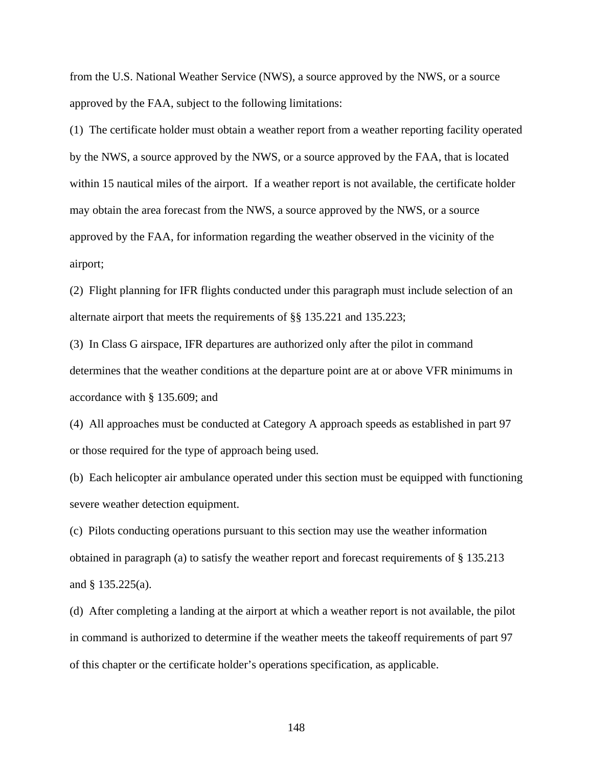from the U.S. National Weather Service (NWS), a source approved by the NWS, or a source approved by the FAA, subject to the following limitations:

(1) The certificate holder must obtain a weather report from a weather reporting facility operated by the NWS, a source approved by the NWS, or a source approved by the FAA, that is located within 15 nautical miles of the airport. If a weather report is not available, the certificate holder may obtain the area forecast from the NWS, a source approved by the NWS, or a source approved by the FAA, for information regarding the weather observed in the vicinity of the airport;

(2) Flight planning for IFR flights conducted under this paragraph must include selection of an alternate airport that meets the requirements of §§ 135.221 and 135.223;

(3) In Class G airspace, IFR departures are authorized only after the pilot in command determines that the weather conditions at the departure point are at or above VFR minimums in accordance with § 135.609; and

(4) All approaches must be conducted at Category A approach speeds as established in part 97 or those required for the type of approach being used.

(b) Each helicopter air ambulance operated under this section must be equipped with functioning severe weather detection equipment.

(c) Pilots conducting operations pursuant to this section may use the weather information obtained in paragraph (a) to satisfy the weather report and forecast requirements of § 135.213 and § 135.225(a).

(d) After completing a landing at the airport at which a weather report is not available, the pilot in command is authorized to determine if the weather meets the takeoff requirements of part 97 of this chapter or the certificate holder's operations specification, as applicable.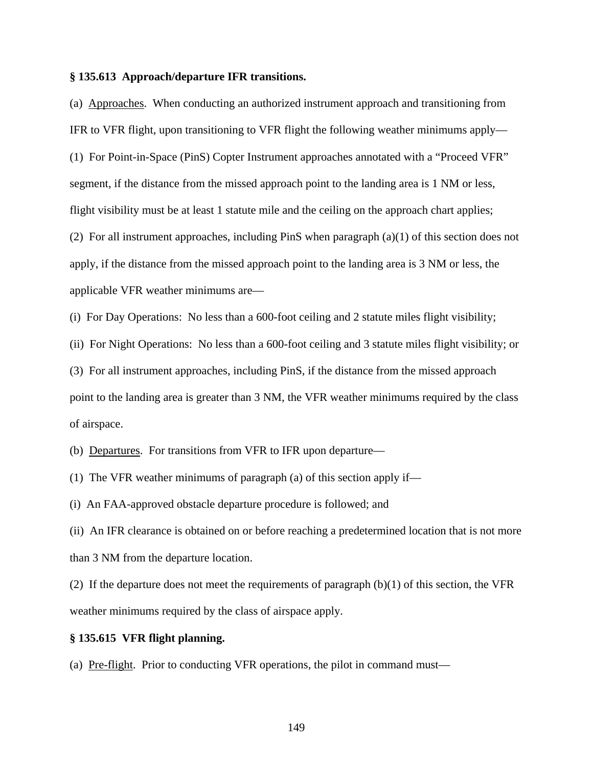#### **§ 135.613 Approach/departure IFR transitions.**

(a) Approaches. When conducting an authorized instrument approach and transitioning from IFR to VFR flight, upon transitioning to VFR flight the following weather minimums apply— (1) For Point-in-Space (PinS) Copter Instrument approaches annotated with a "Proceed VFR" segment, if the distance from the missed approach point to the landing area is 1 NM or less, flight visibility must be at least 1 statute mile and the ceiling on the approach chart applies; (2) For all instrument approaches, including PinS when paragraph (a)(1) of this section does not apply, if the distance from the missed approach point to the landing area is 3 NM or less, the applicable VFR weather minimums are—

(i) For Day Operations: No less than a 600-foot ceiling and 2 statute miles flight visibility;

(ii) For Night Operations: No less than a 600-foot ceiling and 3 statute miles flight visibility; or (3) For all instrument approaches, including PinS, if the distance from the missed approach point to the landing area is greater than 3 NM, the VFR weather minimums required by the class of airspace.

(b) Departures. For transitions from VFR to IFR upon departure—

(1) The VFR weather minimums of paragraph (a) of this section apply if—

(i) An FAA-approved obstacle departure procedure is followed; and

(ii) An IFR clearance is obtained on or before reaching a predetermined location that is not more than 3 NM from the departure location.

(2) If the departure does not meet the requirements of paragraph  $(b)(1)$  of this section, the VFR weather minimums required by the class of airspace apply.

## **§ 135.615 VFR flight planning.**

(a) Pre-flight. Prior to conducting VFR operations, the pilot in command must—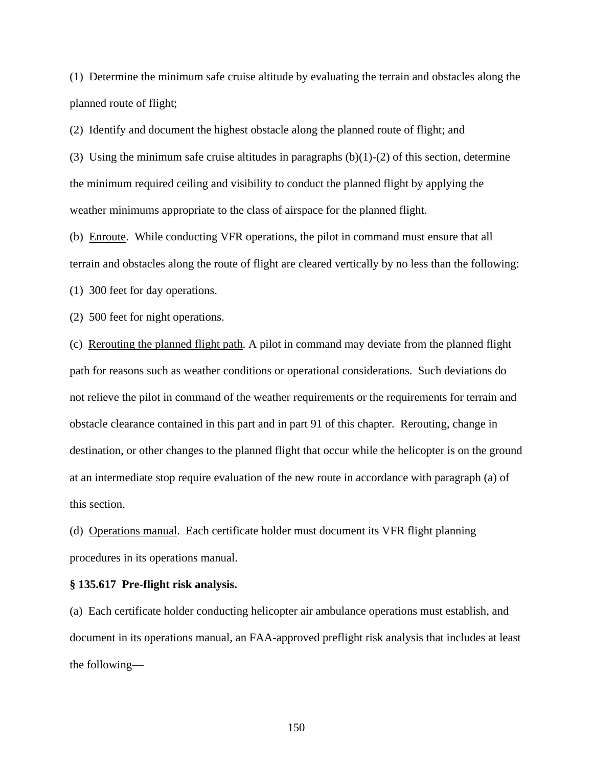(1) Determine the minimum safe cruise altitude by evaluating the terrain and obstacles along the planned route of flight;

(2) Identify and document the highest obstacle along the planned route of flight; and

(3) Using the minimum safe cruise altitudes in paragraphs  $(b)(1)-(2)$  of this section, determine the minimum required ceiling and visibility to conduct the planned flight by applying the weather minimums appropriate to the class of airspace for the planned flight.

(b) Enroute. While conducting VFR operations, the pilot in command must ensure that all terrain and obstacles along the route of flight are cleared vertically by no less than the following:

(1) 300 feet for day operations.

(2) 500 feet for night operations.

(c) Rerouting the planned flight path. A pilot in command may deviate from the planned flight path for reasons such as weather conditions or operational considerations. Such deviations do not relieve the pilot in command of the weather requirements or the requirements for terrain and obstacle clearance contained in this part and in part 91 of this chapter. Rerouting, change in destination, or other changes to the planned flight that occur while the helicopter is on the ground at an intermediate stop require evaluation of the new route in accordance with paragraph (a) of this section.

(d) Operations manual. Each certificate holder must document its VFR flight planning procedures in its operations manual.

### **§ 135.617 Pre-flight risk analysis.**

(a) Each certificate holder conducting helicopter air ambulance operations must establish, and document in its operations manual, an FAA-approved preflight risk analysis that includes at least the following—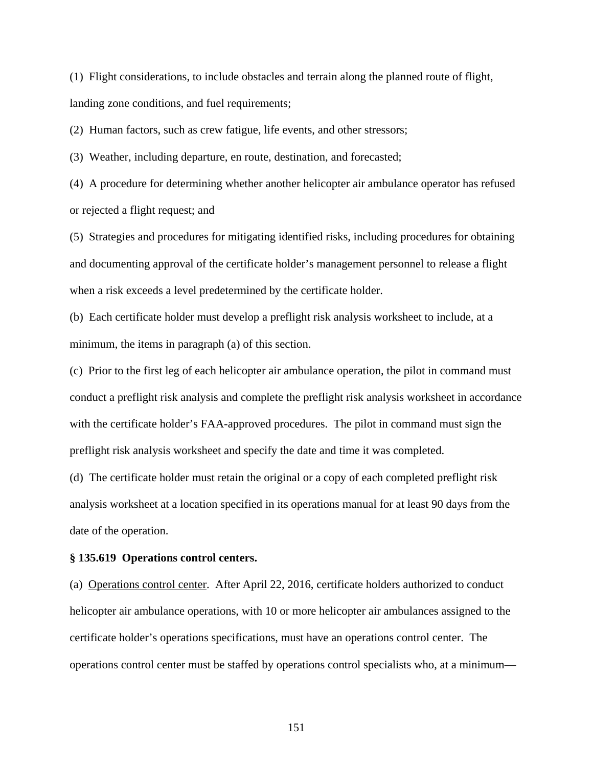(1) Flight considerations, to include obstacles and terrain along the planned route of flight, landing zone conditions, and fuel requirements;

(2) Human factors, such as crew fatigue, life events, and other stressors;

(3) Weather, including departure, en route, destination, and forecasted;

(4) A procedure for determining whether another helicopter air ambulance operator has refused or rejected a flight request; and

(5) Strategies and procedures for mitigating identified risks, including procedures for obtaining and documenting approval of the certificate holder's management personnel to release a flight when a risk exceeds a level predetermined by the certificate holder.

(b) Each certificate holder must develop a preflight risk analysis worksheet to include, at a minimum, the items in paragraph (a) of this section.

(c) Prior to the first leg of each helicopter air ambulance operation, the pilot in command must conduct a preflight risk analysis and complete the preflight risk analysis worksheet in accordance with the certificate holder's FAA-approved procedures. The pilot in command must sign the preflight risk analysis worksheet and specify the date and time it was completed.

(d) The certificate holder must retain the original or a copy of each completed preflight risk analysis worksheet at a location specified in its operations manual for at least 90 days from the date of the operation.

### **§ 135.619 Operations control centers.**

(a) Operations control center. After April 22, 2016, certificate holders authorized to conduct helicopter air ambulance operations, with 10 or more helicopter air ambulances assigned to the certificate holder's operations specifications, must have an operations control center. The operations control center must be staffed by operations control specialists who, at a minimum—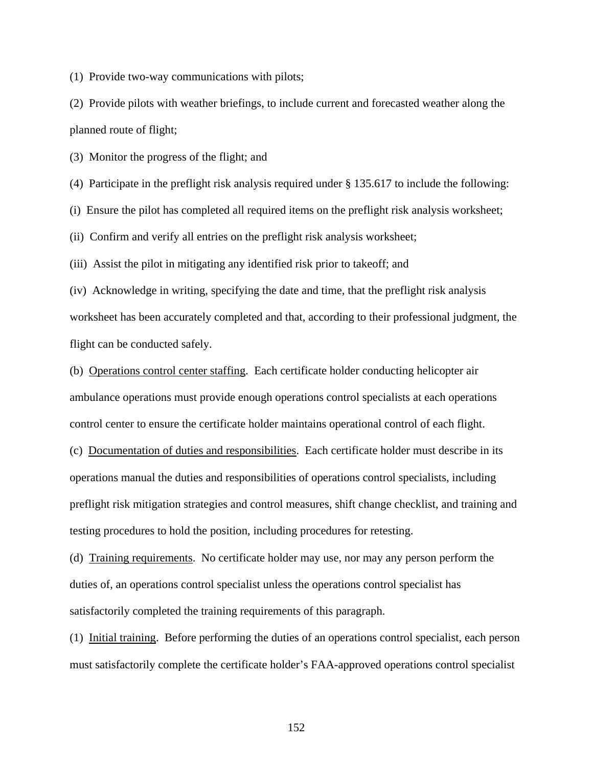(1) Provide two-way communications with pilots;

(2) Provide pilots with weather briefings, to include current and forecasted weather along the planned route of flight;

(3) Monitor the progress of the flight; and

(4) Participate in the preflight risk analysis required under § 135.617 to include the following:

(i) Ensure the pilot has completed all required items on the preflight risk analysis worksheet;

(ii) Confirm and verify all entries on the preflight risk analysis worksheet;

(iii) Assist the pilot in mitigating any identified risk prior to takeoff; and

(iv) Acknowledge in writing, specifying the date and time, that the preflight risk analysis worksheet has been accurately completed and that, according to their professional judgment, the flight can be conducted safely.

(b) Operations control center staffing. Each certificate holder conducting helicopter air ambulance operations must provide enough operations control specialists at each operations control center to ensure the certificate holder maintains operational control of each flight.

(c) Documentation of duties and responsibilities. Each certificate holder must describe in its operations manual the duties and responsibilities of operations control specialists, including preflight risk mitigation strategies and control measures, shift change checklist, and training and testing procedures to hold the position, including procedures for retesting.

(d) Training requirements. No certificate holder may use, nor may any person perform the duties of, an operations control specialist unless the operations control specialist has satisfactorily completed the training requirements of this paragraph.

(1) Initial training. Before performing the duties of an operations control specialist, each person must satisfactorily complete the certificate holder's FAA-approved operations control specialist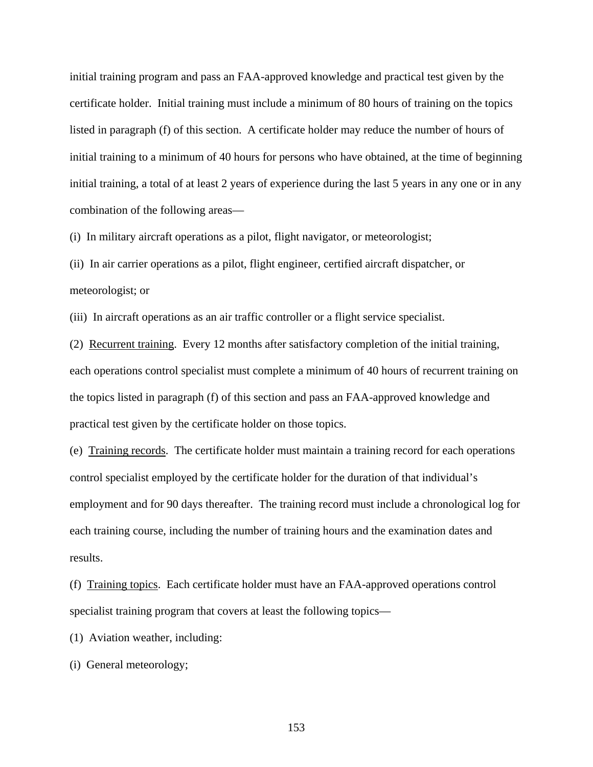initial training program and pass an FAA-approved knowledge and practical test given by the certificate holder. Initial training must include a minimum of 80 hours of training on the topics listed in paragraph (f) of this section. A certificate holder may reduce the number of hours of initial training to a minimum of 40 hours for persons who have obtained, at the time of beginning initial training, a total of at least 2 years of experience during the last 5 years in any one or in any combination of the following areas—

(i) In military aircraft operations as a pilot, flight navigator, or meteorologist;

(ii) In air carrier operations as a pilot, flight engineer, certified aircraft dispatcher, or meteorologist; or

(iii) In aircraft operations as an air traffic controller or a flight service specialist.

(2) Recurrent training. Every 12 months after satisfactory completion of the initial training, each operations control specialist must complete a minimum of 40 hours of recurrent training on the topics listed in paragraph (f) of this section and pass an FAA-approved knowledge and practical test given by the certificate holder on those topics.

(e) Training records. The certificate holder must maintain a training record for each operations control specialist employed by the certificate holder for the duration of that individual's employment and for 90 days thereafter. The training record must include a chronological log for each training course, including the number of training hours and the examination dates and results.

(f) Training topics. Each certificate holder must have an FAA-approved operations control specialist training program that covers at least the following topics—

(1) Aviation weather, including:

(i) General meteorology;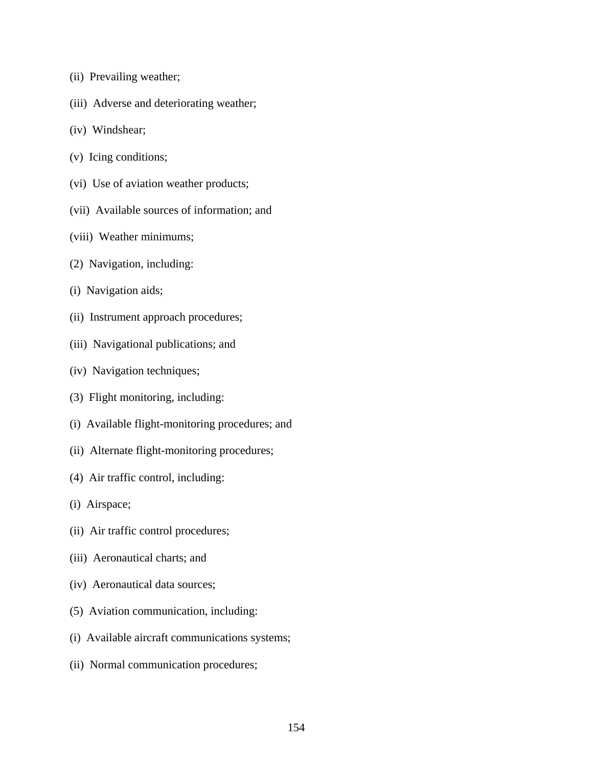- (ii) Prevailing weather;
- (iii) Adverse and deteriorating weather;
- (iv) Windshear;
- (v) Icing conditions;
- (vi) Use of aviation weather products;
- (vii) Available sources of information; and
- (viii) Weather minimums;
- (2) Navigation, including:
- (i) Navigation aids;
- (ii) Instrument approach procedures;
- (iii) Navigational publications; and
- (iv) Navigation techniques;
- (3) Flight monitoring, including:
- (i) Available flight-monitoring procedures; and
- (ii) Alternate flight-monitoring procedures;
- (4) Air traffic control, including:
- (i) Airspace;
- (ii) Air traffic control procedures;
- (iii) Aeronautical charts; and
- (iv) Aeronautical data sources;
- (5) Aviation communication, including:
- (i) Available aircraft communications systems;
- (ii) Normal communication procedures;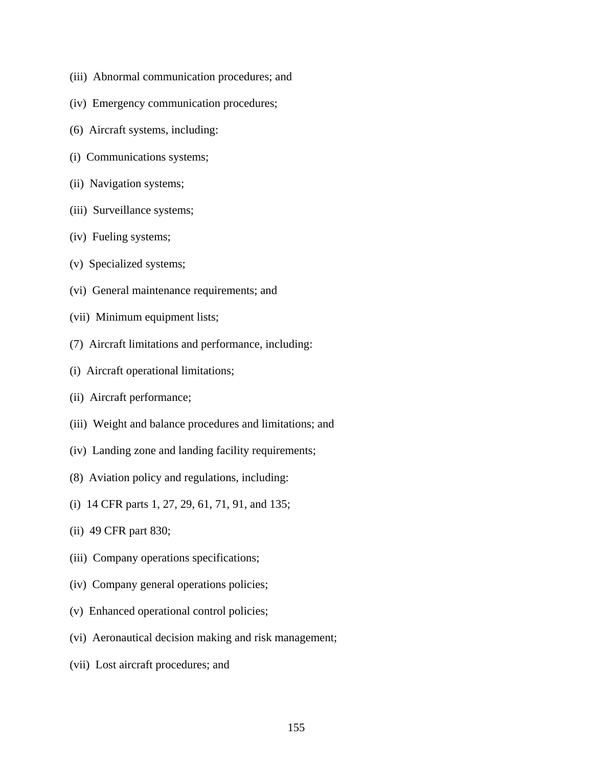- (iii) Abnormal communication procedures; and
- (iv) Emergency communication procedures;
- (6) Aircraft systems, including:
- (i) Communications systems;
- (ii) Navigation systems;
- (iii) Surveillance systems;
- (iv) Fueling systems;
- (v) Specialized systems;
- (vi) General maintenance requirements; and
- (vii) Minimum equipment lists;
- (7) Aircraft limitations and performance, including:
- (i) Aircraft operational limitations;
- (ii) Aircraft performance;
- (iii) Weight and balance procedures and limitations; and
- (iv) Landing zone and landing facility requirements;
- (8) Aviation policy and regulations, including:
- (i) 14 CFR parts 1, 27, 29, 61, 71, 91, and 135;
- (ii) 49 CFR part 830;
- (iii) Company operations specifications;
- (iv) Company general operations policies;
- (v) Enhanced operational control policies;
- (vi) Aeronautical decision making and risk management;
- (vii) Lost aircraft procedures; and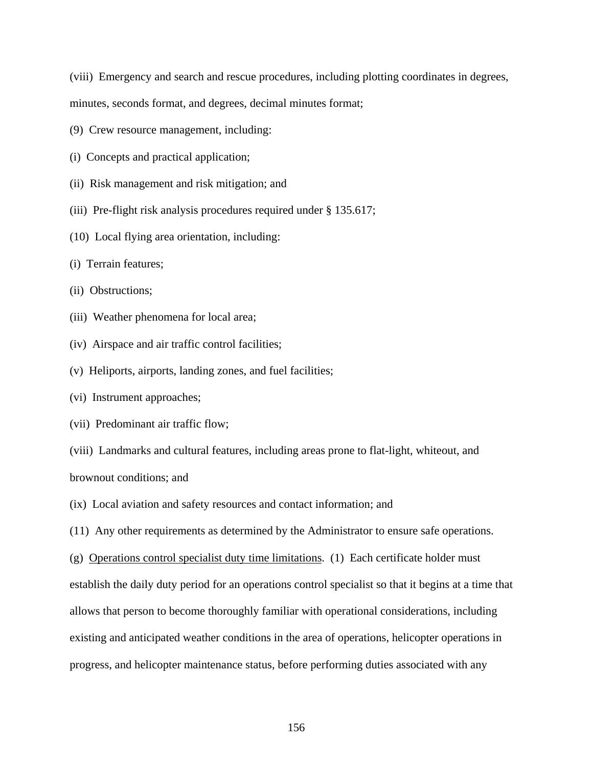(viii) Emergency and search and rescue procedures, including plotting coordinates in degrees,

minutes, seconds format, and degrees, decimal minutes format;

- (9) Crew resource management, including:
- (i) Concepts and practical application;
- (ii) Risk management and risk mitigation; and
- (iii) Pre-flight risk analysis procedures required under § 135.617;
- (10) Local flying area orientation, including:
- (i) Terrain features;
- (ii) Obstructions;
- (iii) Weather phenomena for local area;
- (iv) Airspace and air traffic control facilities;
- (v) Heliports, airports, landing zones, and fuel facilities;
- (vi) Instrument approaches;
- (vii) Predominant air traffic flow;
- (viii) Landmarks and cultural features, including areas prone to flat-light, whiteout, and brownout conditions; and
- (ix) Local aviation and safety resources and contact information; and
- (11) Any other requirements as determined by the Administrator to ensure safe operations.

(g) Operations control specialist duty time limitations. (1) Each certificate holder must establish the daily duty period for an operations control specialist so that it begins at a time that allows that person to become thoroughly familiar with operational considerations, including existing and anticipated weather conditions in the area of operations, helicopter operations in progress, and helicopter maintenance status, before performing duties associated with any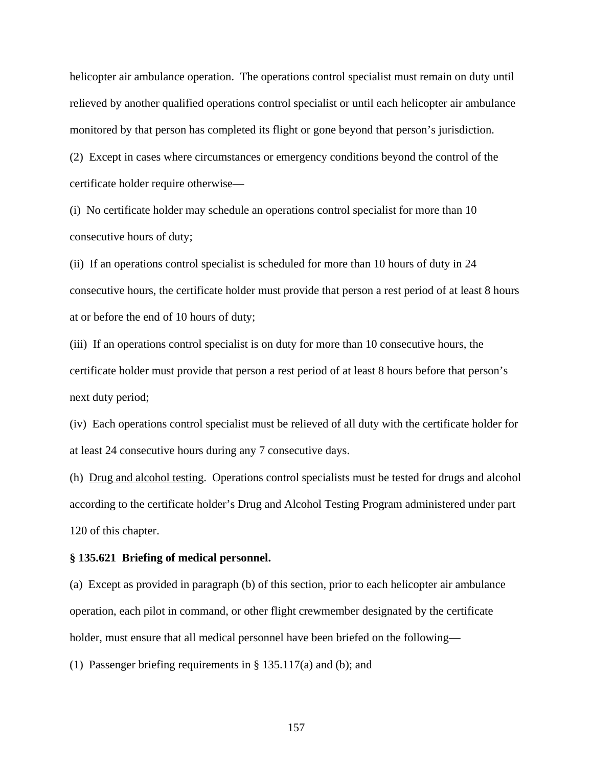helicopter air ambulance operation. The operations control specialist must remain on duty until relieved by another qualified operations control specialist or until each helicopter air ambulance monitored by that person has completed its flight or gone beyond that person's jurisdiction.

(2) Except in cases where circumstances or emergency conditions beyond the control of the certificate holder require otherwise—

(i) No certificate holder may schedule an operations control specialist for more than 10 consecutive hours of duty;

(ii) If an operations control specialist is scheduled for more than 10 hours of duty in 24 consecutive hours, the certificate holder must provide that person a rest period of at least 8 hours at or before the end of 10 hours of duty;

(iii) If an operations control specialist is on duty for more than 10 consecutive hours, the certificate holder must provide that person a rest period of at least 8 hours before that person's next duty period;

(iv) Each operations control specialist must be relieved of all duty with the certificate holder for at least 24 consecutive hours during any 7 consecutive days.

(h) Drug and alcohol testing. Operations control specialists must be tested for drugs and alcohol according to the certificate holder's Drug and Alcohol Testing Program administered under part 120 of this chapter.

### **§ 135.621 Briefing of medical personnel.**

(a) Except as provided in paragraph (b) of this section, prior to each helicopter air ambulance operation, each pilot in command, or other flight crewmember designated by the certificate holder, must ensure that all medical personnel have been briefed on the following—

(1) Passenger briefing requirements in § 135.117(a) and (b); and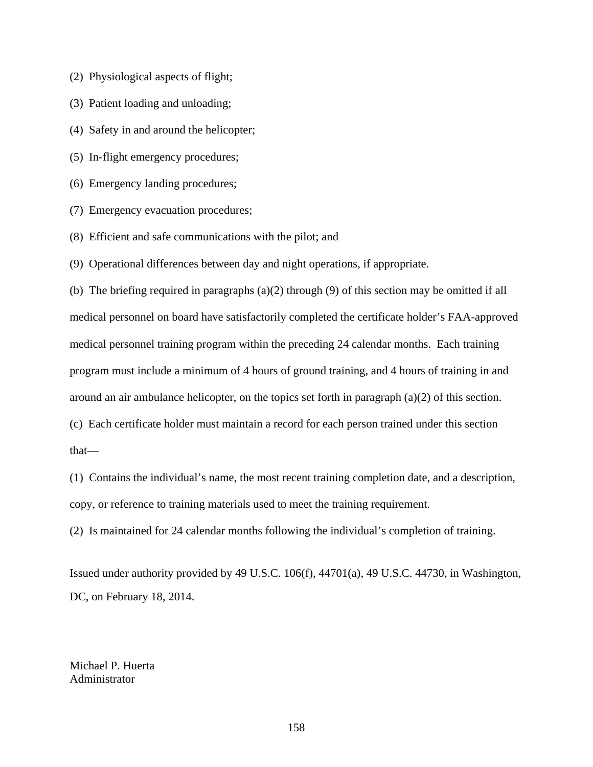- (2) Physiological aspects of flight;
- (3) Patient loading and unloading;
- (4) Safety in and around the helicopter;
- (5) In-flight emergency procedures;
- (6) Emergency landing procedures;
- (7) Emergency evacuation procedures;
- (8) Efficient and safe communications with the pilot; and
- (9) Operational differences between day and night operations, if appropriate.

(b) The briefing required in paragraphs (a)(2) through (9) of this section may be omitted if all medical personnel on board have satisfactorily completed the certificate holder's FAA-approved medical personnel training program within the preceding 24 calendar months. Each training program must include a minimum of 4 hours of ground training, and 4 hours of training in and around an air ambulance helicopter, on the topics set forth in paragraph (a)(2) of this section. (c) Each certificate holder must maintain a record for each person trained under this section

that—

(1) Contains the individual's name, the most recent training completion date, and a description, copy, or reference to training materials used to meet the training requirement.

(2) Is maintained for 24 calendar months following the individual's completion of training.

Issued under authority provided by 49 U.S.C. 106(f), 44701(a), 49 U.S.C. 44730, in Washington, DC, on February 18, 2014.

Michael P. Huerta Administrator